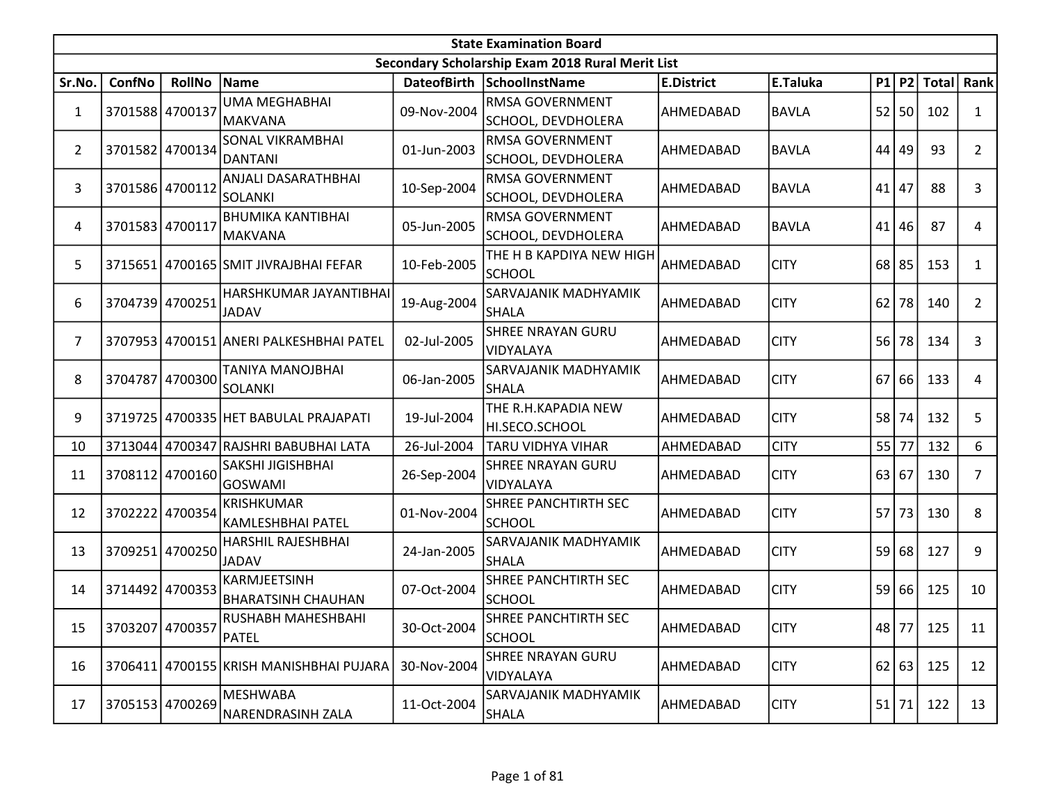|                | <b>State Examination Board</b> |                 |                                           |             |                                                  |                   |              |         |         |                  |                 |  |  |
|----------------|--------------------------------|-----------------|-------------------------------------------|-------------|--------------------------------------------------|-------------------|--------------|---------|---------|------------------|-----------------|--|--|
|                |                                |                 |                                           |             | Secondary Scholarship Exam 2018 Rural Merit List |                   |              |         |         |                  |                 |  |  |
| Sr.No.         | ConfNo                         | RollNo Name     |                                           |             | DateofBirth SchoolInstName                       | <b>E.District</b> | E.Taluka     |         |         | P1 P2 Total Rank |                 |  |  |
| $\mathbf{1}$   | 3701588 4700137                |                 | <b>UMA MEGHABHAI</b><br>MAKVANA           | 09-Nov-2004 | RMSA GOVERNMENT<br>SCHOOL, DEVDHOLERA            | AHMEDABAD         | <b>BAVLA</b> |         | 52 50   | 102              | 1               |  |  |
| $\overline{2}$ |                                | 3701582 4700134 | <b>SONAL VIKRAMBHAI</b><br><b>DANTANI</b> | 01-Jun-2003 | RMSA GOVERNMENT<br>SCHOOL, DEVDHOLERA            | AHMEDABAD         | <b>BAVLA</b> |         | 44 49   | 93               | $\overline{2}$  |  |  |
| 3              | 3701586 4700112                |                 | ANJALI DASARATHBHAI<br>SOLANKI            | 10-Sep-2004 | RMSA GOVERNMENT<br>SCHOOL, DEVDHOLERA            | AHMEDABAD         | <b>BAVLA</b> | 41      | 47      | 88               | 3               |  |  |
| 4              | 3701583 4700117                |                 | <b>BHUMIKA KANTIBHAI</b><br>MAKVANA       | 05-Jun-2005 | RMSA GOVERNMENT<br>SCHOOL, DEVDHOLERA            | AHMEDABAD         | <b>BAVLA</b> |         | $41$ 46 | 87               | 4               |  |  |
| 5              |                                |                 | 3715651 4700165 SMIT JIVRAJBHAI FEFAR     | 10-Feb-2005 | THE H B KAPDIYA NEW HIGH<br><b>SCHOOL</b>        | AHMEDABAD         | <b>CITY</b>  | 68 85   |         | 153              | $\mathbf{1}$    |  |  |
| 6              |                                | 3704739 4700251 | HARSHKUMAR JAYANTIBHAI<br><b>JADAV</b>    | 19-Aug-2004 | SARVAJANIK MADHYAMIK<br><b>SHALA</b>             | AHMEDABAD         | <b>CITY</b>  | 62      | 78      | 140              | $\overline{2}$  |  |  |
| $\overline{7}$ |                                |                 | 3707953 4700151 ANERI PALKESHBHAI PATEL   | 02-Jul-2005 | <b>SHREE NRAYAN GURU</b><br>VIDYALAYA            | AHMEDABAD         | <b>CITY</b>  | 56      | 78      | 134              | 3               |  |  |
| 8              |                                | 3704787 4700300 | TANIYA MANOJBHAI<br>SOLANKI               | 06-Jan-2005 | SARVAJANIK MADHYAMIK<br><b>SHALA</b>             | AHMEDABAD         | <b>CITY</b>  | $67$ 66 |         | 133              | 4               |  |  |
| 9              |                                |                 | 3719725 4700335 HET BABULAL PRAJAPATI     | 19-Jul-2004 | THE R.H.KAPADIA NEW<br>HI.SECO.SCHOOL            | AHMEDABAD         | <b>CITY</b>  | 58 74   |         | 132              | 5               |  |  |
| 10             | 3713044                        |                 | 4700347 RAJSHRI BABUBHAI LATA             | 26-Jul-2004 | TARU VIDHYA VIHAR                                | AHMEDABAD         | <b>CITY</b>  | 55      | 77      | 132              | 6               |  |  |
| 11             |                                | 3708112 4700160 | SAKSHI JIGISHBHAI<br><b>GOSWAMI</b>       | 26-Sep-2004 | <b>SHREE NRAYAN GURU</b><br>VIDYALAYA            | AHMEDABAD         | <b>CITY</b>  | 63 67   |         | 130              | $\overline{7}$  |  |  |
| 12             | 3702222 4700354                |                 | <b>KRISHKUMAR</b><br>KAMLESHBHAI PATEL    | 01-Nov-2004 | SHREE PANCHTIRTH SEC<br><b>SCHOOL</b>            | AHMEDABAD         | <b>CITY</b>  | 57 73   |         | 130              | 8               |  |  |
| 13             | 3709251                        | 4700250         | HARSHIL RAJESHBHAI<br><b>JADAV</b>        | 24-Jan-2005 | SARVAJANIK MADHYAMIK<br><b>SHALA</b>             | AHMEDABAD         | <b>CITY</b>  | 59      | 68      | 127              | 9               |  |  |
| 14             | 3714492 4700353                |                 | KARMJEETSINH<br><b>BHARATSINH CHAUHAN</b> | 07-Oct-2004 | SHREE PANCHTIRTH SEC<br><b>SCHOOL</b>            | AHMEDABAD         | <b>CITY</b>  | 59 66   |         | 125              | 10              |  |  |
| 15             |                                | 3703207 4700357 | RUSHABH MAHESHBAHI<br>PATEL               | 30-Oct-2004 | SHREE PANCHTIRTH SEC<br><b>SCHOOL</b>            | AHMEDABAD         | <b>CITY</b>  |         | 48 77   | 125              | 11              |  |  |
| 16             |                                |                 | 3706411 4700155 KRISH MANISHBHAI PUJARA   | 30-Nov-2004 | <b>SHREE NRAYAN GURU</b><br>VIDYALAYA            | AHMEDABAD         | <b>CITY</b>  |         | 62 63   | 125              | 12 <sup>2</sup> |  |  |
| 17             |                                | 3705153 4700269 | <b>MESHWABA</b><br>NARENDRASINH ZALA      | 11-Oct-2004 | SARVAJANIK MADHYAMIK<br><b>SHALA</b>             | AHMEDABAD         | <b>CITY</b>  | $51$ 71 |         | 122              | 13              |  |  |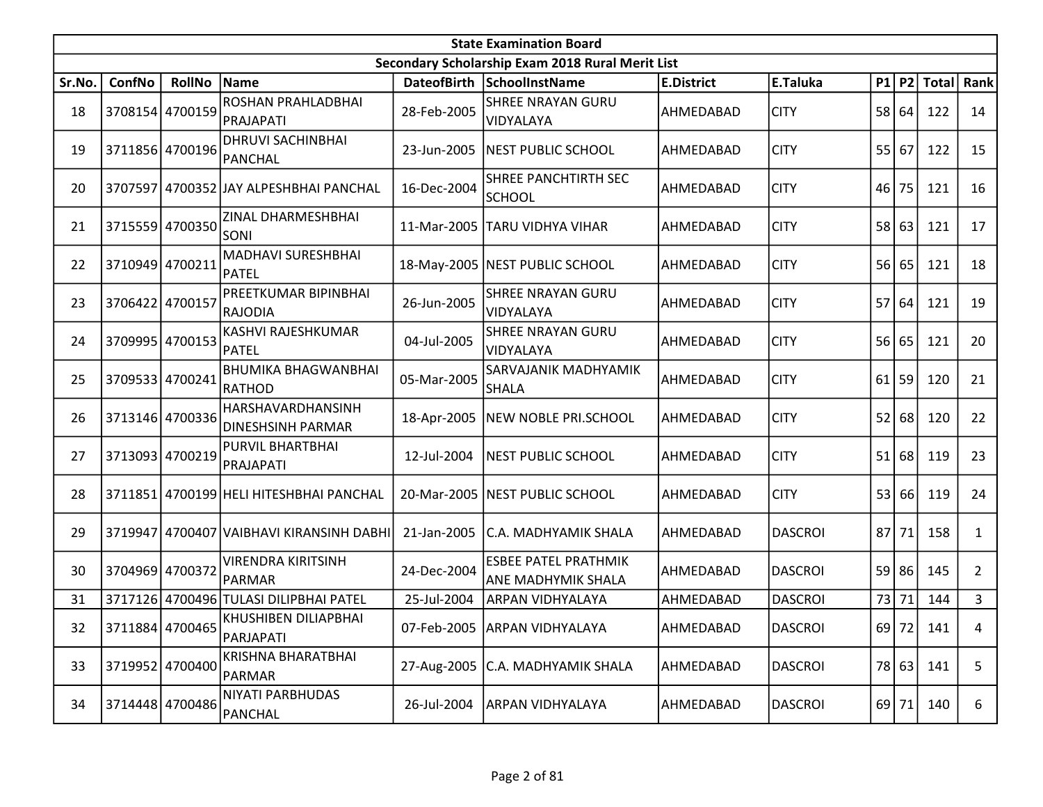|        | <b>State Examination Board</b> |                 |                                         |             |                                                   |                   |                |    |         |               |                |  |  |
|--------|--------------------------------|-----------------|-----------------------------------------|-------------|---------------------------------------------------|-------------------|----------------|----|---------|---------------|----------------|--|--|
|        |                                |                 |                                         |             | Secondary Scholarship Exam 2018 Rural Merit List  |                   |                |    |         |               |                |  |  |
| Sr.No. | ConfNo                         | RollNo Name     |                                         |             | DateofBirth SchoolInstName                        | <b>E.District</b> | E.Taluka       |    |         | $P1$ P2 Total | Rank           |  |  |
| 18     |                                | 3708154 4700159 | ROSHAN PRAHLADBHAI<br>PRAJAPATI         | 28-Feb-2005 | <b>SHREE NRAYAN GURU</b><br>VIDYALAYA             | AHMEDABAD         | <b>CITY</b>    |    | 58 64   | 122           | 14             |  |  |
| 19     |                                | 3711856 4700196 | <b>DHRUVI SACHINBHAI</b><br>PANCHAL     | 23-Jun-2005 | NEST PUBLIC SCHOOL                                | AHMEDABAD         | <b>CITY</b>    |    | 55 67   | 122           | 15             |  |  |
| 20     | 3707597                        |                 | 4700352 JJAY ALPESHBHAI PANCHAL         | 16-Dec-2004 | SHREE PANCHTIRTH SEC<br><b>SCHOOL</b>             | AHMEDABAD         | <b>CITY</b>    | 46 | 75      | 121           | 16             |  |  |
| 21     |                                | 3715559 4700350 | ZINAL DHARMESHBHAI<br><b>SONI</b>       | 11-Mar-2005 | <b>TARU VIDHYA VIHAR</b>                          | AHMEDABAD         | <b>CITY</b>    |    | 58 63   | 121           | 17             |  |  |
| 22     | 3710949 4700211                |                 | MADHAVI SURESHBHAI<br>PATEL             |             | 18-May-2005   NEST PUBLIC SCHOOL                  | AHMEDABAD         | <b>CITY</b>    |    | 56 65   | 121           | 18             |  |  |
| 23     | 3706422 4700157                |                 | PREETKUMAR BIPINBHAI<br>RAJODIA         | 26-Jun-2005 | <b>SHREE NRAYAN GURU</b><br>VIDYALAYA             | AHMEDABAD         | <b>CITY</b>    |    | 57 64   | 121           | 19             |  |  |
| 24     |                                | 3709995 4700153 | KASHVI RAJESHKUMAR<br>PATEL             | 04-Jul-2005 | <b>SHREE NRAYAN GURU</b><br>VIDYALAYA             | AHMEDABAD         | <b>CITY</b>    |    | 56 65   | 121           | 20             |  |  |
| 25     |                                | 3709533 4700241 | <b>BHUMIKA BHAGWANBHAI</b><br>RATHOD    | 05-Mar-2005 | SARVAJANIK MADHYAMIK<br><b>SHALA</b>              | AHMEDABAD         | <b>CITY</b>    |    | $61$ 59 | 120           | 21             |  |  |
| 26     |                                | 3713146 4700336 | HARSHAVARDHANSINH<br>DINESHSINH PARMAR  |             | 18-Apr-2005 NEW NOBLE PRI.SCHOOL                  | AHMEDABAD         | <b>CITY</b>    | 52 | 68      | 120           | 22             |  |  |
| 27     |                                | 3713093 4700219 | PURVIL BHARTBHAI<br>PRAJAPATI           | 12-Jul-2004 | <b>NEST PUBLIC SCHOOL</b>                         | AHMEDABAD         | <b>CITY</b>    | 51 | 68      | 119           | 23             |  |  |
| 28     |                                |                 | 3711851 4700199 HELI HITESHBHAI PANCHAL | 20-Mar-2005 | <b>NEST PUBLIC SCHOOL</b>                         | AHMEDABAD         | <b>CITY</b>    |    | 53 66   | 119           | 24             |  |  |
| 29     | 3719947                        |                 | 4700407 VAIBHAVI KIRANSINH DABHI        | 21-Jan-2005 | C.A. MADHYAMIK SHALA                              | AHMEDABAD         | <b>DASCROI</b> | 87 | 71      | 158           | $\mathbf{1}$   |  |  |
| 30     | 3704969 4700372                |                 | <b>VIRENDRA KIRITSINH</b><br>PARMAR     | 24-Dec-2004 | <b>ESBEE PATEL PRATHMIK</b><br>ANE MADHYMIK SHALA | AHMEDABAD         | <b>DASCROI</b> |    | 59 86   | 145           | $\overline{2}$ |  |  |
| 31     |                                |                 | 3717126 4700496 TULASI DILIPBHAI PATEL  | 25-Jul-2004 | ARPAN VIDHYALAYA                                  | AHMEDABAD         | <b>DASCROI</b> | 73 | 71      | 144           | 3              |  |  |
| 32     |                                | 3711884 4700465 | KHUSHIBEN DILIAPBHAI<br>PARJAPATI       |             | 07-Feb-2005 ARPAN VIDHYALAYA                      | AHMEDABAD         | <b>DASCROI</b> |    |         | 69 72 141     | 4              |  |  |
| 33     |                                | 3719952 4700400 | <b>KRISHNA BHARATBHAI</b><br>PARMAR     |             | 27-Aug-2005 C.A. MADHYAMIK SHALA                  | AHMEDABAD         | <b>DASCROI</b> |    | 78 63   | 141           | 5              |  |  |
| 34     |                                | 3714448 4700486 | NIYATI PARBHUDAS<br>PANCHAL             | 26-Jul-2004 | ARPAN VIDHYALAYA                                  | AHMEDABAD         | <b>DASCROI</b> |    | 69 71   | 140           | 6              |  |  |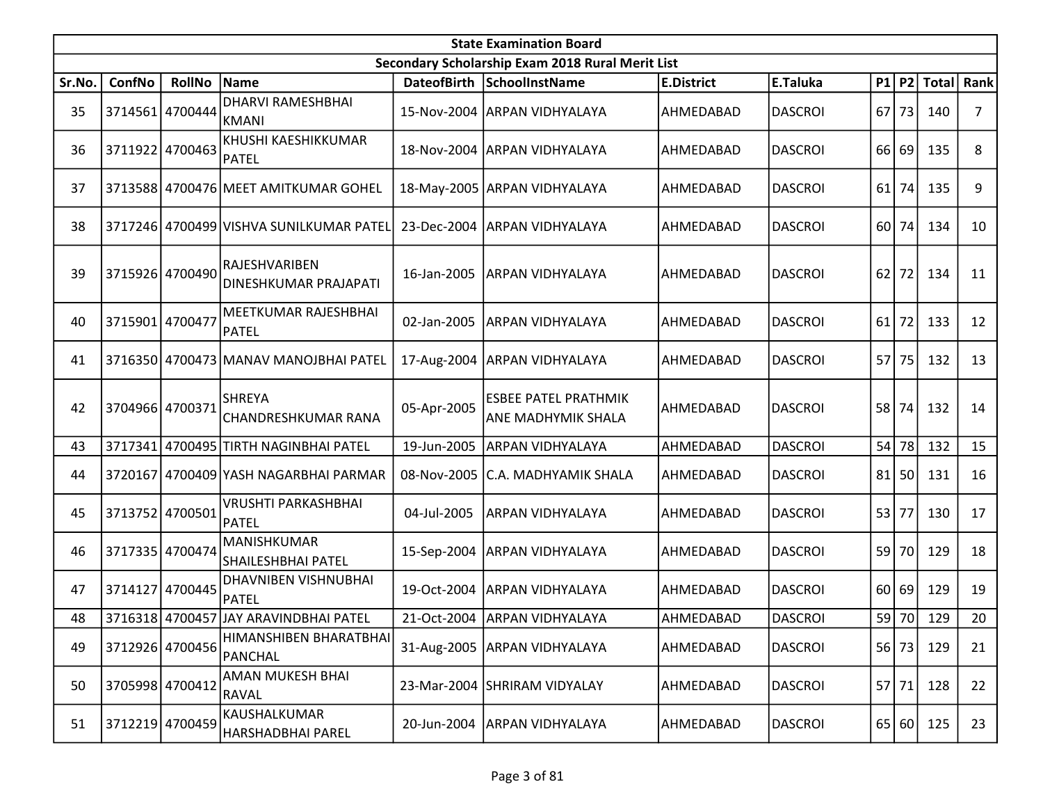|        | <b>State Examination Board</b> |                 |                                               |             |                                                          |                   |                |      |         |              |      |  |  |
|--------|--------------------------------|-----------------|-----------------------------------------------|-------------|----------------------------------------------------------|-------------------|----------------|------|---------|--------------|------|--|--|
|        |                                |                 |                                               |             | Secondary Scholarship Exam 2018 Rural Merit List         |                   |                |      |         |              |      |  |  |
| Sr.No. | ConfNo                         | <b>RollNo</b>   | Name                                          |             | DateofBirth SchoolInstName                               | <b>E.District</b> | E.Taluka       | P1   | P2      | <b>Total</b> | Rank |  |  |
| 35     |                                | 3714561 4700444 | <b>DHARVI RAMESHBHAI</b><br>KMANI             |             | 15-Nov-2004 ARPAN VIDHYALAYA                             | AHMEDABAD         | <b>DASCROI</b> | 67   | 73      | 140          | 7    |  |  |
| 36     |                                | 3711922 4700463 | KHUSHI KAESHIKKUMAR<br><b>PATEL</b>           |             | 18-Nov-2004 ARPAN VIDHYALAYA                             | AHMEDABAD         | <b>DASCROI</b> | 66 l | 69      | 135          | 8    |  |  |
| 37     |                                |                 | 3713588 4700476 MEET AMITKUMAR GOHEL          |             | 18-May-2005 ARPAN VIDHYALAYA                             | AHMEDABAD         | <b>DASCROI</b> | 61   | 74      | 135          | 9    |  |  |
| 38     |                                |                 | 3717246 4700499 VISHVA SUNILKUMAR PATEL       | 23-Dec-2004 | <b>ARPAN VIDHYALAYA</b>                                  | AHMEDABAD         | <b>DASCROI</b> | 60   | 74      | 134          | 10   |  |  |
| 39     |                                | 3715926 4700490 | <b>RAJESHVARIBEN</b><br>DINESHKUMAR PRAJAPATI | 16-Jan-2005 | <b>ARPAN VIDHYALAYA</b>                                  | AHMEDABAD         | <b>DASCROI</b> | 62   | 72      | 134          | 11   |  |  |
| 40     | 3715901 4700477                |                 | MEETKUMAR RAJESHBHAI<br>PATEL                 | 02-Jan-2005 | <b>ARPAN VIDHYALAYA</b>                                  | AHMEDABAD         | <b>DASCROI</b> | 61   | 72      | 133          | 12   |  |  |
| 41     |                                |                 | 3716350 4700473 MANAV MANOJBHAI PATEL         | 17-Aug-2004 | <b>ARPAN VIDHYALAYA</b>                                  | AHMEDABAD         | <b>DASCROI</b> | 57   | 75      | 132          | 13   |  |  |
| 42     | 3704966 4700371                |                 | <b>SHREYA</b><br><b>CHANDRESHKUMAR RANA</b>   | 05-Apr-2005 | <b>ESBEE PATEL PRATHMIK</b><br><b>ANE MADHYMIK SHALA</b> | AHMEDABAD         | <b>DASCROI</b> | 58   | 74      | 132          | 14   |  |  |
| 43     | 3717341                        |                 | 4700495 TIRTH NAGINBHAI PATEL                 | 19-Jun-2005 | <b>ARPAN VIDHYALAYA</b>                                  | AHMEDABAD         | <b>DASCROI</b> |      | $54$ 78 | 132          | 15   |  |  |
| 44     |                                |                 | 3720167 4700409 YASH NAGARBHAI PARMAR         | 08-Nov-2005 | C.A. MADHYAMIK SHALA                                     | AHMEDABAD         | <b>DASCROI</b> | 81   | 50      | 131          | 16   |  |  |
| 45     |                                | 3713752 4700501 | <b>VRUSHTI PARKASHBHAI</b><br><b>PATEL</b>    | 04-Jul-2005 | <b>ARPAN VIDHYALAYA</b>                                  | AHMEDABAD         | <b>DASCROI</b> |      | 53 77   | 130          | 17   |  |  |
| 46     |                                | 3717335 4700474 | MANISHKUMAR<br><b>SHAILESHBHAI PATEL</b>      | 15-Sep-2004 | <b>ARPAN VIDHYALAYA</b>                                  | AHMEDABAD         | <b>DASCROI</b> | 59   | 70      | 129          | 18   |  |  |
| 47     |                                | 3714127 4700445 | <b>DHAVNIBEN VISHNUBHAI</b><br>PATEL          | 19-Oct-2004 | ARPAN VIDHYALAYA                                         | AHMEDABAD         | <b>DASCROI</b> | 60 l | 69      | 129          | 19   |  |  |
| 48     |                                |                 | 3716318 4700457 JAY ARAVINDBHAI PATEL         |             | 21-Oct-2004   ARPAN VIDHYALAYA                           | AHMEDABAD         | <b>DASCROI</b> | 59   | 70      | 129          | 20   |  |  |
| 49     |                                | 3712926 4700456 | HIMANSHIBEN BHARATBHAI<br><b>PANCHAL</b>      |             | 31-Aug-2005 ARPAN VIDHYALAYA                             | AHMEDABAD         | <b>DASCROI</b> |      | $56$ 73 | 129          | 21   |  |  |
| 50     |                                | 3705998 4700412 | AMAN MUKESH BHAI<br>RAVAL                     | 23-Mar-2004 | SHRIRAM VIDYALAY                                         | AHMEDABAD         | <b>DASCROI</b> |      | $57$ 71 | 128          | 22   |  |  |
| 51     |                                | 3712219 4700459 | KAUSHALKUMAR<br>HARSHADBHAI PAREL             | 20-Jun-2004 | ARPAN VIDHYALAYA                                         | AHMEDABAD         | <b>DASCROI</b> |      | 65 60   | 125          | 23   |  |  |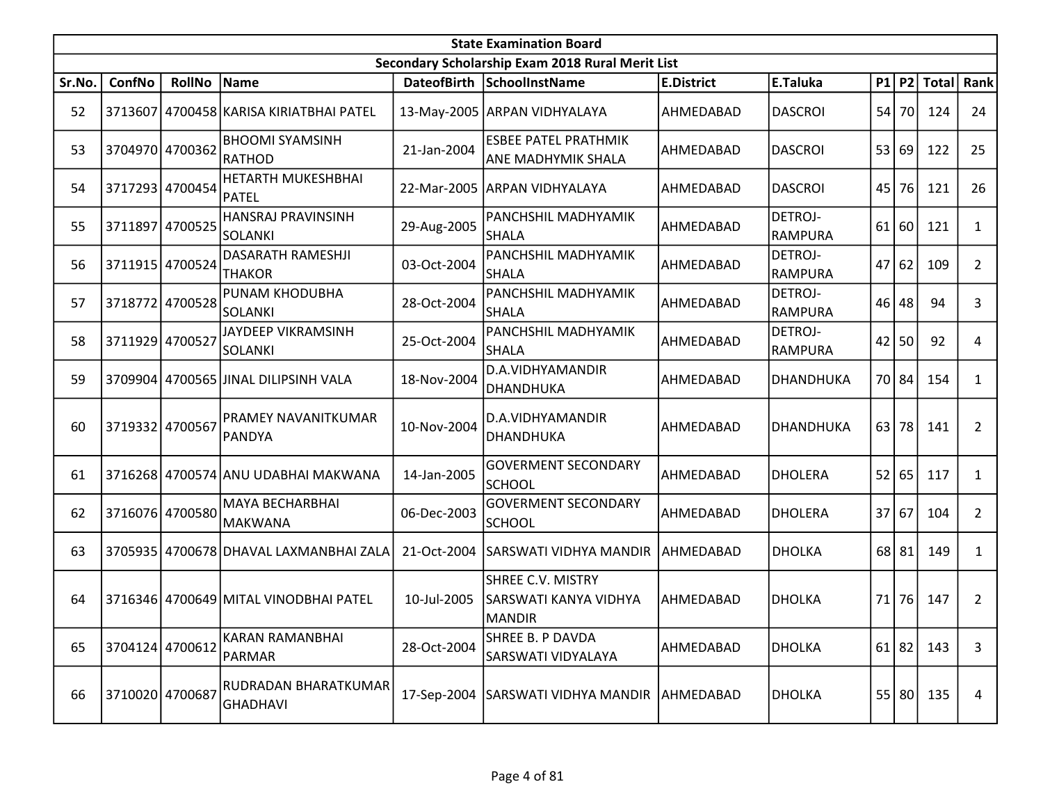|        | <b>State Examination Board</b><br>Secondary Scholarship Exam 2018 Rural Merit List |                 |                                          |                    |                                                             |                   |                           |                 |           |               |                |  |  |
|--------|------------------------------------------------------------------------------------|-----------------|------------------------------------------|--------------------|-------------------------------------------------------------|-------------------|---------------------------|-----------------|-----------|---------------|----------------|--|--|
|        |                                                                                    |                 |                                          |                    |                                                             |                   |                           |                 |           |               |                |  |  |
| Sr.No. | ConfNo                                                                             | <b>RollNo</b>   | Name                                     | <b>DateofBirth</b> | SchoolInstName                                              | <b>E.District</b> | E.Taluka                  |                 |           | $P1$ P2 Total | Rank           |  |  |
| 52     | 3713607                                                                            |                 | 4700458 KARISA KIRIATBHAI PATEL          |                    | 13-May-2005 ARPAN VIDHYALAYA                                | AHMEDABAD         | <b>DASCROI</b>            | 54              | 70        | 124           | 24             |  |  |
| 53     |                                                                                    | 3704970 4700362 | <b>BHOOMI SYAMSINH</b><br><b>RATHOD</b>  | 21-Jan-2004        | <b>ESBEE PATEL PRATHMIK</b><br>ANE MADHYMIK SHALA           | AHMEDABAD         | <b>DASCROI</b>            | 531             | 69        | 122           | 25             |  |  |
| 54     |                                                                                    | 3717293 4700454 | HETARTH MUKESHBHAI<br><b>PATEL</b>       |                    | 22-Mar-2005 ARPAN VIDHYALAYA                                | AHMEDABAD         | <b>DASCROI</b>            | 45              | 76        | 121           | 26             |  |  |
| 55     | 3711897                                                                            | 4700525         | HANSRAJ PRAVINSINH<br><b>SOLANKI</b>     | 29-Aug-2005        | PANCHSHIL MADHYAMIK<br><b>SHALA</b>                         | AHMEDABAD         | DETROJ-<br><b>RAMPURA</b> | 61              | 60        | 121           | $\mathbf{1}$   |  |  |
| 56     |                                                                                    | 3711915 4700524 | DASARATH RAMESHJI<br><b>THAKOR</b>       | 03-Oct-2004        | PANCHSHIL MADHYAMIK<br><b>SHALA</b>                         | AHMEDABAD         | DETROJ-<br><b>RAMPURA</b> |                 | 47 62     | 109           | $\overline{2}$ |  |  |
| 57     |                                                                                    | 3718772 4700528 | PUNAM KHODUBHA<br>SOLANKI                | 28-Oct-2004        | PANCHSHIL MADHYAMIK<br><b>SHALA</b>                         | AHMEDABAD         | DETROJ-<br><b>RAMPURA</b> | 46              | 48        | 94            | 3              |  |  |
| 58     | 3711929 4700527                                                                    |                 | JAYDEEP VIKRAMSINH<br>SOLANKI            | 25-Oct-2004        | PANCHSHIL MADHYAMIK<br><b>SHALA</b>                         | AHMEDABAD         | DETROJ-<br><b>RAMPURA</b> | 42              | 50        | 92            | 4              |  |  |
| 59     |                                                                                    |                 | 3709904 4700565 JJINAL DILIPSINH VALA    | 18-Nov-2004        | D.A.VIDHYAMANDIR<br><b>DHANDHUKA</b>                        | AHMEDABAD         | <b>DHANDHUKA</b>          |                 | 70 84     | 154           | $\mathbf{1}$   |  |  |
| 60     |                                                                                    | 3719332 4700567 | <b>PRAMEY NAVANITKUMAR</b><br>PANDYA     | 10-Nov-2004        | D.A.VIDHYAMANDIR<br><b>DHANDHUKA</b>                        | AHMEDABAD         | DHANDHUKA                 | 63 l            | 78        | 141           | $\overline{2}$ |  |  |
| 61     |                                                                                    |                 | 3716268 4700574 ANU UDABHAI MAKWANA      | 14-Jan-2005        | <b>GOVERMENT SECONDARY</b><br><b>SCHOOL</b>                 | AHMEDABAD         | <b>DHOLERA</b>            | 52              | 65        | 117           | 1              |  |  |
| 62     |                                                                                    | 3716076 4700580 | <b>MAYA BECHARBHAI</b><br><b>MAKWANA</b> | 06-Dec-2003        | <b>GOVERMENT SECONDARY</b><br><b>SCHOOL</b>                 | AHMEDABAD         | <b>DHOLERA</b>            | 37 <sup>1</sup> | 67        | 104           | $\overline{2}$ |  |  |
| 63     |                                                                                    |                 | 3705935 4700678 DHAVAL LAXMANBHAI ZALA   | 21-Oct-2004        | SARSWATI VIDHYA MANDIR  AHMEDABAD                           |                   | <b>DHOLKA</b>             |                 | 68 81     | 149           | $\mathbf{1}$   |  |  |
| 64     |                                                                                    |                 | 3716346 4700649 MITAL VINODBHAI PATEL    | 10-Jul-2005        | <b>SHREE C.V. MISTRY</b><br>SARSWATI KANYA VIDHYA<br>MANDIR | AHMEDABAD         | <b>DHOLKA</b>             | 71              | 76        | 147           | $\overline{2}$ |  |  |
| 65     |                                                                                    | 3704124 4700612 | <b>KARAN RAMANBHAI</b><br><b>PARMAR</b>  | 28-Oct-2004        | SHREE B. P DAVDA<br>SARSWATI VIDYALAYA                      | AHMEDABAD         | <b>DHOLKA</b>             |                 | $61$   82 | 143           | 3              |  |  |
| 66     |                                                                                    | 3710020 4700687 | RUDRADAN BHARATKUMAR<br><b>GHADHAVI</b>  | 17-Sep-2004        | SARSWATI VIDHYA MANDIR AHMEDABAD                            |                   | <b>DHOLKA</b>             |                 | 55 80     | 135           | 4              |  |  |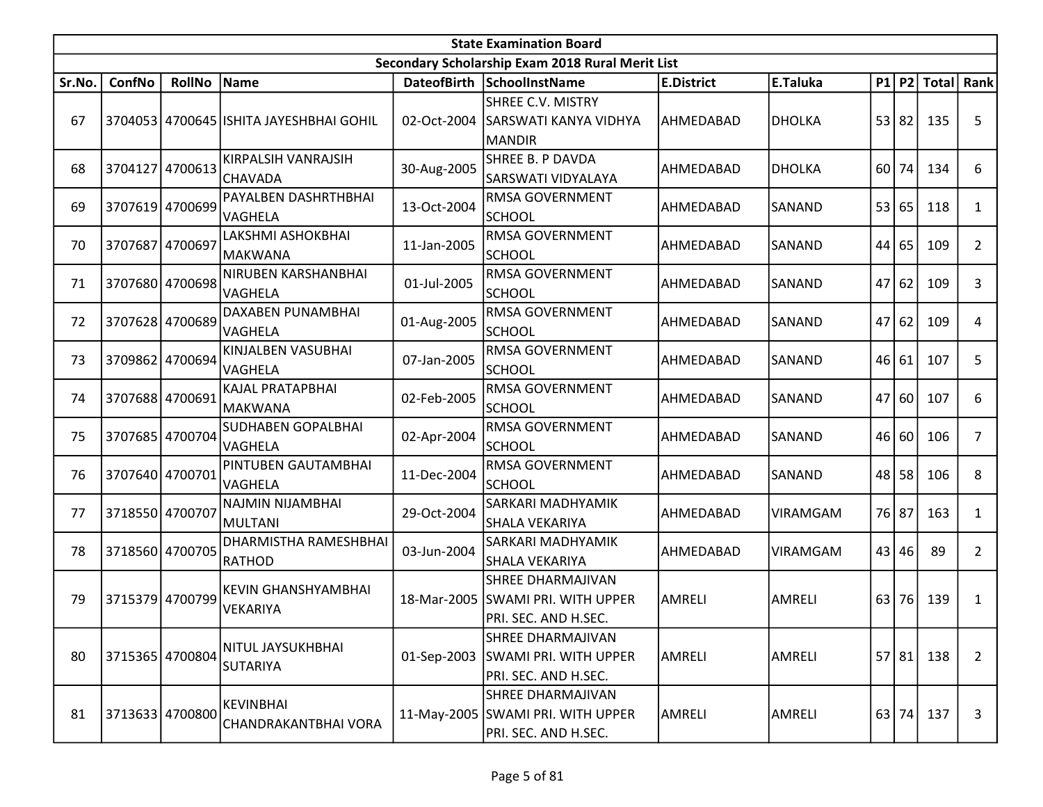|        | <b>State Examination Board</b><br>Secondary Scholarship Exam 2018 Rural Merit List |                 |                                          |             |                                                                                       |                   |                 |    |       |               |                |  |  |
|--------|------------------------------------------------------------------------------------|-----------------|------------------------------------------|-------------|---------------------------------------------------------------------------------------|-------------------|-----------------|----|-------|---------------|----------------|--|--|
|        |                                                                                    |                 |                                          |             |                                                                                       |                   |                 |    |       |               |                |  |  |
| Sr.No. | ConfNo                                                                             | <b>RollNo</b>   | Name                                     |             | DateofBirth SchoolInstName                                                            | <b>E.District</b> | E.Taluka        |    |       | $P1$ P2 Total | Rank           |  |  |
| 67     |                                                                                    |                 | 3704053 4700645 ISHITA JAYESHBHAI GOHIL  | 02-Oct-2004 | SHREE C.V. MISTRY<br><b>SARSWATI KANYA VIDHYA</b><br><b>MANDIR</b>                    | AHMEDABAD         | <b>DHOLKA</b>   | 53 | 82    | 135           | 5              |  |  |
| 68     |                                                                                    | 3704127 4700613 | KIRPALSIH VANRAJSIH<br><b>CHAVADA</b>    | 30-Aug-2005 | SHREE B. P DAVDA<br><b>SARSWATI VIDYALAYA</b>                                         | AHMEDABAD         | <b>DHOLKA</b>   | 60 | 74    | 134           | 6              |  |  |
| 69     |                                                                                    | 3707619 4700699 | PAYALBEN DASHRTHBHAI<br>VAGHELA          | 13-Oct-2004 | RMSA GOVERNMENT<br><b>SCHOOL</b>                                                      | AHMEDABAD         | <b>SANAND</b>   | 53 | 65    | 118           | 1              |  |  |
| 70     |                                                                                    | 3707687 4700697 | LAKSHMI ASHOKBHAI<br> MAKWANA            | 11-Jan-2005 | RMSA GOVERNMENT<br><b>SCHOOL</b>                                                      | AHMEDABAD         | SANAND          | 44 | 65    | 109           | $\overline{2}$ |  |  |
| 71     |                                                                                    | 3707680 4700698 | NIRUBEN KARSHANBHAI<br>VAGHELA           | 01-Jul-2005 | <b>RMSA GOVERNMENT</b><br><b>SCHOOL</b>                                               | AHMEDABAD         | <b>SANAND</b>   | 47 | 62    | 109           | 3              |  |  |
| 72     |                                                                                    | 3707628 4700689 | <b>DAXABEN PUNAMBHAI</b><br>VAGHELA      | 01-Aug-2005 | RMSA GOVERNMENT<br><b>SCHOOL</b>                                                      | AHMEDABAD         | SANAND          | 47 | 62    | 109           | 4              |  |  |
| 73     |                                                                                    | 3709862 4700694 | KINJALBEN VASUBHAI<br>VAGHELA            | 07-Jan-2005 | RMSA GOVERNMENT<br><b>SCHOOL</b>                                                      | AHMEDABAD         | SANAND          | 46 | 61    | 107           | 5              |  |  |
| 74     |                                                                                    | 3707688 4700691 | KAJAL PRATAPBHAI<br>MAKWANA              | 02-Feb-2005 | RMSA GOVERNMENT<br><b>SCHOOL</b>                                                      | AHMEDABAD         | <b>SANAND</b>   | 47 | 60    | 107           | 6              |  |  |
| 75     |                                                                                    | 3707685 4700704 | SUDHABEN GOPALBHAI<br>VAGHELA            | 02-Apr-2004 | RMSA GOVERNMENT<br><b>SCHOOL</b>                                                      | AHMEDABAD         | <b>SANAND</b>   | 46 | 60    | 106           | $\overline{7}$ |  |  |
| 76     |                                                                                    | 3707640 4700701 | PINTUBEN GAUTAMBHAI<br>VAGHELA           | 11-Dec-2004 | RMSA GOVERNMENT<br><b>SCHOOL</b>                                                      | AHMEDABAD         | SANAND          | 48 | 58    | 106           | 8              |  |  |
| 77     | 3718550 4700707                                                                    |                 | NAJMIN NIJAMBHAI<br>MULTANI              | 29-Oct-2004 | SARKARI MADHYAMIK<br>SHALA VEKARIYA                                                   | AHMEDABAD         | VIRAMGAM        |    | 76 87 | 163           | $\mathbf{1}$   |  |  |
| 78     |                                                                                    | 3718560 4700705 | DHARMISTHA RAMESHBHAI<br><b>RATHOD</b>   | 03-Jun-2004 | SARKARI MADHYAMIK<br><b>SHALA VEKARIYA</b>                                            | AHMEDABAD         | <b>VIRAMGAM</b> | 43 | 46    | 89            | $\overline{2}$ |  |  |
| 79     |                                                                                    | 3715379 4700799 | <b>KEVIN GHANSHYAMBHAI</b><br>VEKARIYA   | 18-Mar-2005 | <b>SHREE DHARMAJIVAN</b><br>SWAMI PRI. WITH UPPER<br>PRI. SEC. AND H.SEC.             | AMRELI            | AMRELI          | 63 | 76    | 139           | $\mathbf{1}$   |  |  |
| 80     |                                                                                    | 3715365 4700804 | NITUL JAYSUKHBHAI<br><b>SUTARIYA</b>     | 01-Sep-2003 | <b>SHREE DHARMAJIVAN</b><br>SWAMI PRI. WITH UPPER<br>PRI. SEC. AND H.SEC.             | AMRELI            | <b>AMRELI</b>   |    | 57 81 | 138           | $\overline{2}$ |  |  |
| 81     |                                                                                    | 3713633 4700800 | <b>KEVINBHAI</b><br>CHANDRAKANTBHAI VORA |             | <b>SHREE DHARMAJIVAN</b><br>11-May-2005 SWAMI PRI. WITH UPPER<br>PRI. SEC. AND H.SEC. | AMRELI            | <b>AMRELI</b>   |    | 63 74 | 137           | 3              |  |  |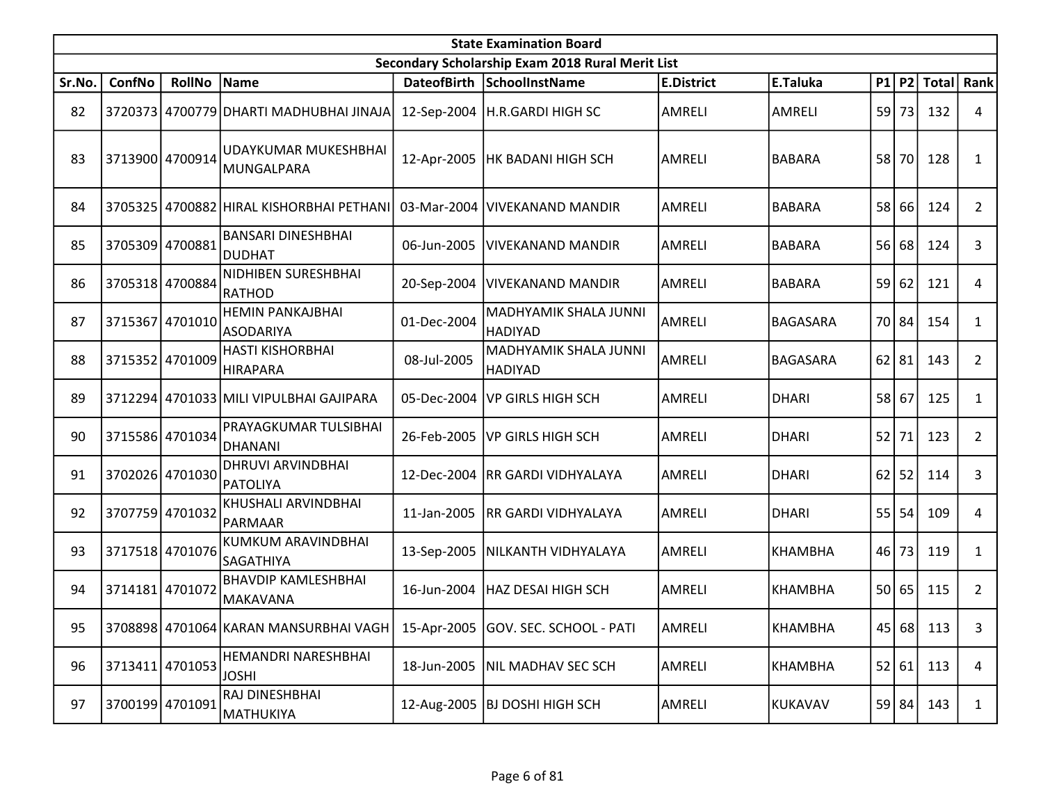|        | <b>State Examination Board</b><br>Secondary Scholarship Exam 2018 Rural Merit List |                 |                                             |                    |                                         |                   |                 |    |           |              |                |  |  |
|--------|------------------------------------------------------------------------------------|-----------------|---------------------------------------------|--------------------|-----------------------------------------|-------------------|-----------------|----|-----------|--------------|----------------|--|--|
|        |                                                                                    |                 |                                             |                    |                                         |                   |                 |    |           |              |                |  |  |
| Sr.No. | ConfNo                                                                             | <b>RollNo</b>   | Name                                        | <b>DateofBirth</b> | SchoolInstName                          | <b>E.District</b> | E.Taluka        |    | P1 P2     | <b>Total</b> | Rank           |  |  |
| 82     |                                                                                    |                 | 3720373 4700779 DHARTI MADHUBHAI JINAJA     |                    | 12-Sep-2004   H.R.GARDI HIGH SC         | <b>AMRELI</b>     | <b>AMRELI</b>   | 59 | 73        | 132          | 4              |  |  |
| 83     |                                                                                    | 3713900 4700914 | JUDAYKUMAR MUKESHBHAI<br> MUNGALPARA        |                    | 12-Apr-2005   HK BADANI HIGH SCH        | AMRELI            | <b>BABARA</b>   | 58 | <b>70</b> | 128          | $\mathbf{1}$   |  |  |
| 84     |                                                                                    |                 | 3705325 4700882 HIRAL KISHORBHAI PETHANI    | 03-Mar-2004        | VIVEKANAND MANDIR                       | <b>AMRELI</b>     | <b>BABARA</b>   | 58 | 66        | 124          | $\overline{2}$ |  |  |
| 85     |                                                                                    | 3705309 4700881 | <b>BANSARI DINESHBHAI</b><br><b>DUDHAT</b>  | 06-Jun-2005        | <b>VIVEKANAND MANDIR</b>                | <b>AMRELI</b>     | <b>BABARA</b>   | 56 | 68        | 124          | 3              |  |  |
| 86     |                                                                                    | 3705318 4700884 | NIDHIBEN SURESHBHAI<br>RATHOD               |                    | 20-Sep-2004   VIVEKANAND MANDIR         | <b>AMRELI</b>     | <b>BABARA</b>   |    | 59 62     | 121          | 4              |  |  |
| 87     | 3715367 4701010                                                                    |                 | <b>HEMIN PANKAJBHAI</b><br><b>ASODARIYA</b> | 01-Dec-2004        | MADHYAMIK SHALA JUNNI<br><b>HADIYAD</b> | AMRELI            | <b>BAGASARA</b> |    | 70 84     | 154          | $\mathbf{1}$   |  |  |
| 88     |                                                                                    | 3715352 4701009 | <b>HASTI KISHORBHAI</b><br><b>HIRAPARA</b>  | 08-Jul-2005        | MADHYAMIK SHALA JUNNI<br><b>HADIYAD</b> | <b>AMRELI</b>     | <b>BAGASARA</b> | 62 | 81        | 143          | $\overline{2}$ |  |  |
| 89     |                                                                                    |                 | 3712294 4701033 MILI VIPULBHAI GAJIPARA     | 05-Dec-2004        | <b>VP GIRLS HIGH SCH</b>                | AMRELI            | <b>DHARI</b>    |    | 58 67     | 125          | 1              |  |  |
| 90     |                                                                                    | 3715586 4701034 | PRAYAGKUMAR TULSIBHAI<br>DHANANI            | 26-Feb-2005        | VP GIRLS HIGH SCH                       | <b>AMRELI</b>     | <b>DHARI</b>    | 52 | 71        | 123          | $\overline{2}$ |  |  |
| 91     |                                                                                    | 3702026 4701030 | <b>DHRUVI ARVINDBHAI</b><br><b>PATOLIYA</b> | 12-Dec-2004        | <b>RR GARDI VIDHYALAYA</b>              | <b>AMRELI</b>     | <b>DHARI</b>    | 62 | 52        | 114          | 3              |  |  |
| 92     |                                                                                    | 3707759 4701032 | KHUSHALI ARVINDBHAI<br>PARMAAR              | 11-Jan-2005        | <b>RR GARDI VIDHYALAYA</b>              | <b>AMRELI</b>     | <b>DHARI</b>    |    | $55$ 54   | 109          | 4              |  |  |
| 93     |                                                                                    | 3717518 4701076 | KUMKUM ARAVINDBHAI<br>SAGATHIYA             |                    | 13-Sep-2005   NILKANTH VIDHYALAYA       | <b>AMRELI</b>     | <b>KHAMBHA</b>  | 46 | 73        | 119          | $\mathbf{1}$   |  |  |
| 94     | 3714181 4701072                                                                    |                 | BHAVDIP KAMLESHBHAI<br>MAKAVANA             |                    | 16-Jun-2004   HAZ DESAI HIGH SCH        | <b>AMRELI</b>     | KHAMBHA         |    | 50 65     | 115          | $\overline{2}$ |  |  |
| 95     |                                                                                    |                 | 3708898 4701064 KARAN MANSURBHAI VAGH       |                    | 15-Apr-2005 GOV. SEC. SCHOOL - PATI     | AMRELI            | <b>KHAMBHA</b>  |    |           | 45 68 113    | 3              |  |  |
| 96     |                                                                                    | 3713411 4701053 | HEMANDRI NARESHBHAI<br><b>JOSHI</b>         | 18-Jun-2005        | NIL MADHAV SEC SCH                      | AMRELI            | <b>KHAMBHA</b>  |    | 52 61     | 113          | 4              |  |  |
| 97     |                                                                                    | 3700199 4701091 | RAJ DINESHBHAI<br>MATHUKIYA                 |                    | 12-Aug-2005 BJ DOSHI HIGH SCH           | AMRELI            | <b>KUKAVAV</b>  |    | 59 84     | 143          | $\mathbf{1}$   |  |  |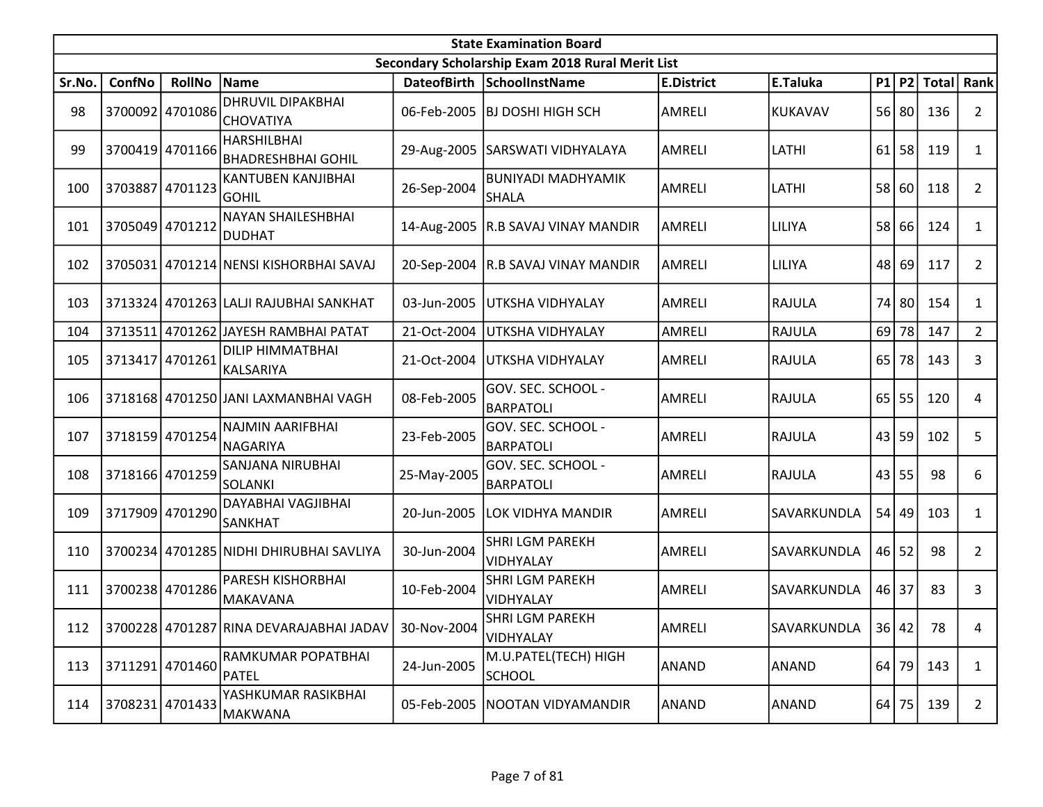|        | <b>State Examination Board</b><br>Secondary Scholarship Exam 2018 Rural Merit List |                 |                                                 |             |                                           |                   |               |           |         |                        |                |  |  |
|--------|------------------------------------------------------------------------------------|-----------------|-------------------------------------------------|-------------|-------------------------------------------|-------------------|---------------|-----------|---------|------------------------|----------------|--|--|
|        |                                                                                    |                 |                                                 |             |                                           |                   |               |           |         |                        |                |  |  |
| Sr.No. | ConfNo                                                                             | <b>RollNo</b>   | Name                                            |             | DateofBirth SchoolInstName                | <b>E.District</b> | E.Taluka      |           |         | P1   P2   Total   Rank |                |  |  |
| 98     |                                                                                    | 3700092 4701086 | <b>DHRUVIL DIPAKBHAI</b><br><b>CHOVATIYA</b>    |             | 06-Feb-2005  BJ DOSHI HIGH SCH            | <b>AMRELI</b>     | KUKAVAV       |           | 56 80   | 136                    | $\mathbf{2}$   |  |  |
| 99     |                                                                                    | 3700419 4701166 | <b>HARSHILBHAI</b><br><b>BHADRESHBHAI GOHIL</b> |             | 29-Aug-2005 SARSWATI VIDHYALAYA           | <b>AMRELI</b>     | LATHI         |           | $61$ 58 | 119                    | $\mathbf{1}$   |  |  |
| 100    | 3703887                                                                            | 4701123         | KANTUBEN KANJIBHAI<br><b>GOHIL</b>              | 26-Sep-2004 | <b>BUNIYADI MADHYAMIK</b><br><b>SHALA</b> | <b>AMRELI</b>     | LATHI         | 58 60     |         | 118                    | $\overline{2}$ |  |  |
| 101    | 3705049 4701212                                                                    |                 | NAYAN SHAILESHBHAI<br>DUDHAT                    |             | 14-Aug-2005 R.B SAVAJ VINAY MANDIR        | <b>AMRELI</b>     | LILIYA        | 58 66     |         | 124                    | $\mathbf{1}$   |  |  |
| 102    |                                                                                    |                 | 3705031 4701214 NENSI KISHORBHAI SAVAJ          |             | 20-Sep-2004 R.B SAVAJ VINAY MANDIR        | <b>AMRELI</b>     | LILIYA        |           | 48 69   | 117                    | $\overline{2}$ |  |  |
| 103    |                                                                                    |                 | 3713324 4701263 LALJI RAJUBHAI SANKHAT          | 03-Jun-2005 | UTKSHA VIDHYALAY                          | <b>AMRELI</b>     | RAJULA        | 74        | 80      | 154                    | $\mathbf{1}$   |  |  |
| 104    |                                                                                    |                 | 3713511 4701262 JAYESH RAMBHAI PATAT            | 21-Oct-2004 | UTKSHA VIDHYALAY                          | AMRELI            | <b>RAJULA</b> |           | $69$ 78 | 147                    | $\overline{2}$ |  |  |
| 105    |                                                                                    | 3713417 4701261 | DILIP HIMMATBHAI<br>KALSARIYA                   | 21-Oct-2004 | <b>UTKSHA VIDHYALAY</b>                   | <b>AMRELI</b>     | <b>RAJULA</b> | 65        | 78      | 143                    | 3              |  |  |
| 106    |                                                                                    |                 | 3718168 4701250 JANI LAXMANBHAI VAGH            | 08-Feb-2005 | GOV. SEC. SCHOOL -<br><b>BARPATOLI</b>    | <b>AMRELI</b>     | RAJULA        | $65$   55 |         | 120                    | 4              |  |  |
| 107    |                                                                                    | 3718159 4701254 | NAJMIN AARIFBHAI<br>NAGARIYA                    | 23-Feb-2005 | GOV. SEC. SCHOOL -<br><b>BARPATOLI</b>    | <b>AMRELI</b>     | <b>RAJULA</b> | 43        | 59      | 102                    | 5              |  |  |
| 108    |                                                                                    | 3718166 4701259 | SANJANA NIRUBHAI<br><b>SOLANKI</b>              | 25-May-2005 | GOV. SEC. SCHOOL -<br><b>BARPATOLI</b>    | <b>AMRELI</b>     | RAJULA        | 43 55     |         | 98                     | 6              |  |  |
| 109    |                                                                                    | 3717909 4701290 | DAYABHAI VAGJIBHAI<br>SANKHAT                   | 20-Jun-2005 | LOK VIDHYA MANDIR                         | <b>AMRELI</b>     | SAVARKUNDLA   | $54$ 49   |         | 103                    | $\mathbf{1}$   |  |  |
| 110    |                                                                                    |                 | 3700234 4701285 NIDHI DHIRUBHAI SAVLIYA         | 30-Jun-2004 | <b>SHRI LGM PAREKH</b><br>VIDHYALAY       | <b>AMRELI</b>     | SAVARKUNDLA   |           | $46$ 52 | 98                     | $\overline{2}$ |  |  |
| 111    |                                                                                    | 3700238 4701286 | PARESH KISHORBHAI<br>MAKAVANA                   | 10-Feb-2004 | <b>SHRI LGM PAREKH</b><br>VIDHYALAY       | AMRELI            | SAVARKUNDLA   | $46$   37 |         | 83                     | 3              |  |  |
| 112    |                                                                                    |                 | 3700228 4701287 RINA DEVARAJABHAI JADAV         | 30-Nov-2004 | SHRI LGM PAREKH<br>VIDHYALAY              | AMRELI            | SAVARKUNDLA   |           | 36 42   | 78                     | 4              |  |  |
| 113    |                                                                                    | 3711291 4701460 | RAMKUMAR POPATBHAI<br>PATEL                     | 24-Jun-2005 | M.U.PATEL(TECH) HIGH<br><b>SCHOOL</b>     | ANAND             | <b>ANAND</b>  |           | 64 79   | 143                    | $\mathbf{1}$   |  |  |
| 114    |                                                                                    | 3708231 4701433 | YASHKUMAR RASIKBHAI<br>MAKWANA                  | 05-Feb-2005 | NOOTAN VIDYAMANDIR                        | <b>ANAND</b>      | ANAND         |           | $64$ 75 | 139                    | $\overline{2}$ |  |  |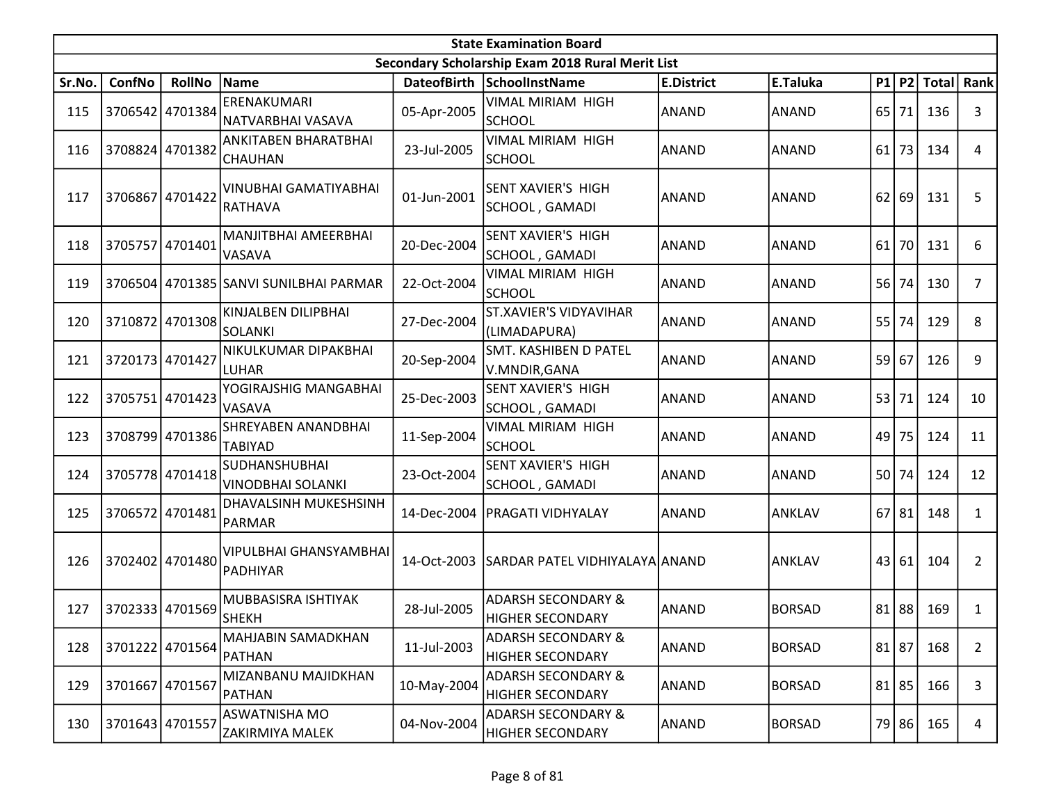|        | <b>State Examination Board</b> |                 |                                                  |             |                                                          |                   |               |    |           |              |                |  |  |
|--------|--------------------------------|-----------------|--------------------------------------------------|-------------|----------------------------------------------------------|-------------------|---------------|----|-----------|--------------|----------------|--|--|
|        |                                |                 |                                                  |             | Secondary Scholarship Exam 2018 Rural Merit List         |                   |               |    |           |              |                |  |  |
| Sr.No. | ConfNo                         | <b>RollNo</b>   | Name                                             |             | DateofBirth SchoolInstName                               | <b>E.District</b> | E.Taluka      | P1 |           | $ P2 $ Total | Rank           |  |  |
| 115    |                                | 3706542 4701384 | ERENAKUMARI<br> NATVARBHAI VASAVA                | 05-Apr-2005 | VIMAL MIRIAM HIGH<br><b>SCHOOL</b>                       | <b>ANAND</b>      | <b>ANAND</b>  | 65 | 71        | 136          | 3              |  |  |
| 116    |                                | 3708824 4701382 | ANKITABEN BHARATBHAI<br><b>CHAUHAN</b>           | 23-Jul-2005 | VIMAL MIRIAM HIGH<br><b>SCHOOL</b>                       | <b>ANAND</b>      | <b>ANAND</b>  | 61 | 73        | 134          | 4              |  |  |
| 117    | 3706867 4701422                |                 | VINUBHAI GAMATIYABHAI<br>RATHAVA                 | 01-Jun-2001 | SENT XAVIER'S HIGH<br>SCHOOL, GAMADI                     | <b>ANAND</b>      | <b>ANAND</b>  | 62 | 69        | 131          | 5              |  |  |
| 118    | 3705757 4701401                |                 | MANJITBHAI AMEERBHAI<br><b>VASAVA</b>            | 20-Dec-2004 | SENT XAVIER'S HIGH<br>SCHOOL, GAMADI                     | <b>ANAND</b>      | <b>ANAND</b>  | 61 | 70        | 131          | 6              |  |  |
| 119    |                                |                 | 3706504 4701385 SANVI SUNILBHAI PARMAR           | 22-Oct-2004 | VIMAL MIRIAM HIGH<br><b>SCHOOL</b>                       | <b>ANAND</b>      | <b>ANAND</b>  | 56 | 74        | 130          | $\overline{7}$ |  |  |
| 120    |                                | 3710872 4701308 | KINJALBEN DILIPBHAI<br><b>SOLANKI</b>            | 27-Dec-2004 | ST.XAVIER'S VIDYAVIHAR<br>(LIMADAPURA)                   | <b>ANAND</b>      | <b>ANAND</b>  | 55 | 74        | 129          | 8              |  |  |
| 121    | 3720173 4701427                |                 | NIKULKUMAR DIPAKBHAI<br>LUHAR                    | 20-Sep-2004 | SMT. KASHIBEN D PATEL<br>V.MNDIR, GANA                   | <b>ANAND</b>      | <b>ANAND</b>  | 59 | 67        | 126          | 9              |  |  |
| 122    | 3705751 4701423                |                 | YOGIRAJSHIG MANGABHAI<br><b>VASAVA</b>           | 25-Dec-2003 | SENT XAVIER'S HIGH<br>SCHOOL, GAMADI                     | <b>ANAND</b>      | <b>ANAND</b>  | 53 | 71        | 124          | 10             |  |  |
| 123    |                                | 3708799 4701386 | SHREYABEN ANANDBHAI<br><b>TABIYAD</b>            | 11-Sep-2004 | VIMAL MIRIAM HIGH<br><b>SCHOOL</b>                       | <b>ANAND</b>      | <b>ANAND</b>  | 49 | 75        | 124          | 11             |  |  |
| 124    |                                | 3705778 4701418 | SUDHANSHUBHAI<br><b>VINODBHAI SOLANKI</b>        | 23-Oct-2004 | SENT XAVIER'S HIGH<br>SCHOOL, GAMADI                     | <b>ANAND</b>      | <b>ANAND</b>  | 50 | 74        | 124          | 12             |  |  |
| 125    |                                | 3706572 4701481 | DHAVALSINH MUKESHSINH<br>PARMAR                  | 14-Dec-2004 | <b>PRAGATI VIDHYALAY</b>                                 | <b>ANAND</b>      | <b>ANKLAV</b> | 67 | 81        | 148          | $\mathbf{1}$   |  |  |
| 126    |                                | 3702402 4701480 | <b>VIPULBHAI GHANSYAMBHAI</b><br><b>PADHIYAR</b> |             | 14-Oct-2003 SARDAR PATEL VIDHIYALAYA ANAND               |                   | <b>ANKLAV</b> |    | 43 61     | 104          | $\overline{2}$ |  |  |
| 127    |                                | 3702333 4701569 | MUBBASISRA ISHTIYAK<br> SHEKH                    | 28-Jul-2005 | <b>ADARSH SECONDARY &amp;</b><br><b>HIGHER SECONDARY</b> | ANAND             | <b>BORSAD</b> | 81 | 88        | 169          | 1              |  |  |
| 128    |                                | 3701222 4701564 | MAHJABIN SAMADKHAN<br><b>PATHAN</b>              | 11-Jul-2003 | <b>ADARSH SECONDARY &amp;</b><br><b>HIGHER SECONDARY</b> | <b>ANAND</b>      | <b>BORSAD</b> |    | $81$   87 | 168          | $\overline{2}$ |  |  |
| 129    | 3701667 4701567                |                 | MIZANBANU MAJIDKHAN<br><b>PATHAN</b>             | 10-May-2004 | <b>ADARSH SECONDARY &amp;</b><br><b>HIGHER SECONDARY</b> | <b>ANAND</b>      | <b>BORSAD</b> |    | $81$   85 | 166          | 3              |  |  |
| 130    | 3701643 4701557                |                 | ASWATNISHA MO<br><b>ZAKIRMIYA MALEK</b>          | 04-Nov-2004 | <b>ADARSH SECONDARY &amp;</b><br><b>HIGHER SECONDARY</b> | ANAND             | <b>BORSAD</b> |    | 79 86     | 165          | $\overline{4}$ |  |  |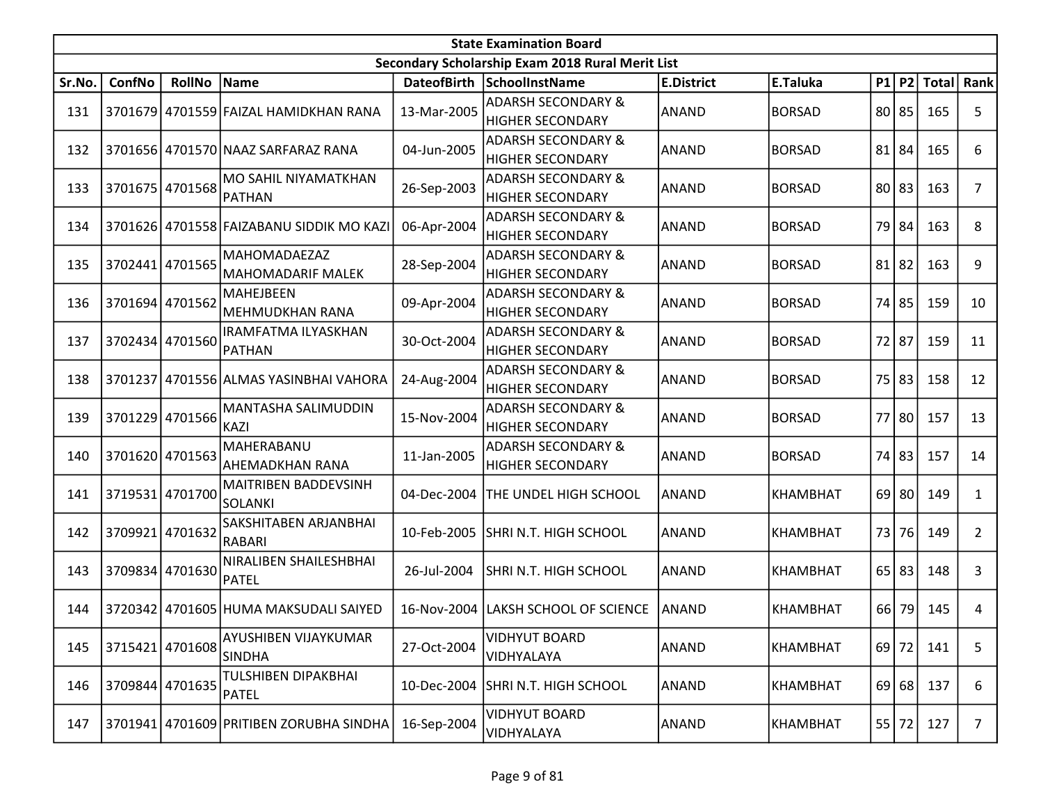|        | <b>State Examination Board</b> |                 |                                          |                    |                                                  |                   |                 |    |           |              |                |  |  |
|--------|--------------------------------|-----------------|------------------------------------------|--------------------|--------------------------------------------------|-------------------|-----------------|----|-----------|--------------|----------------|--|--|
|        |                                |                 |                                          |                    | Secondary Scholarship Exam 2018 Rural Merit List |                   |                 |    |           |              |                |  |  |
| Sr.No. | ConfNo                         | <b>RollNo</b>   | Name                                     | <b>DateofBirth</b> | SchoolInstName                                   | <b>E.District</b> | E.Taluka        |    | $P1$ $P2$ | <b>Total</b> | Rank           |  |  |
| 131    |                                |                 | 3701679 4701559 FAIZAL HAMIDKHAN RANA    | 13-Mar-2005        | <b>ADARSH SECONDARY &amp;</b>                    | <b>ANAND</b>      | <b>BORSAD</b>   |    | 80 85     | 165          | 5              |  |  |
|        |                                |                 |                                          |                    | <b>HIGHER SECONDARY</b>                          |                   |                 |    |           |              |                |  |  |
| 132    |                                |                 | 3701656 4701570 NAAZ SARFARAZ RANA       | 04-Jun-2005        | <b>ADARSH SECONDARY &amp;</b>                    | ANAND             | <b>BORSAD</b>   | 81 | 84        | 165          | 6              |  |  |
|        |                                |                 |                                          |                    | <b>HIGHER SECONDARY</b>                          |                   |                 |    |           |              |                |  |  |
| 133    |                                | 3701675 4701568 | MO SAHIL NIYAMATKHAN                     | 26-Sep-2003        | <b>ADARSH SECONDARY &amp;</b>                    | ANAND             | <b>BORSAD</b>   | 80 | 83        | 163          | $\overline{7}$ |  |  |
|        |                                |                 | <b>PATHAN</b>                            |                    | <b>HIGHER SECONDARY</b>                          |                   |                 |    |           |              |                |  |  |
| 134    |                                |                 | 3701626 4701558 FAIZABANU SIDDIK MO KAZI | 06-Apr-2004        | <b>ADARSH SECONDARY &amp;</b>                    | ANAND             | <b>BORSAD</b>   | 79 | 84        | 163          | 8              |  |  |
|        |                                |                 |                                          |                    | <b>HIGHER SECONDARY</b>                          |                   |                 |    |           |              |                |  |  |
| 135    |                                | 3702441 4701565 | <b>MAHOMADAEZAZ</b>                      | 28-Sep-2004        | <b>ADARSH SECONDARY &amp;</b>                    | ANAND             | <b>BORSAD</b>   | 81 | 82        | 163          | 9              |  |  |
|        |                                |                 | <b>MAHOMADARIF MALEK</b>                 |                    | <b>HIGHER SECONDARY</b>                          |                   |                 |    |           |              |                |  |  |
| 136    | 3701694                        | 4701562         | <b>MAHEJBEEN</b>                         | 09-Apr-2004        | <b>ADARSH SECONDARY &amp;</b>                    | ANAND             | <b>BORSAD</b>   | 74 | 85        | 159          | 10             |  |  |
|        |                                |                 | MEHMUDKHAN RANA                          |                    | <b>HIGHER SECONDARY</b>                          |                   |                 |    |           |              |                |  |  |
| 137    |                                | 3702434 4701560 | IRAMFATMA ILYASKHAN                      | 30-Oct-2004        | <b>ADARSH SECONDARY &amp;</b>                    | ANAND             | <b>BORSAD</b>   | 72 | 87        | 159          | 11             |  |  |
|        |                                |                 | <b>PATHAN</b>                            |                    | <b>HIGHER SECONDARY</b>                          |                   |                 |    |           |              |                |  |  |
| 138    |                                |                 | 3701237 4701556 ALMAS YASINBHAI VAHORA   | 24-Aug-2004        | <b>ADARSH SECONDARY &amp;</b>                    | ANAND             | <b>BORSAD</b>   | 75 | 83        | 158          | 12             |  |  |
|        |                                |                 |                                          |                    | <b>HIGHER SECONDARY</b>                          |                   |                 |    |           |              |                |  |  |
| 139    | 3701229                        | 4701566         | MANTASHA SALIMUDDIN                      | 15-Nov-2004        | <b>ADARSH SECONDARY &amp;</b>                    | ANAND             | <b>BORSAD</b>   | 77 | 80        | 157          | 13             |  |  |
|        |                                |                 | <b>KAZI</b>                              |                    | <b>HIGHER SECONDARY</b>                          |                   |                 |    |           |              |                |  |  |
| 140    |                                | 3701620 4701563 | MAHERABANU                               | 11-Jan-2005        | <b>ADARSH SECONDARY &amp;</b>                    | ANAND             | <b>BORSAD</b>   | 74 | 83        | 157          | 14             |  |  |
|        |                                |                 | AHEMADKHAN RANA                          |                    | <b>HIGHER SECONDARY</b>                          |                   |                 |    |           |              |                |  |  |
| 141    |                                | 3719531 4701700 | <b>MAITRIBEN BADDEVSINH</b>              | 04-Dec-2004        | THE UNDEL HIGH SCHOOL                            | ANAND             | KHAMBHAT        |    | 69 80     | 149          | 1              |  |  |
|        |                                |                 | <b>SOLANKI</b>                           |                    |                                                  |                   |                 |    |           |              |                |  |  |
| 142    | 3709921                        | 4701632         | SAKSHITABEN ARJANBHAI                    | 10-Feb-2005        | SHRI N.T. HIGH SCHOOL                            | ANAND             | KHAMBHAT        | 73 | 76        | 149          | $\overline{2}$ |  |  |
|        |                                |                 | <b>RABARI</b>                            |                    |                                                  |                   |                 |    |           |              |                |  |  |
| 143    |                                | 3709834 4701630 | NIRALIBEN SHAILESHBHAI                   | 26-Jul-2004        | SHRI N.T. HIGH SCHOOL                            | ANAND             | <b>KHAMBHAT</b> | 65 | 83        | 148          | 3              |  |  |
|        |                                |                 | PATEL                                    |                    |                                                  |                   |                 |    |           |              |                |  |  |
| 144    |                                |                 | 3720342 4701605 HUMA MAKSUDALI SAIYED    |                    | 16-Nov-2004 LAKSH SCHOOL OF SCIENCE              | <b>ANAND</b>      | KHAMBHAT        |    | 66 79     | 145          | 4              |  |  |
|        |                                |                 |                                          |                    |                                                  |                   |                 |    |           |              |                |  |  |
| 145    |                                | 3715421 4701608 | AYUSHIBEN VIJAYKUMAR                     | 27-Oct-2004        | <b>VIDHYUT BOARD</b>                             | <b>ANAND</b>      | <b>KHAMBHAT</b> |    | 69 72     | 141          | 5              |  |  |
|        |                                |                 | <b>SINDHA</b>                            |                    | VIDHYALAYA                                       |                   |                 |    |           |              |                |  |  |
| 146    |                                | 3709844 4701635 | TULSHIBEN DIPAKBHAI                      | 10-Dec-2004        | SHRI N.T. HIGH SCHOOL                            | ANAND             |                 |    | $69$ 68   | 137          |                |  |  |
|        |                                |                 | <b>PATEL</b>                             |                    |                                                  |                   | KHAMBHAT        |    |           |              | 6              |  |  |
| 147    |                                |                 | 3701941 4701609 PRITIBEN ZORUBHA SINDHA  | 16-Sep-2004        | <b>VIDHYUT BOARD</b>                             | <b>ANAND</b>      | <b>KHAMBHAT</b> |    | 55 72     | 127          | $\overline{7}$ |  |  |
|        |                                |                 |                                          |                    | VIDHYALAYA                                       |                   |                 |    |           |              |                |  |  |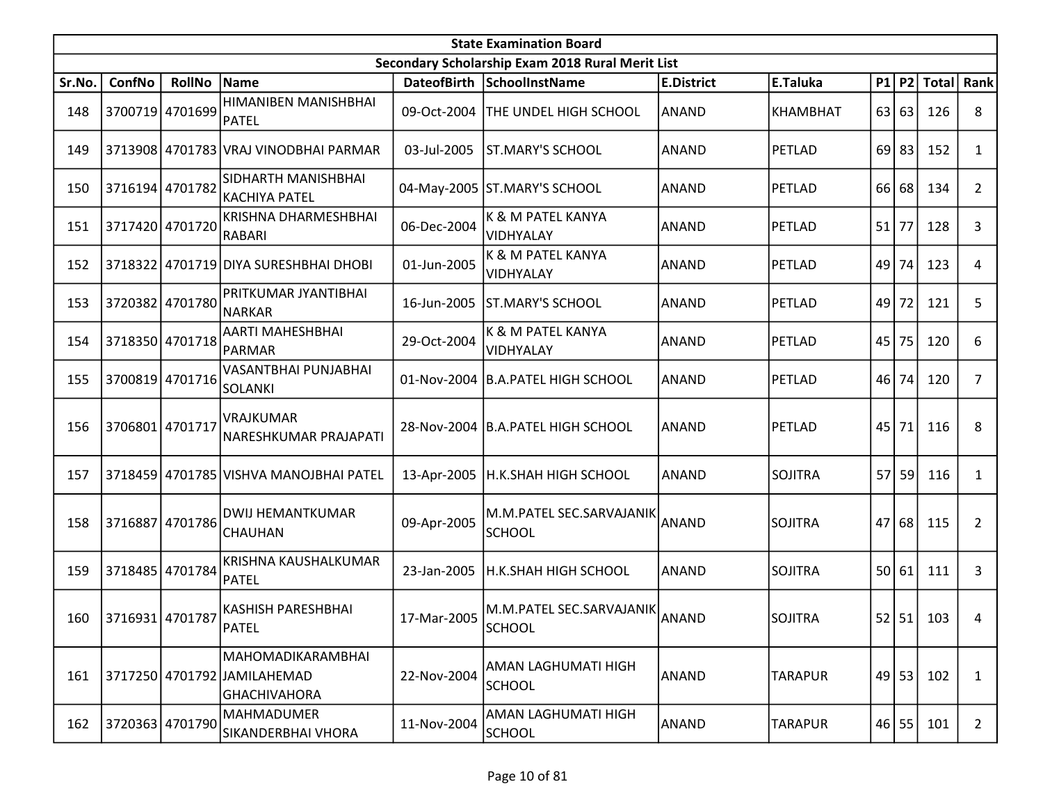|        | <b>State Examination Board</b> |                 |                                                                   |             |                                                  |                   |                 |    |         |              |                |  |  |
|--------|--------------------------------|-----------------|-------------------------------------------------------------------|-------------|--------------------------------------------------|-------------------|-----------------|----|---------|--------------|----------------|--|--|
|        |                                |                 |                                                                   |             | Secondary Scholarship Exam 2018 Rural Merit List |                   |                 |    |         |              |                |  |  |
| Sr.No. | ConfNo                         | <b>RollNo</b>   | Name                                                              |             | DateofBirth SchoolInstName                       | <b>E.District</b> | E.Taluka        |    | $P1$ P2 | <b>Total</b> | Rank           |  |  |
| 148    |                                | 3700719 4701699 | HIMANIBEN MANISHBHAI<br>PATEL                                     | 09-Oct-2004 | THE UNDEL HIGH SCHOOL                            | <b>ANAND</b>      | <b>KHAMBHAT</b> | 63 | 63      | 126          | 8              |  |  |
| 149    |                                |                 | 3713908 4701783 VRAJ VINODBHAI PARMAR                             | 03-Jul-2005 | <b>ST.MARY'S SCHOOL</b>                          | <b>ANAND</b>      | PETLAD          | 69 | 83      | 152          | 1              |  |  |
| 150    |                                | 3716194 4701782 | SIDHARTH MANISHBHAI<br><b>KACHIYA PATEL</b>                       |             | 04-May-2005 ST.MARY'S SCHOOL                     | ANAND             | PETLAD          | 66 | 68      | 134          | $\overline{2}$ |  |  |
| 151    |                                | 3717420 4701720 | KRISHNA DHARMESHBHAI<br>RABARI                                    | 06-Dec-2004 | K & M PATEL KANYA<br>VIDHYALAY                   | ANAND             | PETLAD          | 51 | 77      | 128          | 3              |  |  |
| 152    |                                |                 | 3718322 4701719 DIYA SURESHBHAI DHOBI                             | 01-Jun-2005 | K & M PATEL KANYA<br>VIDHYALAY                   | ANAND             | PETLAD          | 49 | 74      | 123          | 4              |  |  |
| 153    |                                | 3720382 4701780 | PRITKUMAR JYANTIBHAI<br>NARKAR                                    | 16-Jun-2005 | ST.MARY'S SCHOOL                                 | ANAND             | PETLAD          | 49 | 72      | 121          | 5              |  |  |
| 154    |                                | 3718350 4701718 | AARTI MAHESHBHAI<br><b>PARMAR</b>                                 | 29-Oct-2004 | K & M PATEL KANYA<br><b>VIDHYALAY</b>            | ANAND             | PETLAD          | 45 | 75      | 120          | 6              |  |  |
| 155    |                                | 3700819 4701716 | VASANTBHAI PUNJABHAI<br><b>SOLANKI</b>                            |             | 01-Nov-2004 B.A.PATEL HIGH SCHOOL                | ANAND             | PETLAD          | 46 | 74      | 120          | $\overline{7}$ |  |  |
| 156    | 3706801 4701717                |                 | <b>VRAJKUMAR</b><br>NARESHKUMAR PRAJAPATI                         |             | 28-Nov-2004   B.A.PATEL HIGH SCHOOL              | ANAND             | PETLAD          | 45 | 71      | 116          | 8              |  |  |
| 157    |                                |                 | 3718459 4701785 VISHVA MANOJBHAI PATEL                            | 13-Apr-2005 | H.K.SHAH HIGH SCHOOL                             | <b>ANAND</b>      | <b>SOJITRA</b>  | 57 | 59      | 116          | $\mathbf{1}$   |  |  |
| 158    |                                | 3716887 4701786 | DWIJ HEMANTKUMAR<br><b>CHAUHAN</b>                                | 09-Apr-2005 | M.M.PATEL SEC.SARVAJANIK<br><b>SCHOOL</b>        | ANAND             | <b>SOJITRA</b>  | 47 | 68      | 115          | 2              |  |  |
| 159    |                                | 3718485 4701784 | KRISHNA KAUSHALKUMAR<br><b>PATEL</b>                              | 23-Jan-2005 | H.K.SHAH HIGH SCHOOL                             | ANAND             | <b>SOJITRA</b>  | 50 | 61      | 111          | 3              |  |  |
|        | 160 3716931 4701787            |                 | <b>KASHISH PARESHBHAI</b><br>PATEL                                | 17-Mar-2005 | M.M.PATEL SEC.SARVAJANIK<br>SCHOOL               | ANAND             | <b>SOJITRA</b>  |    |         | 52 51 103    | 4              |  |  |
| 161    |                                |                 | MAHOMADIKARAMBHAI<br>3717250 4701792 JAMILAHEMAD<br> GHACHIVAHORA | 22-Nov-2004 | AMAN LAGHUMATI HIGH<br><b>SCHOOL</b>             | <b>ANAND</b>      | <b>TARAPUR</b>  |    | $49$ 53 | 102          | 1              |  |  |
| 162    |                                | 3720363 4701790 | <b>MAHMADUMER</b><br>SIKANDERBHAI VHORA                           | 11-Nov-2004 | AMAN LAGHUMATI HIGH<br><b>SCHOOL</b>             | ANAND             | <b>TARAPUR</b>  |    | $46$ 55 | 101          | $\overline{2}$ |  |  |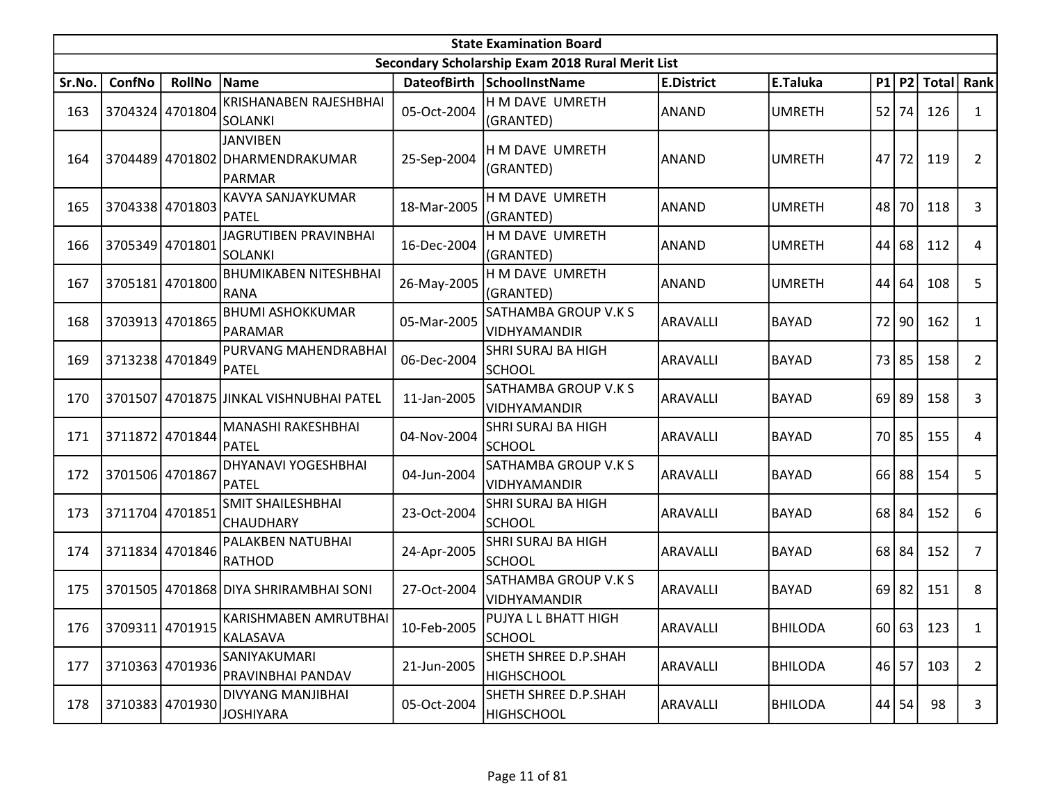|        | <b>State Examination Board</b><br>Secondary Scholarship Exam 2018 Rural Merit List |                 |                                                              |             |                                            |                   |                |    |           |              |                |  |  |
|--------|------------------------------------------------------------------------------------|-----------------|--------------------------------------------------------------|-------------|--------------------------------------------|-------------------|----------------|----|-----------|--------------|----------------|--|--|
|        |                                                                                    |                 |                                                              |             |                                            |                   |                |    |           |              |                |  |  |
| Sr.No. | ConfNo                                                                             | <b>RollNo</b>   | Name                                                         |             | DateofBirth SchoolInstName                 | <b>E.District</b> | E.Taluka       | P1 | P2        | <b>Total</b> | Rank           |  |  |
| 163    |                                                                                    | 3704324 4701804 | KRISHANABEN RAJESHBHAI<br>SOLANKI                            | 05-Oct-2004 | H M DAVE UMRETH<br>(GRANTED)               | <b>ANAND</b>      | <b>UMRETH</b>  | 52 | 74 I      | 126          | $\mathbf{1}$   |  |  |
| 164    |                                                                                    |                 | <b>JANVIBEN</b><br>3704489 4701802 DHARMENDRAKUMAR<br>PARMAR | 25-Sep-2004 | H M DAVE UMRETH<br>(GRANTED)               | <b>ANAND</b>      | <b>UMRETH</b>  | 47 | 72        | 119          | 2              |  |  |
| 165    |                                                                                    | 3704338 4701803 | KAVYA SANJAYKUMAR<br>PATEL                                   | 18-Mar-2005 | H M DAVE UMRETH<br>(GRANTED)               | <b>ANAND</b>      | <b>UMRETH</b>  | 48 | 70        | 118          | 3              |  |  |
| 166    |                                                                                    | 3705349 4701801 | JAGRUTIBEN PRAVINBHAI<br><b>SOLANKI</b>                      | 16-Dec-2004 | H M DAVE UMRETH<br>(GRANTED)               | <b>ANAND</b>      | <b>UMRETH</b>  | 44 | 68        | 112          | 4              |  |  |
| 167    |                                                                                    | 3705181 4701800 | <b>BHUMIKABEN NITESHBHAI</b><br>RANA                         | 26-May-2005 | H M DAVE UMRETH<br>(GRANTED)               | <b>ANAND</b>      | <b>UMRETH</b>  | 44 | 64        | 108          | 5              |  |  |
| 168    |                                                                                    | 3703913 4701865 | <b>BHUMI ASHOKKUMAR</b><br>PARAMAR                           | 05-Mar-2005 | SATHAMBA GROUP V.K S<br>VIDHYAMANDIR       | <b>ARAVALLI</b>   | <b>BAYAD</b>   | 72 | 90        | 162          | $\mathbf{1}$   |  |  |
| 169    |                                                                                    | 3713238 4701849 | PURVANG MAHENDRABHAI<br>PATEL                                | 06-Dec-2004 | SHRI SURAJ BA HIGH<br><b>SCHOOL</b>        | <b>ARAVALLI</b>   | <b>BAYAD</b>   | 73 | 85        | 158          | $\mathbf{2}$   |  |  |
| 170    |                                                                                    |                 | 3701507 4701875 JJINKAL VISHNUBHAI PATEL                     | 11-Jan-2005 | SATHAMBA GROUP V.K S<br>VIDHYAMANDIR       | <b>ARAVALLI</b>   | <b>BAYAD</b>   |    | $69$   89 | 158          | 3              |  |  |
| 171    |                                                                                    | 3711872 4701844 | MANASHI RAKESHBHAI<br>PATEL                                  | 04-Nov-2004 | SHRI SURAJ BA HIGH<br><b>SCHOOL</b>        | <b>ARAVALLI</b>   | <b>BAYAD</b>   |    | 70 85     | 155          | 4              |  |  |
| 172    | 3701506 4701867                                                                    |                 | <b>DHYANAVI YOGESHBHAI</b><br><b>PATEL</b>                   | 04-Jun-2004 | SATHAMBA GROUP V.K S<br>VIDHYAMANDIR       | <b>ARAVALLI</b>   | <b>BAYAD</b>   | 66 | 88        | 154          | 5              |  |  |
| 173    |                                                                                    | 3711704 4701851 | <b>SMIT SHAILESHBHAI</b><br><b>CHAUDHARY</b>                 | 23-Oct-2004 | SHRI SURAJ BA HIGH<br><b>SCHOOL</b>        | <b>ARAVALLI</b>   | <b>BAYAD</b>   |    | 68 84     | 152          | 6              |  |  |
| 174    |                                                                                    | 3711834 4701846 | PALAKBEN NATUBHAI<br>RATHOD                                  | 24-Apr-2005 | <b>SHRI SURAJ BA HIGH</b><br><b>SCHOOL</b> | <b>ARAVALLI</b>   | <b>BAYAD</b>   | 68 | 84        | 152          | $\overline{7}$ |  |  |
| 175    |                                                                                    |                 | 3701505 4701868 DIYA SHRIRAMBHAI SONI                        | 27-Oct-2004 | SATHAMBA GROUP V.K S<br>VIDHYAMANDIR       | <b>ARAVALLI</b>   | <b>BAYAD</b>   | 69 | 82        | 151          | 8              |  |  |
| 176    |                                                                                    | 3709311 4701915 | KARISHMABEN AMRUTBHAI <br>KALASAVA                           | 10-Feb-2005 | PUJYA L L BHATT HIGH<br>SCHOOL             | ARAVALLI          | <b>BHILODA</b> |    |           | 60 63 123    | 1              |  |  |
| 177    |                                                                                    | 3710363 4701936 | SANIYAKUMARI<br>PRAVINBHAI PANDAV                            | 21-Jun-2005 | SHETH SHREE D.P.SHAH<br><b>HIGHSCHOOL</b>  | ARAVALLI          | <b>BHILODA</b> |    | $46$ 57   | 103          | $\overline{2}$ |  |  |
| 178    |                                                                                    | 3710383 4701930 | DIVYANG MANJIBHAI<br><b>JOSHIYARA</b>                        | 05-Oct-2004 | SHETH SHREE D.P.SHAH<br><b>HIGHSCHOOL</b>  | ARAVALLI          | <b>BHILODA</b> |    | 44 54     | 98           | 3              |  |  |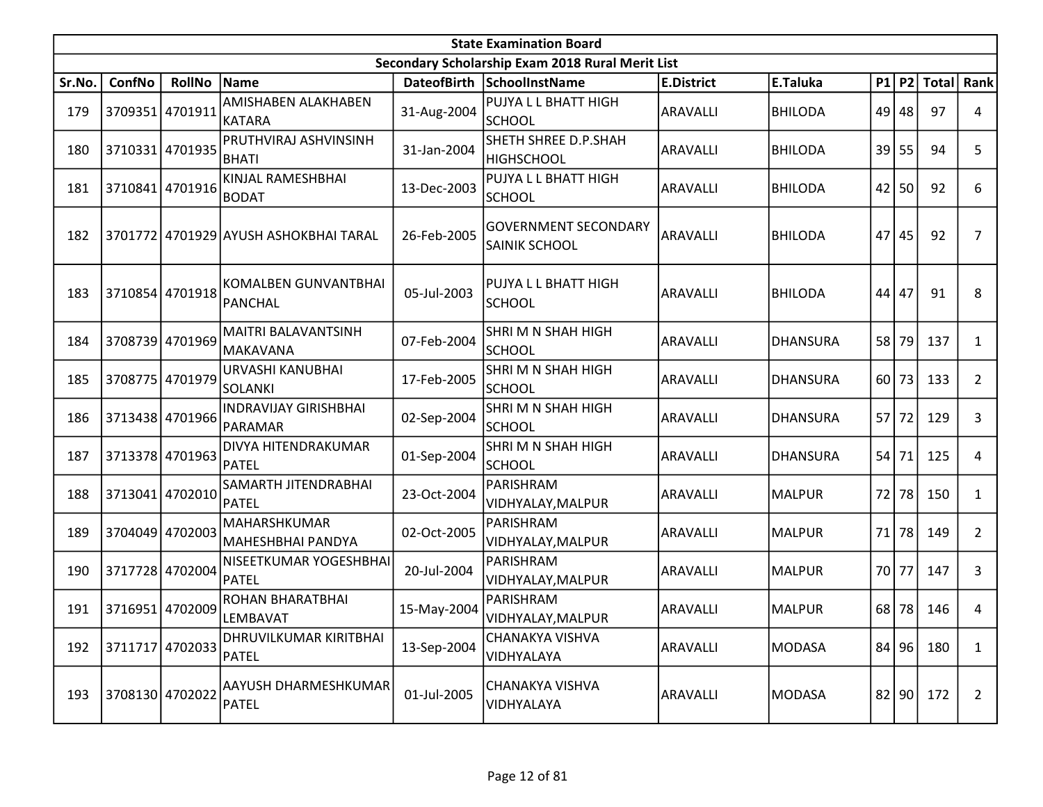|        | <b>State Examination Board</b><br>Secondary Scholarship Exam 2018 Rural Merit List |                 |                                         |             |                                              |                   |                 |    |           |              |                |  |  |
|--------|------------------------------------------------------------------------------------|-----------------|-----------------------------------------|-------------|----------------------------------------------|-------------------|-----------------|----|-----------|--------------|----------------|--|--|
|        |                                                                                    |                 |                                         |             |                                              |                   |                 |    |           |              |                |  |  |
| Sr.No. | ConfNo                                                                             | <b>RollNo</b>   | Name                                    |             | DateofBirth SchoolInstName                   | <b>E.District</b> | E.Taluka        | P1 | P2        | <b>Total</b> | Rank           |  |  |
| 179    |                                                                                    | 3709351 4701911 | AMISHABEN ALAKHABEN<br>IKATARA          | 31-Aug-2004 | PUJYA L L BHATT HIGH<br><b>SCHOOL</b>        | <b>ARAVALLI</b>   | <b>BHILODA</b>  | 49 | 48        | 97           | 4              |  |  |
| 180    |                                                                                    | 3710331 4701935 | PRUTHVIRAJ ASHVINSINH<br><b>BHATI</b>   | 31-Jan-2004 | SHETH SHREE D.P.SHAH<br><b>HIGHSCHOOL</b>    | <b>ARAVALLI</b>   | <b>BHILODA</b>  | 39 | 55        | 94           | 5              |  |  |
| 181    |                                                                                    | 3710841 4701916 | KINJAL RAMESHBHAI<br><b>BODAT</b>       | 13-Dec-2003 | PUJYA L L BHATT HIGH<br><b>SCHOOL</b>        | <b>ARAVALLI</b>   | <b>BHILODA</b>  | 42 | 50        | 92           | 6              |  |  |
| 182    |                                                                                    |                 | 3701772 4701929 AYUSH ASHOKBHAI TARAL   | 26-Feb-2005 | <b>GOVERNMENT SECONDARY</b><br>SAINIK SCHOOL | ARAVALLI          | <b>BHILODA</b>  | 47 | 45        | 92           | 7              |  |  |
| 183    |                                                                                    | 3710854 4701918 | KOMALBEN GUNVANTBHAI<br>PANCHAL         | 05-Jul-2003 | PUJYA L L BHATT HIGH<br><b>SCHOOL</b>        | <b>ARAVALLI</b>   | <b>BHILODA</b>  | 44 | 47        | 91           | 8              |  |  |
| 184    |                                                                                    | 3708739 4701969 | <b>MAITRI BALAVANTSINH</b><br>lmakavana | 07-Feb-2004 | SHRI M N SHAH HIGH<br><b>SCHOOL</b>          | <b>ARAVALLI</b>   | <b>DHANSURA</b> | 58 | 79        | 137          | $\mathbf{1}$   |  |  |
| 185    |                                                                                    | 3708775 4701979 | URVASHI KANUBHAI<br><b>SOLANKI</b>      | 17-Feb-2005 | SHRIMN SHAH HIGH<br><b>SCHOOL</b>            | <b>ARAVALLI</b>   | <b>DHANSURA</b> |    | $60$   73 | 133          | $\overline{2}$ |  |  |
| 186    |                                                                                    | 3713438 4701966 | <b>INDRAVIJAY GIRISHBHAI</b><br>PARAMAR | 02-Sep-2004 | SHRIMN SHAH HIGH<br><b>SCHOOL</b>            | <b>ARAVALLI</b>   | <b>DHANSURA</b> | 57 | 72        | 129          | 3              |  |  |
| 187    | 3713378 4701963                                                                    |                 | DIVYA HITENDRAKUMAR<br><b>PATEL</b>     | 01-Sep-2004 | SHRIMN SHAH HIGH<br><b>SCHOOL</b>            | <b>ARAVALLI</b>   | <b>DHANSURA</b> | 54 | 71        | 125          | 4              |  |  |
| 188    | 3713041                                                                            | 4702010         | SAMARTH JITENDRABHAI<br>PATEL           | 23-Oct-2004 | PARISHRAM<br>VIDHYALAY, MALPUR               | <b>ARAVALLI</b>   | <b>MALPUR</b>   | 72 | 78        | 150          | $\mathbf{1}$   |  |  |
| 189    |                                                                                    | 3704049 4702003 | MAHARSHKUMAR<br> MAHESHBHAI PANDYA      | 02-Oct-2005 | PARISHRAM<br>VIDHYALAY, MALPUR               | <b>ARAVALLI</b>   | <b>MALPUR</b>   | 71 | 78        | 149          | $\overline{2}$ |  |  |
| 190    |                                                                                    | 3717728 4702004 | NISEETKUMAR YOGESHBHAI<br><b>IPATEL</b> | 20-Jul-2004 | PARISHRAM<br>VIDHYALAY, MALPUR               | <b>ARAVALLI</b>   | <b>MALPUR</b>   | 70 | 77        | 147          | 3              |  |  |
| 191    |                                                                                    | 3716951 4702009 | ROHAN BHARATBHAI<br>LEMBAVAT            | 15-May-2004 | PARISHRAM<br>VIDHYALAY, MALPUR               | <b>ARAVALLI</b>   | <b>MALPUR</b>   | 68 | 78        | 146          | 4              |  |  |
| 192    |                                                                                    | 3711717 4702033 | DHRUVILKUMAR KIRITBHAI<br>PATEL         | 13-Sep-2004 | CHANAKYA VISHVA<br>VIDHYALAYA                | <b>ARAVALLI</b>   | <b>MODASA</b>   |    | 84 96     | 180          | $\mathbf{1}$   |  |  |
| 193    | 3708130 4702022                                                                    |                 | AAYUSH DHARMESHKUMAR<br>PATEL           | 01-Jul-2005 | CHANAKYA VISHVA<br>VIDHYALAYA                | <b>ARAVALLI</b>   | <b>MODASA</b>   |    | 82 90     | 172          | $\overline{2}$ |  |  |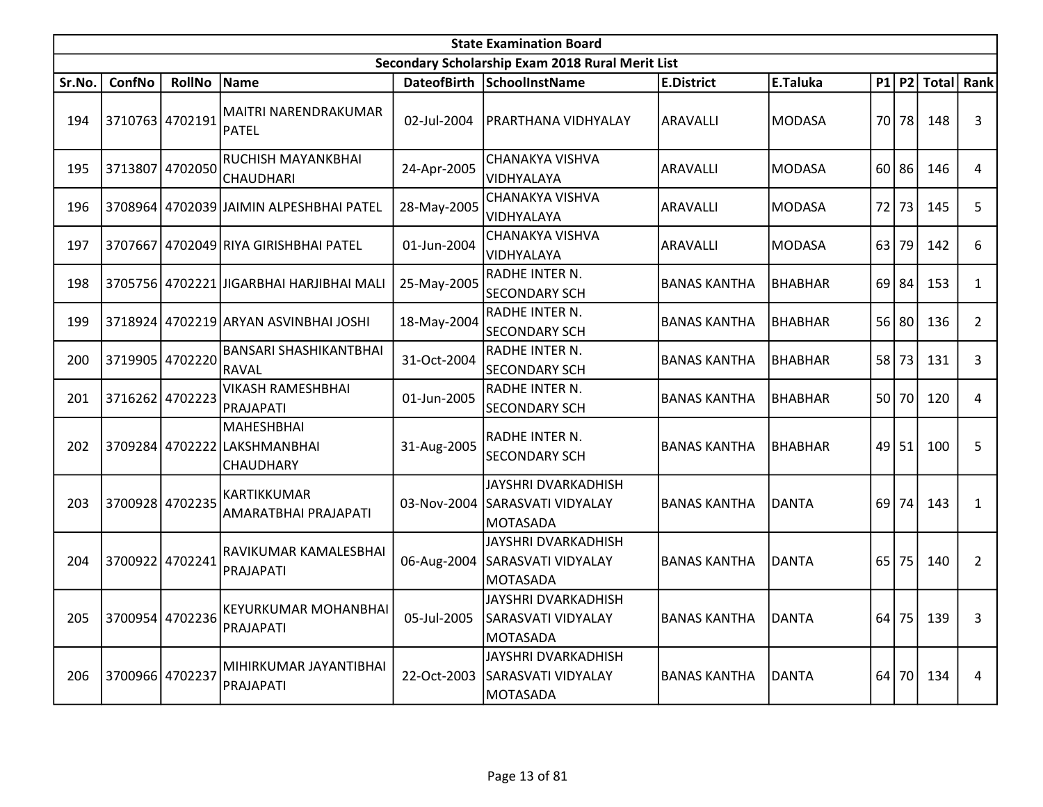|        | <b>State Examination Board</b><br>Secondary Scholarship Exam 2018 Rural Merit List |                 |                                                         |             |                                                                     |                     |                |                 |    |               |                |  |  |  |
|--------|------------------------------------------------------------------------------------|-----------------|---------------------------------------------------------|-------------|---------------------------------------------------------------------|---------------------|----------------|-----------------|----|---------------|----------------|--|--|--|
|        |                                                                                    |                 |                                                         |             |                                                                     |                     |                |                 |    |               |                |  |  |  |
| Sr.No. | <b>ConfNo</b>                                                                      | <b>RollNo</b>   | Name                                                    |             | DateofBirth SchoolInstName                                          | <b>E.District</b>   | E.Taluka       |                 |    | $P1$ P2 Total | Rank           |  |  |  |
| 194    |                                                                                    | 3710763 4702191 | MAITRI NARENDRAKUMAR<br><b>PATEL</b>                    | 02-Jul-2004 | PRARTHANA VIDHYALAY                                                 | ARAVALLI            | <b>MODASA</b>  | 70              | 78 | 148           | $\overline{3}$ |  |  |  |
| 195    | 3713807                                                                            | 4702050         | RUCHISH MAYANKBHAI<br><b>CHAUDHARI</b>                  | 24-Apr-2005 | CHANAKYA VISHVA<br>VIDHYALAYA                                       | ARAVALLI            | <b>MODASA</b>  | 60              | 86 | 146           | 4              |  |  |  |
| 196    |                                                                                    |                 | 3708964 4702039 JAIMIN ALPESHBHAI PATEL                 | 28-May-2005 | <b>CHANAKYA VISHVA</b><br>VIDHYALAYA                                | <b>ARAVALLI</b>     | <b>MODASA</b>  | 72              | 73 | 145           | 5              |  |  |  |
| 197    | 3707667                                                                            |                 | 4702049 RIYA GIRISHBHAI PATEL                           | 01-Jun-2004 | CHANAKYA VISHVA<br>VIDHYALAYA                                       | <b>ARAVALLI</b>     | <b>MODASA</b>  | 63              | 79 | 142           | 6              |  |  |  |
| 198    |                                                                                    |                 | 3705756 4702221 JIGARBHAI HARJIBHAI MALI                | 25-May-2005 | RADHE INTER N.<br><b>SECONDARY SCH</b>                              | <b>BANAS KANTHA</b> | <b>BHABHAR</b> | 69              | 84 | 153           | $\mathbf{1}$   |  |  |  |
| 199    |                                                                                    |                 | 3718924 4702219 ARYAN ASVINBHAI JOSHI                   | 18-May-2004 | RADHE INTER N.<br><b>SECONDARY SCH</b>                              | <b>BANAS KANTHA</b> | <b>BHABHAR</b> | 56              | 80 | 136           | $\overline{2}$ |  |  |  |
| 200    | 3719905                                                                            | 4702220         | <b>BANSARI SHASHIKANTBHAI</b><br>RAVAL                  | 31-Oct-2004 | RADHE INTER N.<br><b>SECONDARY SCH</b>                              | <b>BANAS KANTHA</b> | <b>BHABHAR</b> | 58              | 73 | 131           | 3              |  |  |  |
| 201    | 3716262 4702223                                                                    |                 | <b>VIKASH RAMESHBHAI</b><br>PRAJAPATI                   | 01-Jun-2005 | RADHE INTER N.<br><b>SECONDARY SCH</b>                              | <b>BANAS KANTHA</b> | BHABHAR        | 50 <sup>1</sup> | 70 | 120           | 4              |  |  |  |
| 202    |                                                                                    |                 | MAHESHBHAI<br>3709284 4702222 LAKSHMANBHAI<br>CHAUDHARY | 31-Aug-2005 | RADHE INTER N.<br><b>SECONDARY SCH</b>                              | <b>BANAS KANTHA</b> | <b>BHABHAR</b> | 49              | 51 | 100           | 5              |  |  |  |
| 203    |                                                                                    | 3700928 4702235 | KARTIKKUMAR<br>AMARATBHAI PRAJAPATI                     | 03-Nov-2004 | JAYSHRI DVARKADHISH<br>SARASVATI VIDYALAY<br>MOTASADA               | <b>BANAS KANTHA</b> | <b>DANTA</b>   | 69              | 74 | 143           | $\mathbf{1}$   |  |  |  |
| 204    | 3700922                                                                            | 4702241         | RAVIKUMAR KAMALESBHAI<br>PRAJAPATI                      | 06-Aug-2004 | <b>JAYSHRI DVARKADHISH</b><br>SARASVATI VIDYALAY<br><b>MOTASADA</b> | <b>BANAS KANTHA</b> | <b>DANTA</b>   | 65              | 75 | 140           | $\overline{2}$ |  |  |  |
| 205    | 3700954                                                                            | 4702236         | KEYURKUMAR MOHANBHAI<br>PRAJAPATI                       | 05-Jul-2005 | JAYSHRI DVARKADHISH<br>SARASVATI VIDYALAY<br><b>MOTASADA</b>        | <b>BANAS KANTHA</b> | <b>DANTA</b>   | 64              | 75 | 139           | 3              |  |  |  |
| 206    | 3700966 4702237                                                                    |                 | MIHIRKUMAR JAYANTIBHAI<br>PRAJAPATI                     | 22-Oct-2003 | JAYSHRI DVARKADHISH<br>SARASVATI VIDYALAY<br>MOTASADA               | <b>BANAS KANTHA</b> | <b>DANTA</b>   | 64              | 70 | 134           | 4              |  |  |  |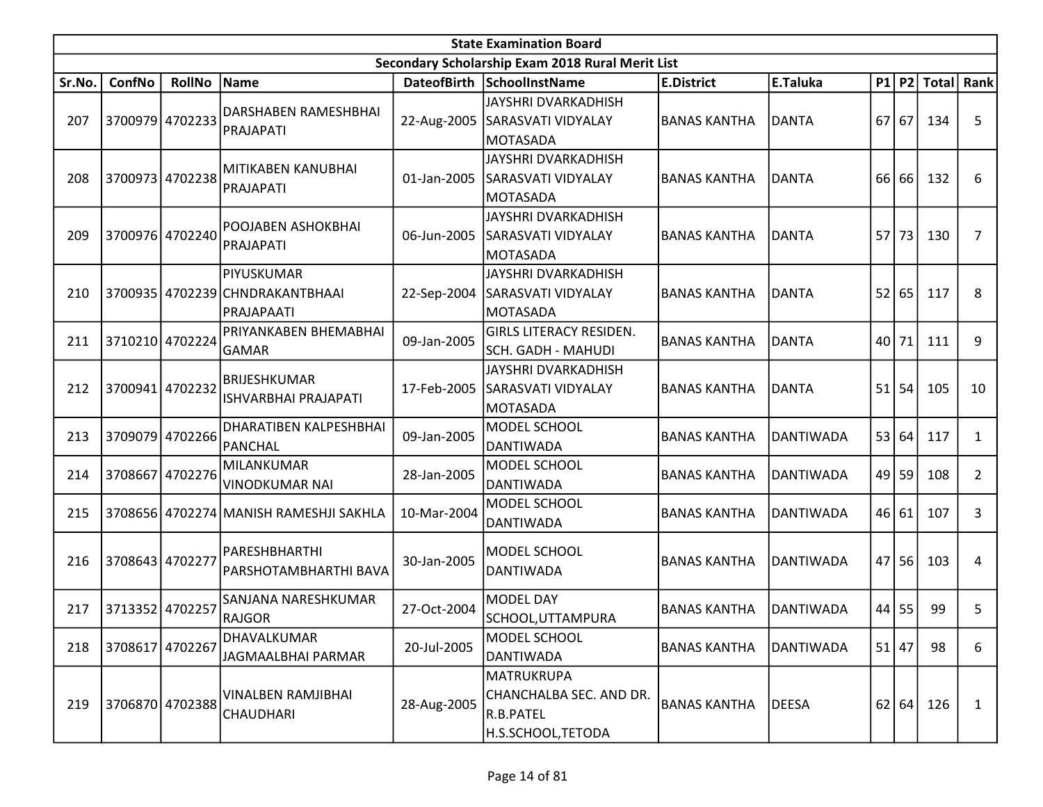| Secondary Scholarship Exam 2018 Rural Merit List<br>ConfNo<br><b>SchoolInstName</b><br>E.Taluka<br>P1 P2 Total Rank<br><b>RollNo</b><br><b>Name</b><br>DateofBirth<br><b>E.District</b><br>Sr.No.<br>JAYSHRI DVARKADHISH<br>DARSHABEN RAMESHBHAI<br>3700979 4702233<br>5<br>207<br>67<br>134<br>22-Aug-2005<br>SARASVATI VIDYALAY<br><b>BANAS KANTHA</b><br><b>DANTA</b><br>67<br>PRAJAPATI<br><b>MOTASADA</b><br>JAYSHRI DVARKADHISH<br>MITIKABEN KANUBHAI<br>3700973 4702238<br>01-Jan-2005<br>SARASVATI VIDYALAY<br><b>BANAS KANTHA</b><br><b>DANTA</b><br>66 66<br>132<br>6<br>208<br>PRAJAPATI<br><b>MOTASADA</b><br>JAYSHRI DVARKADHISH<br>POOJABEN ASHOKBHAI<br>3700976 4702240<br><b>DANTA</b><br>57 73<br>209<br>06-Jun-2005<br>SARASVATI VIDYALAY<br><b>BANAS KANTHA</b><br>130<br>7<br>PRAJAPATI<br><b>MOTASADA</b><br>JAYSHRI DVARKADHISH<br>PIYUSKUMAR<br>3700935 4702239 CHNDRAKANTBHAAI<br>22-Sep-2004<br><b>DANTA</b><br>52<br>65<br>117<br>8<br>210<br>SARASVATI VIDYALAY<br><b>BANAS KANTHA</b><br><b>MOTASADA</b><br>PRAJAPAATI<br><b>GIRLS LITERACY RESIDEN.</b><br>PRIYANKABEN BHEMABHAI<br>71<br>9<br>3710210 4702224<br>40<br>111<br>211<br>09-Jan-2005<br><b>BANAS KANTHA</b><br><b>DANTA</b><br><b>GAMAR</b><br><b>SCH. GADH - MAHUDI</b><br>JAYSHRI DVARKADHISH<br>BRIJESHKUMAR<br>3700941 4702232<br>17-Feb-2005<br>SARASVATI VIDYALAY<br><b>DANTA</b><br>51<br>54<br>105<br>212<br><b>BANAS KANTHA</b><br>10<br><b>ISHVARBHAI PRAJAPATI</b><br><b>MOTASADA</b><br>DHARATIBEN KALPESHBHAI<br>MODEL SCHOOL<br>3709079 4702266<br>53<br>64<br>117<br>213<br>09-Jan-2005<br><b>BANAS KANTHA</b><br><b>DANTIWADA</b><br>$\mathbf{1}$<br>PANCHAL<br><b>DANTIWADA</b><br>MILANKUMAR<br>MODEL SCHOOL<br>4702276<br>3708667<br>28-Jan-2005<br>$49$   59<br>108<br>$\overline{2}$<br>214<br><b>BANAS KANTHA</b><br><b>DANTIWADA</b><br><b>VINODKUMAR NAI</b><br><b>DANTIWADA</b><br>MODEL SCHOOL<br>46<br>107<br>3<br>215<br>3708656 4702274 MANISH RAMESHJI SAKHLA<br>10-Mar-2004<br><b>BANAS KANTHA</b><br><b>DANTIWADA</b><br>61<br><b>DANTIWADA</b><br>PARESHBHARTHI<br>MODEL SCHOOL<br>3708643 4702277<br>216<br>30-Jan-2005<br>56<br>103<br><b>BANAS KANTHA</b><br><b>DANTIWADA</b><br>47 I<br>4<br><b>DANTIWADA</b><br>PARSHOTAMBHARTHI BAVA<br>SANJANA NARESHKUMAR<br><b>MODEL DAY</b><br>99<br>5<br>3713352 4702257<br><b>BANAS KANTHA</b><br>44<br>55<br>217<br>27-Oct-2004<br><b>DANTIWADA</b><br>RAJGOR<br>SCHOOL, UTTAMPURA<br>DHAVALKUMAR<br>MODEL SCHOOL<br>$51$ 47<br>3708617 4702267<br>98<br>218<br>20-Jul-2005<br>6<br><b>BANAS KANTHA</b><br><b>DANTIWADA</b><br>JAGMAALBHAI PARMAR<br><b>DANTIWADA</b><br><b>MATRUKRUPA</b><br><b>VINALBEN RAMJIBHAI</b><br>CHANCHALBA SEC. AND DR.<br>3706870 4702388<br>28-Aug-2005<br><b>DEESA</b><br>62 64 <br>126<br>219<br><b>BANAS KANTHA</b><br>$\mathbf{1}$<br>R.B.PATEL<br><b>CHAUDHARI</b> | <b>State Examination Board</b> |  |  |  |                    |  |  |  |  |  |  |  |  |  |
|------------------------------------------------------------------------------------------------------------------------------------------------------------------------------------------------------------------------------------------------------------------------------------------------------------------------------------------------------------------------------------------------------------------------------------------------------------------------------------------------------------------------------------------------------------------------------------------------------------------------------------------------------------------------------------------------------------------------------------------------------------------------------------------------------------------------------------------------------------------------------------------------------------------------------------------------------------------------------------------------------------------------------------------------------------------------------------------------------------------------------------------------------------------------------------------------------------------------------------------------------------------------------------------------------------------------------------------------------------------------------------------------------------------------------------------------------------------------------------------------------------------------------------------------------------------------------------------------------------------------------------------------------------------------------------------------------------------------------------------------------------------------------------------------------------------------------------------------------------------------------------------------------------------------------------------------------------------------------------------------------------------------------------------------------------------------------------------------------------------------------------------------------------------------------------------------------------------------------------------------------------------------------------------------------------------------------------------------------------------------------------------------------------------------------------------------------------------------------------------------------------------------------------------------------------------------------------------------------------------------------------------------------------------------------------------------------------------------------------------------------------------------------------------------------------------------------------------------------------------------------|--------------------------------|--|--|--|--------------------|--|--|--|--|--|--|--|--|--|
|                                                                                                                                                                                                                                                                                                                                                                                                                                                                                                                                                                                                                                                                                                                                                                                                                                                                                                                                                                                                                                                                                                                                                                                                                                                                                                                                                                                                                                                                                                                                                                                                                                                                                                                                                                                                                                                                                                                                                                                                                                                                                                                                                                                                                                                                                                                                                                                                                                                                                                                                                                                                                                                                                                                                                                                                                                                                              |                                |  |  |  |                    |  |  |  |  |  |  |  |  |  |
|                                                                                                                                                                                                                                                                                                                                                                                                                                                                                                                                                                                                                                                                                                                                                                                                                                                                                                                                                                                                                                                                                                                                                                                                                                                                                                                                                                                                                                                                                                                                                                                                                                                                                                                                                                                                                                                                                                                                                                                                                                                                                                                                                                                                                                                                                                                                                                                                                                                                                                                                                                                                                                                                                                                                                                                                                                                                              |                                |  |  |  |                    |  |  |  |  |  |  |  |  |  |
|                                                                                                                                                                                                                                                                                                                                                                                                                                                                                                                                                                                                                                                                                                                                                                                                                                                                                                                                                                                                                                                                                                                                                                                                                                                                                                                                                                                                                                                                                                                                                                                                                                                                                                                                                                                                                                                                                                                                                                                                                                                                                                                                                                                                                                                                                                                                                                                                                                                                                                                                                                                                                                                                                                                                                                                                                                                                              |                                |  |  |  |                    |  |  |  |  |  |  |  |  |  |
|                                                                                                                                                                                                                                                                                                                                                                                                                                                                                                                                                                                                                                                                                                                                                                                                                                                                                                                                                                                                                                                                                                                                                                                                                                                                                                                                                                                                                                                                                                                                                                                                                                                                                                                                                                                                                                                                                                                                                                                                                                                                                                                                                                                                                                                                                                                                                                                                                                                                                                                                                                                                                                                                                                                                                                                                                                                                              |                                |  |  |  |                    |  |  |  |  |  |  |  |  |  |
|                                                                                                                                                                                                                                                                                                                                                                                                                                                                                                                                                                                                                                                                                                                                                                                                                                                                                                                                                                                                                                                                                                                                                                                                                                                                                                                                                                                                                                                                                                                                                                                                                                                                                                                                                                                                                                                                                                                                                                                                                                                                                                                                                                                                                                                                                                                                                                                                                                                                                                                                                                                                                                                                                                                                                                                                                                                                              |                                |  |  |  |                    |  |  |  |  |  |  |  |  |  |
|                                                                                                                                                                                                                                                                                                                                                                                                                                                                                                                                                                                                                                                                                                                                                                                                                                                                                                                                                                                                                                                                                                                                                                                                                                                                                                                                                                                                                                                                                                                                                                                                                                                                                                                                                                                                                                                                                                                                                                                                                                                                                                                                                                                                                                                                                                                                                                                                                                                                                                                                                                                                                                                                                                                                                                                                                                                                              |                                |  |  |  |                    |  |  |  |  |  |  |  |  |  |
|                                                                                                                                                                                                                                                                                                                                                                                                                                                                                                                                                                                                                                                                                                                                                                                                                                                                                                                                                                                                                                                                                                                                                                                                                                                                                                                                                                                                                                                                                                                                                                                                                                                                                                                                                                                                                                                                                                                                                                                                                                                                                                                                                                                                                                                                                                                                                                                                                                                                                                                                                                                                                                                                                                                                                                                                                                                                              |                                |  |  |  |                    |  |  |  |  |  |  |  |  |  |
|                                                                                                                                                                                                                                                                                                                                                                                                                                                                                                                                                                                                                                                                                                                                                                                                                                                                                                                                                                                                                                                                                                                                                                                                                                                                                                                                                                                                                                                                                                                                                                                                                                                                                                                                                                                                                                                                                                                                                                                                                                                                                                                                                                                                                                                                                                                                                                                                                                                                                                                                                                                                                                                                                                                                                                                                                                                                              |                                |  |  |  |                    |  |  |  |  |  |  |  |  |  |
|                                                                                                                                                                                                                                                                                                                                                                                                                                                                                                                                                                                                                                                                                                                                                                                                                                                                                                                                                                                                                                                                                                                                                                                                                                                                                                                                                                                                                                                                                                                                                                                                                                                                                                                                                                                                                                                                                                                                                                                                                                                                                                                                                                                                                                                                                                                                                                                                                                                                                                                                                                                                                                                                                                                                                                                                                                                                              |                                |  |  |  |                    |  |  |  |  |  |  |  |  |  |
|                                                                                                                                                                                                                                                                                                                                                                                                                                                                                                                                                                                                                                                                                                                                                                                                                                                                                                                                                                                                                                                                                                                                                                                                                                                                                                                                                                                                                                                                                                                                                                                                                                                                                                                                                                                                                                                                                                                                                                                                                                                                                                                                                                                                                                                                                                                                                                                                                                                                                                                                                                                                                                                                                                                                                                                                                                                                              |                                |  |  |  |                    |  |  |  |  |  |  |  |  |  |
|                                                                                                                                                                                                                                                                                                                                                                                                                                                                                                                                                                                                                                                                                                                                                                                                                                                                                                                                                                                                                                                                                                                                                                                                                                                                                                                                                                                                                                                                                                                                                                                                                                                                                                                                                                                                                                                                                                                                                                                                                                                                                                                                                                                                                                                                                                                                                                                                                                                                                                                                                                                                                                                                                                                                                                                                                                                                              |                                |  |  |  |                    |  |  |  |  |  |  |  |  |  |
|                                                                                                                                                                                                                                                                                                                                                                                                                                                                                                                                                                                                                                                                                                                                                                                                                                                                                                                                                                                                                                                                                                                                                                                                                                                                                                                                                                                                                                                                                                                                                                                                                                                                                                                                                                                                                                                                                                                                                                                                                                                                                                                                                                                                                                                                                                                                                                                                                                                                                                                                                                                                                                                                                                                                                                                                                                                                              |                                |  |  |  |                    |  |  |  |  |  |  |  |  |  |
|                                                                                                                                                                                                                                                                                                                                                                                                                                                                                                                                                                                                                                                                                                                                                                                                                                                                                                                                                                                                                                                                                                                                                                                                                                                                                                                                                                                                                                                                                                                                                                                                                                                                                                                                                                                                                                                                                                                                                                                                                                                                                                                                                                                                                                                                                                                                                                                                                                                                                                                                                                                                                                                                                                                                                                                                                                                                              |                                |  |  |  |                    |  |  |  |  |  |  |  |  |  |
|                                                                                                                                                                                                                                                                                                                                                                                                                                                                                                                                                                                                                                                                                                                                                                                                                                                                                                                                                                                                                                                                                                                                                                                                                                                                                                                                                                                                                                                                                                                                                                                                                                                                                                                                                                                                                                                                                                                                                                                                                                                                                                                                                                                                                                                                                                                                                                                                                                                                                                                                                                                                                                                                                                                                                                                                                                                                              |                                |  |  |  |                    |  |  |  |  |  |  |  |  |  |
|                                                                                                                                                                                                                                                                                                                                                                                                                                                                                                                                                                                                                                                                                                                                                                                                                                                                                                                                                                                                                                                                                                                                                                                                                                                                                                                                                                                                                                                                                                                                                                                                                                                                                                                                                                                                                                                                                                                                                                                                                                                                                                                                                                                                                                                                                                                                                                                                                                                                                                                                                                                                                                                                                                                                                                                                                                                                              |                                |  |  |  |                    |  |  |  |  |  |  |  |  |  |
|                                                                                                                                                                                                                                                                                                                                                                                                                                                                                                                                                                                                                                                                                                                                                                                                                                                                                                                                                                                                                                                                                                                                                                                                                                                                                                                                                                                                                                                                                                                                                                                                                                                                                                                                                                                                                                                                                                                                                                                                                                                                                                                                                                                                                                                                                                                                                                                                                                                                                                                                                                                                                                                                                                                                                                                                                                                                              |                                |  |  |  |                    |  |  |  |  |  |  |  |  |  |
|                                                                                                                                                                                                                                                                                                                                                                                                                                                                                                                                                                                                                                                                                                                                                                                                                                                                                                                                                                                                                                                                                                                                                                                                                                                                                                                                                                                                                                                                                                                                                                                                                                                                                                                                                                                                                                                                                                                                                                                                                                                                                                                                                                                                                                                                                                                                                                                                                                                                                                                                                                                                                                                                                                                                                                                                                                                                              |                                |  |  |  |                    |  |  |  |  |  |  |  |  |  |
|                                                                                                                                                                                                                                                                                                                                                                                                                                                                                                                                                                                                                                                                                                                                                                                                                                                                                                                                                                                                                                                                                                                                                                                                                                                                                                                                                                                                                                                                                                                                                                                                                                                                                                                                                                                                                                                                                                                                                                                                                                                                                                                                                                                                                                                                                                                                                                                                                                                                                                                                                                                                                                                                                                                                                                                                                                                                              |                                |  |  |  |                    |  |  |  |  |  |  |  |  |  |
|                                                                                                                                                                                                                                                                                                                                                                                                                                                                                                                                                                                                                                                                                                                                                                                                                                                                                                                                                                                                                                                                                                                                                                                                                                                                                                                                                                                                                                                                                                                                                                                                                                                                                                                                                                                                                                                                                                                                                                                                                                                                                                                                                                                                                                                                                                                                                                                                                                                                                                                                                                                                                                                                                                                                                                                                                                                                              |                                |  |  |  |                    |  |  |  |  |  |  |  |  |  |
|                                                                                                                                                                                                                                                                                                                                                                                                                                                                                                                                                                                                                                                                                                                                                                                                                                                                                                                                                                                                                                                                                                                                                                                                                                                                                                                                                                                                                                                                                                                                                                                                                                                                                                                                                                                                                                                                                                                                                                                                                                                                                                                                                                                                                                                                                                                                                                                                                                                                                                                                                                                                                                                                                                                                                                                                                                                                              |                                |  |  |  |                    |  |  |  |  |  |  |  |  |  |
|                                                                                                                                                                                                                                                                                                                                                                                                                                                                                                                                                                                                                                                                                                                                                                                                                                                                                                                                                                                                                                                                                                                                                                                                                                                                                                                                                                                                                                                                                                                                                                                                                                                                                                                                                                                                                                                                                                                                                                                                                                                                                                                                                                                                                                                                                                                                                                                                                                                                                                                                                                                                                                                                                                                                                                                                                                                                              |                                |  |  |  |                    |  |  |  |  |  |  |  |  |  |
|                                                                                                                                                                                                                                                                                                                                                                                                                                                                                                                                                                                                                                                                                                                                                                                                                                                                                                                                                                                                                                                                                                                                                                                                                                                                                                                                                                                                                                                                                                                                                                                                                                                                                                                                                                                                                                                                                                                                                                                                                                                                                                                                                                                                                                                                                                                                                                                                                                                                                                                                                                                                                                                                                                                                                                                                                                                                              |                                |  |  |  |                    |  |  |  |  |  |  |  |  |  |
|                                                                                                                                                                                                                                                                                                                                                                                                                                                                                                                                                                                                                                                                                                                                                                                                                                                                                                                                                                                                                                                                                                                                                                                                                                                                                                                                                                                                                                                                                                                                                                                                                                                                                                                                                                                                                                                                                                                                                                                                                                                                                                                                                                                                                                                                                                                                                                                                                                                                                                                                                                                                                                                                                                                                                                                                                                                                              |                                |  |  |  |                    |  |  |  |  |  |  |  |  |  |
|                                                                                                                                                                                                                                                                                                                                                                                                                                                                                                                                                                                                                                                                                                                                                                                                                                                                                                                                                                                                                                                                                                                                                                                                                                                                                                                                                                                                                                                                                                                                                                                                                                                                                                                                                                                                                                                                                                                                                                                                                                                                                                                                                                                                                                                                                                                                                                                                                                                                                                                                                                                                                                                                                                                                                                                                                                                                              |                                |  |  |  |                    |  |  |  |  |  |  |  |  |  |
|                                                                                                                                                                                                                                                                                                                                                                                                                                                                                                                                                                                                                                                                                                                                                                                                                                                                                                                                                                                                                                                                                                                                                                                                                                                                                                                                                                                                                                                                                                                                                                                                                                                                                                                                                                                                                                                                                                                                                                                                                                                                                                                                                                                                                                                                                                                                                                                                                                                                                                                                                                                                                                                                                                                                                                                                                                                                              |                                |  |  |  |                    |  |  |  |  |  |  |  |  |  |
|                                                                                                                                                                                                                                                                                                                                                                                                                                                                                                                                                                                                                                                                                                                                                                                                                                                                                                                                                                                                                                                                                                                                                                                                                                                                                                                                                                                                                                                                                                                                                                                                                                                                                                                                                                                                                                                                                                                                                                                                                                                                                                                                                                                                                                                                                                                                                                                                                                                                                                                                                                                                                                                                                                                                                                                                                                                                              |                                |  |  |  |                    |  |  |  |  |  |  |  |  |  |
|                                                                                                                                                                                                                                                                                                                                                                                                                                                                                                                                                                                                                                                                                                                                                                                                                                                                                                                                                                                                                                                                                                                                                                                                                                                                                                                                                                                                                                                                                                                                                                                                                                                                                                                                                                                                                                                                                                                                                                                                                                                                                                                                                                                                                                                                                                                                                                                                                                                                                                                                                                                                                                                                                                                                                                                                                                                                              |                                |  |  |  |                    |  |  |  |  |  |  |  |  |  |
|                                                                                                                                                                                                                                                                                                                                                                                                                                                                                                                                                                                                                                                                                                                                                                                                                                                                                                                                                                                                                                                                                                                                                                                                                                                                                                                                                                                                                                                                                                                                                                                                                                                                                                                                                                                                                                                                                                                                                                                                                                                                                                                                                                                                                                                                                                                                                                                                                                                                                                                                                                                                                                                                                                                                                                                                                                                                              |                                |  |  |  |                    |  |  |  |  |  |  |  |  |  |
|                                                                                                                                                                                                                                                                                                                                                                                                                                                                                                                                                                                                                                                                                                                                                                                                                                                                                                                                                                                                                                                                                                                                                                                                                                                                                                                                                                                                                                                                                                                                                                                                                                                                                                                                                                                                                                                                                                                                                                                                                                                                                                                                                                                                                                                                                                                                                                                                                                                                                                                                                                                                                                                                                                                                                                                                                                                                              |                                |  |  |  |                    |  |  |  |  |  |  |  |  |  |
|                                                                                                                                                                                                                                                                                                                                                                                                                                                                                                                                                                                                                                                                                                                                                                                                                                                                                                                                                                                                                                                                                                                                                                                                                                                                                                                                                                                                                                                                                                                                                                                                                                                                                                                                                                                                                                                                                                                                                                                                                                                                                                                                                                                                                                                                                                                                                                                                                                                                                                                                                                                                                                                                                                                                                                                                                                                                              |                                |  |  |  |                    |  |  |  |  |  |  |  |  |  |
|                                                                                                                                                                                                                                                                                                                                                                                                                                                                                                                                                                                                                                                                                                                                                                                                                                                                                                                                                                                                                                                                                                                                                                                                                                                                                                                                                                                                                                                                                                                                                                                                                                                                                                                                                                                                                                                                                                                                                                                                                                                                                                                                                                                                                                                                                                                                                                                                                                                                                                                                                                                                                                                                                                                                                                                                                                                                              |                                |  |  |  |                    |  |  |  |  |  |  |  |  |  |
|                                                                                                                                                                                                                                                                                                                                                                                                                                                                                                                                                                                                                                                                                                                                                                                                                                                                                                                                                                                                                                                                                                                                                                                                                                                                                                                                                                                                                                                                                                                                                                                                                                                                                                                                                                                                                                                                                                                                                                                                                                                                                                                                                                                                                                                                                                                                                                                                                                                                                                                                                                                                                                                                                                                                                                                                                                                                              |                                |  |  |  |                    |  |  |  |  |  |  |  |  |  |
|                                                                                                                                                                                                                                                                                                                                                                                                                                                                                                                                                                                                                                                                                                                                                                                                                                                                                                                                                                                                                                                                                                                                                                                                                                                                                                                                                                                                                                                                                                                                                                                                                                                                                                                                                                                                                                                                                                                                                                                                                                                                                                                                                                                                                                                                                                                                                                                                                                                                                                                                                                                                                                                                                                                                                                                                                                                                              |                                |  |  |  |                    |  |  |  |  |  |  |  |  |  |
|                                                                                                                                                                                                                                                                                                                                                                                                                                                                                                                                                                                                                                                                                                                                                                                                                                                                                                                                                                                                                                                                                                                                                                                                                                                                                                                                                                                                                                                                                                                                                                                                                                                                                                                                                                                                                                                                                                                                                                                                                                                                                                                                                                                                                                                                                                                                                                                                                                                                                                                                                                                                                                                                                                                                                                                                                                                                              |                                |  |  |  |                    |  |  |  |  |  |  |  |  |  |
|                                                                                                                                                                                                                                                                                                                                                                                                                                                                                                                                                                                                                                                                                                                                                                                                                                                                                                                                                                                                                                                                                                                                                                                                                                                                                                                                                                                                                                                                                                                                                                                                                                                                                                                                                                                                                                                                                                                                                                                                                                                                                                                                                                                                                                                                                                                                                                                                                                                                                                                                                                                                                                                                                                                                                                                                                                                                              |                                |  |  |  |                    |  |  |  |  |  |  |  |  |  |
|                                                                                                                                                                                                                                                                                                                                                                                                                                                                                                                                                                                                                                                                                                                                                                                                                                                                                                                                                                                                                                                                                                                                                                                                                                                                                                                                                                                                                                                                                                                                                                                                                                                                                                                                                                                                                                                                                                                                                                                                                                                                                                                                                                                                                                                                                                                                                                                                                                                                                                                                                                                                                                                                                                                                                                                                                                                                              |                                |  |  |  | H.S.SCHOOL, TETODA |  |  |  |  |  |  |  |  |  |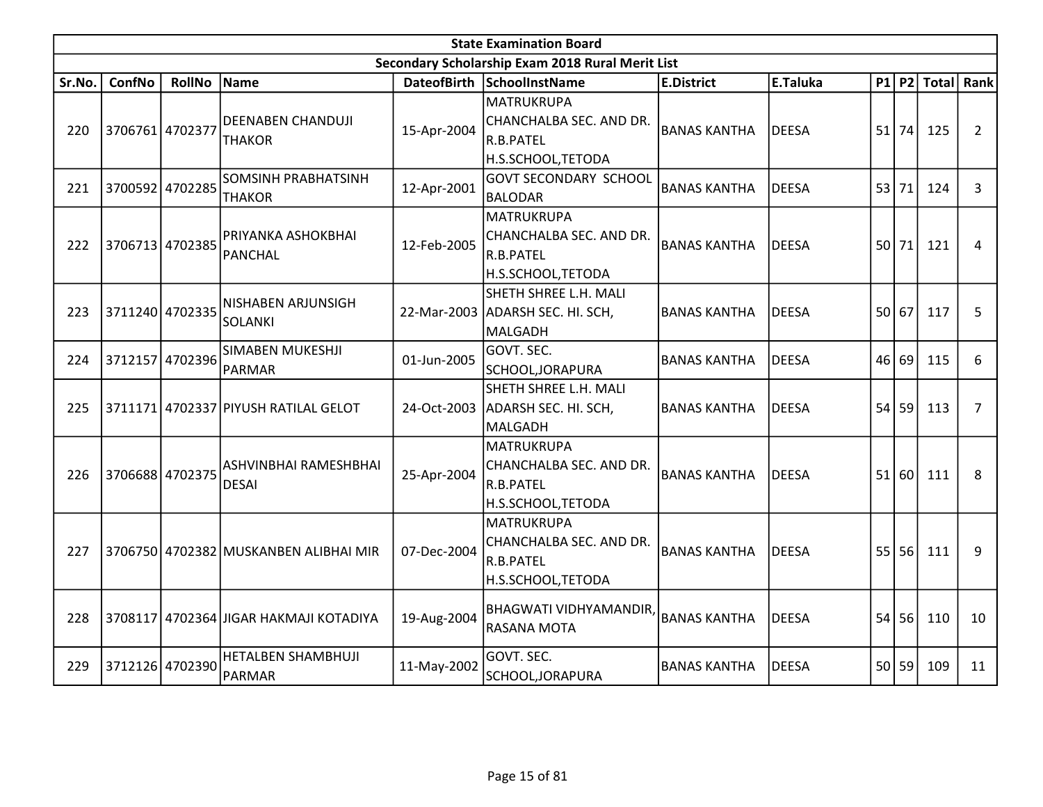|        | <b>State Examination Board</b><br>Secondary Scholarship Exam 2018 Rural Merit List |                 |                                            |             |                                                                                 |                     |              |    |       |              |                |  |  |  |
|--------|------------------------------------------------------------------------------------|-----------------|--------------------------------------------|-------------|---------------------------------------------------------------------------------|---------------------|--------------|----|-------|--------------|----------------|--|--|--|
|        |                                                                                    |                 |                                            |             |                                                                                 |                     |              |    |       |              |                |  |  |  |
| Sr.No. | <b>ConfNo</b>                                                                      | <b>RollNo</b>   | <b>Name</b>                                |             | DateofBirth SchoolInstName                                                      | <b>E.District</b>   | E.Taluka     | P1 | P2    | <b>Total</b> | Rank           |  |  |  |
| 220    | 3706761 4702377                                                                    |                 | <b>DEENABEN CHANDUJI</b><br><b>THAKOR</b>  | 15-Apr-2004 | <b>MATRUKRUPA</b><br>CHANCHALBA SEC. AND DR.<br>R.B.PATEL<br>H.S.SCHOOL, TETODA | <b>BANAS KANTHA</b> | <b>DEESA</b> |    | 51 74 | 125          | $\overline{2}$ |  |  |  |
| 221    |                                                                                    | 3700592 4702285 | SOMSINH PRABHATSINH<br><b>THAKOR</b>       | 12-Apr-2001 | <b>GOVT SECONDARY SCHOOL</b><br><b>BALODAR</b>                                  | <b>BANAS KANTHA</b> | <b>DEESA</b> |    | 53 71 | 124          | 3              |  |  |  |
| 222    |                                                                                    | 3706713 4702385 | PRIYANKA ASHOKBHAI<br><b>PANCHAL</b>       | 12-Feb-2005 | <b>MATRUKRUPA</b><br>CHANCHALBA SEC. AND DR.<br>R.B.PATEL<br>H.S.SCHOOL, TETODA | lbanas kantha       | <b>DEESA</b> |    | 50 71 | 121          | 4              |  |  |  |
| 223    |                                                                                    | 3711240 4702335 | NISHABEN ARJUNSIGH<br><b>SOLANKI</b>       | 22-Mar-2003 | SHETH SHREE L.H. MALI<br>ADARSH SEC. HI. SCH,<br>MALGADH                        | <b>BANAS KANTHA</b> | <b>DEESA</b> | 50 | 67    | 117          | 5              |  |  |  |
| 224    |                                                                                    | 3712157 4702396 | SIMABEN MUKESHJI<br>PARMAR                 | 01-Jun-2005 | GOVT. SEC.<br>SCHOOL, JORAPURA                                                  | <b>BANAS KANTHA</b> | <b>DEESA</b> | 46 | 69    | 115          | 6              |  |  |  |
| 225    |                                                                                    |                 | 3711171 4702337 PIYUSH RATILAL GELOT       | 24-Oct-2003 | SHETH SHREE L.H. MALI<br>ADARSH SEC. HI. SCH,<br>MALGADH                        | <b>BANAS KANTHA</b> | <b>DEESA</b> | 54 | 59    | 113          | $\overline{7}$ |  |  |  |
| 226    |                                                                                    | 3706688 4702375 | ASHVINBHAI RAMESHBHAI<br><b>DESAI</b>      | 25-Apr-2004 | <b>MATRUKRUPA</b><br>CHANCHALBA SEC. AND DR.<br>R.B.PATEL<br>H.S.SCHOOL, TETODA | <b>BANAS KANTHA</b> | <b>DEESA</b> | 51 | 60    | 111          | 8              |  |  |  |
| 227    |                                                                                    |                 | 3706750 4702382 MUSKANBEN ALIBHAI MIR      | 07-Dec-2004 | <b>MATRUKRUPA</b><br>CHANCHALBA SEC. AND DR.<br>R.B.PATEL<br>H.S.SCHOOL, TETODA | <b>BANAS KANTHA</b> | <b>DEESA</b> |    | 55 56 | 111          | 9              |  |  |  |
| 228    |                                                                                    |                 | 3708117 4702364 JIGAR HAKMAJI KOTADIYA     | 19-Aug-2004 | <b>BHAGWATI VIDHYAMANDIR,</b><br>RASANA MOTA                                    | <b>BANAS KANTHA</b> | <b>DEESA</b> | 54 | 56    | 110          | 10             |  |  |  |
| 229    |                                                                                    | 3712126 4702390 | <b>HETALBEN SHAMBHUJI</b><br><b>PARMAR</b> | 11-May-2002 | GOVT. SEC.<br>SCHOOL, JORAPURA                                                  | <b>BANAS KANTHA</b> | <b>DEESA</b> |    | 50 59 | 109          | 11             |  |  |  |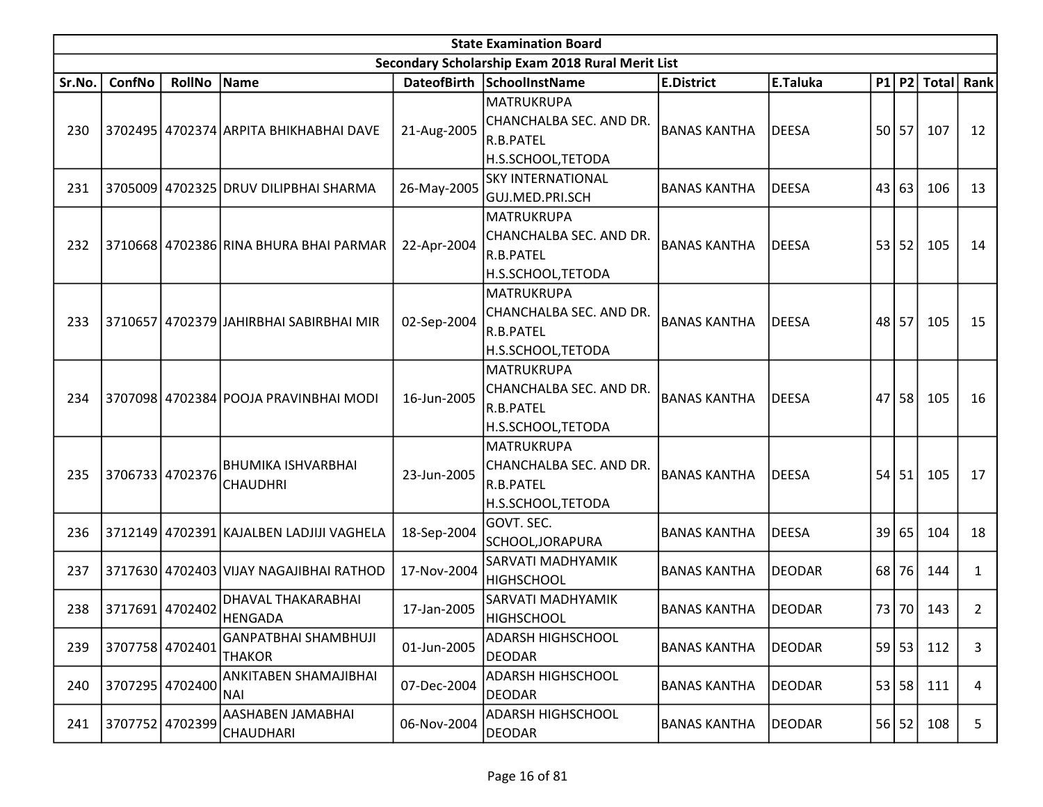|        | <b>State Examination Board</b> |               |                                              |                    |                                                                                  |                     |               |    |       |               |      |  |  |  |
|--------|--------------------------------|---------------|----------------------------------------------|--------------------|----------------------------------------------------------------------------------|---------------------|---------------|----|-------|---------------|------|--|--|--|
|        |                                |               |                                              |                    | Secondary Scholarship Exam 2018 Rural Merit List                                 |                     |               |    |       |               |      |  |  |  |
| Sr.No. | <b>ConfNo</b>                  | <b>RollNo</b> | Name                                         | <b>DateofBirth</b> | SchoolInstName                                                                   | <b>E.District</b>   | E.Taluka      |    |       | $P1$ P2 Total | Rank |  |  |  |
| 230    |                                |               | 3702495   4702374 ARPITA BHIKHABHAI DAVE     | 21-Aug-2005        | <u> MATRUKRUPA</u><br>CHANCHALBA SEC. AND DR.<br>R.B.PATEL<br>H.S.SCHOOL, TETODA | <b>BANAS KANTHA</b> | DEESA         |    | 50 57 | 107           | 12   |  |  |  |
| 231    |                                |               | 3705009 4702325 DRUV DILIPBHAI SHARMA        | 26-May-2005        | <b>SKY INTERNATIONAL</b><br>GUJ.MED.PRI.SCH                                      | <b>BANAS KANTHA</b> | DEESA         | 43 | 63    | 106           | 13   |  |  |  |
| 232    |                                |               | 3710668 4702386 RINA BHURA BHAI PARMAR       | 22-Apr-2004        | MATRUKRUPA<br>CHANCHALBA SEC. AND DR.<br>R.B.PATEL<br>H.S.SCHOOL, TETODA         | <b>BANAS KANTHA</b> | DEESA         | 53 | 52    | 105           | 14   |  |  |  |
| 233    |                                |               | 3710657 4702379 JAHIRBHAI SABIRBHAI MIR      | 02-Sep-2004        | <b>MATRUKRUPA</b><br>CHANCHALBA SEC. AND DR.<br>R.B.PATEL<br>H.S.SCHOOL,TETODA   | <b>BANAS KANTHA</b> | DEESA         | 48 | 57    | 105           | 15   |  |  |  |
| 234    |                                |               | 3707098 4702384 POOJA PRAVINBHAI MODI        | 16-Jun-2005        | MATRUKRUPA<br>CHANCHALBA SEC. AND DR.<br>R.B.PATEL<br>H.S.SCHOOL,TETODA          | <b>BANAS KANTHA</b> | DEESA         | 47 | 58    | 105           | 16   |  |  |  |
| 235    | 3706733 4702376                |               | <b>BHUMIKA ISHVARBHAI</b><br><b>CHAUDHRI</b> | 23-Jun-2005        | MATRUKRUPA<br>CHANCHALBA SEC. AND DR.<br>R.B.PATEL<br>H.S.SCHOOL, TETODA         | <b>BANAS KANTHA</b> | DEESA         | 54 | 51    | 105           | 17   |  |  |  |
| 236    |                                |               | 3712149 4702391 KAJALBEN LADJIJI VAGHELA     | 18-Sep-2004        | GOVT. SEC.<br>SCHOOL, JORAPURA                                                   | <b>BANAS KANTHA</b> | DEESA         | 39 | 65    | 104           | 18   |  |  |  |
| 237    |                                |               | 3717630 4702403 VIJAY NAGAJIBHAI RATHOD      | 17-Nov-2004        | SARVATI MADHYAMIK<br><b>HIGHSCHOOL</b>                                           | <b>BANAS KANTHA</b> | <b>DEODAR</b> | 68 | 76    | 144           | 1    |  |  |  |
| 238    | 3717691 4702402                |               | DHAVAL THAKARABHAI<br>HENGADA                | 17-Jan-2005        | SARVATI MADHYAMIK<br>HIGHSCHOOL                                                  | <b>BANAS KANTHA</b> | DEODAR        | 73 | 70    | 143           | 2    |  |  |  |
| 239    | 3707758 4702401                |               | <b>GANPATBHAI SHAMBHUJI</b><br><b>THAKOR</b> | 01-Jun-2005        | <b>ADARSH HIGHSCHOOL</b><br><b>DEODAR</b>                                        | <b>BANAS KANTHA</b> | <b>DEODAR</b> |    | 59 53 | 112           | 3    |  |  |  |
| 240    | 3707295                        | 4702400       | ANKITABEN SHAMAJIBHAI<br>NAI.                | 07-Dec-2004        | <b>ADARSH HIGHSCHOOL</b><br><b>DEODAR</b>                                        | <b>BANAS KANTHA</b> | DEODAR        | 53 | 58    | 111           | 4    |  |  |  |
| 241    | 3707752                        | 4702399       | AASHABEN JAMABHAI<br><b>CHAUDHARI</b>        | 06-Nov-2004        | <b>ADARSH HIGHSCHOOL</b><br><b>DEODAR</b>                                        | <b>BANAS KANTHA</b> | <b>DEODAR</b> |    | 56 52 | 108           | 5    |  |  |  |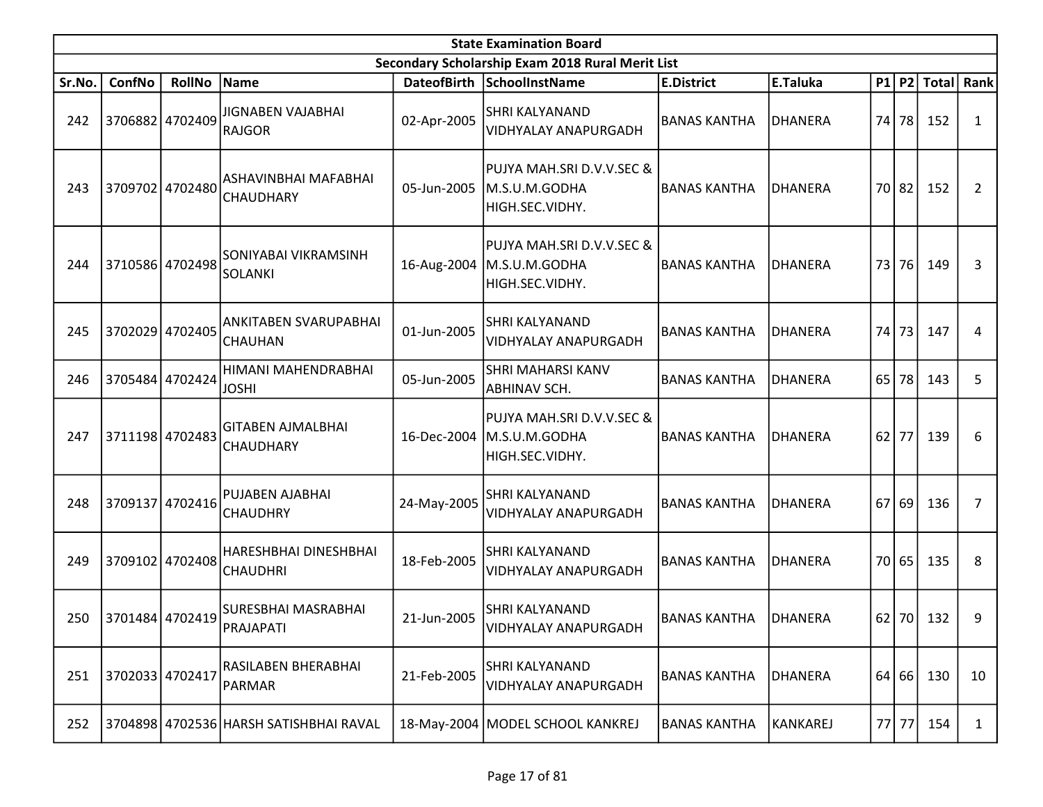|        | <b>State Examination Board</b> |                 |                                           |                    |                                                                             |                     |                 |      |       |              |              |  |  |
|--------|--------------------------------|-----------------|-------------------------------------------|--------------------|-----------------------------------------------------------------------------|---------------------|-----------------|------|-------|--------------|--------------|--|--|
|        |                                |                 |                                           |                    | Secondary Scholarship Exam 2018 Rural Merit List                            |                     |                 |      |       |              |              |  |  |
| Sr.No. | ConfNo                         | <b>RollNo</b>   | Name                                      | <b>DateofBirth</b> | SchoolInstName                                                              | <b>E.District</b>   | E.Taluka        |      | P1 P2 | <b>Total</b> | Rank         |  |  |
| 242    |                                | 3706882 4702409 | <b>JIGNABEN VAJABHAI</b><br><b>RAJGOR</b> | 02-Apr-2005        | SHRI KALYANAND<br><b>VIDHYALAY ANAPURGADH</b>                               | BANAS KANTHA        | DHANERA         | 74 l | 78    | 152          | 1            |  |  |
| 243    |                                | 3709702 4702480 | ASHAVINBHAI MAFABHAI<br><b>CHAUDHARY</b>  | 05-Jun-2005        | PUJYA MAH.SRI D.V.V.SEC &<br>M.S.U.M.GODHA<br>HIGH.SEC.VIDHY.               | <b>BANAS KANTHA</b> | DHANERA         | 70 l | 82    | 152          | 2            |  |  |
| 244    |                                | 3710586 4702498 | SONIYABAI VIKRAMSINH<br><b>SOLANKI</b>    |                    | PUJYA MAH.SRI D.V.V.SEC &<br>16-Aug-2004   M.S.U.M.GODHA<br>HIGH.SEC.VIDHY. | <b>BANAS KANTHA</b> | DHANERA         |      | 73 76 | 149          | 3            |  |  |
| 245    |                                | 3702029 4702405 | ANKITABEN SVARUPABHAI<br><b>CHAUHAN</b>   | 01-Jun-2005        | SHRI KALYANAND<br><b>VIDHYALAY ANAPURGADH</b>                               | <b>BANAS KANTHA</b> | <b>DHANERA</b>  | 74   | 73    | 147          | 4            |  |  |
| 246    |                                | 3705484 4702424 | HIMANI MAHENDRABHAI<br><b>JOSHI</b>       | 05-Jun-2005        | SHRI MAHARSI KANV<br>ABHINAV SCH.                                           | <b>BANAS KANTHA</b> | <b>DHANERA</b>  | 65   | 78    | 143          | 5            |  |  |
| 247    |                                | 3711198 4702483 | <b>GITABEN AJMALBHAI</b><br>CHAUDHARY     | 16-Dec-2004        | PUJYA MAH.SRI D.V.V.SEC &<br>M.S.U.M.GODHA<br>HIGH.SEC.VIDHY.               | <b>BANAS KANTHA</b> | <b>DHANERA</b>  | 62   | 77    | 139          | 6            |  |  |
| 248    |                                | 3709137 4702416 | PUJABEN AJABHAI<br><b>CHAUDHRY</b>        | 24-May-2005        | SHRI KALYANAND<br>VIDHYALAY ANAPURGADH                                      | <b>BANAS KANTHA</b> | <b>DHANERA</b>  | 67   | -69   | 136          | 7            |  |  |
| 249    |                                | 3709102 4702408 | HARESHBHAI DINESHBHAI<br><b>CHAUDHRI</b>  | 18-Feb-2005        | SHRI KALYANAND<br><b>VIDHYALAY ANAPURGADH</b>                               | <b>BANAS KANTHA</b> | <b>DHANERA</b>  | 70 l | 65    | 135          | 8            |  |  |
| 250    | 3701484 4702419                |                 | SURESBHAI MASRABHAI<br>PRAJAPATI          | 21-Jun-2005        | SHRI KALYANAND<br>VIDHYALAY ANAPURGADH                                      | BANAS KANTHA        | <b>DHANERA</b>  |      |       | 62 70 132    | 9            |  |  |
| 251    | 3702033 4702417                |                 | RASILABEN BHERABHAI<br><b>PARMAR</b>      | 21-Feb-2005        | SHRI KALYANAND<br>VIDHYALAY ANAPURGADH                                      | <b>BANAS KANTHA</b> | DHANERA         |      | 64 66 | 130          | 10           |  |  |
| 252    |                                |                 | 3704898 4702536 HARSH SATISHBHAI RAVAL    |                    | 18-May-2004   MODEL SCHOOL KANKREJ                                          | <b>BANAS KANTHA</b> | <b>KANKAREJ</b> |      | 77 77 | 154          | $\mathbf{1}$ |  |  |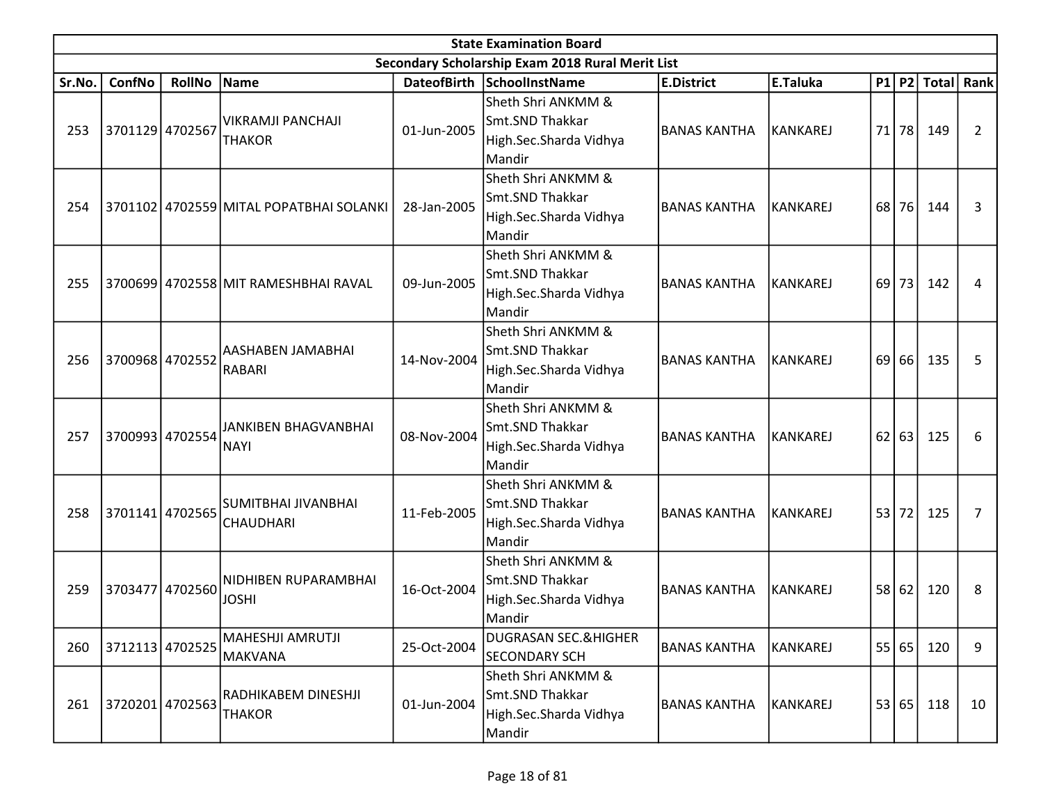|        | <b>State Examination Board</b><br>Secondary Scholarship Exam 2018 Rural Merit List |                 |                                         |             |                                                                           |                     |           |      |       |              |      |  |  |  |
|--------|------------------------------------------------------------------------------------|-----------------|-----------------------------------------|-------------|---------------------------------------------------------------------------|---------------------|-----------|------|-------|--------------|------|--|--|--|
|        |                                                                                    |                 |                                         |             |                                                                           |                     |           |      |       |              |      |  |  |  |
| Sr.No. | ConfNo                                                                             | <b>RollNo</b>   | Name                                    |             | DateofBirth SchoolInstName                                                | <b>E.District</b>   | E.Taluka  |      | P1 P2 | <b>Total</b> | Rank |  |  |  |
| 253    | 3701129 4702567                                                                    |                 | VIKRAMJI PANCHAJI<br><b>THAKOR</b>      | 01-Jun-2005 | Sheth Shri ANKMM &<br>Smt.SND Thakkar<br>High.Sec.Sharda Vidhya<br>Mandir | BANAS KANTHA        | KANKAREJ  | 71   | 78    | 149          | 2    |  |  |  |
| 254    |                                                                                    |                 | 3701102 4702559 MITAL POPATBHAI SOLANKI | 28-Jan-2005 | Sheth Shri ANKMM &<br>Smt.SND Thakkar<br>High.Sec.Sharda Vidhya<br>Mandir | BANAS KANTHA        | KANKAREJ  | 68   | 76    | 144          | 3    |  |  |  |
| 255    |                                                                                    |                 | 3700699 4702558 MIT RAMESHBHAI RAVAL    | 09-Jun-2005 | Sheth Shri ANKMM &<br>Smt.SND Thakkar<br>High.Sec.Sharda Vidhya<br>Mandir | BANAS KANTHA        | KANKAREJ  | 69 l | 73    | 142          | 4    |  |  |  |
| 256    |                                                                                    | 3700968 4702552 | AASHABEN JAMABHAI<br><b>RABARI</b>      | 14-Nov-2004 | Sheth Shri ANKMM &<br>Smt.SND Thakkar<br>High.Sec.Sharda Vidhya<br>Mandir | lbanas kantha       | İKANKAREJ | 69   | 66    | 135          | 5    |  |  |  |
| 257    |                                                                                    | 3700993 4702554 | JANKIBEN BHAGVANBHAI<br><b>NAYI</b>     | 08-Nov-2004 | Sheth Shri ANKMM &<br>Smt.SND Thakkar<br>High.Sec.Sharda Vidhya<br>Mandir | BANAS KANTHA        | KANKAREJ  | 62   | 63    | 125          | 6    |  |  |  |
| 258    |                                                                                    | 3701141 4702565 | SUMITBHAI JIVANBHAI<br><b>CHAUDHARI</b> | 11-Feb-2005 | Sheth Shri ANKMM &<br>Smt.SND Thakkar<br>High.Sec.Sharda Vidhya<br>Mandir | <b>BANAS KANTHA</b> | KANKAREJ  |      | 53 72 | 125          | 7    |  |  |  |
| 259    | 3703477                                                                            | 4702560         | <b>NIDHIBEN RUPARAMBHAI</b><br>JOSHI    | 16-Oct-2004 | Sheth Shri ANKMM &<br>Smt.SND Thakkar<br>High.Sec.Sharda Vidhya<br>Mandir | <b>BANAS KANTHA</b> | KANKAREJ  | 58   | 62    | 120          | 8    |  |  |  |
| 260    |                                                                                    | 3712113 4702525 | MAHESHJI AMRUTJI<br>MAKVANA             | 25-Oct-2004 | <b>DUGRASAN SEC.&amp;HIGHER</b><br><b>SECONDARY SCH</b>                   | <b>BANAS KANTHA</b> | KANKAREJ  |      | 55 65 | 120          | 9    |  |  |  |
| 261    | 3720201 4702563                                                                    |                 | RADHIKABEM DINESHJI<br><b>THAKOR</b>    | 01-Jun-2004 | Sheth Shri ANKMM &<br>Smt.SND Thakkar<br>High.Sec.Sharda Vidhya<br>Mandir | <b>BANAS KANTHA</b> | KANKAREJ  |      | 53 65 | 118          | 10   |  |  |  |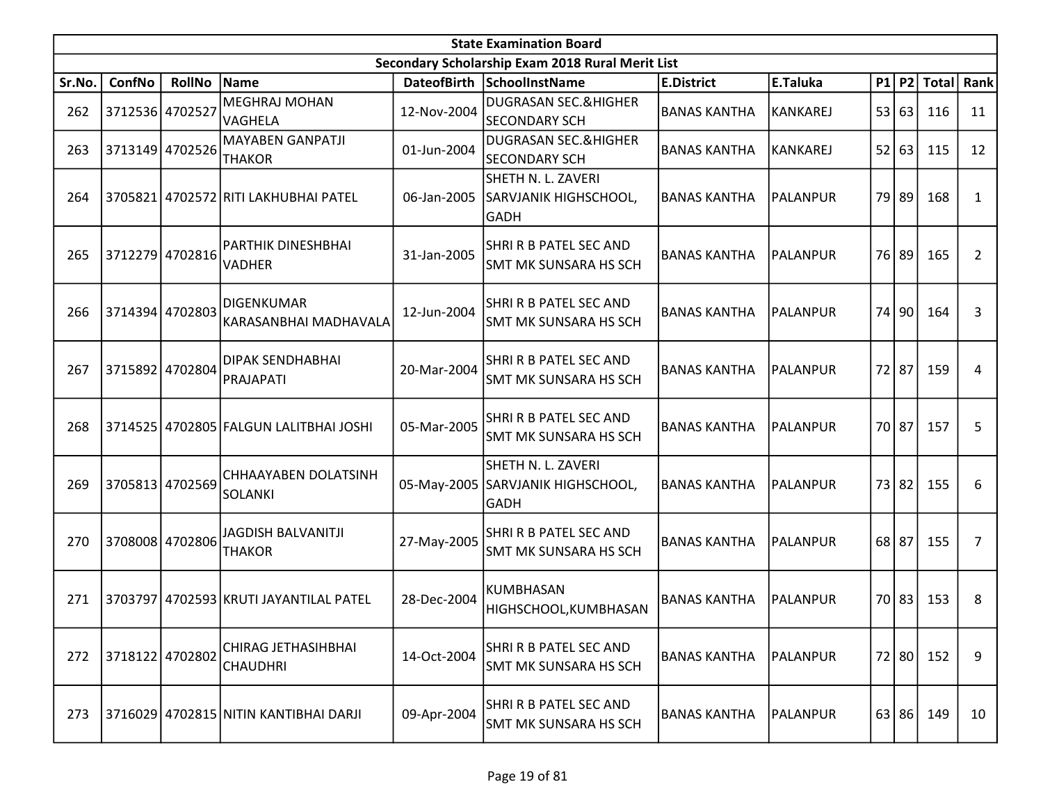|        | <b>State Examination Board</b> |                 |                                            |             |                                                            |                     |                 |           |       |                  |    |  |  |
|--------|--------------------------------|-----------------|--------------------------------------------|-------------|------------------------------------------------------------|---------------------|-----------------|-----------|-------|------------------|----|--|--|
|        |                                |                 |                                            |             | Secondary Scholarship Exam 2018 Rural Merit List           |                     |                 |           |       |                  |    |  |  |
| Sr.No. | ConfNo                         | <b>RollNo</b>   | Name                                       |             | DateofBirth SchoolInstName                                 | <b>E.District</b>   | E.Taluka        |           |       | P1 P2 Total Rank |    |  |  |
| 262    | 3712536 4702527                |                 | <b>MEGHRAJ MOHAN</b><br><b>VAGHELA</b>     | 12-Nov-2004 | <b>DUGRASAN SEC.&amp;HIGHER</b><br><b>SECONDARY SCH</b>    | <b>BANAS KANTHA</b> | <b>KANKAREJ</b> | 53        | 63    | 116              | 11 |  |  |
| 263    |                                | 3713149 4702526 | <b>MAYABEN GANPATJI</b><br><b>THAKOR</b>   | 01-Jun-2004 | <b>DUGRASAN SEC.&amp;HIGHER</b><br><b>SECONDARY SCH</b>    | <b>BANAS KANTHA</b> | KANKAREJ        | 52        | 63    | 115              | 12 |  |  |
| 264    |                                |                 | 3705821 4702572 RITI LAKHUBHAI PATEL       | 06-Jan-2005 | SHETH N. L. ZAVERI<br>SARVJANIK HIGHSCHOOL,<br><b>GADH</b> | <b>BANAS KANTHA</b> | PALANPUR        | <b>79</b> | 89    | 168              | 1  |  |  |
| 265    |                                | 3712279 4702816 | PARTHIK DINESHBHAI<br><b>VADHER</b>        | 31-Jan-2005 | SHRI R B PATEL SEC AND<br>SMT MK SUNSARA HS SCH            | <b>BANAS KANTHA</b> | PALANPUR        |           | 76 89 | 165              | 2  |  |  |
| 266    | 3714394 4702803                |                 | DIGENKUMAR<br>KARASANBHAI MADHAVALA        | 12-Jun-2004 | SHRI R B PATEL SEC AND<br><b>SMT MK SUNSARA HS SCH</b>     | <b>BANAS KANTHA</b> | <b>PALANPUR</b> |           | 74 90 | 164              | 3  |  |  |
| 267    | 3715892 4702804                |                 | DIPAK SENDHABHAI<br><b>PRAJAPATI</b>       | 20-Mar-2004 | SHRI R B PATEL SEC AND<br>SMT MK SUNSARA HS SCH            | <b>BANAS KANTHA</b> | <b>PALANPUR</b> |           | 72 87 | 159              | 4  |  |  |
| 268    |                                |                 | 3714525 4702805 FALGUN LALITBHAI JOSHI     | 05-Mar-2005 | SHRI R B PATEL SEC AND<br>SMT MK SUNSARA HS SCH            | <b>BANAS KANTHA</b> | <b>PALANPUR</b> |           | 70 87 | 157              | 5  |  |  |
| 269    | 3705813 4702569                |                 | CHHAAYABEN DOLATSINH<br><b>SOLANKI</b>     | 05-May-2005 | SHETH N. L. ZAVERI<br>SARVJANIK HIGHSCHOOL,<br><b>GADH</b> | <b>BANAS KANTHA</b> | <b>PALANPUR</b> |           | 73 82 | 155              | 6  |  |  |
| 270    |                                | 3708008 4702806 | <b>JAGDISH BALVANITJI</b><br><b>THAKOR</b> | 27-May-2005 | SHRI R B PATEL SEC AND<br>SMT MK SUNSARA HS SCH            | <b>BANAS KANTHA</b> | PALANPUR        | $68$   87 |       | 155              | 7  |  |  |
| 271    | 3703797                        |                 | 4702593 KRUTI JAYANTILAL PATEL             | 28-Dec-2004 | <b>KUMBHASAN</b><br>HIGHSCHOOL, KUMBHASAN                  | <b>BANAS KANTHA</b> | PALANPUR        |           | 70 83 | 153              | 8  |  |  |
| 272    | 3718122 4702802                |                 | CHIRAG JETHASIHBHAI<br><b>CHAUDHRI</b>     | 14-Oct-2004 | SHRI R B PATEL SEC AND<br><b>SMT MK SUNSARA HS SCH</b>     | <b>BANAS KANTHA</b> | <b>PALANPUR</b> |           | 72 80 | 152              | 9  |  |  |
| 273    |                                |                 | 3716029 4702815 NITIN KANTIBHAI DARJI      | 09-Apr-2004 | SHRI R B PATEL SEC AND<br>SMT MK SUNSARA HS SCH            | <b>BANAS KANTHA</b> | PALANPUR        |           | 63 86 | 149              | 10 |  |  |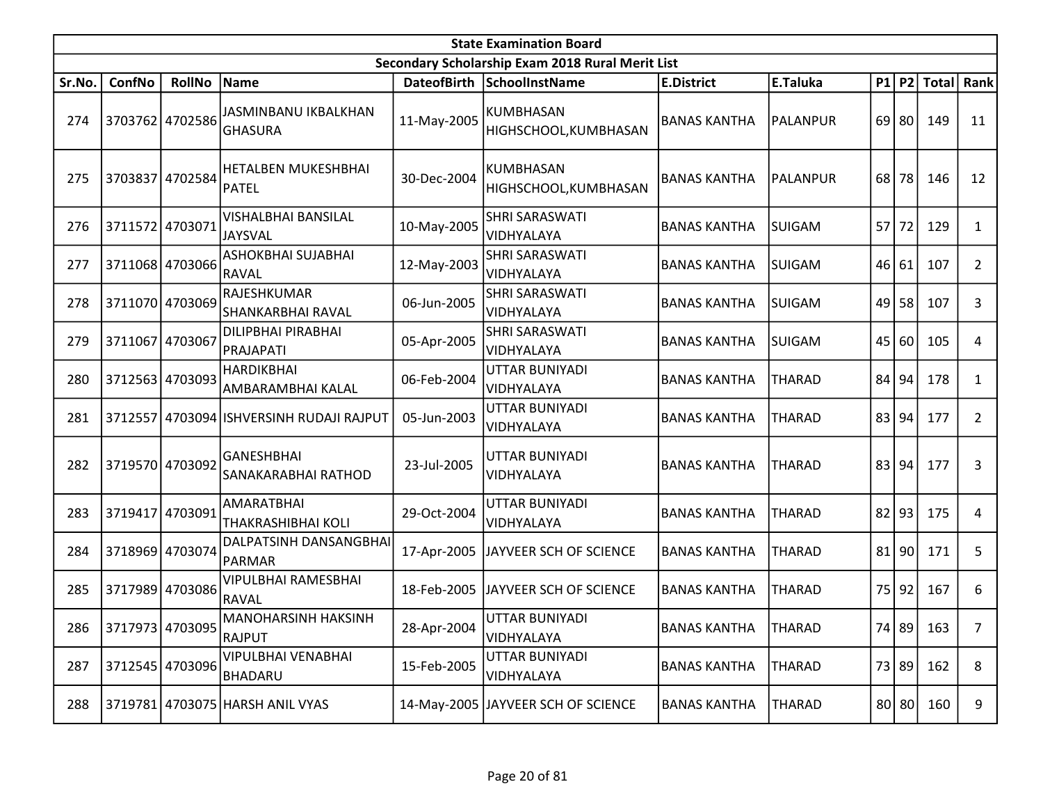|        | <b>State Examination Board</b><br>Secondary Scholarship Exam 2018 Rural Merit List |                 |                                                |             |                                    |                     |               |    |         |              |                |  |  |  |
|--------|------------------------------------------------------------------------------------|-----------------|------------------------------------------------|-------------|------------------------------------|---------------------|---------------|----|---------|--------------|----------------|--|--|--|
|        |                                                                                    |                 |                                                |             |                                    |                     |               |    |         |              |                |  |  |  |
| Sr.No. | ConfNo                                                                             | <b>RollNo</b>   | Name                                           |             | DateofBirth SchoolInstName         | <b>E.District</b>   | E.Taluka      |    | $P1$ P2 | <b>Total</b> | Rank           |  |  |  |
| 274    |                                                                                    | 3703762 4702586 | JASMINBANU IKBALKHAN<br><b>GHASURA</b>         | 11-May-2005 | KUMBHASAN<br>HIGHSCHOOL, KUMBHASAN | <b>BANAS KANTHA</b> | PALANPUR      |    | $69$ 80 | 149          | 11             |  |  |  |
| 275    | 3703837                                                                            | 4702584         | <b>HETALBEN MUKESHBHAI</b><br><b>PATEL</b>     | 30-Dec-2004 | KUMBHASAN<br>HIGHSCHOOL, KUMBHASAN | <b>BANAS KANTHA</b> | PALANPUR      | 68 | 78      | 146          | 12             |  |  |  |
| 276    | 3711572 4703071                                                                    |                 | <b>VISHALBHAI BANSILAL</b><br><b>JAYSVAL</b>   | 10-May-2005 | SHRI SARASWATI<br>VIDHYALAYA       | <b>BANAS KANTHA</b> | <b>SUIGAM</b> | 57 | 72      | 129          | $\mathbf{1}$   |  |  |  |
| 277    |                                                                                    | 3711068 4703066 | ASHOKBHAI SUJABHAI<br><b>RAVAL</b>             | 12-May-2003 | SHRI SARASWATI<br>VIDHYALAYA       | <b>BANAS KANTHA</b> | <b>SUIGAM</b> | 46 | 61      | 107          | $\overline{2}$ |  |  |  |
| 278    | 3711070 4703069                                                                    |                 | RAJESHKUMAR<br>SHANKARBHAI RAVAL               | 06-Jun-2005 | SHRI SARASWATI<br>VIDHYALAYA       | <b>BANAS KANTHA</b> | <b>SUIGAM</b> | 49 | 58      | 107          | 3              |  |  |  |
| 279    | 3711067 4703067                                                                    |                 | DILIPBHAI PIRABHAI<br>PRAJAPATI                | 05-Apr-2005 | SHRI SARASWATI<br>VIDHYALAYA       | <b>BANAS KANTHA</b> | <b>SUIGAM</b> | 45 | 60      | 105          | 4              |  |  |  |
| 280    |                                                                                    | 3712563 4703093 | <b>HARDIKBHAI</b><br>AMBARAMBHAI KALAL         | 06-Feb-2004 | UTTAR BUNIYADI<br>VIDHYALAYA       | <b>BANAS KANTHA</b> | <b>THARAD</b> | 84 | 94      | 178          | 1              |  |  |  |
| 281    |                                                                                    |                 | 3712557 4703094 ISHVERSINH RUDAJI RAJPUT       | 05-Jun-2003 | UTTAR BUNIYADI<br>VIDHYALAYA       | <b>BANAS KANTHA</b> | <b>THARAD</b> |    | 83 94   | 177          | $\overline{2}$ |  |  |  |
| 282    | 3719570 4703092                                                                    |                 | GANESHBHAI<br>SANAKARABHAI RATHOD              | 23-Jul-2005 | UTTAR BUNIYADI<br>VIDHYALAYA       | <b>BANAS KANTHA</b> | <b>THARAD</b> |    | 83 94   | 177          | 3              |  |  |  |
| 283    | 3719417                                                                            | 4703091         | <b>AMARATBHAI</b><br><b>THAKRASHIBHAI KOLI</b> | 29-Oct-2004 | UTTAR BUNIYADI<br>VIDHYALAYA       | <b>BANAS KANTHA</b> | <b>THARAD</b> | 82 | 93      | 175          | 4              |  |  |  |
| 284    | 3718969 4703074                                                                    |                 | DALPATSINH DANSANGBHAI<br>PARMAR               | 17-Apr-2005 | JAYVEER SCH OF SCIENCE             | <b>BANAS KANTHA</b> | <b>THARAD</b> | 81 | 90      | 171          | 5              |  |  |  |
| 285    |                                                                                    | 3717989 4703086 | <b>VIPULBHAI RAMESBHAI</b><br><b>RAVAL</b>     | 18-Feb-2005 | JAYVEER SCH OF SCIENCE             | <b>BANAS KANTHA</b> | <b>THARAD</b> | 75 | 92      | 167          | 6              |  |  |  |
| 286    |                                                                                    | 3717973 4703095 | <b>MANOHARSINH HAKSINH</b><br><b>RAJPUT</b>    | 28-Apr-2004 | UTTAR BUNIYADI<br>VIDHYALAYA       | <b>BANAS KANTHA</b> | <b>THARAD</b> |    |         | 74 89 163    | 7              |  |  |  |
| 287    |                                                                                    | 3712545 4703096 | <b>VIPULBHAI VENABHAI</b><br>BHADARU           | 15-Feb-2005 | UTTAR BUNIYADI<br>VIDHYALAYA       | <b>BANAS KANTHA</b> | <b>THARAD</b> |    | 73 89   | 162          | 8              |  |  |  |
| 288    |                                                                                    |                 | 3719781 4703075 HARSH ANIL VYAS                |             | 14-May-2005 JAYVEER SCH OF SCIENCE | <b>BANAS KANTHA</b> | <b>THARAD</b> |    | 80 80   | 160          | 9              |  |  |  |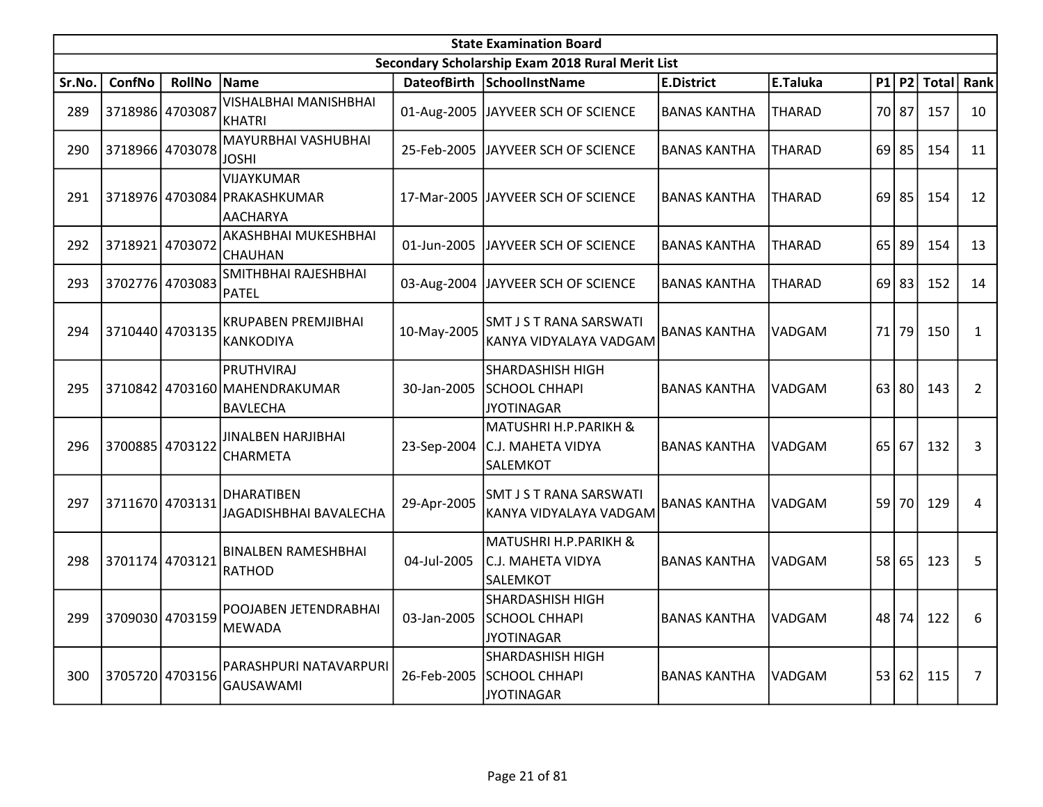|        | <b>State Examination Board</b> |                 |                                                                |             |                                                                      |                     |               |    |         |              |                |  |  |  |
|--------|--------------------------------|-----------------|----------------------------------------------------------------|-------------|----------------------------------------------------------------------|---------------------|---------------|----|---------|--------------|----------------|--|--|--|
|        |                                |                 |                                                                |             | Secondary Scholarship Exam 2018 Rural Merit List                     |                     |               |    |         |              |                |  |  |  |
| Sr.No. | <b>ConfNo</b>                  | <b>RollNo</b>   | <b>Name</b>                                                    |             | DateofBirth SchoolInstName                                           | <b>E.District</b>   | E.Taluka      |    | P1 P2   | <b>Total</b> | Rank           |  |  |  |
| 289    | 3718986 4703087                |                 | <b>VISHALBHAI MANISHBHAI</b><br>KHATRI                         |             | 01-Aug-2005 JJAYVEER SCH OF SCIENCE                                  | <b>BANAS KANTHA</b> | <b>THARAD</b> |    | 70 87   | 157          | 10             |  |  |  |
| 290    |                                | 3718966 4703078 | MAYURBHAI VASHUBHAI<br><b>JOSHI</b>                            | 25-Feb-2005 | JAYVEER SCH OF SCIENCE                                               | <b>BANAS KANTHA</b> | THARAD        | 69 | 85      | 154          | 11             |  |  |  |
| 291    |                                |                 | <b>VIJAYKUMAR</b><br>3718976 4703084 PRAKASHKUMAR<br>AACHARYA  |             | 17-Mar-2005 JJAYVEER SCH OF SCIENCE                                  | <b>BANAS KANTHA</b> | <b>THARAD</b> |    | $69$ 85 | 154          | 12             |  |  |  |
| 292    | 3718921 4703072                |                 | AKASHBHAI MUKESHBHAI<br>CHAUHAN                                | 01-Jun-2005 | JAYVEER SCH OF SCIENCE                                               | <b>BANAS KANTHA</b> | <b>THARAD</b> | 65 | 89      | 154          | 13             |  |  |  |
| 293    |                                | 3702776 4703083 | SMITHBHAI RAJESHBHAI<br>PATEL                                  | 03-Aug-2004 | JAYVEER SCH OF SCIENCE                                               | <b>BANAS KANTHA</b> | <b>THARAD</b> |    | $69$ 83 | 152          | 14             |  |  |  |
| 294    |                                | 3710440 4703135 | KRUPABEN PREMJIBHAI<br><b>KANKODIYA</b>                        | 10-May-2005 | <b>SMT J S T RANA SARSWATI</b><br>KANYA VIDYALAYA VADGAM             | <b>BANAS KANTHA</b> | VADGAM        |    | 71 79   | 150          | $\mathbf{1}$   |  |  |  |
| 295    |                                |                 | PRUTHVIRAJ<br>3710842 4703160 MAHENDRAKUMAR<br><b>BAVLECHA</b> | 30-Jan-2005 | <b>SHARDASHISH HIGH</b><br><b>SCHOOL CHHAPI</b><br><b>JYOTINAGAR</b> | <b>BANAS KANTHA</b> | VADGAM        | 63 | 80      | 143          | $\overline{2}$ |  |  |  |
| 296    | 3700885 4703122                |                 | JINALBEN HARJIBHAI<br><b>CHARMETA</b>                          | 23-Sep-2004 | MATUSHRI H.P.PARIKH &<br>C.J. MAHETA VIDYA<br>SALEMKOT               | <b>BANAS KANTHA</b> | <b>VADGAM</b> | 65 | 67      | 132          | 3              |  |  |  |
| 297    |                                | 3711670 4703131 | <b>DHARATIBEN</b><br>JAGADISHBHAI BAVALECHA                    | 29-Apr-2005 | SMT J S T RANA SARSWATI<br>KANYA VIDYALAYA VADGAM                    | <b>BANAS KANTHA</b> | VADGAM        |    | 59 70   | 129          | $\overline{4}$ |  |  |  |
| 298    | 3701174 4703121                |                 | <b>BINALBEN RAMESHBHAI</b><br><b>RATHOD</b>                    | 04-Jul-2005 | MATUSHRI H.P.PARIKH &<br>C.J. MAHETA VIDYA<br>SALEMKOT               | <b>BANAS KANTHA</b> | <b>VADGAM</b> |    | 58 65   | 123          | 5              |  |  |  |
| 299    |                                | 3709030 4703159 | POOJABEN JETENDRABHAI<br><b>MEWADA</b>                         | 03-Jan-2005 | <b>SHARDASHISH HIGH</b><br><b>SCHOOL CHHAPI</b><br><b>JYOTINAGAR</b> | <b>BANAS KANTHA</b> | <b>VADGAM</b> | 48 | 74      | 122          | 6              |  |  |  |
| 300    |                                | 3705720 4703156 | PARASHPURI NATAVARPURI<br><b>GAUSAWAMI</b>                     | 26-Feb-2005 | <b>SHARDASHISH HIGH</b><br><b>SCHOOL CHHAPI</b><br><b>JYOTINAGAR</b> | <b>BANAS KANTHA</b> | <b>VADGAM</b> |    | 53 62   | 115          | 7              |  |  |  |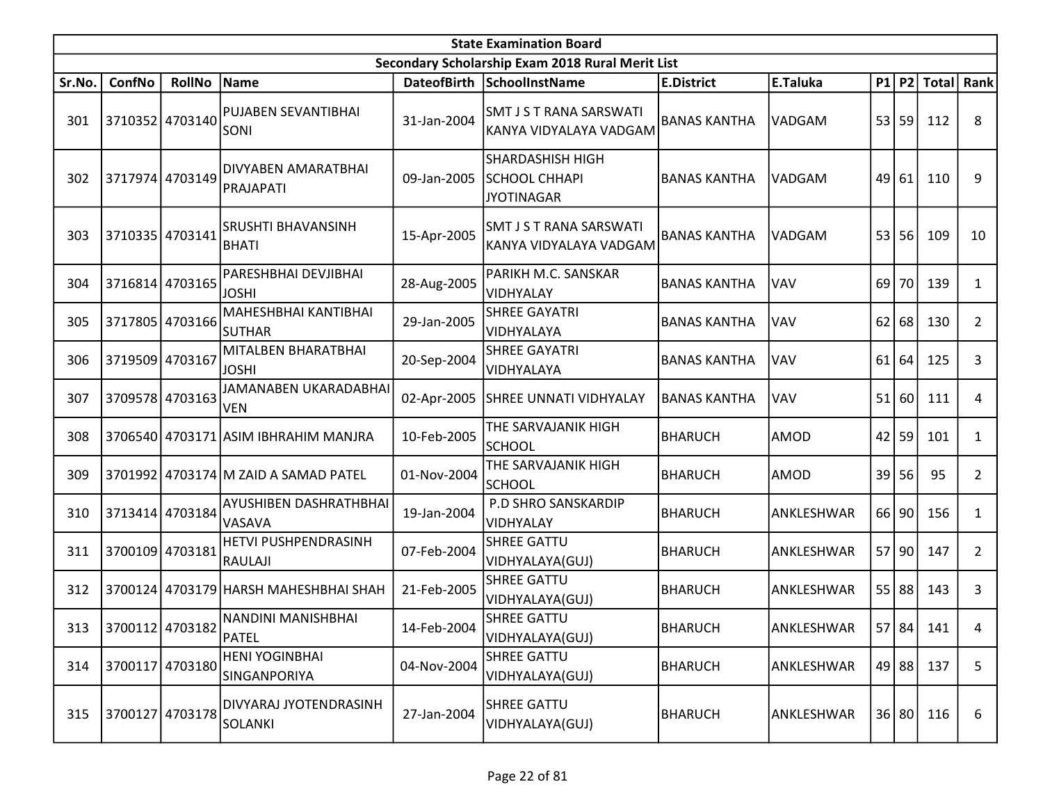|        | <b>State Examination Board</b><br>Secondary Scholarship Exam 2018 Rural Merit List |                 |                                         |             |                                                               |                     |               |    |         |              |                |  |  |  |
|--------|------------------------------------------------------------------------------------|-----------------|-----------------------------------------|-------------|---------------------------------------------------------------|---------------------|---------------|----|---------|--------------|----------------|--|--|--|
|        |                                                                                    |                 |                                         |             |                                                               |                     |               |    |         |              |                |  |  |  |
| Sr.No. | ConfNo                                                                             | <b>RollNo</b>   | Name                                    |             | DateofBirth SchoolInstName                                    | <b>E.District</b>   | E.Taluka      |    | P1 P2   | <b>Total</b> | <b>Rank</b>    |  |  |  |
| 301    | 3710352 4703140                                                                    |                 | PUJABEN SEVANTIBHAI<br><b>SONI</b>      | 31-Jan-2004 | SMT J S T RANA SARSWATI<br>KANYA VIDYALAYA VADGAM             | <b>BANAS KANTHA</b> | <b>VADGAM</b> |    | 53 59   | 112          | 8              |  |  |  |
| 302    | 3717974                                                                            | 4703149         | DIVYABEN AMARATBHAI<br>PRAJAPATI        | 09-Jan-2005 | SHARDASHISH HIGH<br><b>SCHOOL CHHAPI</b><br><b>JYOTINAGAR</b> | <b>BANAS KANTHA</b> | <b>VADGAM</b> | 49 | 61      | 110          | 9              |  |  |  |
| 303    | 3710335 4703141                                                                    |                 | SRUSHTI BHAVANSINH<br>BHATI             | 15-Apr-2005 | SMT J S T RANA SARSWATI<br>KANYA VIDYALAYA VADGAM             | <b>BANAS KANTHA</b> | VADGAM        | 53 | 56      | 109          | 10             |  |  |  |
| 304    |                                                                                    | 3716814 4703165 | PARESHBHAI DEVJIBHAI<br><b>JOSHI</b>    | 28-Aug-2005 | PARIKH M.C. SANSKAR<br>VIDHYALAY                              | <b>BANAS KANTHA</b> | <b>VAV</b>    | 69 | 70      | 139          | 1              |  |  |  |
| 305    | 3717805                                                                            | 4703166         | MAHESHBHAI KANTIBHAI<br><b>SUTHAR</b>   | 29-Jan-2005 | <b>SHREE GAYATRI</b><br>VIDHYALAYA                            | <b>BANAS KANTHA</b> | <b>VAV</b>    | 62 | 68      | 130          | $\overline{2}$ |  |  |  |
| 306    |                                                                                    | 3719509 4703167 | MITALBEN BHARATBHAI<br><b>JOSHI</b>     | 20-Sep-2004 | <b>SHREE GAYATRI</b><br>VIDHYALAYA                            | <b>BANAS KANTHA</b> | <b>VAV</b>    | 61 | 64      | 125          | 3              |  |  |  |
| 307    | 3709578 4703163                                                                    |                 | JAMANABEN UKARADABHAI<br><b>VEN</b>     | 02-Apr-2005 | SHREE UNNATI VIDHYALAY                                        | <b>BANAS KANTHA</b> | <b>VAV</b>    | 51 | 60      | 111          | 4              |  |  |  |
| 308    |                                                                                    |                 | 3706540 4703171 ASIM IBHRAHIM MANJRA    | 10-Feb-2005 | THE SARVAJANIK HIGH<br><b>SCHOOL</b>                          | <b>BHARUCH</b>      | AMOD          | 42 | 59      | 101          | 1              |  |  |  |
| 309    |                                                                                    |                 | 3701992 4703174 M ZAID A SAMAD PATEL    | 01-Nov-2004 | THE SARVAJANIK HIGH<br><b>SCHOOL</b>                          | <b>BHARUCH</b>      | AMOD          | 39 | 56      | 95           | $\overline{2}$ |  |  |  |
| 310    | 3713414 4703184                                                                    |                 | <b>AYUSHIBEN DASHRATHBHAI</b><br>VASAVA | 19-Jan-2004 | P.D SHRO SANSKARDIP<br>VIDHYALAY                              | <b>BHARUCH</b>      | ANKLESHWAR    |    | 66 90   | 156          | $\mathbf{1}$   |  |  |  |
| 311    |                                                                                    | 3700109 4703181 | HETVI PUSHPENDRASINH<br>RAULAJI         | 07-Feb-2004 | <b>SHREE GATTU</b><br>VIDHYALAYA(GUJ)                         | <b>BHARUCH</b>      | ANKLESHWAR    | 57 | 90      | 147          | $\overline{2}$ |  |  |  |
| 312    |                                                                                    |                 | 3700124 4703179 HARSH MAHESHBHAI SHAH   | 21-Feb-2005 | <b>SHREE GATTU</b><br>VIDHYALAYA(GUJ)                         | <b>BHARUCH</b>      | ANKLESHWAR    |    | $55$ 88 | 143          | 3              |  |  |  |
| 313    | 3700112 4703182 PATEL                                                              |                 | NANDINI MANISHBHAI                      | 14-Feb-2004 | <b>SHREE GATTU</b><br>VIDHYALAYA(GUJ)                         | <b>BHARUCH</b>      | ANKLESHWAR    |    |         | 57 84 141    | 4              |  |  |  |
| 314    | 3700117                                                                            | 4703180         | <b>HENI YOGINBHAI</b><br>SINGANPORIYA   | 04-Nov-2004 | <b>SHREE GATTU</b><br>VIDHYALAYA(GUJ)                         | <b>BHARUCH</b>      | ANKLESHWAR    |    | 49 88   | 137          | 5              |  |  |  |
| 315    | 3700127 4703178                                                                    |                 | DIVYARAJ JYOTENDRASINH<br>SOLANKI       | 27-Jan-2004 | <b>SHREE GATTU</b><br>VIDHYALAYA(GUJ)                         | <b>BHARUCH</b>      | ANKLESHWAR    |    | 36 80   | 116          | 6              |  |  |  |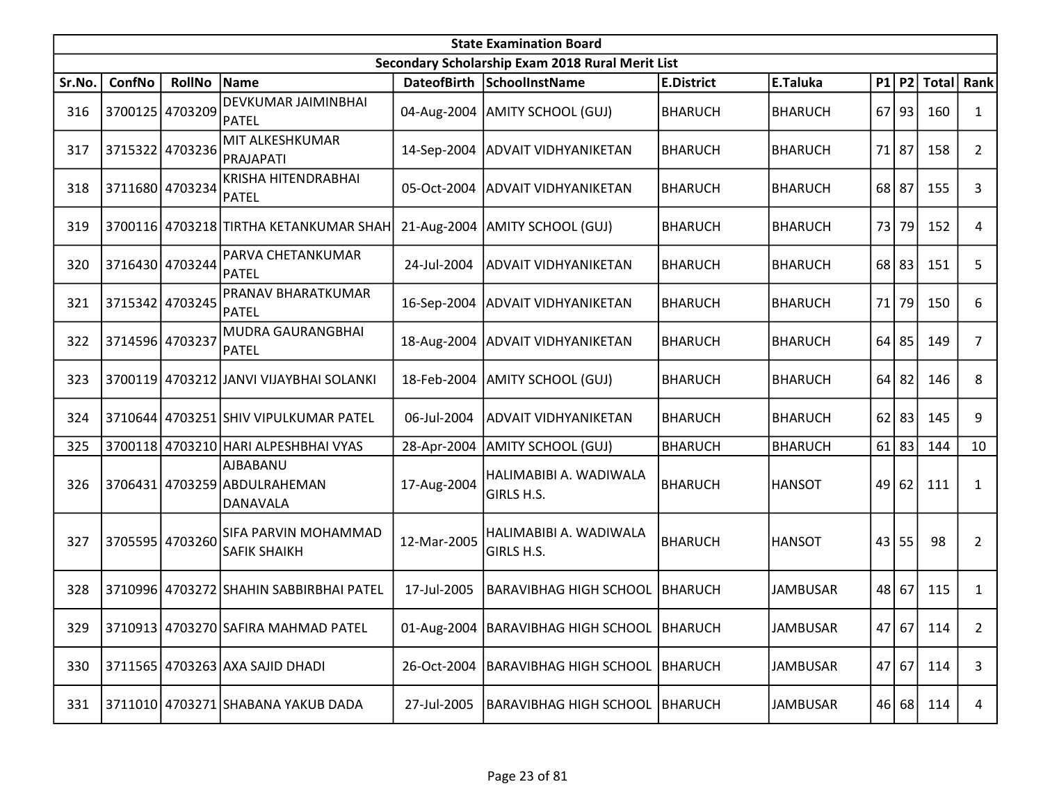|        | <b>State Examination Board</b> |                 |                                                      |                    |                                                  |                   |                 |    |           |              |                |  |  |  |
|--------|--------------------------------|-----------------|------------------------------------------------------|--------------------|--------------------------------------------------|-------------------|-----------------|----|-----------|--------------|----------------|--|--|--|
|        |                                |                 |                                                      |                    | Secondary Scholarship Exam 2018 Rural Merit List |                   |                 |    |           |              |                |  |  |  |
| Sr.No. | ConfNo                         | <b>RollNo</b>   | Name                                                 | <b>DateofBirth</b> | <b>SchoolInstName</b>                            | <b>E.District</b> | E.Taluka        |    | $P1$ P2   | <b>Total</b> | Rank           |  |  |  |
| 316    |                                | 3700125 4703209 | DEVKUMAR JAIMINBHAI<br>PATEL                         | 04-Aug-2004        | <b>AMITY SCHOOL (GUJ)</b>                        | <b>BHARUCH</b>    | <b>BHARUCH</b>  | 67 | 93        | 160          | $\mathbf{1}$   |  |  |  |
| 317    |                                | 3715322 4703236 | MIT ALKESHKUMAR<br>PRAJAPATI                         |                    | 14-Sep-2004 ADVAIT VIDHYANIKETAN                 | <b>BHARUCH</b>    | <b>BHARUCH</b>  |    | 71 87     | 158          | $\overline{2}$ |  |  |  |
| 318    |                                | 3711680 4703234 | KRISHA HITENDRABHAI<br>PATEL                         |                    | 05-Oct-2004 ADVAIT VIDHYANIKETAN                 | <b>BHARUCH</b>    | <b>BHARUCH</b>  |    | 68 87     | 155          | 3              |  |  |  |
| 319    |                                |                 | 3700116 4703218 TIRTHA KETANKUMAR SHAH               | 21-Aug-2004        | AMITY SCHOOL (GUJ)                               | <b>BHARUCH</b>    | <b>BHARUCH</b>  |    | 73 79     | 152          | 4              |  |  |  |
| 320    |                                | 3716430 4703244 | PARVA CHETANKUMAR<br><b>PATEL</b>                    | 24-Jul-2004        | <b>ADVAIT VIDHYANIKETAN</b>                      | <b>BHARUCH</b>    | <b>BHARUCH</b>  |    | $68$   83 | 151          | 5              |  |  |  |
| 321    |                                | 3715342 4703245 | PRANAV BHARATKUMAR<br>PATEL                          | 16-Sep-2004        | <b>ADVAIT VIDHYANIKETAN</b>                      | <b>BHARUCH</b>    | BHARUCH         |    | 71 79     | 150          | 6              |  |  |  |
| 322    | 3714596 4703237                |                 | MUDRA GAURANGBHAI<br>PATEL                           | 18-Aug-2004        | <b>ADVAIT VIDHYANIKETAN</b>                      | <b>BHARUCH</b>    | <b>BHARUCH</b>  |    | $64$ 85   | 149          | 7              |  |  |  |
| 323    |                                |                 | 3700119 4703212 JANVI VIJAYBHAI SOLANKI              | 18-Feb-2004        | AMITY SCHOOL (GUJ)                               | <b>BHARUCH</b>    | <b>BHARUCH</b>  |    | $64$   82 | 146          | 8              |  |  |  |
| 324    |                                |                 | 3710644 4703251 SHIV VIPULKUMAR PATEL                | 06-Jul-2004        | <b>ADVAIT VIDHYANIKETAN</b>                      | <b>BHARUCH</b>    | <b>BHARUCH</b>  |    | $62$   83 | 145          | 9              |  |  |  |
| 325    |                                |                 | 3700118 4703210 HARI ALPESHBHAI VYAS                 | 28-Apr-2004        | AMITY SCHOOL (GUJ)                               | <b>BHARUCH</b>    | <b>BHARUCH</b>  | 61 | 83        | 144          | 10             |  |  |  |
| 326    |                                |                 | AJBABANU<br>3706431 4703259 ABDULRAHEMAN<br>DANAVALA | 17-Aug-2004        | HALIMABIBI A. WADIWALA<br>GIRLS H.S.             | BHARUCH           | <b>HANSOT</b>   | 49 | 62        | 111          | $\mathbf{1}$   |  |  |  |
| 327    |                                | 3705595 4703260 | SIFA PARVIN MOHAMMAD<br><b>SAFIK SHAIKH</b>          | 12-Mar-2005        | HALIMABIBI A. WADIWALA<br>GIRLS H.S.             | <b>BHARUCH</b>    | <b>HANSOT</b>   | 43 | 55        | 98           | 2              |  |  |  |
| 328    |                                |                 | 3710996 4703272 SHAHIN SABBIRBHAI PATEL              | 17-Jul-2005        | <b>BARAVIBHAG HIGH SCHOOL</b>                    | <b>BHARUCH</b>    | <b>JAMBUSAR</b> |    | 48 67     | 115          | $\mathbf{1}$   |  |  |  |
| 329    |                                |                 | 3710913 4703270 SAFIRA MAHMAD PATEL                  |                    | 01-Aug-2004   BARAVIBHAG HIGH SCHOOL   BHARUCH   |                   | <b>JAMBUSAR</b> |    | 47 67     | 114          | $\overline{2}$ |  |  |  |
| 330    |                                |                 | 3711565 4703263 AXA SAJID DHADI                      | 26-Oct-2004        | BARAVIBHAG HIGH SCHOOL                           | <b>BHARUCH</b>    | <b>JAMBUSAR</b> |    | 47 67     | 114          | 3              |  |  |  |
| 331    |                                |                 | 3711010 4703271 SHABANA YAKUB DADA                   | 27-Jul-2005        | <b>BARAVIBHAG HIGH SCHOOL   BHARUCH</b>          |                   | <b>JAMBUSAR</b> |    | 46 68     | 114          | 4              |  |  |  |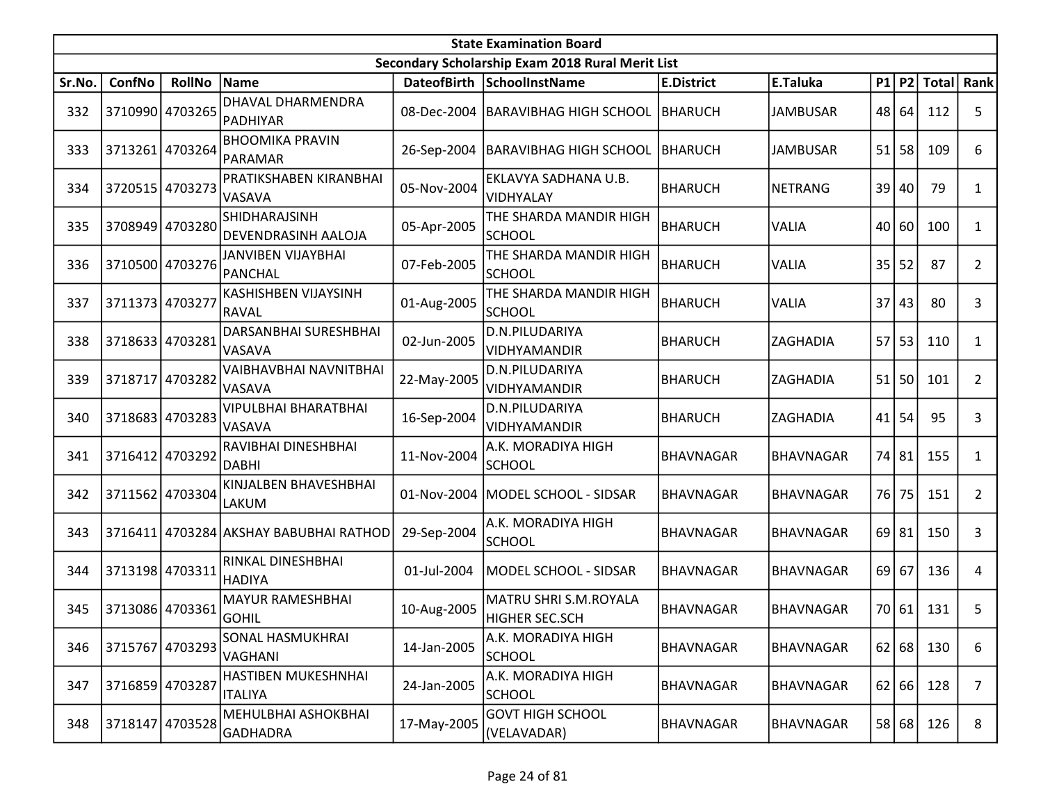|        | <b>State Examination Board</b> |                 |                                         |                    |                                                  |                   |                  |    |           |              |                |  |  |  |
|--------|--------------------------------|-----------------|-----------------------------------------|--------------------|--------------------------------------------------|-------------------|------------------|----|-----------|--------------|----------------|--|--|--|
|        |                                |                 |                                         |                    | Secondary Scholarship Exam 2018 Rural Merit List |                   |                  |    |           |              |                |  |  |  |
| Sr.No. | ConfNo                         | <b>RollNo</b>   | Name                                    | <b>DateofBirth</b> | <b>SchoolInstName</b>                            | <b>E.District</b> | E.Taluka         |    | $P1$ $P2$ | <b>Total</b> | Rank           |  |  |  |
| 332    |                                | 3710990 4703265 | DHAVAL DHARMENDRA<br><b>PADHIYAR</b>    | 08-Dec-2004        | BARAVIBHAG HIGH SCHOOL                           | <b>BHARUCH</b>    | <b>JAMBUSAR</b>  |    | 48 64     | 112          | 5              |  |  |  |
| 333    |                                | 3713261 4703264 | <b>BHOOMIKA PRAVIN</b><br>PARAMAR       |                    | 26-Sep-2004   BARAVIBHAG HIGH SCHOOL   BHARUCH   |                   | <b>JAMBUSAR</b>  |    | $51$ 58   | 109          | 6              |  |  |  |
| 334    |                                | 3720515 4703273 | PRATIKSHABEN KIRANBHAI<br>VASAVA        | 05-Nov-2004        | EKLAVYA SADHANA U.B.<br>VIDHYALAY                | <b>BHARUCH</b>    | <b>NETRANG</b>   | 39 | 40        | 79           | $\mathbf{1}$   |  |  |  |
| 335    | 3708949                        | 4703280         | SHIDHARAJSINH<br>DEVENDRASINH AALOJA    | 05-Apr-2005        | THE SHARDA MANDIR HIGH<br><b>SCHOOL</b>          | <b>BHARUCH</b>    | <b>VALIA</b>     | 40 | 60        | 100          | 1              |  |  |  |
| 336    |                                | 3710500 4703276 | JANVIBEN VIJAYBHAI<br><b>PANCHAL</b>    | 07-Feb-2005        | THE SHARDA MANDIR HIGH<br><b>SCHOOL</b>          | <b>BHARUCH</b>    | <b>VALIA</b>     |    | 35 52     | 87           | $\overline{2}$ |  |  |  |
| 337    | 3711373 4703277                |                 | KASHISHBEN VIJAYSINH<br>RAVAL           | 01-Aug-2005        | THE SHARDA MANDIR HIGH<br><b>SCHOOL</b>          | <b>BHARUCH</b>    | <b>VALIA</b>     | 37 | 43        | 80           | 3              |  |  |  |
| 338    |                                | 3718633 4703281 | DARSANBHAI SURESHBHAI<br>VASAVA         | 02-Jun-2005        | D.N.PILUDARIYA<br><b>VIDHYAMANDIR</b>            | <b>BHARUCH</b>    | ZAGHADIA         | 57 | 53        | 110          | 1              |  |  |  |
| 339    | 3718717                        | 4703282         | VAIBHAVBHAI NAVNITBHAI<br>VASAVA        | 22-May-2005        | D.N.PILUDARIYA<br><b>VIDHYAMANDIR</b>            | <b>BHARUCH</b>    | ZAGHADIA         |    | $51$ 50   | 101          | $\overline{2}$ |  |  |  |
| 340    |                                | 3718683 4703283 | VIPULBHAI BHARATBHAI<br>VASAVA          | 16-Sep-2004        | D.N.PILUDARIYA<br><b>VIDHYAMANDIR</b>            | <b>BHARUCH</b>    | ZAGHADIA         | 41 | 54        | 95           | 3              |  |  |  |
| 341    |                                | 3716412 4703292 | RAVIBHAI DINESHBHAI<br>DABHI            | 11-Nov-2004        | A.K. MORADIYA HIGH<br><b>SCHOOL</b>              | <b>BHAVNAGAR</b>  | <b>BHAVNAGAR</b> |    | 74 81     | 155          | 1              |  |  |  |
| 342    |                                | 3711562 4703304 | KINJALBEN BHAVESHBHAI<br>LAKUM          | 01-Nov-2004        | MODEL SCHOOL - SIDSAR                            | <b>BHAVNAGAR</b>  | <b>BHAVNAGAR</b> |    | 76 75     | 151          | $\overline{2}$ |  |  |  |
| 343    | 3716411                        |                 | 4703284 AKSHAY BABUBHAI RATHOD          | 29-Sep-2004        | A.K. MORADIYA HIGH<br><b>SCHOOL</b>              | <b>BHAVNAGAR</b>  | <b>BHAVNAGAR</b> |    | $69$   81 | 150          | 3              |  |  |  |
| 344    |                                | 3713198 4703311 | RINKAL DINESHBHAI<br><b>HADIYA</b>      | 01-Jul-2004        | MODEL SCHOOL - SIDSAR                            | <b>BHAVNAGAR</b>  | <b>BHAVNAGAR</b> |    | 69 67     | 136          | 4              |  |  |  |
| 345    |                                | 3713086 4703361 | <b>MAYUR RAMESHBHAI</b><br><b>GOHIL</b> | 10-Aug-2005        | MATRU SHRI S.M.ROYALA<br>HIGHER SEC.SCH          | <b>BHAVNAGAR</b>  | <b>BHAVNAGAR</b> |    | 70 61     | 131          | 5              |  |  |  |
| 346    |                                | 3715767 4703293 | SONAL HASMUKHRAI<br>VAGHANI             | 14-Jan-2005        | A.K. MORADIYA HIGH<br><b>SCHOOL</b>              | <b>BHAVNAGAR</b>  | <b>BHAVNAGAR</b> |    | 62 68     | 130          | 6              |  |  |  |
| 347    | 3716859 4703287                |                 | HASTIBEN MUKESHNHAI<br><b>ITALIYA</b>   | 24-Jan-2005        | A.K. MORADIYA HIGH<br><b>SCHOOL</b>              | <b>BHAVNAGAR</b>  | <b>BHAVNAGAR</b> |    | $62$ 66   | 128          | $\overline{7}$ |  |  |  |
| 348    |                                | 3718147 4703528 | MEHULBHAI ASHOKBHAI<br>GADHADRA         | 17-May-2005        | <b>GOVT HIGH SCHOOL</b><br>(VELAVADAR)           | <b>BHAVNAGAR</b>  | <b>BHAVNAGAR</b> |    | 58 68     | 126          | 8              |  |  |  |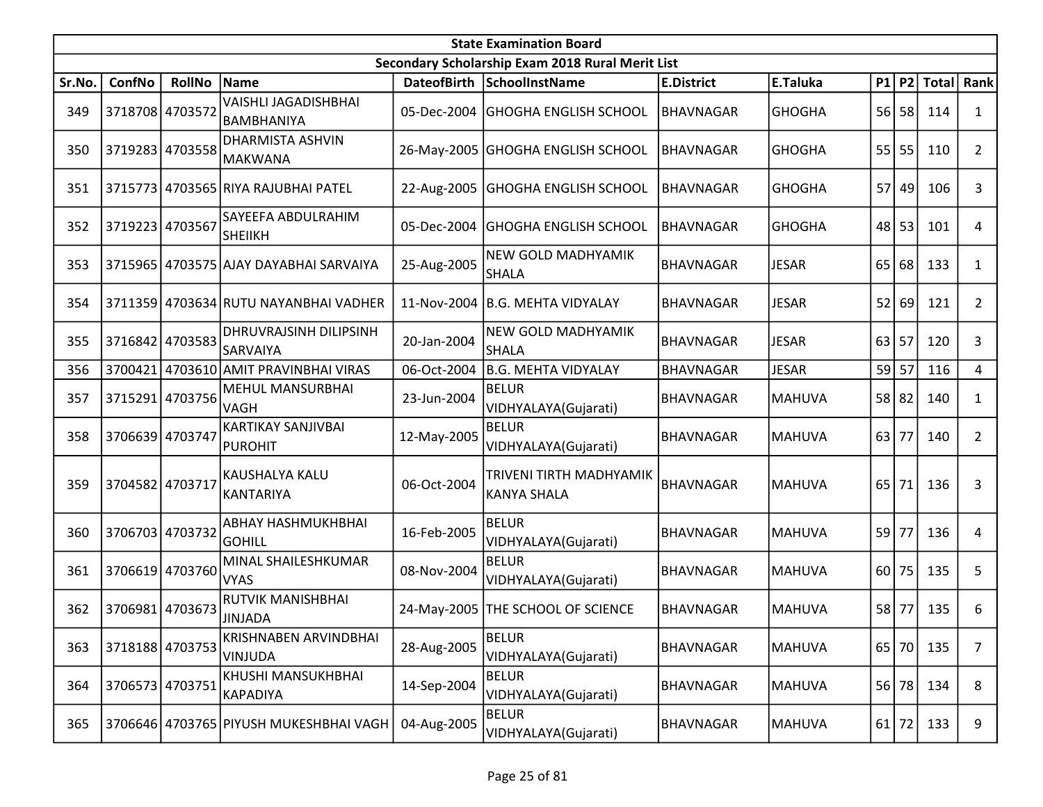|        | <b>State Examination Board</b><br>Secondary Scholarship Exam 2018 Rural Merit List |                 |                                                  |                    |                                               |                   |               |    |           |              |                |  |  |
|--------|------------------------------------------------------------------------------------|-----------------|--------------------------------------------------|--------------------|-----------------------------------------------|-------------------|---------------|----|-----------|--------------|----------------|--|--|
|        |                                                                                    |                 |                                                  |                    |                                               |                   |               |    |           |              |                |  |  |
| Sr.No. | ConfNo                                                                             | <b>RollNo</b>   | Name                                             | <b>DateofBirth</b> | SchoolInstName                                | <b>E.District</b> | E.Taluka      |    | $P1$ $P2$ | <b>Total</b> | Rank           |  |  |
| 349    | 3718708 4703572                                                                    |                 | <b>VAISHLI JAGADISHBHAI</b><br><b>BAMBHANIYA</b> | 05-Dec-2004        | <b>GHOGHA ENGLISH SCHOOL</b>                  | <b>BHAVNAGAR</b>  | <b>GHOGHA</b> | 56 | 58        | 114          | 1              |  |  |
| 350    |                                                                                    | 3719283 4703558 | <b>DHARMISTA ASHVIN</b><br><b>MAKWANA</b>        |                    | 26-May-2005 GHOGHA ENGLISH SCHOOL             | BHAVNAGAR         | <b>GHOGHA</b> |    | $55$   55 | 110          | $\overline{2}$ |  |  |
| 351    |                                                                                    |                 | 3715773 4703565 RIYA RAJUBHAI PATEL              |                    | 22-Aug-2005 GHOGHA ENGLISH SCHOOL             | BHAVNAGAR         | <b>GHOGHA</b> | 57 | 49        | 106          | 3              |  |  |
| 352    |                                                                                    | 3719223 4703567 | SAYEEFA ABDULRAHIM<br><b>SHEIIKH</b>             | 05-Dec-2004        | <b>GHOGHA ENGLISH SCHOOL</b>                  | BHAVNAGAR         | <b>GHOGHA</b> |    | $48$   53 | 101          | 4              |  |  |
| 353    |                                                                                    |                 | 3715965 4703575 AJAY DAYABHAI SARVAIYA           | 25-Aug-2005        | NEW GOLD MADHYAMIK<br><b>SHALA</b>            | <b>BHAVNAGAR</b>  | <b>JESAR</b>  | 65 | 68        | 133          | $\mathbf{1}$   |  |  |
| 354    |                                                                                    |                 | 3711359 4703634 RUTU NAYANBHAI VADHER            | 11-Nov-2004        | B.G. MEHTA VIDYALAY                           | BHAVNAGAR         | <b>JESAR</b>  | 52 | 69        | 121          | $\overline{2}$ |  |  |
| 355    |                                                                                    | 3716842 4703583 | DHRUVRAJSINH DILIPSINH<br><b>SARVAIYA</b>        | 20-Jan-2004        | NEW GOLD MADHYAMIK<br><b>SHALA</b>            | <b>BHAVNAGAR</b>  | <b>JESAR</b>  | 63 | 57        | 120          | 3              |  |  |
| 356    | 3700421                                                                            |                 | 4703610 AMIT PRAVINBHAI VIRAS                    | 06-Oct-2004        | B.G. MEHTA VIDYALAY                           | <b>BHAVNAGAR</b>  | <b>JESAR</b>  | 59 | 57        | 116          | 4              |  |  |
| 357    |                                                                                    | 3715291 4703756 | <b>MEHUL MANSURBHAI</b><br>VAGH                  | 23-Jun-2004        | <b>BELUR</b><br>VIDHYALAYA(Gujarati)          | <b>BHAVNAGAR</b>  | <b>MAHUVA</b> |    | 58 82     | 140          | 1              |  |  |
| 358    | 3706639 4703747                                                                    |                 | <b>KARTIKAY SANJIVBAI</b><br>PUROHIT             | 12-May-2005        | <b>BELUR</b><br>VIDHYALAYA(Gujarati)          | <b>BHAVNAGAR</b>  | <b>MAHUVA</b> | 63 | 77        | 140          | $\overline{2}$ |  |  |
| 359    | 3704582 4703717                                                                    |                 | KAUSHALYA KALU<br><b>KANTARIYA</b>               | 06-Oct-2004        | TRIVENI TIRTH MADHYAMIK<br><b>KANYA SHALA</b> | <b>BHAVNAGAR</b>  | <b>MAHUVA</b> | 65 | 71        | 136          | 3              |  |  |
| 360    |                                                                                    | 3706703 4703732 | ABHAY HASHMUKHBHAI<br><b>GOHILL</b>              | 16-Feb-2005        | <b>BELUR</b><br>VIDHYALAYA(Gujarati)          | <b>BHAVNAGAR</b>  | <b>MAHUVA</b> | 59 | 77        | 136          | 4              |  |  |
| 361    |                                                                                    | 3706619 4703760 | MINAL SHAILESHKUMAR<br><b>VYAS</b>               | 08-Nov-2004        | <b>BELUR</b><br>VIDHYALAYA(Gujarati)          | <b>BHAVNAGAR</b>  | <b>MAHUVA</b> | 60 | 75        | 135          | 5              |  |  |
| 362    |                                                                                    | 3706981 4703673 | <b>RUTVIK MANISHBHAI</b><br><b>JINJADA</b>       |                    | 24-May-2005 THE SCHOOL OF SCIENCE             | <b>BHAVNAGAR</b>  | <b>MAHUVA</b> |    | 58 77     | 135          | 6              |  |  |
| 363    |                                                                                    | 3718188 4703753 | KRISHNABEN ARVINDBHAI<br><b>VINJUDA</b>          | 28-Aug-2005        | <b>BELUR</b><br>VIDHYALAYA(Gujarati)          | <b>BHAVNAGAR</b>  | <b>MAHUVA</b> | 65 | 70        | 135          | $\overline{7}$ |  |  |
| 364    | 3706573 4703751                                                                    |                 | KHUSHI MANSUKHBHAI<br><b>KAPADIYA</b>            | 14-Sep-2004        | <b>BELUR</b><br>VIDHYALAYA(Gujarati)          | <b>BHAVNAGAR</b>  | <b>MAHUVA</b> | 56 | 78        | 134          | 8              |  |  |
| 365    |                                                                                    |                 | 3706646 4703765 PIYUSH MUKESHBHAI VAGH           | 04-Aug-2005        | <b>BELUR</b><br>VIDHYALAYA(Gujarati)          | BHAVNAGAR         | <b>MAHUVA</b> | 61 | 72        | 133          | 9              |  |  |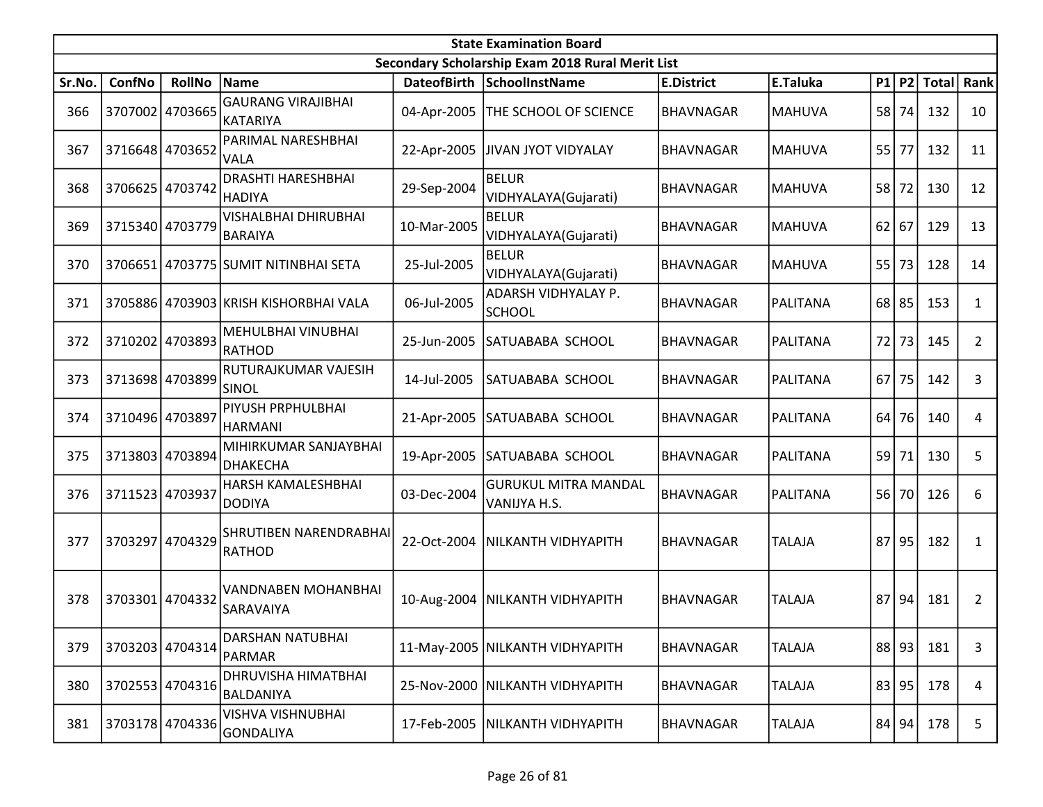|        | <b>State Examination Board</b> |                 |                                               |                    |                                                  |                   |               |    |           |              |                |  |  |
|--------|--------------------------------|-----------------|-----------------------------------------------|--------------------|--------------------------------------------------|-------------------|---------------|----|-----------|--------------|----------------|--|--|
|        |                                |                 |                                               |                    | Secondary Scholarship Exam 2018 Rural Merit List |                   |               |    |           |              |                |  |  |
| Sr.No. | ConfNo                         | <b>RollNo</b>   | Name                                          | <b>DateofBirth</b> | SchoolInstName                                   | <b>E.District</b> | E.Taluka      |    | $P1$ $P2$ | <b>Total</b> | Rank           |  |  |
| 366    |                                | 3707002 4703665 | <b>GAURANG VIRAJIBHAI</b><br>KATARIYA         | 04-Apr-2005        | THE SCHOOL OF SCIENCE                            | <b>BHAVNAGAR</b>  | <b>MAHUVA</b> | 58 | 74        | 132          | 10             |  |  |
| 367    |                                | 3716648 4703652 | PARIMAL NARESHBHAI<br><b>VALA</b>             | 22-Apr-2005        | JIVAN JYOT VIDYALAY                              | <b>BHAVNAGAR</b>  | <b>MAHUVA</b> | 55 | 77        | 132          | 11             |  |  |
| 368    | 3706625 4703742                |                 | <b>DRASHTI HARESHBHAI</b><br><b>HADIYA</b>    | 29-Sep-2004        | <b>BELUR</b><br>VIDHYALAYA(Gujarati)             | <b>BHAVNAGAR</b>  | <b>MAHUVA</b> | 58 | 72        | 130          | 12             |  |  |
| 369    |                                | 3715340 4703779 | <b>VISHALBHAI DHIRUBHAI</b><br><b>BARAIYA</b> | 10-Mar-2005        | <b>BELUR</b><br>VIDHYALAYA(Gujarati)             | BHAVNAGAR         | <b>MAHUVA</b> | 62 | 67        | 129          | 13             |  |  |
| 370    |                                |                 | 3706651 4703775 SUMIT NITINBHAI SETA          | 25-Jul-2005        | <b>BELUR</b><br>VIDHYALAYA(Gujarati)             | <b>BHAVNAGAR</b>  | <b>MAHUVA</b> |    | 55 73     | 128          | 14             |  |  |
| 371    |                                |                 | 3705886 4703903 KRISH KISHORBHAI VALA         | 06-Jul-2005        | ADARSH VIDHYALAY P.<br><b>SCHOOL</b>             | <b>BHAVNAGAR</b>  | PALITANA      |    | $68$   85 | 153          | $\mathbf{1}$   |  |  |
| 372    |                                | 3710202 4703893 | MEHULBHAI VINUBHAI<br>RATHOD                  | 25-Jun-2005        | SATUABABA SCHOOL                                 | BHAVNAGAR         | PALITANA      | 72 | 73        | 145          | $\overline{2}$ |  |  |
| 373    |                                | 3713698 4703899 | RUTURAJKUMAR VAJESIH<br>SINOL                 | 14-Jul-2005        | SATUABABA SCHOOL                                 | <b>BHAVNAGAR</b>  | PALITANA      |    | $67$   75 | 142          | 3              |  |  |
| 374    | 3710496 4703897                |                 | PIYUSH PRPHULBHAI<br><b>HARMANI</b>           | 21-Apr-2005        | SATUABABA SCHOOL                                 | <b>BHAVNAGAR</b>  | PALITANA      | 64 | 76        | 140          | 4              |  |  |
| 375    |                                | 3713803 4703894 | MIHIRKUMAR SANJAYBHAI<br>DHAKECHA             | 19-Apr-2005        | SATUABABA SCHOOL                                 | BHAVNAGAR         | PALITANA      | 59 | 71        | 130          | 5              |  |  |
| 376    | 3711523 4703937                |                 | HARSH KAMALESHBHAI<br><b>DODIYA</b>           | 03-Dec-2004        | <b>GURUKUL MITRA MANDAL</b><br>VANIJYA H.S.      | <b>BHAVNAGAR</b>  | PALITANA      |    | 56 70     | 126          | 6              |  |  |
| 377    |                                | 3703297 4704329 | SHRUTIBEN NARENDRABHAI<br><b>RATHOD</b>       | 22-Oct-2004        | NILKANTH VIDHYAPITH                              | <b>BHAVNAGAR</b>  | <b>TALAJA</b> | 87 | 95        | 182          | 1              |  |  |
| 378    | 3703301                        | 4704332         | VANDNABEN MOHANBHAI<br>SARAVAIYA              | 10-Aug-2004        | NILKANTH VIDHYAPITH                              | BHAVNAGAR         | <b>TALAJA</b> | 87 | 94        | 181          | $\overline{2}$ |  |  |
| 379    |                                | 3703203 4704314 | DARSHAN NATUBHAI<br><b>PARMAR</b>             |                    | 11-May-2005 NILKANTH VIDHYAPITH                  | <b>BHAVNAGAR</b>  | <b>TALAJA</b> |    | $88$  93  | 181          | 3              |  |  |
| 380    |                                | 3702553 4704316 | DHRUVISHA HIMATBHAI<br>BALDANIYA              | 25-Nov-2000        | NILKANTH VIDHYAPITH                              | <b>BHAVNAGAR</b>  | <b>TALAJA</b> |    | 83 95     | 178          | 4              |  |  |
| 381    |                                | 3703178 4704336 | VISHVA VISHNUBHAI<br>GONDALIYA                | 17-Feb-2005        | <b>NILKANTH VIDHYAPITH</b>                       | <b>BHAVNAGAR</b>  | <b>TALAJA</b> |    | $84$ 94   | 178          | 5              |  |  |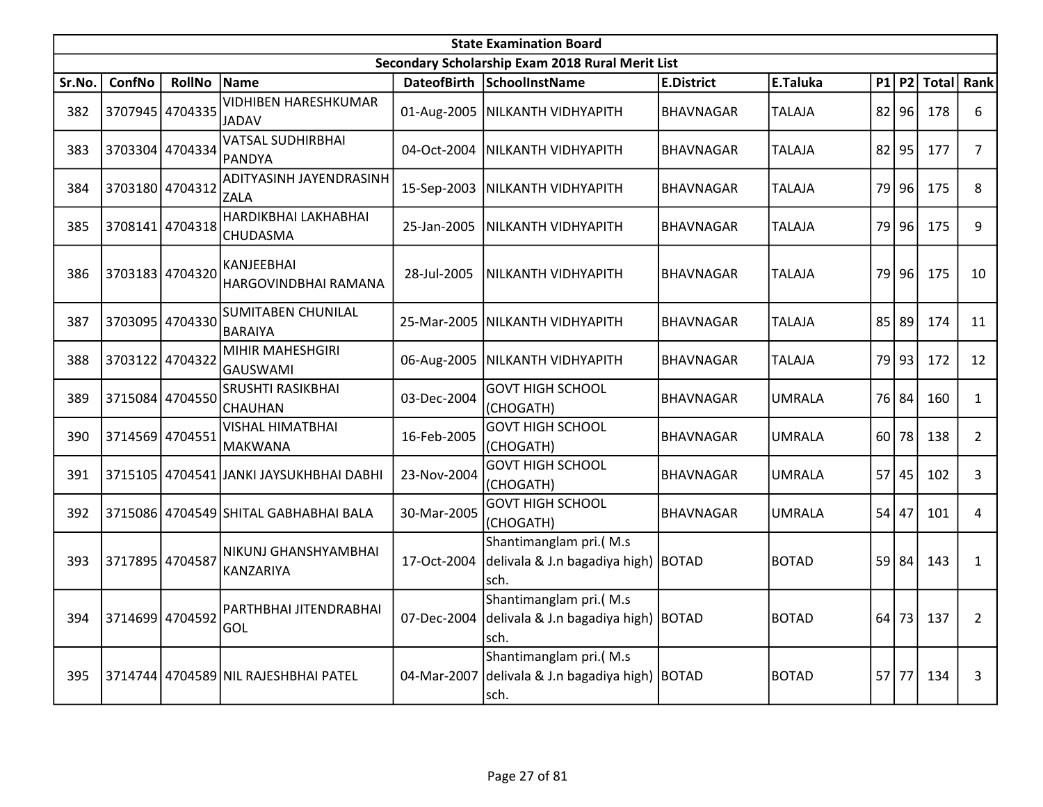|        | <b>State Examination Board</b><br>Secondary Scholarship Exam 2018 Rural Merit List |                 |                                             |             |                                                                         |                   |               |    |           |              |                |  |  |
|--------|------------------------------------------------------------------------------------|-----------------|---------------------------------------------|-------------|-------------------------------------------------------------------------|-------------------|---------------|----|-----------|--------------|----------------|--|--|
|        |                                                                                    |                 |                                             |             |                                                                         |                   |               |    |           |              |                |  |  |
| Sr.No. | <b>ConfNo</b>                                                                      | <b>RollNo</b>   | Name                                        |             | DateofBirth SchoolInstName                                              | <b>E.District</b> | E.Taluka      | P1 | <b>P2</b> | <b>Total</b> | Rank           |  |  |
| 382    |                                                                                    | 3707945 4704335 | <b>VIDHIBEN HARESHKUMAR</b><br><b>JADAV</b> |             | 01-Aug-2005   NILKANTH VIDHYAPITH                                       | <b>BHAVNAGAR</b>  | <b>TALAJA</b> |    | $82$  96  | 178          | 6              |  |  |
| 383    |                                                                                    | 3703304 4704334 | <b>VATSAL SUDHIRBHAI</b><br>PANDYA          | 04-Oct-2004 | NILKANTH VIDHYAPITH                                                     | <b>BHAVNAGAR</b>  | <b>TALAJA</b> | 82 | 95        | 177          | $\overline{7}$ |  |  |
| 384    |                                                                                    | 3703180 4704312 | ADITYASINH JAYENDRASINH<br><b>ZALA</b>      |             | 15-Sep-2003   NILKANTH VIDHYAPITH                                       | <b>BHAVNAGAR</b>  | <b>TALAJA</b> | 79 | 96        | 175          | 8              |  |  |
| 385    |                                                                                    | 3708141 4704318 | HARDIKBHAI LAKHABHAI<br><b>CHUDASMA</b>     | 25-Jan-2005 | NILKANTH VIDHYAPITH                                                     | <b>BHAVNAGAR</b>  | <b>TALAJA</b> | 79 | 96        | 175          | 9              |  |  |
| 386    | 3703183 4704320                                                                    |                 | KANJEEBHAI<br>HARGOVINDBHAI RAMANA          | 28-Jul-2005 | NILKANTH VIDHYAPITH                                                     | <b>BHAVNAGAR</b>  | <b>TALAJA</b> |    | 79 96     | 175          | 10             |  |  |
| 387    |                                                                                    | 3703095 4704330 | <b>SUMITABEN CHUNILAL</b><br><b>BARAIYA</b> | 25-Mar-2005 | <b>NILKANTH VIDHYAPITH</b>                                              | <b>BHAVNAGAR</b>  | <b>TALAJA</b> | 85 | 89        | 174          | 11             |  |  |
| 388    | 3703122 4704322                                                                    |                 | <b>MIHIR MAHESHGIRI</b><br>GAUSWAMI         | 06-Aug-2005 | NILKANTH VIDHYAPITH                                                     | <b>BHAVNAGAR</b>  | <b>TALAJA</b> |    | 79 93     | 172          | 12             |  |  |
| 389    |                                                                                    | 3715084 4704550 | <b>SRUSHTI RASIKBHAI</b><br><b>CHAUHAN</b>  | 03-Dec-2004 | <b>GOVT HIGH SCHOOL</b><br>(CHOGATH)                                    | <b>BHAVNAGAR</b>  | <b>UMRALA</b> |    | 76 84     | 160          | $\mathbf{1}$   |  |  |
| 390    | 3714569 4704551                                                                    |                 | <b>VISHAL HIMATBHAI</b><br>MAKWANA          | 16-Feb-2005 | <b>GOVT HIGH SCHOOL</b><br>(CHOGATH)                                    | <b>BHAVNAGAR</b>  | <b>UMRALA</b> |    | $60$   78 | 138          | $\overline{2}$ |  |  |
| 391    |                                                                                    |                 | 3715105 4704541 JANKI JAYSUKHBHAI DABHI     | 23-Nov-2004 | <b>GOVT HIGH SCHOOL</b><br>(CHOGATH)                                    | <b>BHAVNAGAR</b>  | <b>UMRALA</b> | 57 | 45        | 102          | 3              |  |  |
| 392    |                                                                                    |                 | 3715086 4704549 SHITAL GABHABHAI BALA       | 30-Mar-2005 | <b>GOVT HIGH SCHOOL</b><br>(CHOGATH)                                    | <b>BHAVNAGAR</b>  | <b>UMRALA</b> | 54 | 47        | 101          | $\overline{4}$ |  |  |
| 393    | 3717895 4704587                                                                    |                 | NIKUNJ GHANSHYAMBHAI<br>KANZARIYA           | 17-Oct-2004 | Shantimanglam pri.(M.s<br>delivala & J.n bagadiya high)   BOTAD<br>sch. |                   | <b>BOTAD</b>  | 59 | 84        | 143          | $\mathbf{1}$   |  |  |
| 394    | 3714699 4704592                                                                    |                 | PARTHBHAI JITENDRABHAI<br>GOL               | 07-Dec-2004 | Shantimanglam pri.(M.s<br>delivala & J.n bagadiya high) BOTAD<br>sch.   |                   | <b>BOTAD</b>  | 64 | 73        | 137          | $\overline{2}$ |  |  |
| 395    |                                                                                    |                 | 3714744 4704589 NIL RAJESHBHAI PATEL        | 04-Mar-2007 | Shantimanglam pri.(M.s<br>delivala & J.n bagadiya high) BOTAD<br>sch.   |                   | <b>BOTAD</b>  |    | $57$ 77   | 134          | 3              |  |  |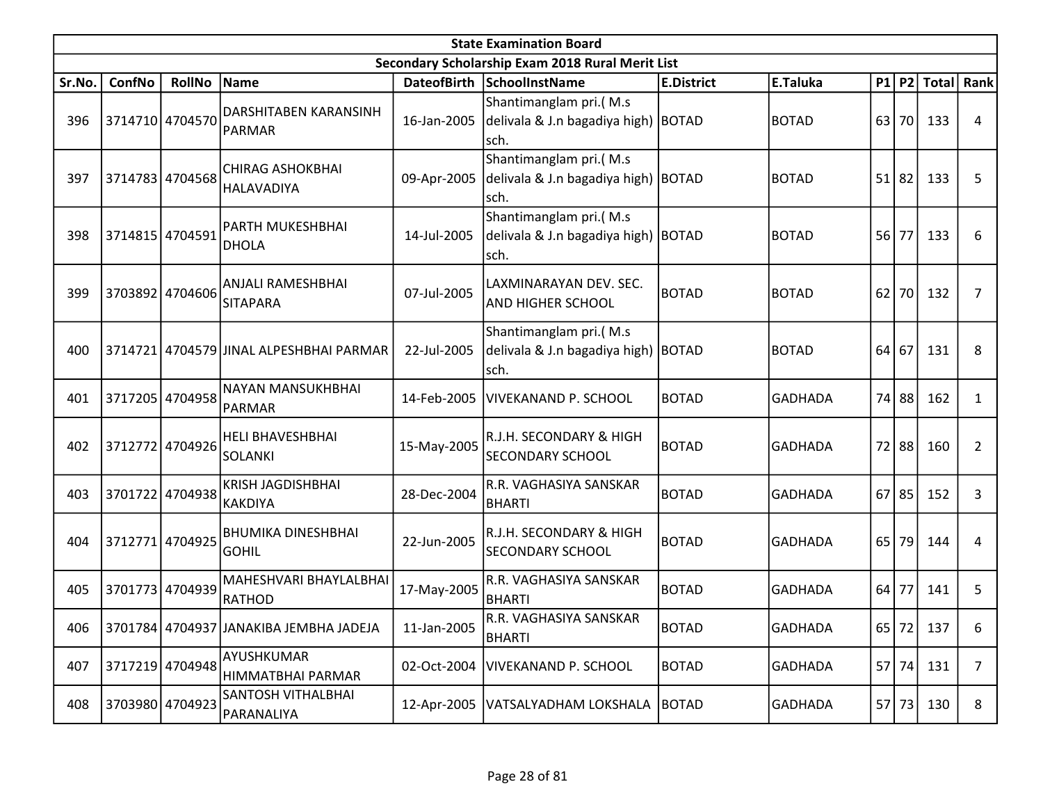|        | <b>State Examination Board</b><br>Secondary Scholarship Exam 2018 Rural Merit List |                 |                                            |                    |                                                                         |                   |                |    |           |              |                |  |  |
|--------|------------------------------------------------------------------------------------|-----------------|--------------------------------------------|--------------------|-------------------------------------------------------------------------|-------------------|----------------|----|-----------|--------------|----------------|--|--|
|        |                                                                                    |                 |                                            |                    |                                                                         |                   |                |    |           |              |                |  |  |
| Sr.No. | ConfNo                                                                             | <b>RollNo</b>   | Name                                       | <b>DateofBirth</b> | <b>SchoolInstName</b>                                                   | <b>E.District</b> | E.Taluka       |    | P1 P2     | <b>Total</b> | Rank           |  |  |
| 396    |                                                                                    | 3714710 4704570 | <b>DARSHITABEN KARANSINH</b><br>PARMAR     | 16-Jan-2005        | Shantimanglam pri.(M.s<br>delivala & J.n bagadiya high) BOTAD<br>sch.   |                   | <b>BOTAD</b>   | 63 | 70        | 133          | 4              |  |  |
| 397    |                                                                                    | 3714783 4704568 | CHIRAG ASHOKBHAI<br>HALAVADIYA             | 09-Apr-2005        | Shantimanglam pri.(M.s<br>delivala & J.n bagadiya high) BOTAD<br>sch.   |                   | <b>BOTAD</b>   | 51 | 82        | 133          | 5              |  |  |
| 398    | 3714815 4704591                                                                    |                 | PARTH MUKESHBHAI<br><b>DHOLA</b>           | 14-Jul-2005        | Shantimanglam pri.(M.s<br>delivala & J.n bagadiya high) BOTAD<br>sch.   |                   | <b>BOTAD</b>   | 56 | 77        | 133          | 6              |  |  |
| 399    |                                                                                    | 3703892 4704606 | ANJALI RAMESHBHAI<br><b>SITAPARA</b>       | 07-Jul-2005        | LAXMINARAYAN DEV. SEC.<br>AND HIGHER SCHOOL                             | <b>BOTAD</b>      | <b>BOTAD</b>   | 62 | 70        | 132          | $\overline{7}$ |  |  |
| 400    |                                                                                    |                 | 3714721 4704579 JINAL ALPESHBHAI PARMAR    | 22-Jul-2005        | Shantimanglam pri.(M.s<br>delivala & J.n bagadiya high)   BOTAD<br>sch. |                   | <b>BOTAD</b>   | 64 | 67        | 131          | 8              |  |  |
| 401    | 3717205                                                                            | 4704958         | NAYAN MANSUKHBHAI<br><b>PARMAR</b>         | 14-Feb-2005        | <b>VIVEKANAND P. SCHOOL</b>                                             | BOTAD             | <b>GADHADA</b> |    | 74 88     | 162          | $\mathbf{1}$   |  |  |
| 402    |                                                                                    | 3712772 4704926 | <b>HELI BHAVESHBHAI</b><br><b>SOLANKI</b>  | 15-May-2005        | R.J.H. SECONDARY & HIGH<br><b>SECONDARY SCHOOL</b>                      | <b>BOTAD</b>      | <b>GADHADA</b> |    | 72 88     | 160          | 2              |  |  |
| 403    | 3701722                                                                            | 4704938         | <b>KRISH JAGDISHBHAI</b><br><b>KAKDIYA</b> | 28-Dec-2004        | R.R. VAGHASIYA SANSKAR<br><b>BHARTI</b>                                 | <b>BOTAD</b>      | <b>GADHADA</b> |    | $67$   85 | 152          | 3              |  |  |
| 404    | 3712771                                                                            | 4704925         | <b>BHUMIKA DINESHBHAI</b><br><b>GOHIL</b>  | 22-Jun-2005        | R.J.H. SECONDARY & HIGH<br><b>SECONDARY SCHOOL</b>                      | <b>BOTAD</b>      | <b>GADHADA</b> | 65 | 79        | 144          | 4              |  |  |
| 405    |                                                                                    | 3701773 4704939 | MAHESHVARI BHAYLALBHAI<br><b>RATHOD</b>    | 17-May-2005        | R.R. VAGHASIYA SANSKAR<br><b>BHARTI</b>                                 | <b>BOTAD</b>      | <b>GADHADA</b> | 64 | 77        | 141          | 5              |  |  |
| 406    |                                                                                    |                 | 3701784 4704937 JANAKIBA JEMBHA JADEJA     | 11-Jan-2005        | R.R. VAGHASIYA SANSKAR<br><b>BHARTI</b>                                 | <b>BOTAD</b>      | <b>GADHADA</b> |    |           | 65 72 137    | 6              |  |  |
| 407    |                                                                                    | 3717219 4704948 | AYUSHKUMAR<br>HIMMATBHAI PARMAR            | 02-Oct-2004        | VIVEKANAND P. SCHOOL                                                    | <b>BOTAD</b>      | <b>GADHADA</b> |    | 57 74     | 131          | $\overline{7}$ |  |  |
| 408    |                                                                                    | 3703980 4704923 | SANTOSH VITHALBHAI<br>PARANALIYA           | 12-Apr-2005        | VATSALYADHAM LOKSHALA   BOTAD                                           |                   | <b>GADHADA</b> | 57 | 73        | 130          | 8              |  |  |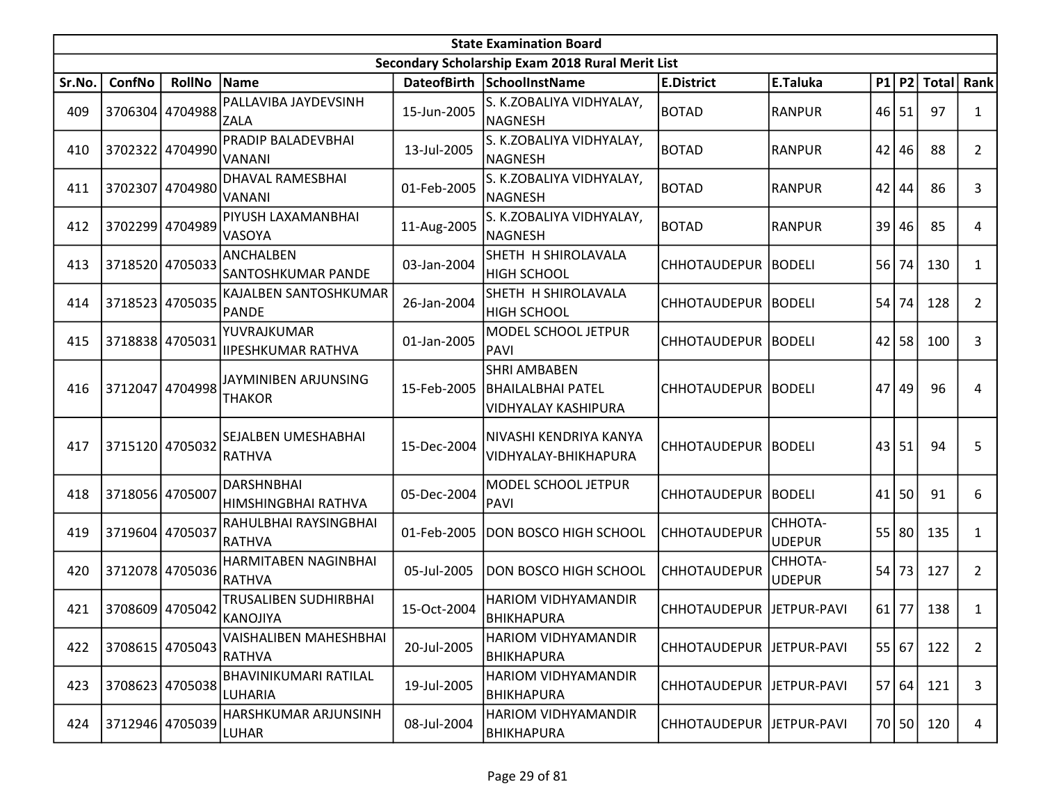|        | <b>State Examination Board</b><br>Secondary Scholarship Exam 2018 Rural Merit List |                 |                                          |             |                                                                        |                            |                          |    |       |             |                |  |
|--------|------------------------------------------------------------------------------------|-----------------|------------------------------------------|-------------|------------------------------------------------------------------------|----------------------------|--------------------------|----|-------|-------------|----------------|--|
|        |                                                                                    |                 |                                          |             |                                                                        |                            |                          |    |       |             |                |  |
| Sr.No. | ConfNo                                                                             | <b>RollNo</b>   | Name                                     |             | DateofBirth SchoolInstName                                             | <b>E.District</b>          | E.Taluka                 |    |       | P1 P2 Total | Rank           |  |
| 409    |                                                                                    | 3706304 4704988 | PALLAVIBA JAYDEVSINH<br><b>ZALA</b>      | 15-Jun-2005 | S. K.ZOBALIYA VIDHYALAY,<br><b>NAGNESH</b>                             | <b>BOTAD</b>               | <b>RANPUR</b>            | 46 | 51    | 97          | 1              |  |
| 410    |                                                                                    | 3702322 4704990 | PRADIP BALADEVBHAI<br>VANANI             | 13-Jul-2005 | S. K.ZOBALIYA VIDHYALAY,<br><b>NAGNESH</b>                             | <b>BOTAD</b>               | <b>RANPUR</b>            | 42 | 46    | 88          | $\overline{2}$ |  |
| 411    | 3702307                                                                            | 4704980         | DHAVAL RAMESBHAI<br><b>VANANI</b>        | 01-Feb-2005 | S. K.ZOBALIYA VIDHYALAY,<br><b>NAGNESH</b>                             | <b>BOTAD</b>               | <b>RANPUR</b>            | 42 | 44    | 86          | 3              |  |
| 412    |                                                                                    | 3702299 4704989 | PIYUSH LAXAMANBHAI<br>VASOYA             | 11-Aug-2005 | S. K.ZOBALIYA VIDHYALAY,<br><b>NAGNESH</b>                             | <b>BOTAD</b>               | <b>RANPUR</b>            | 39 | 46    | 85          | 4              |  |
| 413    |                                                                                    | 3718520 4705033 | <b>ANCHALBEN</b><br>SANTOSHKUMAR PANDE   | 03-Jan-2004 | SHETH H SHIROLAVALA<br><b>HIGH SCHOOL</b>                              | <b>CHHOTAUDEPUR</b>        | <b>BODELI</b>            | 56 | 74    | 130         | 1              |  |
| 414    |                                                                                    | 3718523 4705035 | KAJALBEN SANTOSHKUMAR<br><b>PANDE</b>    | 26-Jan-2004 | SHETH H SHIROLAVALA<br><b>HIGH SCHOOL</b>                              | <b>CHHOTAUDEPUR</b>        | <b>BODELI</b>            | 54 | 74    | 128         | $\overline{2}$ |  |
| 415    | 3718838 4705031                                                                    |                 | YUVRAJKUMAR<br><b>IIPESHKUMAR RATHVA</b> | 01-Jan-2005 | MODEL SCHOOL JETPUR<br>PAVI                                            | CHHOTAUDEPUR BODELI        |                          | 42 | 58    | 100         | 3              |  |
| 416    |                                                                                    | 3712047 4704998 | JAYMINIBEN ARJUNSING<br><b>THAKOR</b>    | 15-Feb-2005 | <b>SHRI AMBABEN</b><br><b>BHAILALBHAI PATEL</b><br>VIDHYALAY KASHIPURA | CHHOTAUDEPUR BODELI        |                          | 47 | 49    | 96          | 4              |  |
| 417    |                                                                                    | 3715120 4705032 | SEJALBEN UMESHABHAI<br><b>RATHVA</b>     | 15-Dec-2004 | NIVASHI KENDRIYA KANYA<br>VIDHYALAY-BHIKHAPURA                         | CHHOTAUDEPUR BODELI        |                          |    | 43 51 | 94          | 5              |  |
| 418    | 3718056 4705007                                                                    |                 | <b>DARSHNBHAI</b><br>HIMSHINGBHAI RATHVA | 05-Dec-2004 | MODEL SCHOOL JETPUR<br>PAVI                                            | <b>CHHOTAUDEPUR</b>        | BODELI                   | 41 | 50    | 91          | 6              |  |
| 419    | 3719604 4705037                                                                    |                 | RAHULBHAI RAYSINGBHAI<br>RATHVA          | 01-Feb-2005 | <b>DON BOSCO HIGH SCHOOL</b>                                           | <b>CHHOTAUDEPUR</b>        | СННОТА-<br><b>UDEPUR</b> | 55 | 80    | 135         | 1              |  |
| 420    |                                                                                    | 3712078 4705036 | HARMITABEN NAGINBHAI<br><b>RATHVA</b>    | 05-Jul-2005 | <b>DON BOSCO HIGH SCHOOL</b>                                           | CHHOTAUDEPUR               | CHHOTA-<br><b>UDEPUR</b> | 54 | 73    | 127         | $\overline{2}$ |  |
| 421    |                                                                                    | 3708609 4705042 | TRUSALIBEN SUDHIRBHAI<br>KANOJIYA        | 15-Oct-2004 | HARIOM VIDHYAMANDIR<br><b>BHIKHAPURA</b>                               | CHHOTAUDEPUR   JETPUR-PAVI |                          | 61 | 77    | 138         | $\mathbf{1}$   |  |
| 422    |                                                                                    | 3708615 4705043 | <b>VAISHALIBEN MAHESHBHAI</b><br>RATHVA  | 20-Jul-2005 | HARIOM VIDHYAMANDIR<br><b>BHIKHAPURA</b>                               | CHHOTAUDEPUR   JETPUR-PAVI |                          |    | 55 67 | 122         | $\overline{2}$ |  |
| 423    |                                                                                    | 3708623 4705038 | BHAVINIKUMARI RATILAL<br><b>LUHARIA</b>  | 19-Jul-2005 | HARIOM VIDHYAMANDIR<br><b>BHIKHAPURA</b>                               | <b>CHHOTAUDEPUR</b>        | <b>JETPUR-PAVI</b>       | 57 | 64    | 121         | 3              |  |
| 424    |                                                                                    | 3712946 4705039 | HARSHKUMAR ARJUNSINH<br>LUHAR            | 08-Jul-2004 | HARIOM VIDHYAMANDIR<br><b>BHIKHAPURA</b>                               | CHHOTAUDEPUR   JETPUR-PAVI |                          |    | 70 50 | 120         | 4              |  |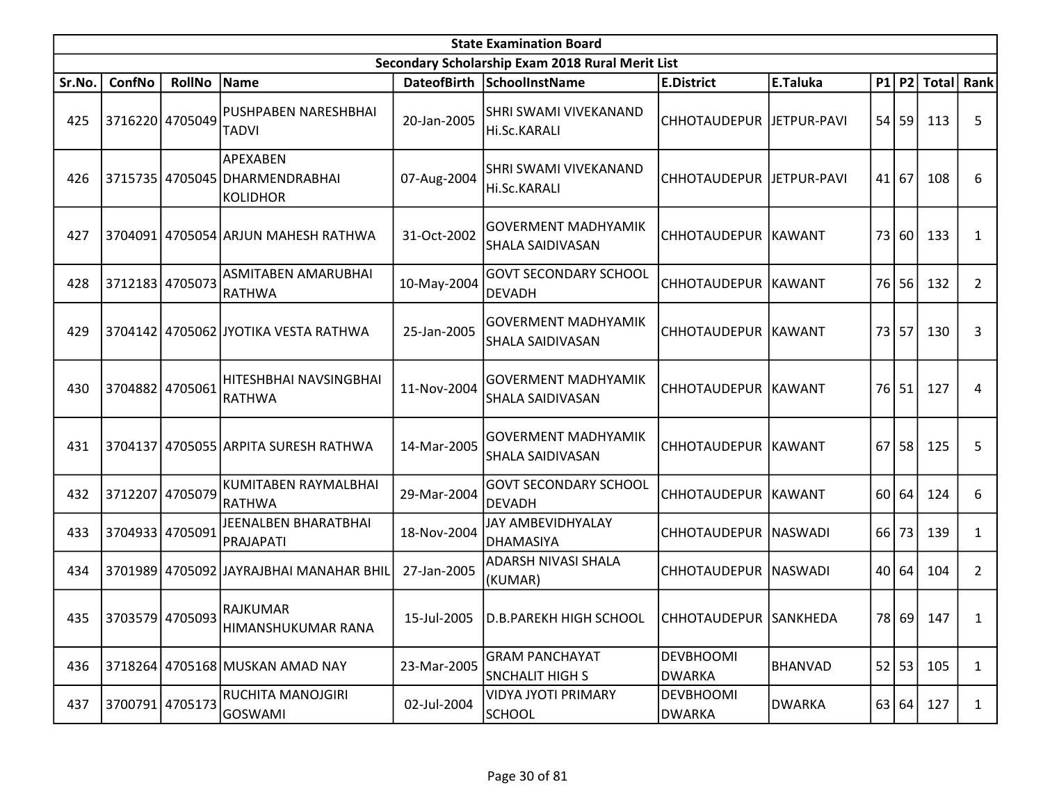|        | <b>State Examination Board</b><br>Secondary Scholarship Exam 2018 Rural Merit List |                 |                                                        |                    |                                                              |                                   |                |                 |         |              |                |  |  |
|--------|------------------------------------------------------------------------------------|-----------------|--------------------------------------------------------|--------------------|--------------------------------------------------------------|-----------------------------------|----------------|-----------------|---------|--------------|----------------|--|--|
|        |                                                                                    |                 |                                                        |                    |                                                              |                                   |                |                 |         |              |                |  |  |
| Sr.No. | ConfNo                                                                             | <b>RollNo</b>   | Name                                                   | <b>DateofBirth</b> | <b>SchoolInstName</b>                                        | <b>E.District</b>                 | E.Taluka       |                 | $P1$ P2 | <b>Total</b> | Rank           |  |  |
| 425    |                                                                                    | 3716220 4705049 | PUSHPABEN NARESHBHAI<br><b>TADVI</b>                   | 20-Jan-2005        | SHRI SWAMI VIVEKANAND<br>Hi.Sc.KARALI                        | CHHOTAUDEPUR   JETPUR-PAVI        |                |                 | $54$ 59 | 113          | 5              |  |  |
| 426    |                                                                                    |                 | APEXABEN<br>3715735 4705045 DHARMENDRABHAI<br>KOLIDHOR | 07-Aug-2004        | SHRI SWAMI VIVEKANAND<br>Hi.Sc.KARALI                        | CHHOTAUDEPUR   JETPUR-PAVI        |                | 41 <sub>1</sub> | 67      | 108          | 6              |  |  |
| 427    |                                                                                    |                 | 3704091 4705054 ARJUN MAHESH RATHWA                    | 31-Oct-2002        | <b>GOVERMENT MADHYAMIK</b><br>SHALA SAIDIVASAN               | CHHOTAUDEPUR KAWANT               |                | 73 I            | 60      | 133          | $\mathbf{1}$   |  |  |
| 428    |                                                                                    | 3712183 4705073 | ASMITABEN AMARUBHAI<br><b>RATHWA</b>                   | 10-May-2004        | <b>GOVT SECONDARY SCHOOL</b><br><b>DEVADH</b>                | CHHOTAUDEPUR KAWANT               |                |                 | 76 56   | 132          | $\mathbf{2}$   |  |  |
| 429    |                                                                                    |                 | 3704142 4705062 JYOTIKA VESTA RATHWA                   | 25-Jan-2005        | <b>GOVERMENT MADHYAMIK</b><br>SHALA SAIDIVASAN               | CHHOTAUDEPUR KAWANT               |                | 73              | 57      | 130          | 3              |  |  |
| 430    | 3704882 4705061                                                                    |                 | HITESHBHAI NAVSINGBHAI<br> RATHWA                      | 11-Nov-2004        | <b>GOVERMENT MADHYAMIK</b><br>SHALA SAIDIVASAN               | CHHOTAUDEPUR KAWANT               |                | 76 I            | 51      | 127          | 4              |  |  |
| 431    |                                                                                    |                 | 3704137 4705055 ARPITA SURESH RATHWA                   | 14-Mar-2005        | <b>GOVERMENT MADHYAMIK</b><br><b>SHALA SAIDIVASAN</b>        | CHHOTAUDEPUR KAWANT               |                | 67              | 58      | 125          | 5              |  |  |
| 432    | 3712207                                                                            | 4705079         | KUMITABEN RAYMALBHAI<br>RATHWA                         | 29-Mar-2004        | <b>GOVT SECONDARY SCHOOL</b><br><b>DEVADH</b>                | CHHOTAUDEPUR KAWANT               |                | 60              | 64      | 124          | 6              |  |  |
| 433    |                                                                                    | 3704933 4705091 | JEENALBEN BHARATBHAI<br>PRAJAPATI                      | 18-Nov-2004        | JAY AMBEVIDHYALAY<br><b>DHAMASIYA</b>                        | CHHOTAUDEPUR   NASWADI            |                | 66              | 73      | 139          | 1              |  |  |
| 434    |                                                                                    |                 | 3701989 4705092 JAYRAJBHAI MANAHAR BHIL                | 27-Jan-2005        | ADARSH NIVASI SHALA<br>(KUMAR)                               | CHHOTAUDEPUR   NASWADI            |                | 40 l            | 64      | 104          | $\overline{2}$ |  |  |
|        | 435 3703579 4705093                                                                |                 | <b>RAJKUMAR</b><br>HIMANSHUKUMAR RANA                  |                    | 15-Jul-2005   D.B.PAREKH HIGH SCHOOL   CHHOTAUDEPUR SANKHEDA |                                   |                |                 |         | 78 69 147    | 1              |  |  |
| 436    |                                                                                    |                 | 3718264 4705168 MUSKAN AMAD NAY                        | 23-Mar-2005        | <b>GRAM PANCHAYAT</b><br><b>SNCHALIT HIGH S</b>              | <b>DEVBHOOMI</b><br><b>DWARKA</b> | <b>BHANVAD</b> |                 | 52 53   | 105          | $\mathbf{1}$   |  |  |
| 437    |                                                                                    | 3700791 4705173 | RUCHITA MANOJGIRI<br>GOSWAMI                           | 02-Jul-2004        | <b>VIDYA JYOTI PRIMARY</b><br><b>SCHOOL</b>                  | <b>DEVBHOOMI</b><br><b>DWARKA</b> | <b>DWARKA</b>  |                 | 63 64   | 127          | $\mathbf{1}$   |  |  |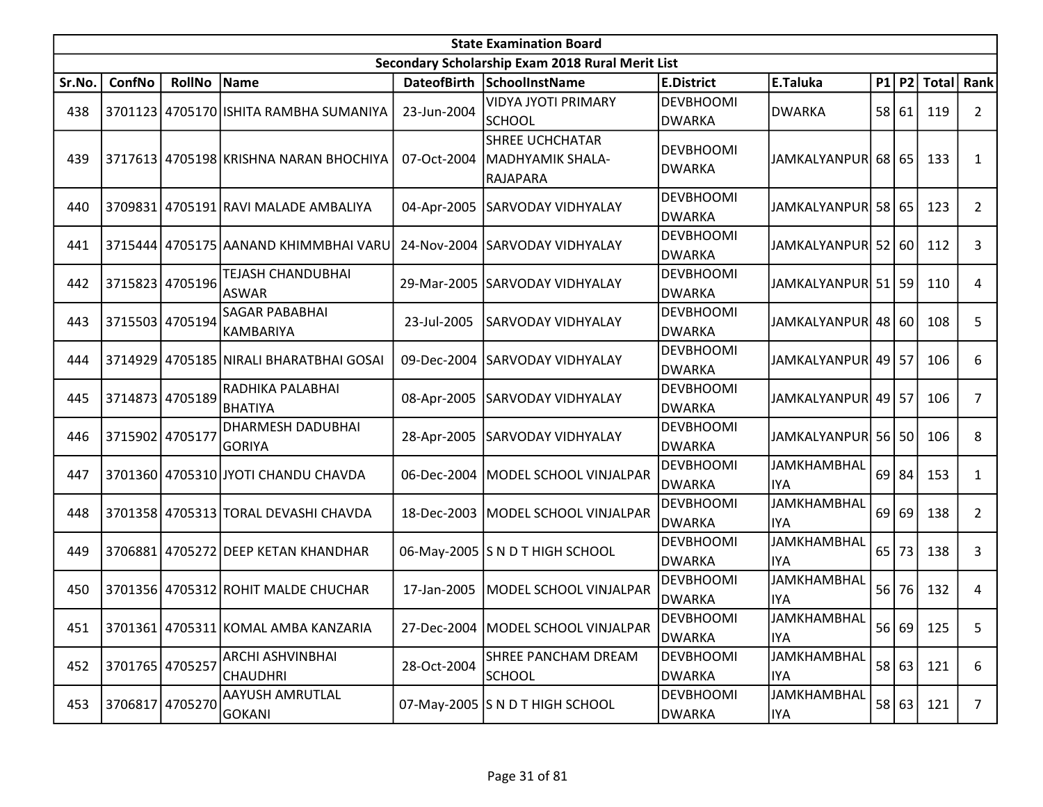|        | <b>State Examination Board</b> |                 |                                            |             |                                                        |                                   |                                  |    |         |                        |                |
|--------|--------------------------------|-----------------|--------------------------------------------|-------------|--------------------------------------------------------|-----------------------------------|----------------------------------|----|---------|------------------------|----------------|
|        |                                |                 |                                            |             | Secondary Scholarship Exam 2018 Rural Merit List       |                                   |                                  |    |         |                        |                |
| Sr.No. | ConfNo                         | <b>RollNo</b>   | Name                                       |             | DateofBirth SchoolInstName                             | <b>E.District</b>                 | E.Taluka                         |    |         | P1   P2   Total   Rank |                |
| 438    |                                |                 | 3701123 4705170 ISHITA RAMBHA SUMANIYA     | 23-Jun-2004 | <b>VIDYA JYOTI PRIMARY</b><br><b>SCHOOL</b>            | <b>DEVBHOOMI</b><br><b>DWARKA</b> | <b>DWARKA</b>                    |    | 58 61   | 119                    | $\overline{2}$ |
| 439    |                                |                 | 3717613 4705198 KRISHNA NARAN BHOCHIYA     | 07-Oct-2004 | <b>SHREE UCHCHATAR</b><br>MADHYAMIK SHALA-<br>RAJAPARA | <b>DEVBHOOMI</b><br>DWARKA        | JAMKALYANPUR 68 65               |    |         | 133                    | 1              |
| 440    |                                |                 | 3709831 4705191 RAVI MALADE AMBALIYA       | 04-Apr-2005 | SARVODAY VIDHYALAY                                     | <b>DEVBHOOMI</b><br><b>DWARKA</b> | JAMKALYANPUR 58 65               |    |         | 123                    | $\overline{2}$ |
| 441    |                                |                 | 3715444 4705175 AANAND KHIMMBHAI VARU      | 24-Nov-2004 | <b>SARVODAY VIDHYALAY</b>                              | <b>DEVBHOOMI</b><br><b>DWARKA</b> | JAMKALYANPUR 52 60               |    |         | 112                    | 3              |
| 442    |                                | 3715823 4705196 | TEJASH CHANDUBHAI<br><b>ASWAR</b>          |             | 29-Mar-2005   SARVODAY VIDHYALAY                       | <b>DEVBHOOMI</b><br><b>DWARKA</b> | JAMKALYANPUR  51   59            |    |         | 110                    | 4              |
| 443    |                                | 3715503 4705194 | <b>SAGAR PABABHAI</b><br>KAMBARIYA         | 23-Jul-2005 | SARVODAY VIDHYALAY                                     | <b>DEVBHOOMI</b><br><b>DWARKA</b> | JAMKALYANPUR 48 60               |    |         | 108                    | 5              |
| 444    |                                |                 | 3714929 4705185 NIRALI BHARATBHAI GOSAI    | 09-Dec-2004 | <b>SARVODAY VIDHYALAY</b>                              | <b>DEVBHOOMI</b><br><b>DWARKA</b> | JAMKALYANPUR 49 57               |    |         | 106                    | 6              |
| 445    | 3714873 4705189                |                 | RADHIKA PALABHAI<br>BHATIYA                | 08-Apr-2005 | <b>SARVODAY VIDHYALAY</b>                              | <b>DEVBHOOMI</b><br><b>DWARKA</b> | JAMKALYANPUR 49   57             |    |         | 106                    | 7              |
| 446    | 3715902 4705177                |                 | <b>DHARMESH DADUBHAI</b><br><b>GORIYA</b>  | 28-Apr-2005 | SARVODAY VIDHYALAY                                     | <b>DEVBHOOMI</b><br><b>DWARKA</b> | JAMKALYANPUR 56 50               |    |         | 106                    | 8              |
| 447    |                                |                 | 3701360 4705310 JYOTI CHANDU CHAVDA        | 06-Dec-2004 | MODEL SCHOOL VINJALPAR                                 | <b>DEVBHOOMI</b><br>DWARKA        | <b>JAMKHAMBHAL</b><br><b>IYA</b> |    | $69$ 84 | 153                    | 1              |
| 448    |                                |                 | 3701358 4705313 TORAL DEVASHI CHAVDA       |             | 18-Dec-2003   MODEL SCHOOL VINJALPAR                   | <b>DEVBHOOMI</b><br><b>DWARKA</b> | <b>JAMKHAMBHAL</b><br><b>IYA</b> |    | $69$ 69 | 138                    | $\overline{2}$ |
| 449    |                                |                 | 3706881 4705272 DEEP KETAN KHANDHAR        |             | 06-May-2005 S N D T HIGH SCHOOL                        | <b>DEVBHOOMI</b><br><b>DWARKA</b> | <b>JAMKHAMBHAL</b><br><b>IYA</b> | 65 | 73      | 138                    | 3              |
| 450    |                                |                 | 3701356 4705312 ROHIT MALDE CHUCHAR        | 17-Jan-2005 | MODEL SCHOOL VINJALPAR                                 | <b>DEVBHOOMI</b><br><b>DWARKA</b> | <b>JAMKHAMBHAL</b><br><b>IYA</b> | 56 | 76      | 132                    | 4              |
| 451    |                                |                 | 3701361 4705311 KOMAL AMBA KANZARIA        |             | 27-Dec-2004   MODEL SCHOOL VINJALPAR                   | DEVBHOOMI<br><b>DWARKA</b>        | <b>JAMKHAMBHAL</b><br><b>IYA</b> |    |         | 56 69 125              | 5              |
| 452    | 3701765 4705257                |                 | <b>ARCHI ASHVINBHAI</b><br><b>CHAUDHRI</b> | 28-Oct-2004 | SHREE PANCHAM DREAM<br><b>SCHOOL</b>                   | <b>DEVBHOOMI</b><br><b>DWARKA</b> | <b>JAMKHAMBHAL</b><br><b>IYA</b> |    | 58 63   | 121                    | 6              |
| 453    |                                | 3706817 4705270 | <b>AAYUSH AMRUTLAL</b><br><b>GOKANI</b>    |             | 07-May-2005 S N D T HIGH SCHOOL                        | <b>DEVBHOOMI</b><br>DWARKA        | JAMKHAMBHAL<br><b>IYA</b>        |    | 58 63   | 121                    | $7^{\circ}$    |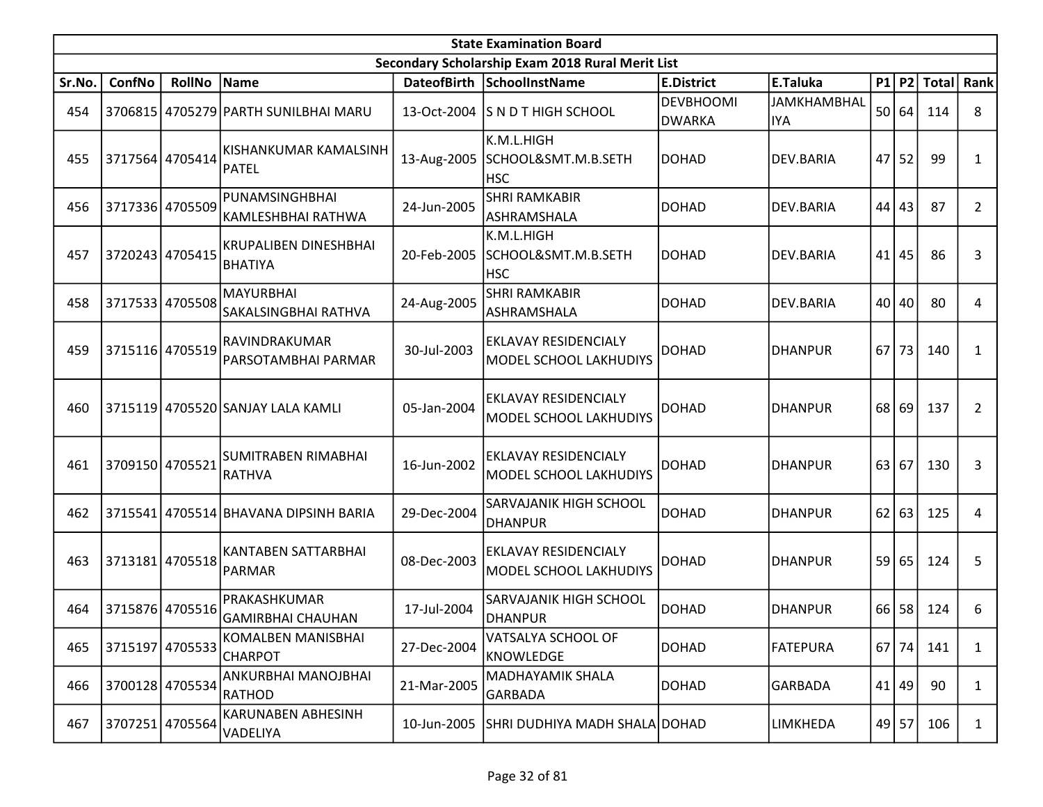|        | <b>State Examination Board</b><br>Secondary Scholarship Exam 2018 Rural Merit List |                 |                                                |             |                                                       |                            |                                  |    |         |              |                |  |
|--------|------------------------------------------------------------------------------------|-----------------|------------------------------------------------|-------------|-------------------------------------------------------|----------------------------|----------------------------------|----|---------|--------------|----------------|--|
|        |                                                                                    |                 |                                                |             |                                                       |                            |                                  |    |         |              |                |  |
| Sr.No. | ConfNo                                                                             | <b>RollNo</b>   | Name                                           |             | DateofBirth SchoolInstName                            | <b>E.District</b>          | E.Taluka                         |    | P1 P2   | <b>Total</b> | Rank           |  |
| 454    |                                                                                    |                 | 3706815 4705279 PARTH SUNILBHAI MARU           |             | 13-Oct-2004 S N D T HIGH SCHOOL                       | <b>DEVBHOOMI</b><br>DWARKA | <b>JAMKHAMBHAL</b><br><b>IYA</b> | 50 | 64      | 114          | 8              |  |
| 455    |                                                                                    | 3717564 4705414 | KISHANKUMAR KAMALSINH<br><b>PATEL</b>          | 13-Aug-2005 | K.M.L.HIGH<br>SCHOOL&SMT.M.B.SETH<br><b>HSC</b>       | DOHAD                      | DEV.BARIA                        | 47 | 52      | 99           | 1              |  |
| 456    |                                                                                    | 3717336 4705509 | PUNAMSINGHBHAI<br>KAMLESHBHAI RATHWA           | 24-Jun-2005 | <b>SHRI RAMKABIR</b><br>ASHRAMSHALA                   | DOHAD                      | DEV.BARIA                        | 44 | 43      | 87           | $\overline{2}$ |  |
| 457    |                                                                                    | 3720243 4705415 | <b>KRUPALIBEN DINESHBHAI</b><br><b>BHATIYA</b> | 20-Feb-2005 | K.M.L.HIGH<br>SCHOOL&SMT.M.B.SETH<br><b>HSC</b>       | DOHAD                      | DEV.BARIA                        | 41 | 45      | 86           | 3              |  |
| 458    |                                                                                    | 3717533 4705508 | <b>MAYURBHAI</b><br>SAKALSINGBHAI RATHVA       | 24-Aug-2005 | <b>SHRI RAMKABIR</b><br>ASHRAMSHALA                   | DOHAD                      | DEV.BARIA                        | 40 | 40      | 80           | 4              |  |
| 459    |                                                                                    | 3715116 4705519 | RAVINDRAKUMAR<br>PARSOTAMBHAI PARMAR           | 30-Jul-2003 | EKLAVAY RESIDENCIALY<br><b>MODEL SCHOOL LAKHUDIYS</b> | DOHAD                      | <b>DHANPUR</b>                   | 67 | 73      | 140          | 1              |  |
| 460    |                                                                                    |                 | 3715119 4705520 SANJAY LALA KAMLI              | 05-Jan-2004 | EKLAVAY RESIDENCIALY<br>MODEL SCHOOL LAKHUDIYS        | <b>DOHAD</b>               | <b>DHANPUR</b>                   | 68 | 69      | 137          | 2              |  |
| 461    | 3709150 4705521                                                                    |                 | SUMITRABEN RIMABHAI<br>RATHVA                  | 16-Jun-2002 | EKLAVAY RESIDENCIALY<br>MODEL SCHOOL LAKHUDIYS        | <b>DOHAD</b>               | <b>DHANPUR</b>                   | 63 | 67      | 130          | 3              |  |
| 462    |                                                                                    |                 | 3715541 4705514 BHAVANA DIPSINH BARIA          | 29-Dec-2004 | SARVAJANIK HIGH SCHOOL<br><b>DHANPUR</b>              | DOHAD                      | <b>DHANPUR</b>                   | 62 | 63      | 125          | 4              |  |
| 463    |                                                                                    | 3713181 4705518 | KANTABEN SATTARBHAI<br><b>PARMAR</b>           | 08-Dec-2003 | EKLAVAY RESIDENCIALY<br>MODEL SCHOOL LAKHUDIYS        | <b>DOHAD</b>               | <b>DHANPUR</b>                   | 59 | 65      | 124          | 5              |  |
| 464    |                                                                                    | 3715876 4705516 | PRAKASHKUMAR<br><b>GAMIRBHAI CHAUHAN</b>       | 17-Jul-2004 | SARVAJANIK HIGH SCHOOL<br><b>DHANPUR</b>              | DOHAD                      | <b>DHANPUR</b>                   | 66 | 58      | 124          | 6              |  |
| 465    | 3715197                                                                            | 4705533         | <b>KOMALBEN MANISBHAI</b><br><b>CHARPOT</b>    | 27-Dec-2004 | VATSALYA SCHOOL OF<br>KNOWLEDGE                       | DOHAD                      | <b>FATEPURA</b>                  | 67 | 74      | 141          | 1              |  |
| 466    |                                                                                    | 3700128 4705534 | ANKURBHAI MANOJBHAI<br><b>RATHOD</b>           | 21-Mar-2005 | MADHAYAMIK SHALA<br><b>GARBADA</b>                    | DOHAD                      | <b>GARBADA</b>                   | 41 | 49      | 90           | 1              |  |
| 467    |                                                                                    | 3707251 4705564 | KARUNABEN ABHESINH<br>VADELIYA                 | 10-Jun-2005 | SHRI DUDHIYA MADH SHALA DOHAD                         |                            | <b>LIMKHEDA</b>                  |    | $49$ 57 | 106          | 1              |  |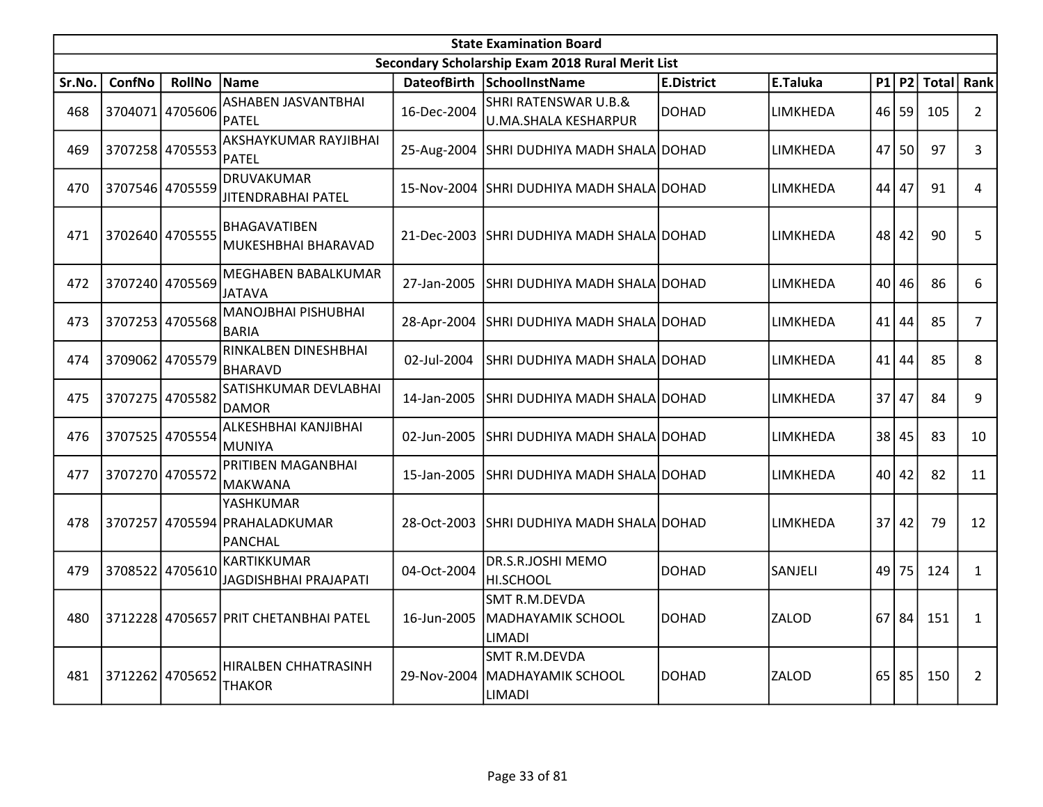|        | <b>State Examination Board</b><br>Secondary Scholarship Exam 2018 Rural Merit List |                 |                                                              |             |                                                                   |                   |                 |    |           |              |                |  |  |
|--------|------------------------------------------------------------------------------------|-----------------|--------------------------------------------------------------|-------------|-------------------------------------------------------------------|-------------------|-----------------|----|-----------|--------------|----------------|--|--|
|        |                                                                                    |                 |                                                              |             |                                                                   |                   |                 |    |           |              |                |  |  |
| Sr.No. | ConfNo                                                                             | <b>RollNo</b>   | Name                                                         |             | DateofBirth SchoolInstName                                        | <b>E.District</b> | E.Taluka        | P1 | <b>P2</b> | <b>Total</b> | Rank           |  |  |
| 468    |                                                                                    | 3704071 4705606 | ASHABEN JASVANTBHAI<br><b>PATEL</b>                          | 16-Dec-2004 | <b>SHRI RATENSWAR U.B.&amp;</b><br>U.MA.SHALA KESHARPUR           | DOHAD             | <b>LIMKHEDA</b> |    | $46$ 59   | 105          | $\overline{2}$ |  |  |
| 469    |                                                                                    | 3707258 4705553 | AKSHAYKUMAR RAYJIBHAI<br><b>PATEL</b>                        |             | 25-Aug-2004 SHRI DUDHIYA MADH SHALA DOHAD                         |                   | LIMKHEDA        | 47 | 50        | 97           | 3              |  |  |
| 470    |                                                                                    | 3707546 4705559 | <b>DRUVAKUMAR</b><br><b>JITENDRABHAI PATEL</b>               |             | 15-Nov-2004 SHRI DUDHIYA MADH SHALA DOHAD                         |                   | LIMKHEDA        | 44 | 47        | 91           | 4              |  |  |
| 471    | 3702640 4705555                                                                    |                 | <b>BHAGAVATIBEN</b><br>MUKESHBHAI BHARAVAD                   | 21-Dec-2003 | SHRI DUDHIYA MADH SHALA DOHAD                                     |                   | LIMKHEDA        |    | 48 42     | 90           | 5              |  |  |
| 472    |                                                                                    | 3707240 4705569 | MEGHABEN BABALKUMAR<br><b>JATAVA</b>                         | 27-Jan-2005 | ISHRI DUDHIYA MADH SHALAIDOHAD                                    |                   | LIMKHEDA        |    | 40 46     | 86           | 6              |  |  |
| 473    |                                                                                    | 3707253 4705568 | <b>MANOJBHAI PISHUBHAI</b><br><b>BARIA</b>                   | 28-Apr-2004 | SHRI DUDHIYA MADH SHALA DOHAD                                     |                   | LIMKHEDA        | 41 | 44        | 85           | $\overline{7}$ |  |  |
| 474    |                                                                                    | 3709062 4705579 | RINKALBEN DINESHBHAI<br><b>BHARAVD</b>                       | 02-Jul-2004 | SHRI DUDHIYA MADH SHALAIDOHAD                                     |                   | LIMKHEDA        | 41 | 44        | 85           | 8              |  |  |
| 475    |                                                                                    | 3707275 4705582 | SATISHKUMAR DEVLABHAI<br><b>DAMOR</b>                        | 14-Jan-2005 | SHRI DUDHIYA MADH SHALA DOHAD                                     |                   | LIMKHEDA        | 37 | 47        | 84           | 9              |  |  |
| 476    |                                                                                    | 3707525 4705554 | ALKESHBHAI KANJIBHAI<br><b>MUNIYA</b>                        | 02-Jun-2005 | ISHRI DUDHIYA MADH SHALAIDOHAD                                    |                   | LIMKHEDA        |    | 38 45     | 83           | 10             |  |  |
| 477    | 3707270 4705572                                                                    |                 | PRITIBEN MAGANBHAI<br><b>MAKWANA</b>                         | 15-Jan-2005 | SHRI DUDHIYA MADH SHALA DOHAD                                     |                   | LIMKHEDA        | 40 | 42        | 82           | 11             |  |  |
| 478    |                                                                                    |                 | YASHKUMAR<br>3707257 4705594 PRAHALADKUMAR<br><b>PANCHAL</b> |             | 28-Oct-2003 SHRI DUDHIYA MADH SHALA DOHAD                         |                   | LIMKHEDA        | 37 | 42        | 79           | 12             |  |  |
| 479    |                                                                                    | 3708522 4705610 | KARTIKKUMAR<br>JAGDISHBHAI PRAJAPATI                         | 04-Oct-2004 | DR.S.R.JOSHI MEMO<br>HI.SCHOOL                                    | DOHAD             | SANJELI         | 49 | 75        | 124          | $\mathbf{1}$   |  |  |
| 480    |                                                                                    |                 | 3712228 4705657 PRIT CHETANBHAI PATEL                        | 16-Jun-2005 | SMT R.M.DEVDA<br><b>MADHAYAMIK SCHOOL</b><br>LIMADI               | DOHAD             | <b>ZALOD</b>    | 67 | 84        | 151          | $\mathbf{1}$   |  |  |
| 481    | 3712262 4705652                                                                    |                 | HIRALBEN CHHATRASINH<br><b>THAKOR</b>                        | 29-Nov-2004 | <b>SMT R.M.DEVDA</b><br><b>MADHAYAMIK SCHOOL</b><br><b>LIMADI</b> | <b>IDOHAD</b>     | <b>ZALOD</b>    |    | $65$ 85   | 150          | 2              |  |  |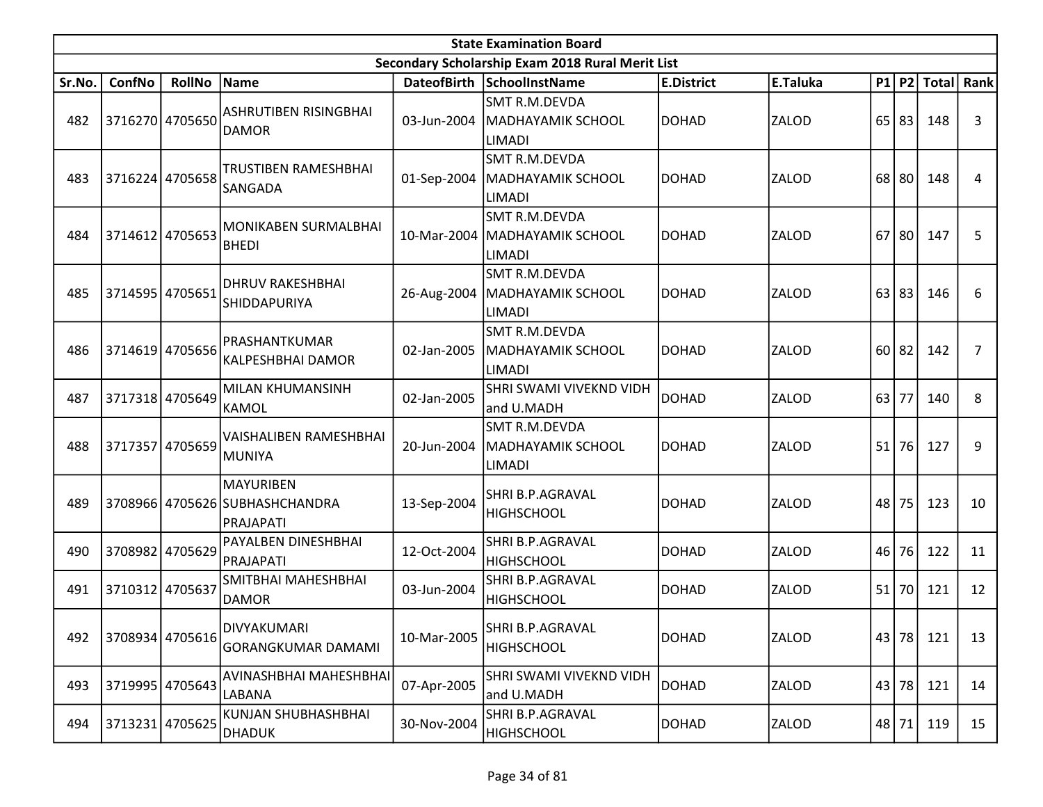|        | <b>State Examination Board</b><br>Secondary Scholarship Exam 2018 Rural Merit List |                 |                                                          |             |                                                                          |                   |              |      |       |               |                      |  |  |
|--------|------------------------------------------------------------------------------------|-----------------|----------------------------------------------------------|-------------|--------------------------------------------------------------------------|-------------------|--------------|------|-------|---------------|----------------------|--|--|
|        |                                                                                    |                 |                                                          |             |                                                                          |                   |              |      |       |               |                      |  |  |
| Sr.No. | ConfNo                                                                             | <b>RollNo</b>   | Name                                                     |             | DateofBirth SchoolInstName                                               | <b>E.District</b> | E.Taluka     |      |       | $P1$ P2 Total | $\vert$ Rank $\vert$ |  |  |
| 482    |                                                                                    | 3716270 4705650 | <b>ASHRUTIBEN RISINGBHAI</b><br><b>DAMOR</b>             | 03-Jun-2004 | <b>SMT R.M.DEVDA</b><br><b>MADHAYAMIK SCHOOL</b><br><b>LIMADI</b>        | DOHAD             | <b>ZALOD</b> | 65   | 83    | 148           | 3                    |  |  |
| 483    |                                                                                    | 3716224 4705658 | TRUSTIBEN RAMESHBHAI<br><b>SANGADA</b>                   | 01-Sep-2004 | <b>SMT R.M.DEVDA</b><br>MADHAYAMIK SCHOOL<br><b>LIMADI</b>               | <b>DOHAD</b>      | <b>ZALOD</b> | 68   | 80    | 148           | 4                    |  |  |
| 484    | 3714612 4705653                                                                    |                 | MONIKABEN SURMALBHAI<br><b>BHEDI</b>                     |             | <b>SMT R.M.DEVDA</b><br>10-Mar-2004   MADHAYAMIK SCHOOL<br><b>LIMADI</b> | DOHAD             | <b>ZALOD</b> | 67   | 80    | 147           | 5                    |  |  |
| 485    | 3714595 4705651                                                                    |                 | DHRUV RAKESHBHAI<br>SHIDDAPURIYA                         |             | <b>SMT R.M.DEVDA</b><br>26-Aug-2004   MADHAYAMIK SCHOOL<br>LIMADI        | <b>DOHAD</b>      | <b>ZALOD</b> | 63 l | 83    | 146           | 6                    |  |  |
| 486    |                                                                                    | 3714619 4705656 | PRASHANTKUMAR<br>KALPESHBHAI DAMOR                       | 02-Jan-2005 | <b>SMT R.M.DEVDA</b><br>MADHAYAMIK SCHOOL<br><b>LIMADI</b>               | DOHAD             | <b>ZALOD</b> | 60   | 82    | 142           | 7                    |  |  |
| 487    |                                                                                    | 3717318 4705649 | <b>MILAN KHUMANSINH</b><br>KAMOL                         | 02-Jan-2005 | SHRI SWAMI VIVEKND VIDH<br>and U.MADH                                    | <b>DOHAD</b>      | <b>ZALOD</b> | 63   | 77    | 140           | 8                    |  |  |
| 488    | 3717357                                                                            | 4705659         | <b>VAISHALIBEN RAMESHBHAI</b><br>MUNIYA                  | 20-Jun-2004 | <b>SMT R.M.DEVDA</b><br><b>MADHAYAMIK SCHOOL</b><br>LIMADI               | <b>DOHAD</b>      | <b>ZALOD</b> |      | 51 76 | 127           | 9                    |  |  |
| 489    |                                                                                    |                 | MAYURIBEN<br>3708966 4705626 SUBHASHCHANDRA<br>PRAJAPATI | 13-Sep-2004 | SHRI B.P.AGRAVAL<br><b>HIGHSCHOOL</b>                                    | <b>DOHAD</b>      | <b>ZALOD</b> | 48   | 75    | 123           | 10                   |  |  |
| 490    | 3708982                                                                            | 4705629         | PAYALBEN DINESHBHAI<br>PRAJAPATI                         | 12-Oct-2004 | SHRI B.P.AGRAVAL<br><b>HIGHSCHOOL</b>                                    | <b>DOHAD</b>      | <b>ZALOD</b> | 46   | 76    | 122           | 11                   |  |  |
| 491    | 3710312                                                                            | 4705637         | SMITBHAI MAHESHBHAI<br><b>DAMOR</b>                      | 03-Jun-2004 | SHRI B.P.AGRAVAL<br><b>HIGHSCHOOL</b>                                    | <b>DOHAD</b>      | <b>ZALOD</b> | 51   | 70    | 121           | 12                   |  |  |
| 492    |                                                                                    | 3708934 4705616 | DIVYAKUMARI]<br><b>GORANGKUMAR DAMAMI</b>                | 10-Mar-2005 | SHRI B.P.AGRAVAL<br><b>HIGHSCHOOL</b>                                    | <b>DOHAD</b>      | <b>ZALOD</b> |      | 43 78 | 121           | 13                   |  |  |
| 493    |                                                                                    | 3719995 4705643 | AVINASHBHAI MAHESHBHAI<br>LABANA                         | 07-Apr-2005 | SHRI SWAMI VIVEKND VIDH<br>and U.MADH                                    | <b>DOHAD</b>      | <b>ZALOD</b> |      | 43 78 | 121           | 14                   |  |  |
| 494    |                                                                                    | 3713231 4705625 | KUNJAN SHUBHASHBHAI<br><b>DHADUK</b>                     | 30-Nov-2004 | SHRI B.P.AGRAVAL<br><b>HIGHSCHOOL</b>                                    | <b>DOHAD</b>      | ZALOD        |      | 48 71 | 119           | 15                   |  |  |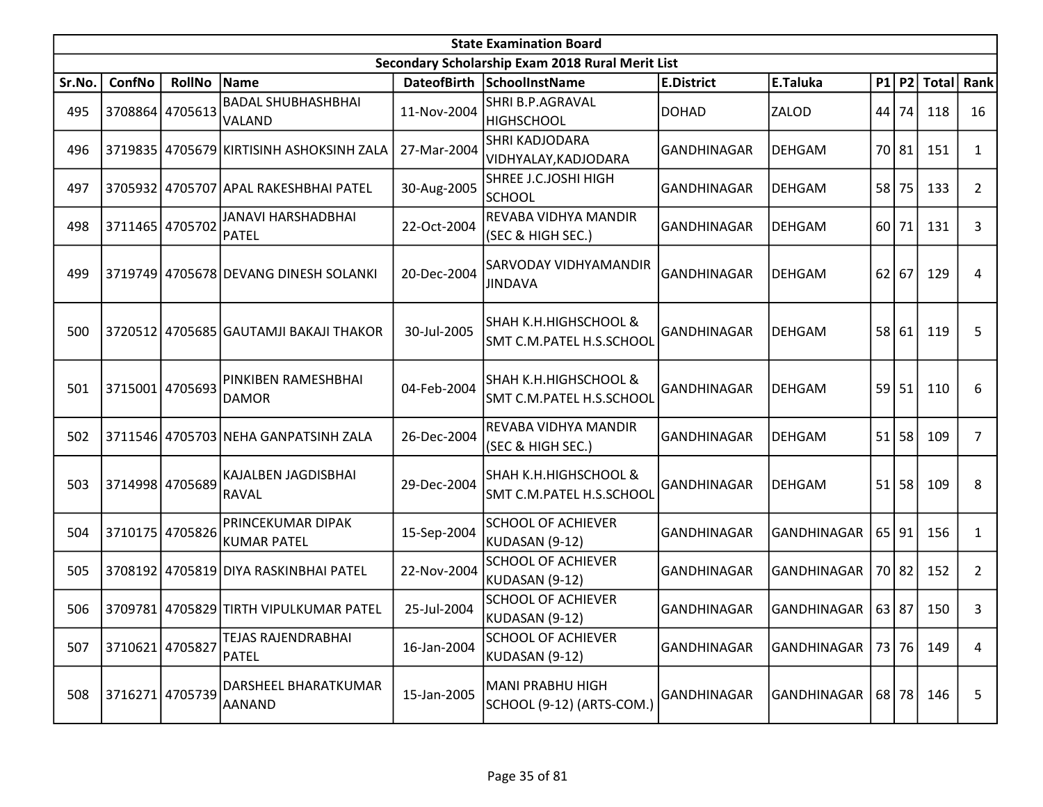|        | <b>State Examination Board</b><br>Secondary Scholarship Exam 2018 Rural Merit List |                 |                                            |             |                                                      |                    |                       |       |           |                 |                |  |  |
|--------|------------------------------------------------------------------------------------|-----------------|--------------------------------------------|-------------|------------------------------------------------------|--------------------|-----------------------|-------|-----------|-----------------|----------------|--|--|
|        |                                                                                    |                 |                                            |             |                                                      |                    |                       |       |           |                 |                |  |  |
| Sr.No. | ConfNo                                                                             | <b>RollNo</b>   | Name                                       |             | DateofBirth SchoolInstName                           | <b>E.District</b>  | E.Taluka              |       |           | P1   P2   Total | Rank           |  |  |
| 495    |                                                                                    | 3708864 4705613 | <b>BADAL SHUBHASHBHAI</b><br><b>VALAND</b> | 11-Nov-2004 | SHRI B.P.AGRAVAL<br><b>HIGHSCHOOL</b>                | <b>DOHAD</b>       | ZALOD                 | 44    | 74        | 118             | 16             |  |  |
| 496    |                                                                                    |                 | 3719835 4705679 KIRTISINH ASHOKSINH ZALA   | 27-Mar-2004 | SHRI KADJODARA<br>VIDHYALAY, KADJODARA               | GANDHINAGAR        | <b>DEHGAM</b>         |       | 70 81     | 151             | 1              |  |  |
| 497    |                                                                                    |                 | 3705932 4705707 APAL RAKESHBHAI PATEL      | 30-Aug-2005 | SHREE J.C.JOSHI HIGH<br><b>SCHOOL</b>                | <b>GANDHINAGAR</b> | <b>DEHGAM</b>         | 58    | 75        | 133             | $\overline{2}$ |  |  |
| 498    |                                                                                    | 3711465 4705702 | <b>JANAVI HARSHADBHAI</b><br><b>PATEL</b>  | 22-Oct-2004 | REVABA VIDHYA MANDIR<br>(SEC & HIGH SEC.)            | <b>GANDHINAGAR</b> | <b>DEHGAM</b>         | 60    | 71        | 131             | 3              |  |  |
| 499    |                                                                                    |                 | 3719749 4705678 DEVANG DINESH SOLANKI      | 20-Dec-2004 | SARVODAY VIDHYAMANDIR<br><b>JINDAVA</b>              | GANDHINAGAR        | <b>DEHGAM</b>         | 62    | 67        | 129             | 4              |  |  |
| 500    |                                                                                    |                 | 3720512 4705685 GAUTAMJI BAKAJI THAKOR     | 30-Jul-2005 | SHAH K.H.HIGHSCHOOL &<br>SMT C.M.PATEL H.S.SCHOOL    | GANDHINAGAR        | <b>DEHGAM</b>         |       | 58 61     | 119             | 5              |  |  |
| 501    |                                                                                    | 3715001 4705693 | PINKIBEN RAMESHBHAI<br>DAMOR               | 04-Feb-2004 | SHAH K.H.HIGHSCHOOL &<br>SMT C.M.PATEL H.S.SCHOOL    | GANDHINAGAR        | <b>DEHGAM</b>         | 59    | 51        | 110             | 6              |  |  |
| 502    |                                                                                    |                 | 3711546 4705703 NEHA GANPATSINH ZALA       | 26-Dec-2004 | REVABA VIDHYA MANDIR<br>(SEC & HIGH SEC.)            | <b>GANDHINAGAR</b> | <b>DEHGAM</b>         | 51    | 58        | 109             | 7              |  |  |
| 503    |                                                                                    | 3714998 4705689 | KAJALBEN JAGDISBHAI<br>RAVAL               | 29-Dec-2004 | SHAH K.H.HIGHSCHOOL &<br>SMT C.M.PATEL H.S.SCHOOL    | GANDHINAGAR        | <b>DEHGAM</b>         | 51    | 58        | 109             | 8              |  |  |
| 504    |                                                                                    | 3710175 4705826 | PRINCEKUMAR DIPAK<br><b>KUMAR PATEL</b>    | 15-Sep-2004 | <b>SCHOOL OF ACHIEVER</b><br>KUDASAN (9-12)          | <b>GANDHINAGAR</b> | <b>GANDHINAGAR</b>    |       | $65$   91 | 156             | $\mathbf{1}$   |  |  |
| 505    |                                                                                    |                 | 3708192 4705819 DIYA RASKINBHAI PATEL      | 22-Nov-2004 | <b>SCHOOL OF ACHIEVER</b><br>KUDASAN (9-12)          | <b>GANDHINAGAR</b> | <b>GANDHINAGAR</b>    |       | 70 82     | 152             | $\overline{2}$ |  |  |
| 506    |                                                                                    |                 | 3709781 4705829 TIRTH VIPULKUMAR PATEL     | 25-Jul-2004 | <b>SCHOOL OF ACHIEVER</b><br>KUDASAN (9-12)          | GANDHINAGAR        | GANDHINAGAR           | 63 87 |           | 150             | 3              |  |  |
| 507    | 3710621 4705827                                                                    |                 | TEJAS RAJENDRABHAI<br>PATEL                | 16-Jan-2004 | <b>SCHOOL OF ACHIEVER</b><br>KUDASAN (9-12)          | <b>GANDHINAGAR</b> | GANDHINAGAR           |       | 73   76   | 149             | 4              |  |  |
| 508    |                                                                                    | 3716271 4705739 | DARSHEEL BHARATKUMAR<br><b>AANAND</b>      | 15-Jan-2005 | <b>MANI PRABHU HIGH</b><br>SCHOOL (9-12) (ARTS-COM.) | GANDHINAGAR        | GANDHINAGAR   68   78 |       |           | 146             | 5              |  |  |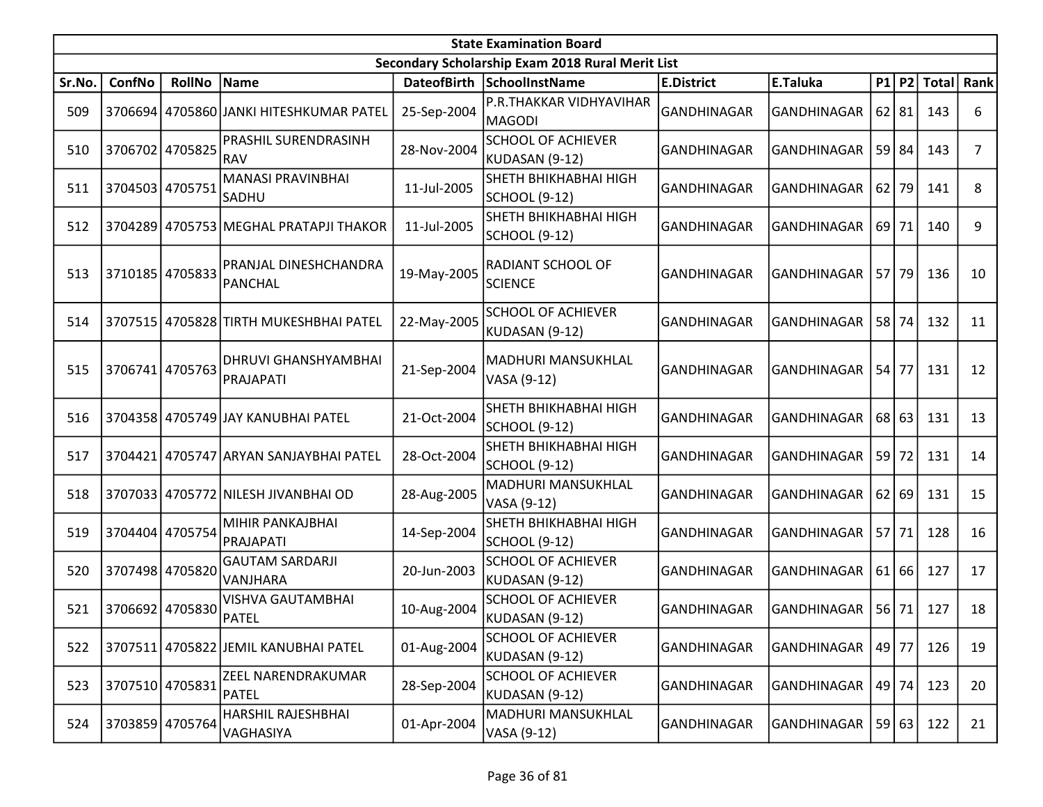|        | <b>State Examination Board</b> |                 |                                           |             |                                                  |                    |                    |           |         |                  |                |  |
|--------|--------------------------------|-----------------|-------------------------------------------|-------------|--------------------------------------------------|--------------------|--------------------|-----------|---------|------------------|----------------|--|
|        |                                |                 |                                           |             | Secondary Scholarship Exam 2018 Rural Merit List |                    |                    |           |         |                  |                |  |
| Sr.No. | ConfNo                         | <b>RollNo</b>   | Name                                      |             | DateofBirth SchoolInstName                       | <b>E.District</b>  | E.Taluka           |           |         | P1 P2 Total Rank |                |  |
| 509    |                                |                 | 3706694 4705860 JANKI HITESHKUMAR PATEL   | 25-Sep-2004 | P.R.THAKKAR VIDHYAVIHAR<br><b>MAGODI</b>         | GANDHINAGAR        | <b>GANDHINAGAR</b> | $62$   81 |         | 143              | 6              |  |
| 510    |                                | 3706702 4705825 | PRASHIL SURENDRASINH<br><b>RAV</b>        | 28-Nov-2004 | <b>SCHOOL OF ACHIEVER</b><br>KUDASAN (9-12)      | <b>GANDHINAGAR</b> | <b>GANDHINAGAR</b> | $59$   84 |         | 143              | $\overline{7}$ |  |
| 511    | 3704503 4705751                |                 | MANASI PRAVINBHAI<br> SADHU               | 11-Jul-2005 | SHETH BHIKHABHAI HIGH<br><b>SCHOOL (9-12)</b>    | <b>GANDHINAGAR</b> | <b>GANDHINAGAR</b> | 62        | 79      | 141              | 8              |  |
| 512    | 3704289                        |                 | 4705753 MEGHAL PRATAPJI THAKOR            | 11-Jul-2005 | SHETH BHIKHABHAI HIGH<br><b>SCHOOL (9-12)</b>    | <b>GANDHINAGAR</b> | <b>GANDHINAGAR</b> | 69 l      | 71      | 140              | 9              |  |
| 513    | 3710185 4705833                |                 | PRANJAL DINESHCHANDRA<br>PANCHAL          | 19-May-2005 | RADIANT SCHOOL OF<br><b>SCIENCE</b>              | GANDHINAGAR        | <b>GANDHINAGAR</b> | $57$   79 |         | 136              | 10             |  |
| 514    | 3707515                        |                 | 4705828 TIRTH MUKESHBHAI PATEL            | 22-May-2005 | <b>SCHOOL OF ACHIEVER</b><br>KUDASAN (9-12)      | <b>GANDHINAGAR</b> | <b>GANDHINAGAR</b> | <b>58</b> | 74      | 132              | 11             |  |
| 515    | 3706741                        | 4705763         | DHRUVI GHANSHYAMBHAI<br>PRAJAPATI         | 21-Sep-2004 | MADHURI MANSUKHLAL<br>VASA (9-12)                | <b>GANDHINAGAR</b> | <b>GANDHINAGAR</b> | 54        | 77      | 131              | 12             |  |
| 516    |                                |                 | 3704358 4705749 JAY KANUBHAI PATEL        | 21-Oct-2004 | SHETH BHIKHABHAI HIGH<br><b>SCHOOL (9-12)</b>    | <b>GANDHINAGAR</b> | <b>GANDHINAGAR</b> |           | $68$ 63 | 131              | 13             |  |
| 517    | 3704421                        |                 | 4705747 ARYAN SANJAYBHAI PATEL            | 28-Oct-2004 | SHETH BHIKHABHAI HIGH<br><b>SCHOOL (9-12)</b>    | GANDHINAGAR        | <b>GANDHINAGAR</b> | 59        | 72      | 131              | 14             |  |
| 518    |                                |                 | 3707033 4705772 NILESH JIVANBHAI OD       | 28-Aug-2005 | MADHURI MANSUKHLAL<br>VASA (9-12)                | <b>GANDHINAGAR</b> | <b>GANDHINAGAR</b> | 62 69     |         | 131              | 15             |  |
| 519    |                                | 3704404 4705754 | MIHIR PANKAJBHAI<br>PRAJAPATI             | 14-Sep-2004 | SHETH BHIKHABHAI HIGH<br><b>SCHOOL (9-12)</b>    | GANDHINAGAR        | <b>GANDHINAGAR</b> | $57$ 71   |         | 128              | 16             |  |
| 520    |                                | 3707498 4705820 | <b>GAUTAM SARDARJI</b><br>VANJHARA        | 20-Jun-2003 | <b>SCHOOL OF ACHIEVER</b><br>KUDASAN (9-12)      | <b>GANDHINAGAR</b> | <b>GANDHINAGAR</b> | 61        | 66      | 127              | 17             |  |
| 521    |                                | 3706692 4705830 | <b>VISHVA GAUTAMBHAI</b><br>PATEL         | 10-Aug-2004 | <b>SCHOOL OF ACHIEVER</b><br>KUDASAN (9-12)      | GANDHINAGAR        | <b>GANDHINAGAR</b> | 56        | 71      | 127              | 18             |  |
| 522    |                                |                 | 3707511 4705822 JEMIL KANUBHAI PATEL      | 01-Aug-2004 | <b>SCHOOL OF ACHIEVER</b><br>KUDASAN (9-12)      | GANDHINAGAR        | GANDHINAGAR        | 49 77     |         | 126              | 19             |  |
| 523    | 3707510 4705831                |                 | <b>ZEEL NARENDRAKUMAR</b><br><b>PATEL</b> | 28-Sep-2004 | <b>SCHOOL OF ACHIEVER</b><br>KUDASAN (9-12)      | GANDHINAGAR        | GANDHINAGAR        |           | $49$ 74 | 123              | 20             |  |
| 524    |                                | 3703859 4705764 | HARSHIL RAJESHBHAI<br>VAGHASIYA           | 01-Apr-2004 | MADHURI MANSUKHLAL<br>VASA (9-12)                | GANDHINAGAR        | GANDHINAGAR        |           | 59 63   | 122              | 21             |  |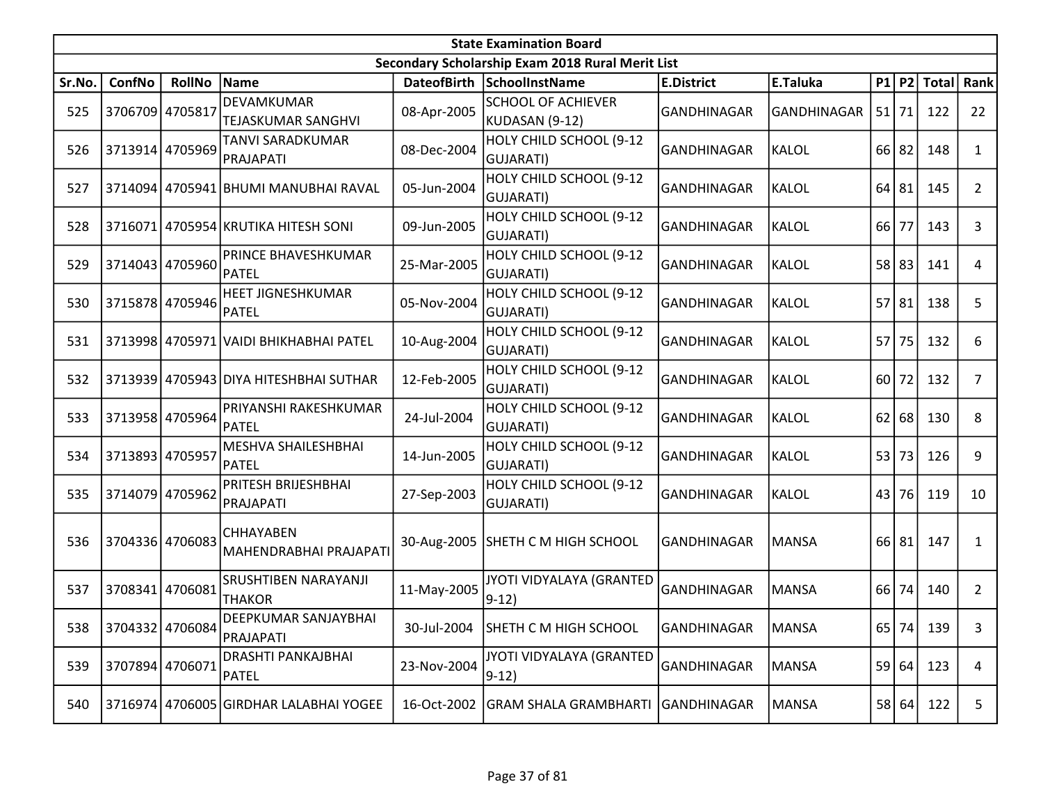|        | <b>State Examination Board</b> |                 |                                            |             |                                                  |                    |                    |      |           |                  |                |  |  |  |
|--------|--------------------------------|-----------------|--------------------------------------------|-------------|--------------------------------------------------|--------------------|--------------------|------|-----------|------------------|----------------|--|--|--|
|        |                                |                 |                                            |             | Secondary Scholarship Exam 2018 Rural Merit List |                    |                    |      |           |                  |                |  |  |  |
| Sr.No. | ConfNo                         | <b>RollNo</b>   | Name                                       | DateofBirth | <b>SchoolInstName</b>                            | <b>E.District</b>  | E.Taluka           |      |           | P1 P2 Total Rank |                |  |  |  |
| 525    | 3706709 4705817                |                 | DEVAMKUMAR<br><b>TEJASKUMAR SANGHVI</b>    | 08-Apr-2005 | <b>SCHOOL OF ACHIEVER</b><br>KUDASAN (9-12)      | <b>GANDHINAGAR</b> | <b>GANDHINAGAR</b> | 51   | 71        | 122              | 22             |  |  |  |
| 526    |                                | 3713914 4705969 | TANVI SARADKUMAR<br>PRAJAPATI              | 08-Dec-2004 | HOLY CHILD SCHOOL (9-12<br>GUJARATI)             | GANDHINAGAR        | <b>KALOL</b>       |      | $66$   82 | 148              | $\mathbf{1}$   |  |  |  |
| 527    |                                |                 | 3714094 4705941 BHUMI MANUBHAI RAVAL       | 05-Jun-2004 | HOLY CHILD SCHOOL (9-12<br>GUJARATI)             | <b>GANDHINAGAR</b> | <b>KALOL</b>       | 64   | 81        | 145              | $\mathbf{2}$   |  |  |  |
| 528    |                                |                 | 3716071 4705954 KRUTIKA HITESH SONI        | 09-Jun-2005 | HOLY CHILD SCHOOL (9-12<br>GUJARATI)             | <b>GANDHINAGAR</b> | <b>KALOL</b>       | 66   | 77        | 143              | 3              |  |  |  |
| 529    |                                | 3714043 4705960 | PRINCE BHAVESHKUMAR<br>PATEL               | 25-Mar-2005 | HOLY CHILD SCHOOL (9-12<br><b>GUJARATI)</b>      | <b>GANDHINAGAR</b> | <b>KALOL</b>       |      | 58 83     | 141              | 4              |  |  |  |
| 530    |                                | 3715878 4705946 | HEET JIGNESHKUMAR<br>PATEL                 | 05-Nov-2004 | HOLY CHILD SCHOOL (9-12<br>GUJARATI)             | GANDHINAGAR        | <b>KALOL</b>       | 57   | 81        | 138              | 5              |  |  |  |
| 531    |                                |                 | 3713998 4705971 VAIDI BHIKHABHAI PATEL     | 10-Aug-2004 | HOLY CHILD SCHOOL (9-12<br>GUJARATI)             | <b>GANDHINAGAR</b> | <b>KALOL</b>       | 57   | 75        | 132              | 6              |  |  |  |
| 532    |                                |                 | 3713939 4705943 DIYA HITESHBHAI SUTHAR     | 12-Feb-2005 | HOLY CHILD SCHOOL (9-12<br>GUJARATI)             | GANDHINAGAR        | <b>KALOL</b>       | 60 l | 72        | 132              | 7              |  |  |  |
| 533    | 3713958 4705964                |                 | PRIYANSHI RAKESHKUMAR<br><b>PATEL</b>      | 24-Jul-2004 | HOLY CHILD SCHOOL (9-12<br>GUJARATI)             | GANDHINAGAR        | <b>KALOL</b>       | 62   | 68        | 130              | 8              |  |  |  |
| 534    | 3713893 4705957                |                 | MESHVA SHAILESHBHAI<br>PATEL               | 14-Jun-2005 | HOLY CHILD SCHOOL (9-12<br>GUJARATI)             | <b>GANDHINAGAR</b> | <b>KALOL</b>       | 53   | 73        | 126              | 9              |  |  |  |
| 535    | 3714079 4705962                |                 | PRITESH BRIJESHBHAI<br>PRAJAPATI           | 27-Sep-2003 | HOLY CHILD SCHOOL (9-12<br><b>GUJARATI)</b>      | <b>GANDHINAGAR</b> | <b>KALOL</b>       |      | 43 76     | 119              | 10             |  |  |  |
| 536    |                                | 3704336 4706083 | <b>CHHAYABEN</b><br>MAHENDRABHAI PRAJAPATI | 30-Aug-2005 | SHETH C M HIGH SCHOOL                            | GANDHINAGAR        | <b>MANSA</b>       |      | 66 81     | 147              | 1              |  |  |  |
| 537    | 3708341                        | 4706081         | SRUSHTIBEN NARAYANJI<br><b>THAKOR</b>      | 11-May-2005 | JYOTI VIDYALAYA (GRANTED<br>$9-12)$              | <b>GANDHINAGAR</b> | <b>MANSA</b>       | 66   | 74        | 140              | $\overline{2}$ |  |  |  |
| 538    |                                | 3704332 4706084 | DEEPKUMAR SANJAYBHAI<br>PRAJAPATI          |             | 30-Jul-2004 SHETH C M HIGH SCHOOL                | GANDHINAGAR        | <b>MANSA</b>       |      |           | 65 74 139        | 3              |  |  |  |
| 539    | 3707894 4706071                |                 | <b>DRASHTI PANKAJBHAI</b><br><b>PATEL</b>  | 23-Nov-2004 | JYOTI VIDYALAYA (GRANTED<br>$9-12)$              | <b>GANDHINAGAR</b> | <b>MANSA</b>       |      | 59 64     | 123              | 4              |  |  |  |
| 540    |                                |                 | 3716974 4706005 GIRDHAR LALABHAI YOGEE     | 16-Oct-2002 | <b>GRAM SHALA GRAMBHARTI</b>                     | <b>GANDHINAGAR</b> | <b>MANSA</b>       |      | 58 64     | 122              | 5              |  |  |  |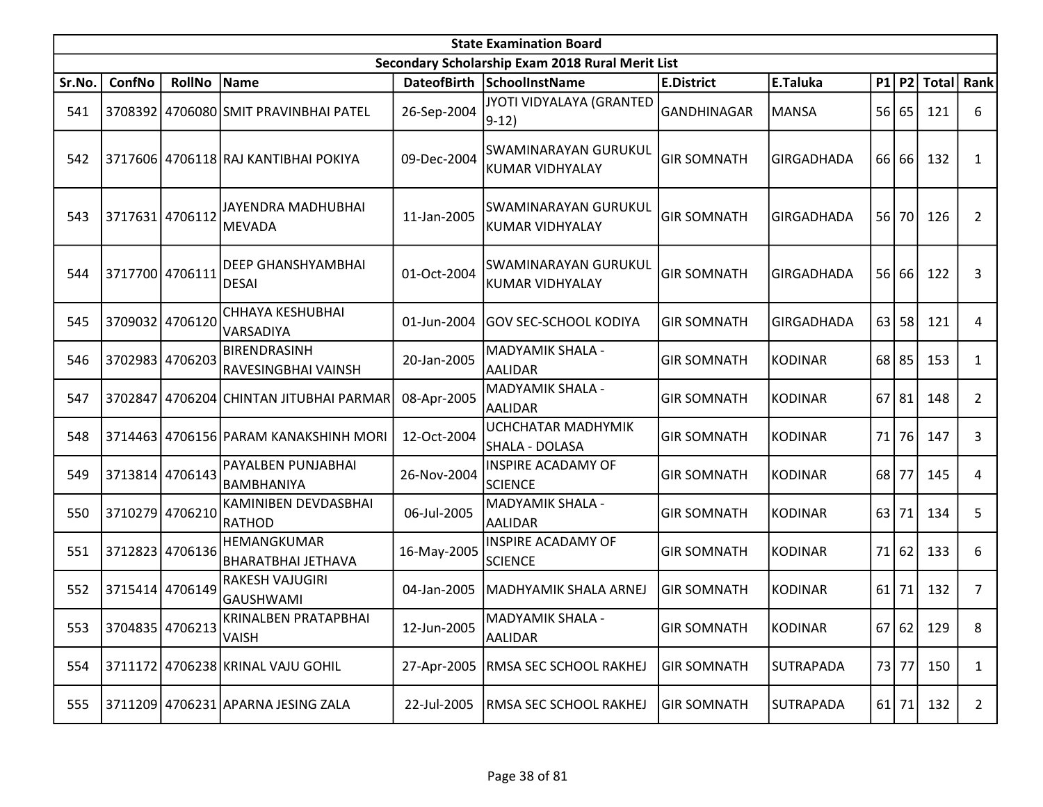|        | <b>State Examination Board</b><br>Secondary Scholarship Exam 2018 Rural Merit List |                 |                                           |             |                                                |                    |                   |           |         |          |                |  |  |
|--------|------------------------------------------------------------------------------------|-----------------|-------------------------------------------|-------------|------------------------------------------------|--------------------|-------------------|-----------|---------|----------|----------------|--|--|
|        |                                                                                    |                 |                                           |             |                                                |                    |                   |           |         |          |                |  |  |
| Sr.No. | ConfNo                                                                             | <b>RollNo</b>   | Name                                      |             | DateofBirth SchoolInstName                     | <b>E.District</b>  | E.Taluka          | P1        |         | P2 Total | Rank           |  |  |
| 541    |                                                                                    |                 | 3708392 4706080 SMIT PRAVINBHAI PATEL     | 26-Sep-2004 | JYOTI VIDYALAYA (GRANTED<br>$9-12)$            | <b>GANDHINAGAR</b> | <b>MANSA</b>      | 56 65     |         | 121      | 6              |  |  |
| 542    |                                                                                    |                 | 3717606 4706118 RAJ KANTIBHAI POKIYA      | 09-Dec-2004 | SWAMINARAYAN GURUKUL<br><b>KUMAR VIDHYALAY</b> | <b>GIR SOMNATH</b> | <b>GIRGADHADA</b> | 66        | 66      | 132      | 1              |  |  |
| 543    | 3717631 4706112                                                                    |                 | JAYENDRA MADHUBHAI<br><b>MEVADA</b>       | 11-Jan-2005 | SWAMINARAYAN GURUKUL<br><b>KUMAR VIDHYALAY</b> | <b>GIR SOMNATH</b> | <b>GIRGADHADA</b> | <b>56</b> | 70      | 126      | $\overline{2}$ |  |  |
| 544    | 3717700 4706111                                                                    |                 | <b>DEEP GHANSHYAMBHAI</b><br><b>DESAI</b> | 01-Oct-2004 | SWAMINARAYAN GURUKUL<br><b>KUMAR VIDHYALAY</b> | <b>GIR SOMNATH</b> | <b>GIRGADHADA</b> | 56        | 66      | 122      | 3              |  |  |
| 545    |                                                                                    | 3709032 4706120 | <b>CHHAYA KESHUBHAI</b><br>VARSADIYA      | 01-Jun-2004 | <b>GOV SEC-SCHOOL KODIYA</b>                   | <b>GIR SOMNATH</b> | <b>GIRGADHADA</b> | 63        | 58      | 121      | 4              |  |  |
| 546    | 3702983 4706203                                                                    |                 | BIRENDRASINH<br>RAVESINGBHAI VAINSH       | 20-Jan-2005 | <b>MADYAMIK SHALA -</b><br><b>AALIDAR</b>      | <b>GIR SOMNATH</b> | <b>KODINAR</b>    | 68        | 85      | 153      | $\mathbf{1}$   |  |  |
| 547    | 3702847                                                                            |                 | 4706204 CHINTAN JITUBHAI PARMAR           | 08-Apr-2005 | MADYAMIK SHALA -<br><b>AALIDAR</b>             | <b>GIR SOMNATH</b> | <b>KODINAR</b>    | $67$   81 |         | 148      | $\overline{2}$ |  |  |
| 548    |                                                                                    |                 | 3714463 4706156 PARAM KANAKSHINH MORI     | 12-Oct-2004 | UCHCHATAR MADHYMIK<br>SHALA - DOLASA           | <b>GIR SOMNATH</b> | <b>KODINAR</b>    | 71        | 76      | 147      | 3              |  |  |
| 549    |                                                                                    | 3713814 4706143 | PAYALBEN PUNJABHAI<br>BAMBHANIYA          | 26-Nov-2004 | <b>INSPIRE ACADAMY OF</b><br><b>SCIENCE</b>    | <b>GIR SOMNATH</b> | <b>KODINAR</b>    | 68        | 77      | 145      | 4              |  |  |
| 550    |                                                                                    | 3710279 4706210 | KAMINIBEN DEVDASBHAI<br>RATHOD            | 06-Jul-2005 | MADYAMIK SHALA -<br><b>AALIDAR</b>             | <b>GIR SOMNATH</b> | <b>KODINAR</b>    | 63        | 71      | 134      | 5              |  |  |
| 551    |                                                                                    | 3712823 4706136 | HEMANGKUMAR<br><b>BHARATBHAI JETHAVA</b>  | 16-May-2005 | <b>INSPIRE ACADAMY OF</b><br><b>SCIENCE</b>    | <b>GIR SOMNATH</b> | <b>KODINAR</b>    | 71        | 62      | 133      | 6              |  |  |
| 552    | 3715414 4706149                                                                    |                 | <b>RAKESH VAJUGIRI</b><br>GAUSHWAMI       | 04-Jan-2005 | MADHYAMIK SHALA ARNEJ                          | <b>GIR SOMNATH</b> | <b>KODINAR</b>    | 61        | 71      | 132      | $\overline{7}$ |  |  |
| 553    | 3704835 4706213 VAISH                                                              |                 | KRINALBEN PRATAPBHAI                      | 12-Jun-2005 | <b>MADYAMIK SHALA -</b><br><b>AALIDAR</b>      | <b>GIR SOMNATH</b> | KODINAR           |           | 67 62   | 129      | 8              |  |  |
| 554    |                                                                                    |                 | 3711172 4706238 KRINAL VAJU GOHIL         | 27-Apr-2005 | RMSA SEC SCHOOL RAKHEJ                         | <b>GIR SOMNATH</b> | <b>SUTRAPADA</b>  | 73 77     |         | 150      | $\mathbf{1}$   |  |  |
| 555    |                                                                                    |                 | 3711209 4706231 APARNA JESING ZALA        | 22-Jul-2005 | RMSA SEC SCHOOL RAKHEJ                         | <b>GIR SOMNATH</b> | <b>SUTRAPADA</b>  |           | $61$ 71 | 132      | $\mathbf{2}$   |  |  |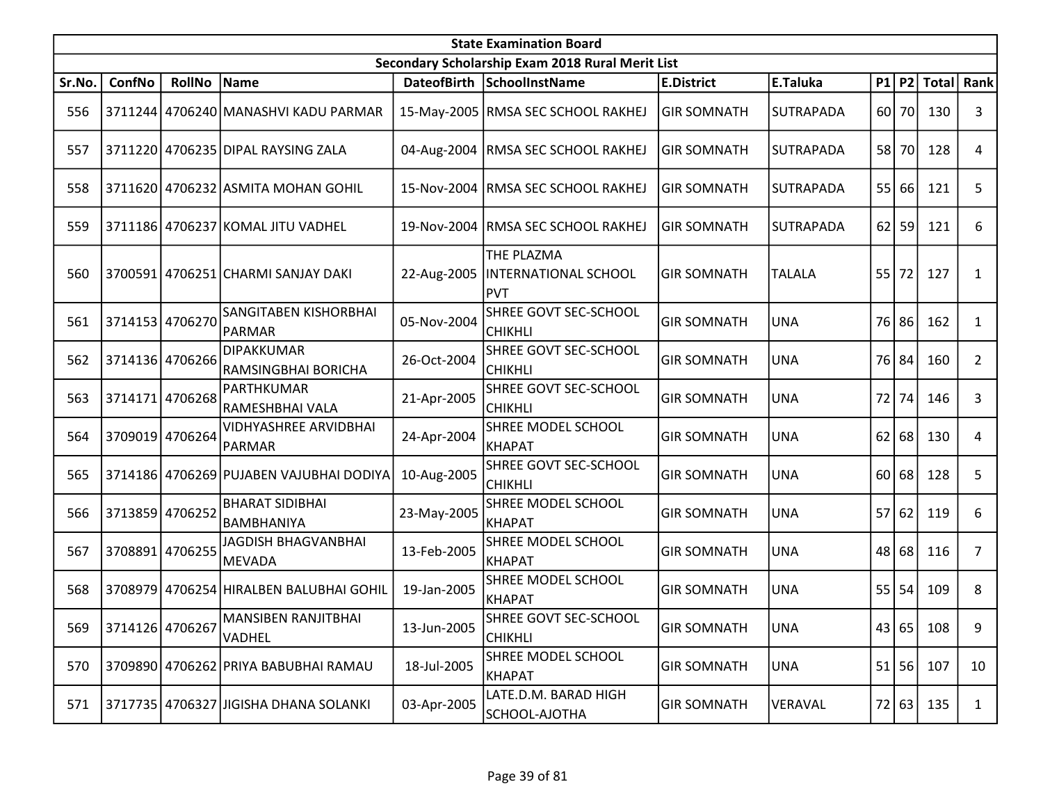|        | <b>State Examination Board</b><br>Secondary Scholarship Exam 2018 Rural Merit List |                 |                                          |             |                                                  |                    |               |    |         |                  |                |  |  |
|--------|------------------------------------------------------------------------------------|-----------------|------------------------------------------|-------------|--------------------------------------------------|--------------------|---------------|----|---------|------------------|----------------|--|--|
|        |                                                                                    |                 |                                          |             |                                                  |                    |               |    |         |                  |                |  |  |
| Sr.No. | ConfNo                                                                             | <b>RollNo</b>   | Name                                     |             | DateofBirth SchoolInstName                       | <b>E.District</b>  | E.Taluka      |    |         | P1 P2 Total Rank |                |  |  |
| 556    |                                                                                    |                 | 3711244 4706240 MANASHVI KADU PARMAR     |             | 15-May-2005   RMSA SEC SCHOOL RAKHEJ             | <b>GIR SOMNATH</b> | SUTRAPADA     |    | 60 70   | 130              | 3              |  |  |
| 557    |                                                                                    |                 | 3711220 4706235 DIPAL RAYSING ZALA       |             | 04-Aug-2004   RMSA SEC SCHOOL RAKHEJ             | <b>GIR SOMNATH</b> | SUTRAPADA     | 58 | 70      | 128              | 4              |  |  |
| 558    |                                                                                    |                 | 3711620 4706232 ASMITA MOHAN GOHIL       |             | 15-Nov-2004   RMSA SEC SCHOOL RAKHEJ             | <b>GIR SOMNATH</b> | SUTRAPADA     | 55 | 66      | 121              | 5              |  |  |
| 559    |                                                                                    |                 | 3711186 4706237 KOMAL JITU VADHEL        |             | 19-Nov-2004   RMSA SEC SCHOOL RAKHEJ             | <b>GIR SOMNATH</b> | SUTRAPADA     | 62 | 59      | 121              | 6              |  |  |
| 560    |                                                                                    |                 | 3700591 4706251 CHARMI SANJAY DAKI       | 22-Aug-2005 | THE PLAZMA<br>INTERNATIONAL SCHOOL<br><b>PVT</b> | <b>GIR SOMNATH</b> | <b>TALALA</b> | 55 | 72      | 127              | 1              |  |  |
| 561    | 3714153 4706270                                                                    |                 | <b>SANGITABEN KISHORBHAI</b><br>PARMAR   | 05-Nov-2004 | SHREE GOVT SEC-SCHOOL<br><b>CHIKHLI</b>          | <b>GIR SOMNATH</b> | <b>UNA</b>    |    | 76 86   | 162              | $\mathbf{1}$   |  |  |
| 562    |                                                                                    | 3714136 4706266 | <b>DIPAKKUMAR</b><br>RAMSINGBHAI BORICHA | 26-Oct-2004 | SHREE GOVT SEC-SCHOOL<br><b>CHIKHLI</b>          | <b>GIR SOMNATH</b> | <b>UNA</b>    |    | 76 84   | 160              | $\overline{2}$ |  |  |
| 563    | 3714171                                                                            | 4706268         | PARTHKUMAR<br>RAMESHBHAI VALA            | 21-Apr-2005 | SHREE GOVT SEC-SCHOOL<br><b>CHIKHLI</b>          | <b>GIR SOMNATH</b> | <b>UNA</b>    | 72 | 74      | 146              | 3              |  |  |
| 564    |                                                                                    | 3709019 4706264 | <b>VIDHYASHREE ARVIDBHAI</b><br>PARMAR   | 24-Apr-2004 | SHREE MODEL SCHOOL<br><b>KHAPAT</b>              | <b>GIR SOMNATH</b> | <b>UNA</b>    | 62 | 68      | 130              | 4              |  |  |
| 565    |                                                                                    |                 | 3714186 4706269 PUJABEN VAJUBHAI DODIYA  | 10-Aug-2005 | SHREE GOVT SEC-SCHOOL<br><b>CHIKHLI</b>          | <b>GIR SOMNATH</b> | <b>UNA</b>    |    | 60 68   | 128              | 5              |  |  |
| 566    |                                                                                    | 3713859 4706252 | <b>BHARAT SIDIBHAI</b><br>BAMBHANIYA     | 23-May-2005 | SHREE MODEL SCHOOL<br><b>KHAPAT</b>              | <b>GIR SOMNATH</b> | <b>UNA</b>    | 57 | 62      | 119              | 6              |  |  |
| 567    |                                                                                    | 3708891 4706255 | JAGDISH BHAGVANBHAI<br>MEVADA            | 13-Feb-2005 | SHREE MODEL SCHOOL<br><b>KHAPAT</b>              | <b>GIR SOMNATH</b> | <b>UNA</b>    |    | 48 68   | 116              | 7              |  |  |
| 568    |                                                                                    |                 | 3708979 4706254 HIRALBEN BALUBHAI GOHIL  | 19-Jan-2005 | SHREE MODEL SCHOOL<br><b>KHAPAT</b>              | <b>GIR SOMNATH</b> | <b>UNA</b>    | 55 | 54      | 109              | 8              |  |  |
| 569    | 3714126 4706267 VADHEL                                                             |                 | IMANSIBEN RANJITBHAI                     | 13-Jun-2005 | SHREE GOVT SEC-SCHOOL<br><b>CHIKHLI</b>          | <b>GIR SOMNATH</b> | <b>UNA</b>    |    | 43 65   | 108              | 9              |  |  |
| 570    |                                                                                    |                 | 3709890 4706262 PRIYA BABUBHAI RAMAU     | 18-Jul-2005 | SHREE MODEL SCHOOL<br><b>KHAPAT</b>              | <b>GIR SOMNATH</b> | <b>UNA</b>    |    | $51$ 56 | 107              | 10             |  |  |
| 571    |                                                                                    |                 | 3717735 4706327 JJJGISHA DHANA SOLANKI   | 03-Apr-2005 | LATE.D.M. BARAD HIGH<br>SCHOOL-AJOTHA            | <b>GIR SOMNATH</b> | VERAVAL       |    | 72 63   | 135              | $\mathbf{1}$   |  |  |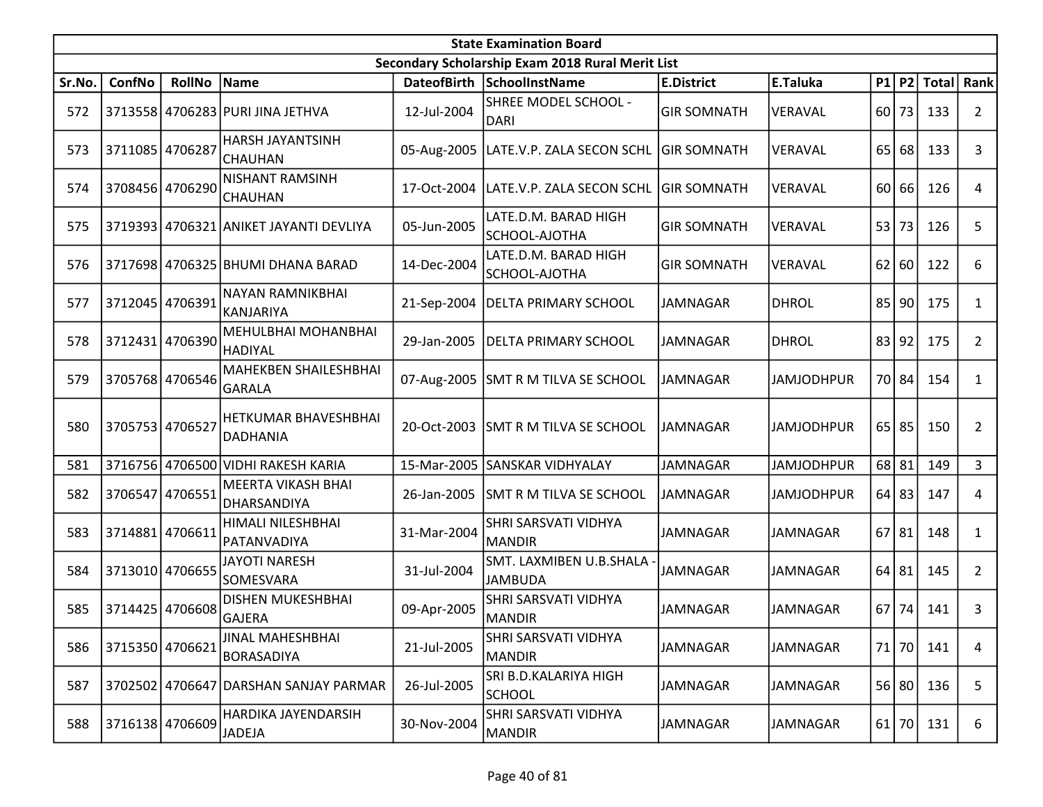|        | <b>State Examination Board</b> |                 |                                               |                    |                                                  |                    |                   |    |           |              |                |  |  |
|--------|--------------------------------|-----------------|-----------------------------------------------|--------------------|--------------------------------------------------|--------------------|-------------------|----|-----------|--------------|----------------|--|--|
|        |                                |                 |                                               |                    | Secondary Scholarship Exam 2018 Rural Merit List |                    |                   |    |           |              |                |  |  |
| Sr.No. | ConfNo                         | <b>RollNo</b>   | Name                                          | <b>DateofBirth</b> | <b>SchoolInstName</b>                            | <b>E.District</b>  | E.Taluka          |    | P1 P2     | <b>Total</b> | Rank           |  |  |
| 572    |                                |                 | 3713558 4706283 PURI JINA JETHVA              | 12-Jul-2004        | SHREE MODEL SCHOOL -<br><b>DARI</b>              | <b>GIR SOMNATH</b> | VERAVAL           | 60 | 73        | 133          | $\overline{2}$ |  |  |
| 573    | 3711085 4706287                |                 | HARSH JAYANTSINH<br><b>CHAUHAN</b>            |                    | 05-Aug-2005   LATE.V.P. ZALA SECON SCHL          | <b>GIR SOMNATH</b> | VERAVAL           | 65 | 68        | 133          | 3              |  |  |
| 574    |                                | 3708456 4706290 | <b>NISHANT RAMSINH</b><br><b>CHAUHAN</b>      | 17-Oct-2004        | LATE.V.P. ZALA SECON SCHL  GIR SOMNATH           |                    | VERAVAL           | 60 | 66        | 126          | 4              |  |  |
| 575    |                                |                 | 3719393 4706321 ANIKET JAYANTI DEVLIYA        | 05-Jun-2005        | LATE.D.M. BARAD HIGH<br>SCHOOL-AJOTHA            | <b>GIR SOMNATH</b> | VERAVAL           | 53 | 73        | 126          | 5              |  |  |
| 576    |                                |                 | 3717698 4706325 BHUMI DHANA BARAD             | 14-Dec-2004        | LATE.D.M. BARAD HIGH<br>SCHOOL-AJOTHA            | <b>GIR SOMNATH</b> | VERAVAL           |    | 62 60     | 122          | 6              |  |  |
| 577    | 3712045                        | 4706391         | NAYAN RAMNIKBHAI<br><b>KANJARIYA</b>          | 21-Sep-2004        | DELTA PRIMARY SCHOOL                             | JAMNAGAR           | <b>DHROL</b>      | 85 | 90        | 175          | 1              |  |  |
| 578    |                                | 3712431 4706390 | <b>MEHULBHAI MOHANBHAI</b><br> HADIYAL        | 29-Jan-2005        | <b>DELTA PRIMARY SCHOOL</b>                      | <b>JAMNAGAR</b>    | <b>DHROL</b>      | 83 | 92        | 175          | $\overline{2}$ |  |  |
| 579    |                                | 3705768 4706546 | <b>MAHEKBEN SHAILESHBHAI</b><br><b>GARALA</b> |                    | 07-Aug-2005 SMT R M TILVA SE SCHOOL              | JAMNAGAR           | <b>JAMJODHPUR</b> |    | 70 84     | 154          | $\mathbf{1}$   |  |  |
| 580    | 3705753 4706527                |                 | HETKUMAR BHAVESHBHAI<br><b>DADHANIA</b>       |                    | 20-Oct-2003 SMT R M TILVA SE SCHOOL              | JAMNAGAR           | <b>JAMJODHPUR</b> |    | $65$   85 | 150          | $\overline{2}$ |  |  |
| 581    |                                |                 | 3716756 4706500 VIDHI RAKESH KARIA            | 15-Mar-2005        | SANSKAR VIDHYALAY                                | <b>JAMNAGAR</b>    | <b>JAMJODHPUR</b> |    | 68 81     | 149          | 3              |  |  |
| 582    | 3706547                        | 4706551         | MEERTA VIKASH BHAI<br>DHARSANDIYA             | 26-Jan-2005        | SMT R M TILVA SE SCHOOL                          | JAMNAGAR           | <b>JAMJODHPUR</b> |    | $64$   83 | 147          | 4              |  |  |
| 583    |                                | 3714881 4706611 | HIMALI NILESHBHAI<br>PATANVADIYA              | 31-Mar-2004        | SHRI SARSVATI VIDHYA<br><b>MANDIR</b>            | <b>JAMNAGAR</b>    | <b>JAMNAGAR</b>   | 67 | 81        | 148          | $\mathbf{1}$   |  |  |
| 584    |                                | 3713010 4706655 | <b>JAYOTI NARESH</b><br>SOMESVARA             | 31-Jul-2004        | SMT. LAXMIBEN U.B.SHALA<br><b>JAMBUDA</b>        | <b>JAMNAGAR</b>    | <b>JAMNAGAR</b>   | 64 | 81        | 145          | $\overline{2}$ |  |  |
| 585    |                                | 3714425 4706608 | <b>DISHEN MUKESHBHAI</b><br><b>GAJERA</b>     | 09-Apr-2005        | SHRI SARSVATI VIDHYA<br><b>MANDIR</b>            | <b>JAMNAGAR</b>    | <b>JAMNAGAR</b>   |    | $67$   74 | 141          | 3              |  |  |
| 586    | 3715350 4706621                |                 | JINAL MAHESHBHAI<br><b>BORASADIYA</b>         | 21-Jul-2005        | SHRI SARSVATI VIDHYA<br><b>MANDIR</b>            | JAMNAGAR           | JAMNAGAR          | 71 | 70        | 141          | 4              |  |  |
| 587    |                                |                 | 3702502 4706647 DARSHAN SANJAY PARMAR         | 26-Jul-2005        | SRI B.D.KALARIYA HIGH<br><b>SCHOOL</b>           | JAMNAGAR           | <b>JAMNAGAR</b>   |    | 56 80     | 136          | 5              |  |  |
| 588    |                                | 3716138 4706609 | HARDIKA JAYENDARSIH<br><b>JADEJA</b>          | 30-Nov-2004        | SHRI SARSVATI VIDHYA<br><b>MANDIR</b>            | JAMNAGAR           | JAMNAGAR          |    | $61$   70 | 131          | 6              |  |  |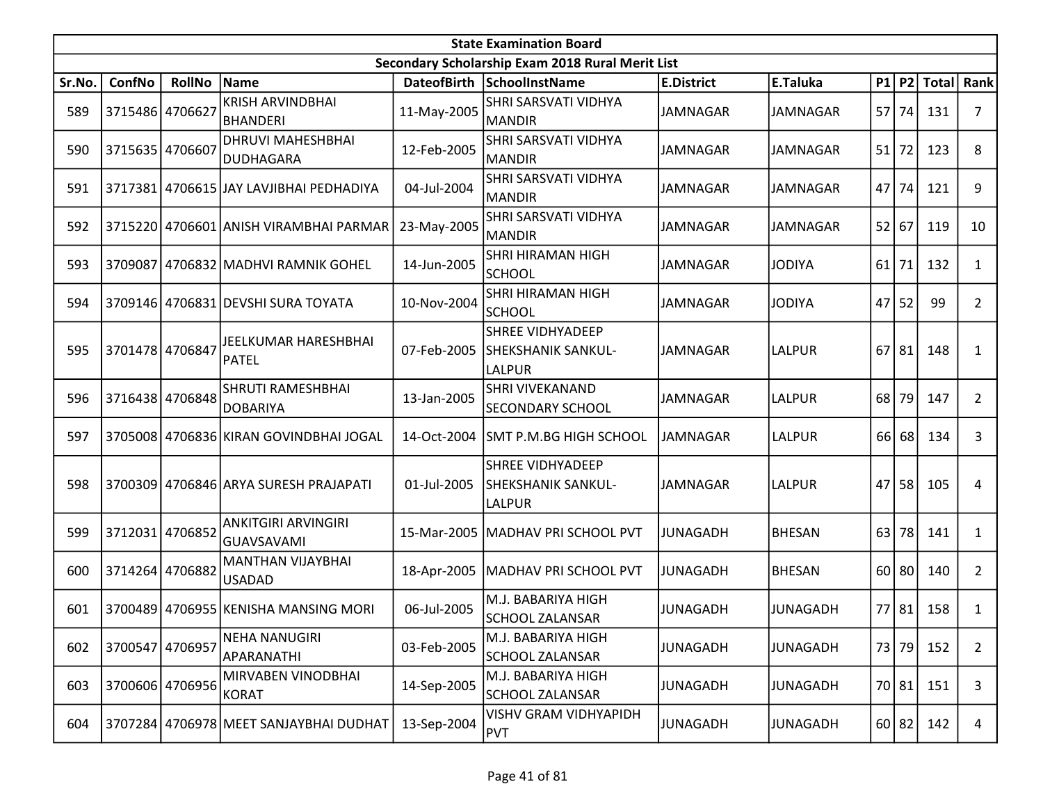|        | <b>State Examination Board</b> |                 |                                              |             |                                                         |                   |                 |    |           |             |                |  |  |
|--------|--------------------------------|-----------------|----------------------------------------------|-------------|---------------------------------------------------------|-------------------|-----------------|----|-----------|-------------|----------------|--|--|
|        |                                |                 |                                              |             | Secondary Scholarship Exam 2018 Rural Merit List        |                   |                 |    |           |             |                |  |  |
| Sr.No. | ConfNo                         | <b>RollNo</b>   | Name                                         |             | DateofBirth SchoolInstName                              | <b>E.District</b> | E.Taluka        |    |           | P1 P2 Total | Rank           |  |  |
| 589    | 3715486 4706627                |                 | <b>KRISH ARVINDBHAI</b><br>BHANDERI          | 11-May-2005 | SHRI SARSVATI VIDHYA<br><b>MANDIR</b>                   | <b>JAMNAGAR</b>   | <b>JAMNAGAR</b> |    | 57 74     | 131         | 7              |  |  |
| 590    | 3715635 4706607                |                 | <b>DHRUVI MAHESHBHAI</b><br><b>DUDHAGARA</b> | 12-Feb-2005 | SHRI SARSVATI VIDHYA<br><b>MANDIR</b>                   | <b>JAMNAGAR</b>   | <b>JAMNAGAR</b> | 51 | 72        | 123         | 8              |  |  |
| 591    |                                |                 | 3717381 4706615 JAY LAVJIBHAI PEDHADIYA      | 04-Jul-2004 | <b>SHRI SARSVATI VIDHYA</b><br><b>MANDIR</b>            | JAMNAGAR          | <b>JAMNAGAR</b> | 47 | 74        | 121         | 9              |  |  |
| 592    |                                |                 | 3715220 4706601 ANISH VIRAMBHAI PARMAR       | 23-May-2005 | SHRI SARSVATI VIDHYA<br><b>MANDIR</b>                   | <b>JAMNAGAR</b>   | <b>JAMNAGAR</b> | 52 | 67        | 119         | 10             |  |  |
| 593    | 3709087                        |                 | 4706832 MADHVI RAMNIK GOHEL                  | 14-Jun-2005 | <b>SHRI HIRAMAN HIGH</b><br><b>SCHOOL</b>               | <b>JAMNAGAR</b>   | <b>JODIYA</b>   | 61 | 71        | 132         | $\mathbf{1}$   |  |  |
| 594    |                                |                 | 3709146 4706831 DEVSHI SURA TOYATA           | 10-Nov-2004 | SHRI HIRAMAN HIGH<br><b>SCHOOL</b>                      | JAMNAGAR          | <b>JODIYA</b>   | 47 | 52        | 99          | $\overline{2}$ |  |  |
| 595    | 3701478 4706847                |                 | JEELKUMAR HARESHBHAI<br>PATEL                | 07-Feb-2005 | <b>SHREE VIDHYADEEP</b><br>SHEKSHANIK SANKUL-<br>LALPUR | JAMNAGAR          | <b>LALPUR</b>   | 67 | 81        | 148         | 1              |  |  |
| 596    |                                | 3716438 4706848 | SHRUTI RAMESHBHAI<br><b>DOBARIYA</b>         | 13-Jan-2005 | <b>SHRI VIVEKANAND</b><br><b>SECONDARY SCHOOL</b>       | <b>JAMNAGAR</b>   | <b>LALPUR</b>   | 68 | 79        | 147         | $\overline{2}$ |  |  |
| 597    |                                |                 | 3705008 4706836 KIRAN GOVINDBHAI JOGAL       | 14-Oct-2004 | SMT P.M.BG HIGH SCHOOL                                  | <b>JAMNAGAR</b>   | <b>LALPUR</b>   | 66 | 68        | 134         | 3              |  |  |
| 598    | 3700309                        |                 | 4706846   ARYA SURESH PRAJAPATI              | 01-Jul-2005 | <b>SHREE VIDHYADEEP</b><br>SHEKSHANIK SANKUL-<br>LALPUR | <b>JAMNAGAR</b>   | <b>LALPUR</b>   | 47 | 58        | 105         | 4              |  |  |
| 599    | 3712031 4706852                |                 | ANKITGIRI ARVINGIRI<br><b>GUAVSAVAMI</b>     | 15-Mar-2005 | MADHAV PRI SCHOOL PVT                                   | <b>JUNAGADH</b>   | <b>BHESAN</b>   | 63 | 78        | 141         | $\mathbf{1}$   |  |  |
| 600    |                                | 3714264 4706882 | <b>MANTHAN VIJAYBHAI</b><br><b>USADAD</b>    | 18-Apr-2005 | MADHAV PRI SCHOOL PVT                                   | JUNAGADH          | <b>BHESAN</b>   |    | $60$   80 | 140         | $\overline{2}$ |  |  |
| 601    |                                |                 | 3700489 4706955 KENISHA MANSING MORI         | 06-Jul-2005 | M.J. BABARIYA HIGH<br><b>SCHOOL ZALANSAR</b>            | JUNAGADH          | <b>JUNAGADH</b> |    | 77 81     | 158         | 1              |  |  |
| 602    | 3700547                        | 4706957         | <b>NEHA NANUGIRI</b><br>APARANATHI           | 03-Feb-2005 | M.J. BABARIYA HIGH<br><b>SCHOOL ZALANSAR</b>            | <b>JUNAGADH</b>   | <b>JUNAGADH</b> |    | 73 79     | 152         | $\overline{2}$ |  |  |
| 603    |                                | 3700606 4706956 | MIRVABEN VINODBHAI<br><b>KORAT</b>           | 14-Sep-2005 | M.J. BABARIYA HIGH<br><b>SCHOOL ZALANSAR</b>            | JUNAGADH          | <b>JUNAGADH</b> |    | 70 81     | 151         | 3              |  |  |
| 604    |                                |                 | 3707284 4706978 MEET SANJAYBHAI DUDHAT       | 13-Sep-2004 | <b>VISHV GRAM VIDHYAPIDH</b><br>PVT                     | JUNAGADH          | <b>JUNAGADH</b> |    | 60 82     | 142         | 4              |  |  |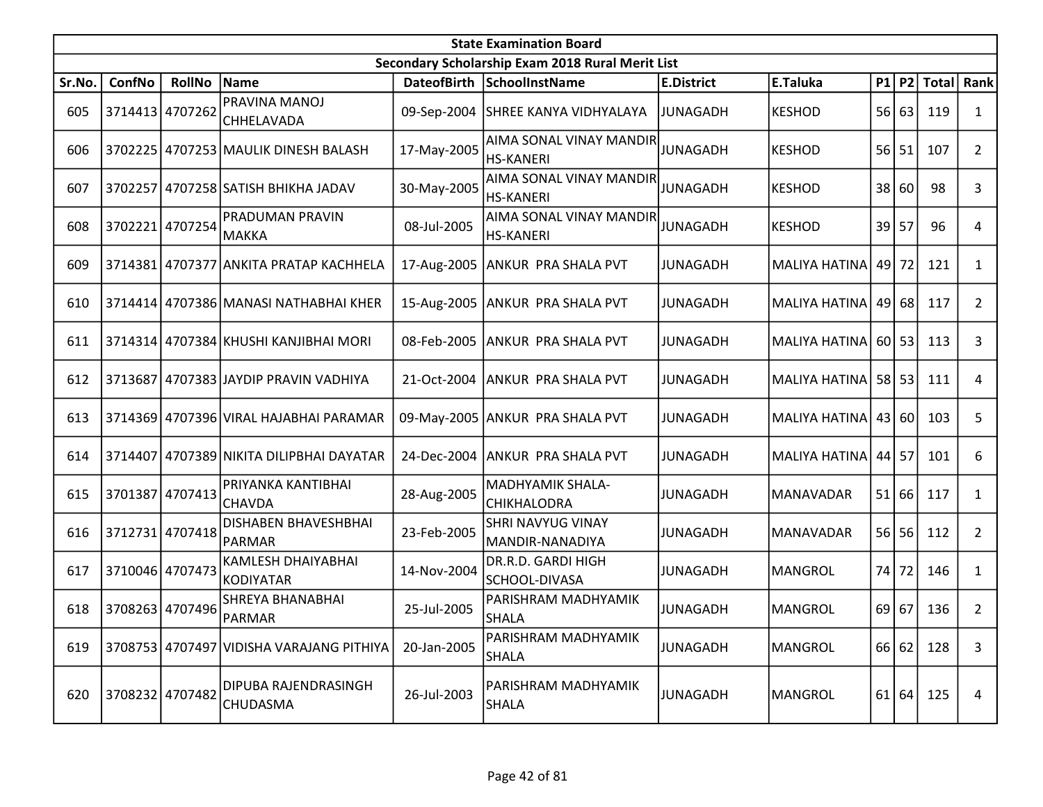|        | <b>State Examination Board</b><br>Secondary Scholarship Exam 2018 Rural Merit List |                 |                                          |                    |                                             |                   |                         |           |         |       |                |  |  |
|--------|------------------------------------------------------------------------------------|-----------------|------------------------------------------|--------------------|---------------------------------------------|-------------------|-------------------------|-----------|---------|-------|----------------|--|--|
|        |                                                                                    |                 |                                          |                    |                                             |                   |                         |           |         |       |                |  |  |
| Sr.No. | ConfNo                                                                             | <b>RollNo</b>   | Name                                     | <b>DateofBirth</b> | SchoolInstName                              | <b>E.District</b> | E.Taluka                |           | P1 P2   | Total | Rank           |  |  |
| 605    |                                                                                    | 3714413 4707262 | PRAVINA MANOJ<br><b>CHHELAVADA</b>       |                    | 09-Sep-2004 SHREE KANYA VIDHYALAYA          | <b>JUNAGADH</b>   | <b>KESHOD</b>           | 56        | 63      | 119   | 1              |  |  |
| 606    |                                                                                    |                 | 3702225   4707253   MAULIK DINESH BALASH | 17-May-2005        | AIMA SONAL VINAY MANDIR<br><b>HS-KANERI</b> | <b>JUNAGADH</b>   | <b>KESHOD</b>           | <b>56</b> | 51      | 107   | $\overline{2}$ |  |  |
| 607    | 3702257                                                                            |                 | 4707258 SATISH BHIKHA JADAV              | 30-May-2005        | AIMA SONAL VINAY MANDIR<br><b>HS-KANERI</b> | JUNAGADH          | <b>KESHOD</b>           | 38        | 60      | 98    | 3              |  |  |
| 608    | 3702221                                                                            | 4707254         | PRADUMAN PRAVIN<br>MAKKA                 | 08-Jul-2005        | AIMA SONAL VINAY MANDIR<br><b>HS-KANERI</b> | <b>JUNAGADH</b>   | <b>KESHOD</b>           | 39        | 57      | 96    | 4              |  |  |
| 609    |                                                                                    |                 | 3714381 4707377 ANKITA PRATAP KACHHELA   | 17-Aug-2005        | ANKUR PRA SHALA PVT                         | <b>JUNAGADH</b>   | <b>MALIYA HATINA</b>    |           | 49 72   | 121   | $\mathbf{1}$   |  |  |
| 610    | 3714414                                                                            |                 | 4707386 MANASI NATHABHAI KHER            | 15-Aug-2005        | ANKUR PRA SHALA PVT                         | JUNAGADH          | <b>MALIYA HATINA</b>    | 49        | 68      | 117   | $\overline{2}$ |  |  |
| 611    |                                                                                    |                 | 3714314 4707384 KHUSHI KANJIBHAI MORI    | 08-Feb-2005        | ANKUR PRA SHALA PVT                         | <b>JUNAGADH</b>   | MALIYA HATINA 60 53     |           |         | 113   | 3              |  |  |
| 612    |                                                                                    |                 | 3713687 4707383 JAYDIP PRAVIN VADHIYA    | 21-Oct-2004        | <b>ANKUR PRA SHALA PVT</b>                  | JUNAGADH          | MALIYA HATINA 58 53     |           |         | 111   | 4              |  |  |
| 613    |                                                                                    |                 | 3714369 4707396 VIRAL HAJABHAI PARAMAR   |                    | 09-May-2005 ANKUR PRA SHALA PVT             | <b>JUNAGADH</b>   | MALIYA HATINA   43   60 |           |         | 103   | 5              |  |  |
| 614    | 3714407                                                                            |                 | 4707389 NIKITA DILIPBHAI DAYATAR         | 24-Dec-2004        | ANKUR PRA SHALA PVT                         | <b>JUNAGADH</b>   | <b>MALIYA HATINA</b>    |           | 44 57   | 101   | 6              |  |  |
| 615    | 3701387                                                                            | 4707413         | PRIYANKA KANTIBHAI<br><b>CHAVDA</b>      | 28-Aug-2005        | MADHYAMIK SHALA-<br>CHIKHALODRA             | JUNAGADH          | MANAVADAR               | 51        | 66      | 117   | 1              |  |  |
| 616    |                                                                                    | 3712731 4707418 | DISHABEN BHAVESHBHAI<br>PARMAR           | 23-Feb-2005        | SHRI NAVYUG VINAY<br>MANDIR-NANADIYA        | <b>JUNAGADH</b>   | <b>MANAVADAR</b>        |           | $56$ 56 | 112   | $\overline{2}$ |  |  |
| 617    |                                                                                    | 3710046 4707473 | KAMLESH DHAIYABHAI<br>KODIYATAR          | 14-Nov-2004        | DR.R.D. GARDI HIGH<br>SCHOOL-DIVASA         | <b>JUNAGADH</b>   | <b>MANGROL</b>          | 74        | 72      | 146   | $\mathbf{1}$   |  |  |
| 618    |                                                                                    | 3708263 4707496 | SHREYA BHANABHAI<br>PARMAR               | 25-Jul-2005        | PARISHRAM MADHYAMIK<br><b>SHALA</b>         | <b>JUNAGADH</b>   | <b>MANGROL</b>          | 69 67     |         | 136   | $\overline{2}$ |  |  |
| 619    |                                                                                    |                 | 3708753 4707497 VIDISHA VARAJANG PITHIYA | 20-Jan-2005        | PARISHRAM MADHYAMIK<br><b>SHALA</b>         | <b>JUNAGADH</b>   | <b>MANGROL</b>          |           | 66 62   | 128   | 3              |  |  |
| 620    |                                                                                    | 3708232 4707482 | DIPUBA RAJENDRASINGH<br>CHUDASMA         | 26-Jul-2003        | PARISHRAM MADHYAMIK<br><b>SHALA</b>         | <b>JUNAGADH</b>   | <b>MANGROL</b>          |           | 61 64   | 125   | 4              |  |  |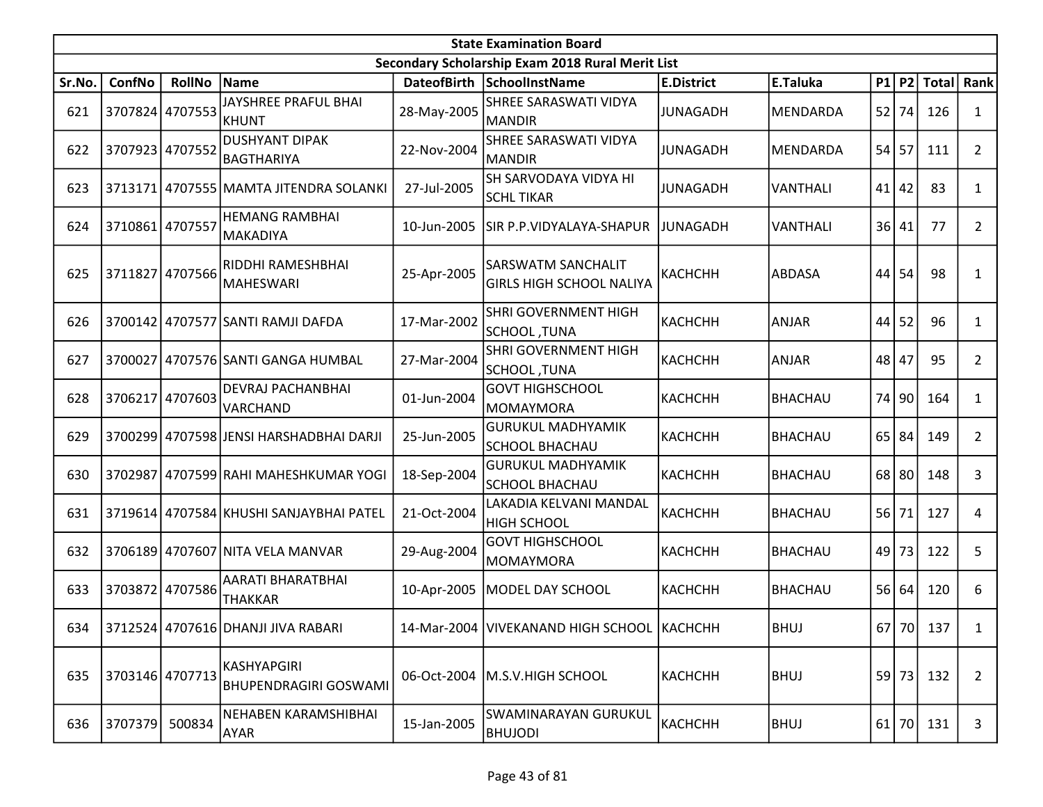|        | <b>State Examination Board</b> |                 |                                             |             |                                                       |                   |                 |       |           |               |                |  |  |
|--------|--------------------------------|-----------------|---------------------------------------------|-------------|-------------------------------------------------------|-------------------|-----------------|-------|-----------|---------------|----------------|--|--|
|        |                                |                 |                                             |             | Secondary Scholarship Exam 2018 Rural Merit List      |                   |                 |       |           |               |                |  |  |
| Sr.No. | <b>ConfNo</b>                  | <b>RollNo</b>   | Name                                        |             | DateofBirth SchoolInstName                            | <b>E.District</b> | E.Taluka        | P1    |           | P2 Total Rank |                |  |  |
| 621    |                                | 3707824 4707553 | JAYSHREE PRAFUL BHAI<br>KHUNT               | 28-May-2005 | SHREE SARASWATI VIDYA<br><b>MANDIR</b>                | <b>JUNAGADH</b>   | MENDARDA        | 52    | 74        | 126           | 1              |  |  |
| 622    | 3707923 4707552                |                 | DUSHYANT DIPAK<br>BAGTHARIYA                | 22-Nov-2004 | SHREE SARASWATI VIDYA<br><b>MANDIR</b>                | <b>JUNAGADH</b>   | MENDARDA        | 54    | 57        | 111           | $\overline{2}$ |  |  |
| 623    |                                |                 | 3713171 4707555 MAMTA JITENDRA SOLANKI      | 27-Jul-2005 | SH SARVODAYA VIDYA HI<br><b>SCHL TIKAR</b>            | <b>JUNAGADH</b>   | <b>VANTHALI</b> | 41    | 42        | 83            | $\mathbf{1}$   |  |  |
| 624    | 3710861                        | 4707557         | <b>HEMANG RAMBHAI</b><br><b>MAKADIYA</b>    | 10-Jun-2005 | SIR P.P.VIDYALAYA-SHAPUR                              | <b>JUNAGADH</b>   | <b>VANTHALI</b> | 36    | 41        | 77            | $\overline{2}$ |  |  |
| 625    | 3711827                        | 4707566         | IRIDDHI RAMESHBHAI<br>MAHESWARI             | 25-Apr-2005 | SARSWATM SANCHALIT<br><b>GIRLS HIGH SCHOOL NALIYA</b> | <b>КАСНСНН</b>    | <b>ABDASA</b>   | 44    | 54        | 98            | 1              |  |  |
| 626    |                                |                 | 3700142 4707577 SANTI RAMJI DAFDA           | 17-Mar-2002 | SHRI GOVERNMENT HIGH<br>SCHOOL, TUNA                  | КАСНСНН           | <b>ANJAR</b>    | 44    | 52        | 96            | 1              |  |  |
| 627    | 3700027                        |                 | 4707576 SANTI GANGA HUMBAL                  | 27-Mar-2004 | SHRI GOVERNMENT HIGH<br>SCHOOL, TUNA                  | КАСНСНН           | <b>ANJAR</b>    | 48    | 47        | 95            | $\overline{2}$ |  |  |
| 628    | 3706217                        | 4707603         | <b>DEVRAJ PACHANBHAI</b><br>VARCHAND        | 01-Jun-2004 | <b>GOVT HIGHSCHOOL</b><br><b>MOMAYMORA</b>            | КАСНСНН           | <b>BHACHAU</b>  | 74 90 |           | 164           | 1              |  |  |
| 629    |                                |                 | 3700299 4707598 JENSI HARSHADBHAI DARJI     | 25-Jun-2005 | <b>GURUKUL MADHYAMIK</b><br><b>SCHOOL BHACHAU</b>     | KACHCHH           | <b>BHACHAU</b>  | 65    | 84        | 149           | $\overline{2}$ |  |  |
| 630    | 3702987                        |                 | 4707599 RAHI MAHESHKUMAR YOGI               | 18-Sep-2004 | <b>GURUKUL MADHYAMIK</b><br><b>SCHOOL BHACHAU</b>     | КАСНСНН           | <b>BHACHAU</b>  | 68    | 80        | 148           | 3              |  |  |
| 631    |                                |                 | 3719614 4707584 KHUSHI SANJAYBHAI PATEL     | 21-Oct-2004 | LAKADIA KELVANI MANDAL<br><b>HIGH SCHOOL</b>          | <b>КАСНСНН</b>    | <b>BHACHAU</b>  | 56    | 71        | 127           | 4              |  |  |
| 632    |                                |                 | 3706189 4707607 NITA VELA MANVAR            | 29-Aug-2004 | <b>GOVT HIGHSCHOOL</b><br><b>MOMAYMORA</b>            | КАСНСНН           | <b>BHACHAU</b>  | 49    | 73        | 122           | 5              |  |  |
| 633    |                                | 3703872 4707586 | AARATI BHARATBHAI<br><b>THAKKAR</b>         | 10-Apr-2005 | MODEL DAY SCHOOL                                      | КАСНСНН           | <b>BHACHAU</b>  | 56 64 |           | 120           | 6              |  |  |
| 634    |                                |                 | 3712524 4707616 DHANJI JIVA RABARI          |             | 14-Mar-2004   VIVEKANAND HIGH SCHOOL   KACHCHH        |                   | <b>BHUJ</b>     |       |           | 67 70 137     | 1              |  |  |
| 635    | 3703146 4707713                |                 | KASHYAPGIRI<br><b>BHUPENDRAGIRI GOSWAMI</b> | 06-Oct-2004 | M.S.V.HIGH SCHOOL                                     | KACHCHH           | <b>BHUJ</b>     |       | 59 73     | 132           | $\overline{2}$ |  |  |
| 636    | 3707379                        | 500834          | NEHABEN KARAMSHIBHAI<br><b>AYAR</b>         | 15-Jan-2005 | SWAMINARAYAN GURUKUL<br><b>BHUJODI</b>                | КАСНСНН           | BHUJ            |       | $61$   70 | 131           | 3              |  |  |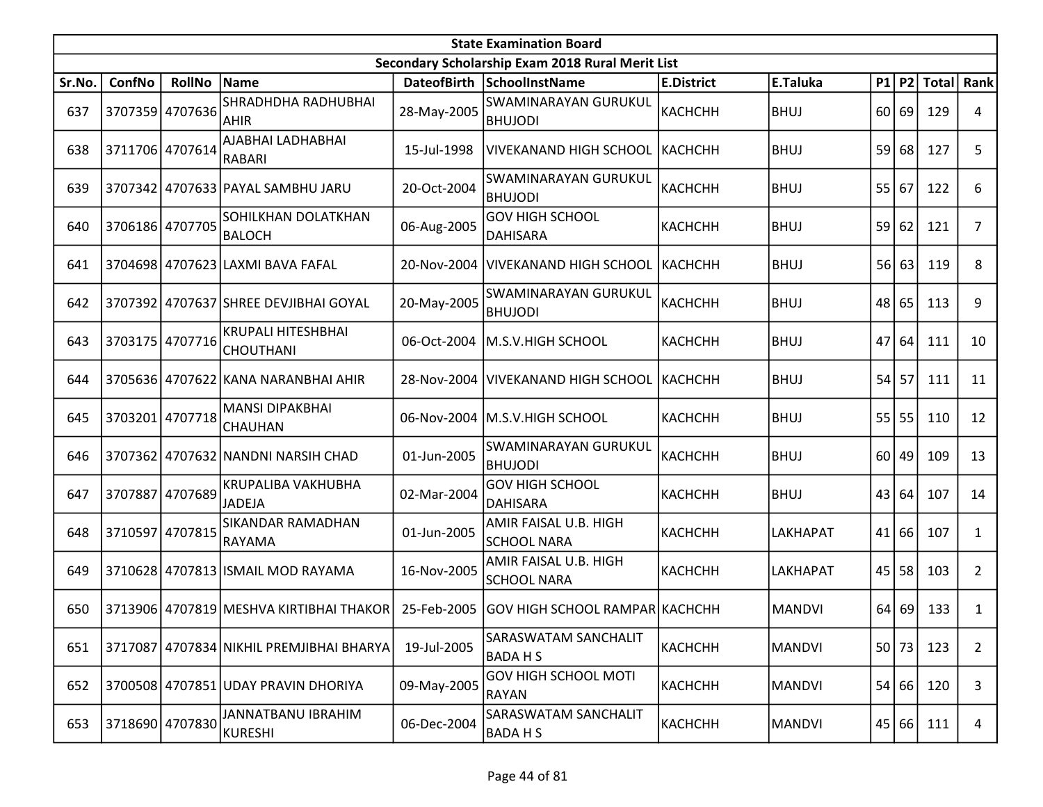|        | <b>State Examination Board</b> |                 |                                               |                    |                                                  |                   |                 |           |       |              |                |  |  |
|--------|--------------------------------|-----------------|-----------------------------------------------|--------------------|--------------------------------------------------|-------------------|-----------------|-----------|-------|--------------|----------------|--|--|
|        |                                |                 |                                               |                    | Secondary Scholarship Exam 2018 Rural Merit List |                   |                 |           |       |              |                |  |  |
| Sr.No. | ConfNo                         | <b>RollNo</b>   | Name                                          | <b>DateofBirth</b> | SchoolInstName                                   | <b>E.District</b> | E.Taluka        |           | P1 P2 | <b>Total</b> | Rank           |  |  |
| 637    |                                | 3707359 4707636 | SHRADHDHA RADHUBHAI<br> AHIR                  | 28-May-2005        | SWAMINARAYAN GURUKUL<br><b>BHUJODI</b>           | КАСНСНН           | <b>BHUJ</b>     | 60 l      | 69    | 129          | 4              |  |  |
| 638    |                                | 3711706 4707614 | AJABHAI LADHABHAI<br>RABARI                   | 15-Jul-1998        | <b>VIVEKANAND HIGH SCHOOL KACHCHH</b>            |                   | <b>BHUJ</b>     | 59        | 68    | 127          | 5              |  |  |
| 639    |                                |                 | 3707342 4707633 PAYAL SAMBHU JARU             | 20-Oct-2004        | SWAMINARAYAN GURUKUL<br><b>BHUJODI</b>           | Ікаснснн          | <b>BHUJ</b>     | 55        | 67    | 122          | 6              |  |  |
| 640    |                                | 3706186 4707705 | SOHILKHAN DOLATKHAN<br><b>BALOCH</b>          | 06-Aug-2005        | <b>GOV HIGH SCHOOL</b><br><b>DAHISARA</b>        | KACHCHH           | <b>BHUJ</b>     | 59        | 62    | 121          | $\overline{7}$ |  |  |
| 641    |                                |                 | 3704698 4707623 LAXMI BAVA FAFAL              | 20-Nov-2004        | VIVEKANAND HIGH SCHOOL                           | KACHCHH           | <b>BHUJ</b>     | <b>56</b> | 63    | 119          | 8              |  |  |
| 642    |                                |                 | 3707392 4707637 SHREE DEVJIBHAI GOYAL         | 20-May-2005        | SWAMINARAYAN GURUKUL<br><b>BHUJODI</b>           | КАСНСНН           | <b>BHUJ</b>     | 48        | 65    | 113          | 9              |  |  |
| 643    |                                | 3703175 4707716 | <b>KRUPALI HITESHBHAI</b><br><b>CHOUTHANI</b> |                    | 06-Oct-2004 M.S.V.HIGH SCHOOL                    | KACHCHH           | <b>BHUJ</b>     | 47        | 64    | 111          | 10             |  |  |
| 644    |                                |                 | 3705636 4707622 KANA NARANBHAI AHIR           |                    | 28-Nov-2004   VIVEKANAND HIGH SCHOOL             | KACHCHH           | <b>BHUJ</b>     | 54        | 57    | 111          | 11             |  |  |
| 645    |                                | 3703201 4707718 | <b>MANSI DIPAKBHAI</b><br><b>CHAUHAN</b>      |                    | 06-Nov-2004 M.S.V.HIGH SCHOOL                    | КАСНСНН           | <b>BHUJ</b>     | 55        | 55    | 110          | 12             |  |  |
| 646    |                                |                 | 3707362 4707632 NANDNI NARSIH CHAD            | 01-Jun-2005        | SWAMINARAYAN GURUKUL<br><b>BHUJODI</b>           | КАСНСНН           | <b>BHUJ</b>     | 60        | 49    | 109          | 13             |  |  |
| 647    | 3707887                        | 4707689         | KRUPALIBA VAKHUBHA<br><b>JADEJA</b>           | 02-Mar-2004        | <b>GOV HIGH SCHOOL</b><br><b>DAHISARA</b>        | KACHCHH           | <b>BHUJ</b>     |           | 43 64 | 107          | 14             |  |  |
| 648    | 3710597 4707815                |                 | SIKANDAR RAMADHAN<br>RAYAMA                   | 01-Jun-2005        | AMIR FAISAL U.B. HIGH<br><b>SCHOOL NARA</b>      | KACHCHH           | <b>LAKHAPAT</b> | 41        | 66    | 107          | $\mathbf{1}$   |  |  |
| 649    |                                |                 | 3710628 4707813 ISMAIL MOD RAYAMA             | 16-Nov-2005        | AMIR FAISAL U.B. HIGH<br><b>SCHOOL NARA</b>      | КАСНСНН           | <b>LAKHAPAT</b> | 45        | 58    | 103          | $\overline{2}$ |  |  |
| 650    |                                |                 | 3713906 4707819 MESHVA KIRTIBHAI THAKOR       |                    | 25-Feb-2005 GOV HIGH SCHOOL RAMPAR KACHCHH       |                   | <b>MANDVI</b>   | 64        | -69   | 133          | $\mathbf{1}$   |  |  |
| 651    |                                |                 | 3717087 4707834 NIKHIL PREMJIBHAI BHARYA      | 19-Jul-2005        | SARASWATAM SANCHALIT<br><b>BADAHS</b>            | КАСНСНН           | <b>MANDVI</b>   |           | 50 73 | 123          | $\overline{2}$ |  |  |
| 652    |                                |                 | 3700508 4707851 UDAY PRAVIN DHORIYA           | 09-May-2005        | <b>GOV HIGH SCHOOL MOTI</b><br><b>RAYAN</b>      | <b>КАСНСНН</b>    | <b>MANDVI</b>   | 54        | 66    | 120          | 3              |  |  |
| 653    |                                | 3718690 4707830 | JANNATBANU IBRAHIM<br>KURESHI                 | 06-Dec-2004        | SARASWATAM SANCHALIT<br><b>BADAHS</b>            | <b>КАСНСНН</b>    | <b>MANDVI</b>   |           | 45 66 | 111          | 4              |  |  |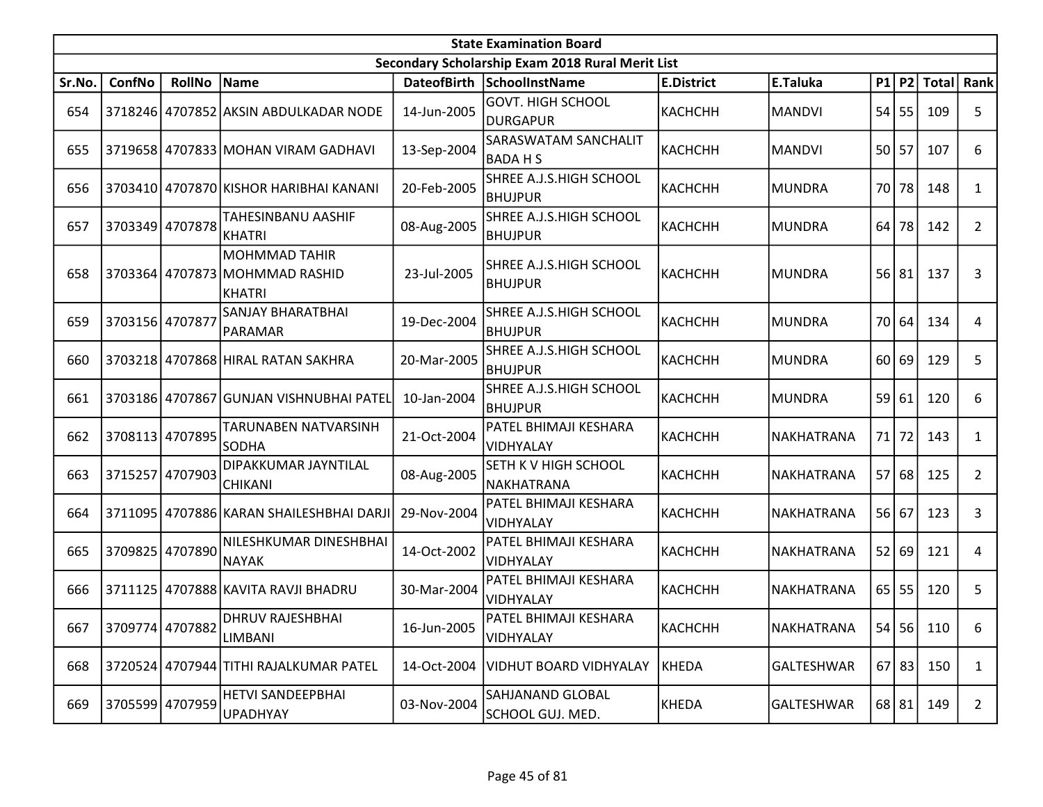|        | <b>State Examination Board</b> |                 |                                                                  |             |                                                  |                   |                   |      |           |             |                |  |  |
|--------|--------------------------------|-----------------|------------------------------------------------------------------|-------------|--------------------------------------------------|-------------------|-------------------|------|-----------|-------------|----------------|--|--|
|        |                                |                 |                                                                  |             | Secondary Scholarship Exam 2018 Rural Merit List |                   |                   |      |           |             |                |  |  |
| Sr.No. | ConfNo                         | <b>RollNo</b>   | Name                                                             |             | DateofBirth SchoolInstName                       | <b>E.District</b> | E.Taluka          |      |           | P1 P2 Total | Rank           |  |  |
| 654    |                                |                 | 3718246 4707852 AKSIN ABDULKADAR NODE                            | 14-Jun-2005 | <b>GOVT. HIGH SCHOOL</b><br><b>DURGAPUR</b>      | KACHCHH           | <b>MANDVI</b>     | 54   | 55        | 109         | 5              |  |  |
| 655    |                                |                 | 3719658 4707833 MOHAN VIRAM GADHAVI                              | 13-Sep-2004 | SARASWATAM SANCHALIT<br><b>BADAHS</b>            | КАСНСНН           | <b>MANDVI</b>     |      | 50 57     | 107         | 6              |  |  |
| 656    |                                |                 | 3703410 4707870 KISHOR HARIBHAI KANANI                           | 20-Feb-2005 | SHREE A.J.S.HIGH SCHOOL<br><b>BHUJPUR</b>        | КАСНСНН           | MUNDRA            | 70   | 78        | 148         | $\mathbf{1}$   |  |  |
| 657    |                                | 3703349 4707878 | TAHESINBANU AASHIF<br><b>KHATRI</b>                              | 08-Aug-2005 | SHREE A.J.S.HIGH SCHOOL<br><b>BHUJPUR</b>        | KACHCHH           | MUNDRA            | 64   | 78        | 142         | $\overline{2}$ |  |  |
| 658    |                                |                 | <b>MOHMMAD TAHIR</b><br>3703364 4707873 MOHMMAD RASHID<br>KHATRI | 23-Jul-2005 | SHREE A.J.S.HIGH SCHOOL<br><b>BHUJPUR</b>        | KACHCHH           | MUNDRA            | 56   | 81        | 137         | 3              |  |  |
| 659    | 3703156 4707877                |                 | <b>SANJAY BHARATBHAI</b><br>PARAMAR                              | 19-Dec-2004 | SHREE A.J.S.HIGH SCHOOL<br><b>BHUJPUR</b>        | КАСНСНН           | MUNDRA            | 70 l | 64        | 134         | 4              |  |  |
| 660    |                                |                 | 3703218 4707868 HIRAL RATAN SAKHRA                               | 20-Mar-2005 | SHREE A.J.S.HIGH SCHOOL<br><b>BHUJPUR</b>        | КАСНСНН           | <b>MUNDRA</b>     | 60   | 69        | 129         | 5              |  |  |
| 661    |                                |                 | 3703186 4707867 GUNJAN VISHNUBHAI PATEL                          | 10-Jan-2004 | SHREE A.J.S.HIGH SCHOOL<br><b>BHUJPUR</b>        | KACHCHH           | MUNDRA            |      | 59 61     | 120         | 6              |  |  |
| 662    |                                | 3708113 4707895 | TARUNABEN NATVARSINH<br><b>SODHA</b>                             | 21-Oct-2004 | PATEL BHIMAJI KESHARA<br>VIDHYALAY               | КАСНСНН           | NAKHATRANA        | 71   | 72        | 143         | 1              |  |  |
| 663    |                                | 3715257 4707903 | DIPAKKUMAR JAYNTILAL<br><b>CHIKANI</b>                           | 08-Aug-2005 | SETH K V HIGH SCHOOL<br>NAKHATRANA               | KACHCHH           | NAKHATRANA        |      | 57 68     | 125         | $\overline{2}$ |  |  |
| 664    |                                |                 | 3711095   4707886 KARAN SHAILESHBHAI DARJI                       | 29-Nov-2004 | PATEL BHIMAJI KESHARA<br><b>VIDHYALAY</b>        | KACHCHH           | NAKHATRANA        |      | 56 67     | 123         | 3              |  |  |
| 665    | 3709825                        | 4707890         | NILESHKUMAR DINESHBHAI<br><b>NAYAK</b>                           | 14-Oct-2002 | PATEL BHIMAJI KESHARA<br><b>VIDHYALAY</b>        | КАСНСНН           | NAKHATRANA        |      | 52 69     | 121         | 4              |  |  |
| 666    |                                |                 | 3711125 4707888 KAVITA RAVJI BHADRU                              | 30-Mar-2004 | PATEL BHIMAJI KESHARA<br>VIDHYALAY               | KACHCHH           | NAKHATRANA        |      | $65$   55 | 120         | 5              |  |  |
| 667    |                                | 3709774 4707882 | DHRUV RAJESHBHAI<br><b>LIMBANI</b>                               | 16-Jun-2005 | PATEL BHIMAJI KESHARA<br>VIDHYALAY               | КАСНСНН           | <b>NAKHATRANA</b> |      |           | 54 56 110   | 6              |  |  |
| 668    |                                |                 | 3720524 4707944 TITHI RAJALKUMAR PATEL                           | 14-Oct-2004 | <b>VIDHUT BOARD VIDHYALAY</b>                    | KHEDA             | <b>GALTESHWAR</b> |      | 67 83     | 150         | $\mathbf{1}$   |  |  |
| 669    |                                | 3705599 4707959 | HETVI SANDEEPBHAI<br><b>UPADHYAY</b>                             | 03-Nov-2004 | SAHJANAND GLOBAL<br>SCHOOL GUJ. MED.             | KHEDA             | <b>GALTESHWAR</b> |      | 68 81     | 149         | $\overline{2}$ |  |  |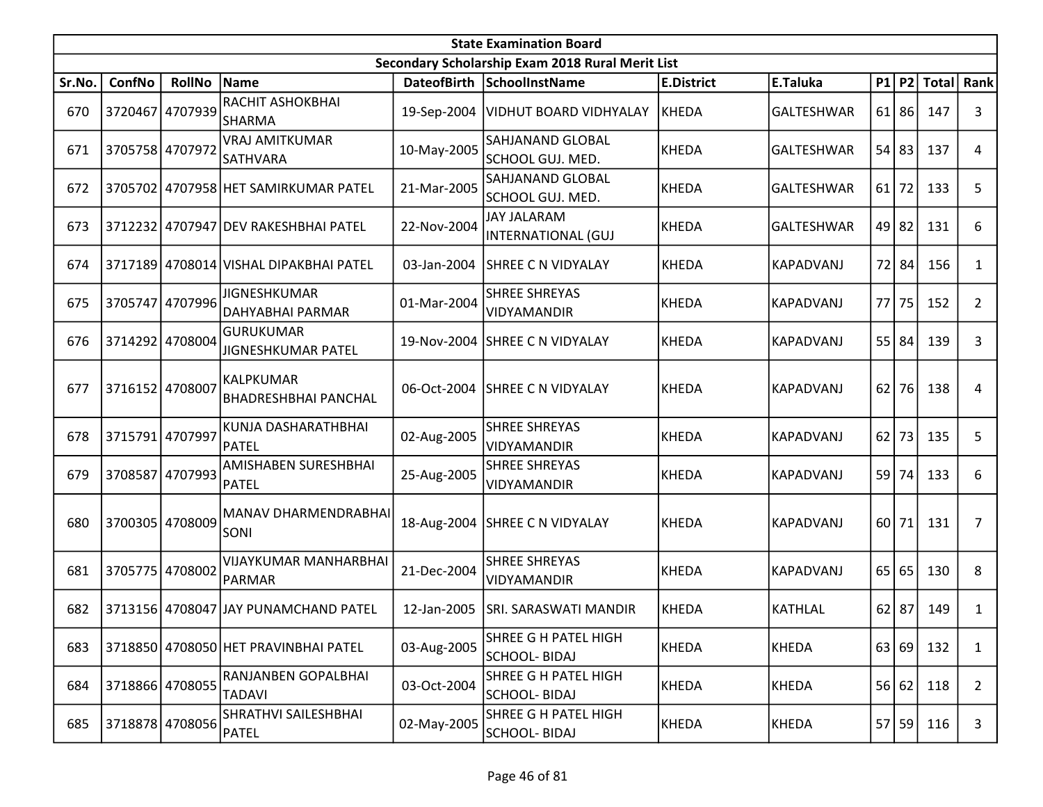|        | <b>State Examination Board</b> |                 |                                                 |             |                                                     |                   |                   |      |           |               |                |  |  |
|--------|--------------------------------|-----------------|-------------------------------------------------|-------------|-----------------------------------------------------|-------------------|-------------------|------|-----------|---------------|----------------|--|--|
|        |                                |                 |                                                 |             | Secondary Scholarship Exam 2018 Rural Merit List    |                   |                   |      |           |               |                |  |  |
| Sr.No. | ConfNo                         | <b>RollNo</b>   | <b>Name</b>                                     |             | DateofBirth SchoolInstName                          | <b>E.District</b> | E.Taluka          |      |           | $P1$ P2 Total | Rank           |  |  |
| 670    |                                | 3720467 4707939 | RACHIT ASHOKBHAI<br>SHARMA                      |             | 19-Sep-2004   VIDHUT BOARD VIDHYALAY                | KHEDA             | GALTESHWAR        | 61 l | 86        | 147           | 3              |  |  |
| 671    |                                | 3705758 4707972 | <b>VRAJ AMITKUMAR</b><br><b>SATHVARA</b>        | 10-May-2005 | SAHJANAND GLOBAL<br>SCHOOL GUJ. MED.                | KHEDA             | <b>GALTESHWAR</b> |      | $54$ 83   | 137           | 4              |  |  |
| 672    |                                |                 | 3705702 4707958 HET SAMIRKUMAR PATEL            | 21-Mar-2005 | <b>SAHJANAND GLOBAL</b><br>SCHOOL GUJ. MED.         | KHEDA             | <b>GALTESHWAR</b> | 61   | 72        | 133           | 5              |  |  |
| 673    |                                |                 | 3712232 4707947 DEV RAKESHBHAI PATEL            | 22-Nov-2004 | <b>JAY JALARAM</b><br>INTERNATIONAL (GUJ            | KHEDA             | <b>GALTESHWAR</b> |      | $49$   82 | 131           | 6              |  |  |
| 674    |                                |                 | 3717189 4708014 VISHAL DIPAKBHAI PATEL          | 03-Jan-2004 | SHREE C N VIDYALAY                                  | KHEDA             | KAPADVANJ         |      | 72 84     | 156           | $\mathbf{1}$   |  |  |
| 675    | 3705747                        | 4707996         | <b>JIGNESHKUMAR</b><br>DAHYABHAI PARMAR         | 01-Mar-2004 | <b>SHREE SHREYAS</b><br>VIDYAMANDIR                 | KHEDA             | <b>KAPADVANJ</b>  | 77   | 75        | 152           | $\overline{2}$ |  |  |
| 676    |                                | 3714292 4708004 | <b>GURUKUMAR</b><br>JIGNESHKUMAR PATEL          |             | 19-Nov-2004 SHREE C N VIDYALAY                      | KHEDA             | KAPADVANJ         | 55   | 84        | 139           | 3              |  |  |
| 677    | 3716152 4708007                |                 | <b>KALPKUMAR</b><br><b>BHADRESHBHAI PANCHAL</b> | 06-Oct-2004 | <b>SHREE C N VIDYALAY</b>                           | KHEDA             | KAPADVANJ         | 62   | 76        | 138           | 4              |  |  |
| 678    | 3715791 4707997                |                 | KUNJA DASHARATHBHAI<br><b>PATEL</b>             | 02-Aug-2005 | <b>SHREE SHREYAS</b><br><b>VIDYAMANDIR</b>          | KHEDA             | KAPADVANJ         | 62   | 73        | 135           | 5              |  |  |
| 679    |                                | 3708587 4707993 | AMISHABEN SURESHBHAI<br><b>PATEL</b>            | 25-Aug-2005 | <b>SHREE SHREYAS</b><br>VIDYAMANDIR                 | KHEDA             | <b>KAPADVANJ</b>  |      | 59 74     | 133           | 6              |  |  |
| 680    |                                | 3700305 4708009 | <b>MANAV DHARMENDRABHAI</b><br>SONI             | 18-Aug-2004 | SHREE C N VIDYALAY                                  | KHEDA             | KAPADVANJ         |      | $60$   71 | 131           | $\overline{7}$ |  |  |
| 681    |                                | 3705775 4708002 | <b>VIJAYKUMAR MANHARBHAI</b><br>PARMAR          | 21-Dec-2004 | <b>SHREE SHREYAS</b><br>VIDYAMANDIR                 | KHEDA             | <b>KAPADVANJ</b>  | 65   | 65        | 130           | 8              |  |  |
| 682    |                                |                 | 3713156 4708047 JAY PUNAMCHAND PATEL            | 12-Jan-2005 | SRI. SARASWATI MANDIR                               | <b>KHEDA</b>      | <b>KATHLAL</b>    |      | $62$   87 | 149           | 1              |  |  |
| 683    |                                |                 | 3718850 4708050 HET PRAVINBHAI PATEL            | 03-Aug-2005 | <b>SHREE G H PATEL HIGH</b><br><b>SCHOOL- BIDAJ</b> | KHEDA             | <b>KHEDA</b>      |      | 63 69     | 132           | $\mathbf{1}$   |  |  |
| 684    | 3718866 4708055                |                 | RANJANBEN GOPALBHAI<br><b>TADAVI</b>            | 03-Oct-2004 | SHREE G H PATEL HIGH<br><b>SCHOOL- BIDAJ</b>        | KHEDA             | <b>KHEDA</b>      |      | 56 62     | 118           | $\overline{2}$ |  |  |
| 685    |                                | 3718878 4708056 | SHRATHVI SAILESHBHAI<br><b>PATEL</b>            | 02-May-2005 | SHREE G H PATEL HIGH<br><b>SCHOOL-BIDAJ</b>         | KHEDA             | <b>KHEDA</b>      |      | 57 59     | 116           | 3              |  |  |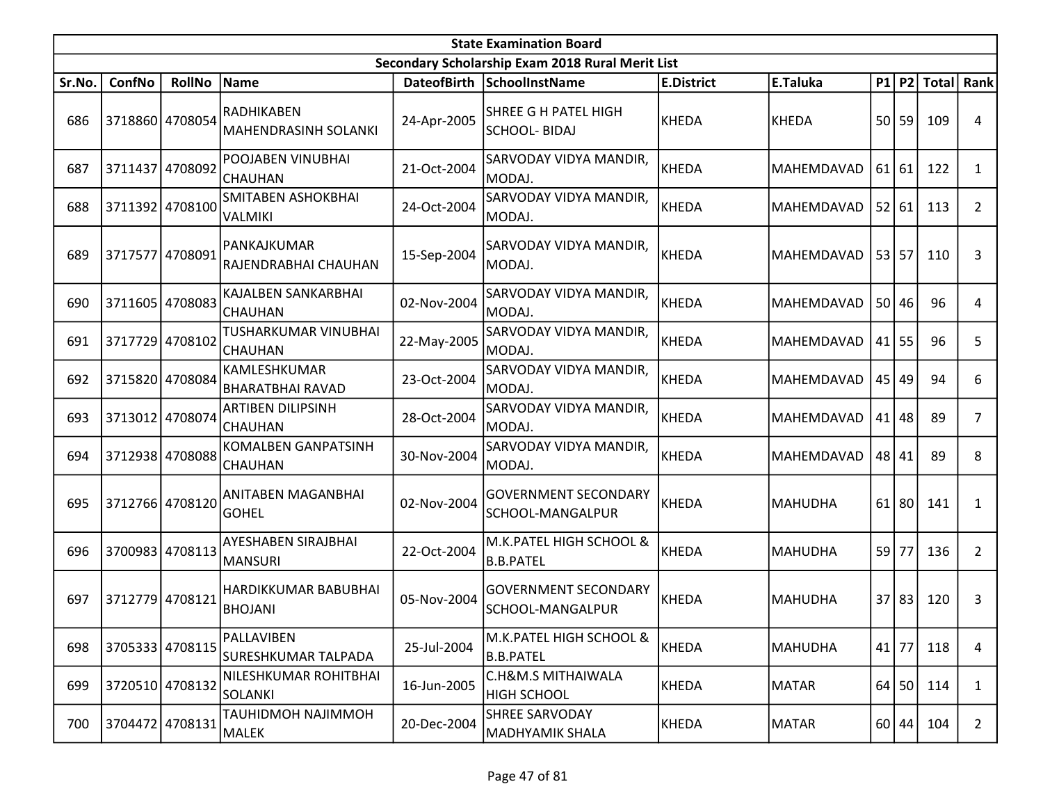|        | <b>State Examination Board</b> |                 |                                              |                    |                                                     |                   |                   |    |           |              |                |  |  |
|--------|--------------------------------|-----------------|----------------------------------------------|--------------------|-----------------------------------------------------|-------------------|-------------------|----|-----------|--------------|----------------|--|--|
|        |                                |                 |                                              |                    | Secondary Scholarship Exam 2018 Rural Merit List    |                   |                   |    |           |              |                |  |  |
| Sr.No. | <b>ConfNo</b>                  | <b>RollNo</b>   | <b>Name</b>                                  | <b>DateofBirth</b> | <b>SchoolInstName</b>                               | <b>E.District</b> | E.Taluka          |    | $P1$ $P2$ | <b>Total</b> | Rank           |  |  |
| 686    |                                | 3718860 4708054 | RADHIKABEN<br>MAHENDRASINH SOLANKI           | 24-Apr-2005        | SHREE G H PATEL HIGH<br><b>SCHOOL- BIDAJ</b>        | KHEDA             | <b>KHEDA</b>      |    | 50 59     | 109          | 4              |  |  |
| 687    | 3711437 4708092                |                 | POOJABEN VINUBHAI<br>CHAUHAN                 | 21-Oct-2004        | SARVODAY VIDYA MANDIR,<br>MODAJ.                    | KHEDA             | MAHEMDAVAD        |    | $61$   61 | 122          | 1              |  |  |
| 688    |                                | 3711392 4708100 | SMITABEN ASHOKBHAI<br><b>VALMIKI</b>         | 24-Oct-2004        | SARVODAY VIDYA MANDIR,<br>MODAJ.                    | KHEDA             | MAHEMDAVAD        |    | 52 61     | 113          | $\overline{2}$ |  |  |
| 689    | 3717577                        | 4708091         | PANKAJKUMAR<br>RAJENDRABHAI CHAUHAN          | 15-Sep-2004        | SARVODAY VIDYA MANDIR,<br>MODAJ.                    | KHEDA             | MAHEMDAVAD        |    | 53 57     | 110          | 3              |  |  |
| 690    | 3711605                        | 4708083         | KAJALBEN SANKARBHAI<br><b>CHAUHAN</b>        | 02-Nov-2004        | SARVODAY VIDYA MANDIR,<br>MODAJ.                    | KHEDA             | MAHEMDAVAD        |    | 50 46     | 96           | 4              |  |  |
| 691    |                                | 3717729 4708102 | TUSHARKUMAR VINUBHAI<br><b>CHAUHAN</b>       | 22-May-2005        | SARVODAY VIDYA MANDIR,<br>MODAJ.                    | KHEDA             | MAHEMDAVAD        | 41 | 55        | 96           | 5              |  |  |
| 692    |                                | 3715820 4708084 | KAMLESHKUMAR<br><b>BHARATBHAI RAVAD</b>      | 23-Oct-2004        | SARVODAY VIDYA MANDIR,<br>MODAJ.                    | KHEDA             | <b>MAHEMDAVAD</b> | 45 | 49        | 94           | 6              |  |  |
| 693    |                                | 3713012 4708074 | <b>ARTIBEN DILIPSINH</b><br><b>CHAUHAN</b>   | 28-Oct-2004        | SARVODAY VIDYA MANDIR,<br>MODAJ.                    | KHEDA             | MAHEMDAVAD        | 41 | 48        | 89           | 7              |  |  |
| 694    |                                | 3712938 4708088 | <b>KOMALBEN GANPATSINH</b><br><b>CHAUHAN</b> | 30-Nov-2004        | SARVODAY VIDYA MANDIR,<br>MODAJ.                    | KHEDA             | MAHEMDAVAD        |    | 48 41     | 89           | 8              |  |  |
| 695    |                                | 3712766 4708120 | ANITABEN MAGANBHAI<br><b>GOHEL</b>           | 02-Nov-2004        | <b>GOVERNMENT SECONDARY</b><br>SCHOOL-MANGALPUR     | KHEDA             | <b>MAHUDHA</b>    | 61 | 80        | 141          | 1              |  |  |
| 696    |                                | 3700983 4708113 | <b>AYESHABEN SIRAJBHAI</b><br><b>MANSURI</b> | 22-Oct-2004        | M.K.PATEL HIGH SCHOOL &<br><b>B.B.PATEL</b>         | KHEDA             | <b>MAHUDHA</b>    | 59 | 77        | 136          | $\overline{2}$ |  |  |
| 697    | 3712779                        | 4708121         | HARDIKKUMAR BABUBHAI<br><b>BHOJANI</b>       | 05-Nov-2004        | <b>GOVERNMENT SECONDARY</b><br>SCHOOL-MANGALPUR     | KHEDA             | <b>MAHUDHA</b>    | 37 | 83        | 120          | 3              |  |  |
| 698    | 3705333 4708115                |                 | PALLAVIBEN<br>SURESHKUMAR TALPADA            | 25-Jul-2004        | M.K.PATEL HIGH SCHOOL &<br><b>B.B.PATEL</b>         | KHEDA             | <b>MAHUDHA</b>    |    | $41$   77 | 118          | $\overline{4}$ |  |  |
| 699    |                                | 3720510 4708132 | NILESHKUMAR ROHITBHAI<br><b>SOLANKI</b>      | 16-Jun-2005        | <b>C.H&amp;M.S MITHAIWALA</b><br><b>HIGH SCHOOL</b> | KHEDA             | <b>MATAR</b>      | 64 | 50        | 114          | $\mathbf{1}$   |  |  |
| 700    |                                | 3704472 4708131 | TAUHIDMOH NAJIMMOH<br>MALEK                  | 20-Dec-2004        | <b>SHREE SARVODAY</b><br><b>MADHYAMIK SHALA</b>     | KHEDA             | <b>MATAR</b>      |    | 60 44     | 104          | $\overline{2}$ |  |  |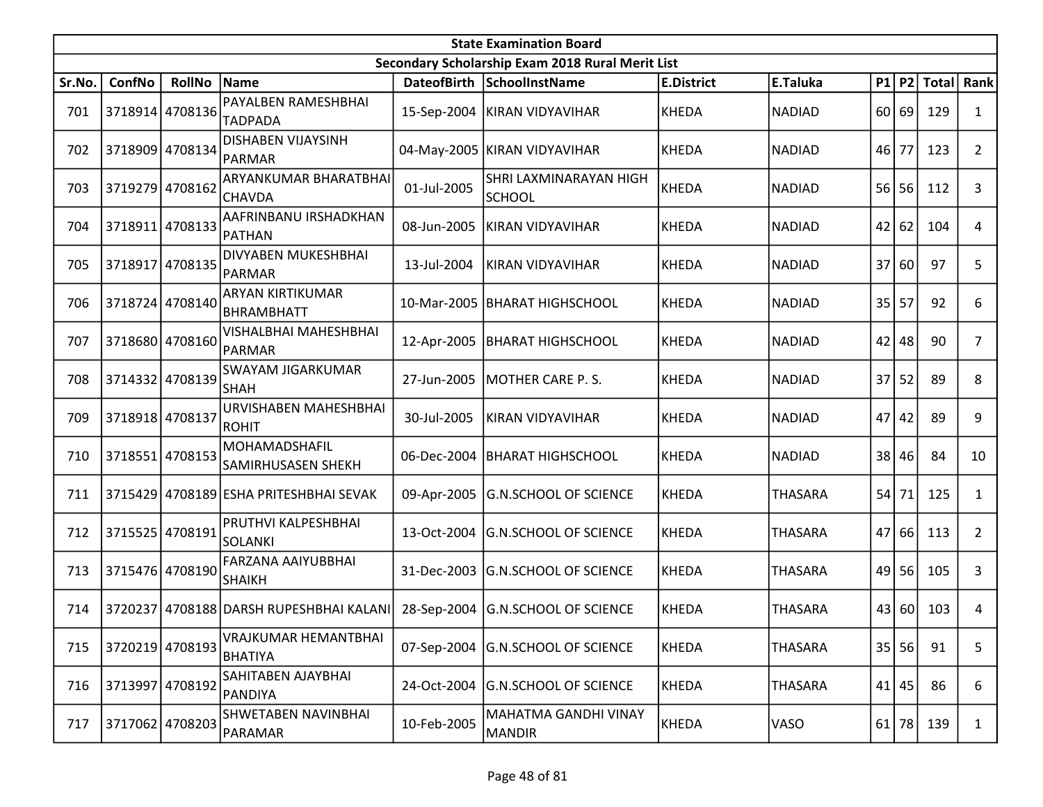|        | <b>State Examination Board</b> |                 |                                               |             |                                                  |                   |                |                 |           |              |                |  |  |
|--------|--------------------------------|-----------------|-----------------------------------------------|-------------|--------------------------------------------------|-------------------|----------------|-----------------|-----------|--------------|----------------|--|--|
|        |                                |                 |                                               |             | Secondary Scholarship Exam 2018 Rural Merit List |                   |                |                 |           |              |                |  |  |
| Sr.No. | ConfNo                         | <b>RollNo</b>   | Name                                          |             | DateofBirth SchoolInstName                       | <b>E.District</b> | E.Taluka       |                 | P1 P2     | <b>Total</b> | Rank           |  |  |
| 701    |                                | 3718914 4708136 | PAYALBEN RAMESHBHAI                           |             | 15-Sep-2004 KIRAN VIDYAVIHAR                     | KHEDA             | <b>NADIAD</b>  | 60 l            | 69        | 129          | $\mathbf{1}$   |  |  |
|        |                                |                 | <b>TADPADA</b>                                |             |                                                  |                   |                |                 |           |              |                |  |  |
| 702    |                                | 3718909 4708134 | <b>DISHABEN VIJAYSINH</b><br>PARMAR           |             | 04-May-2005 KIRAN VIDYAVIHAR                     | KHEDA             | <b>NADIAD</b>  | 46              | 77        | 123          | $\overline{2}$ |  |  |
| 703    |                                | 3719279 4708162 | ARYANKUMAR BHARATBHAI<br><b>CHAVDA</b>        | 01-Jul-2005 | SHRI LAXMINARAYAN HIGH<br><b>SCHOOL</b>          | KHEDA             | <b>NADIAD</b>  | 56              | 56        | 112          | 3              |  |  |
| 704    | 3718911                        | 4708133         | AAFRINBANU IRSHADKHAN<br><b>PATHAN</b>        | 08-Jun-2005 | KIRAN VIDYAVIHAR                                 | KHEDA             | <b>NADIAD</b>  | 42              | 62        | 104          | 4              |  |  |
| 705    |                                | 3718917 4708135 | DIVYABEN MUKESHBHAI<br><b>PARMAR</b>          | 13-Jul-2004 | KIRAN VIDYAVIHAR                                 | KHEDA             | <b>NADIAD</b>  | 37              | 60        | 97           | 5              |  |  |
| 706    |                                | 3718724 4708140 | <b>ARYAN KIRTIKUMAR</b><br><b>BHRAMBHATT</b>  | 10-Mar-2005 | BHARAT HIGHSCHOOL                                | KHEDA             | <b>NADIAD</b>  | 35              | 57        | 92           | 6              |  |  |
| 707    |                                | 3718680 4708160 | VISHALBHAI MAHESHBHAI<br><b>PARMAR</b>        |             | 12-Apr-2005   BHARAT HIGHSCHOOL                  | <b>KHEDA</b>      | <b>NADIAD</b>  | 42              | 48        | 90           | 7              |  |  |
| 708    |                                | 3714332 4708139 | SWAYAM JIGARKUMAR<br><b>SHAH</b>              | 27-Jun-2005 | MOTHER CARE P.S.                                 | KHEDA             | <b>NADIAD</b>  | 37 <sup>1</sup> | 52        | 89           | 8              |  |  |
| 709    | 3718918 4708137                |                 | URVISHABEN MAHESHBHAI<br><b>ROHIT</b>         | 30-Jul-2005 | KIRAN VIDYAVIHAR                                 | KHEDA             | <b>NADIAD</b>  | 47              | 42        | 89           | 9              |  |  |
| 710    | 3718551                        | 4708153         | MOHAMADSHAFIL<br>SAMIRHUSASEN SHEKH           | 06-Dec-2004 | <b>BHARAT HIGHSCHOOL</b>                         | KHEDA             | <b>NADIAD</b>  | 38              | 46        | 84           | 10             |  |  |
| 711    |                                |                 | 3715429 4708189 ESHA PRITESHBHAI SEVAK        | 09-Apr-2005 | <b>G.N.SCHOOL OF SCIENCE</b>                     | KHEDA             | <b>THASARA</b> |                 | $54$ 71   | 125          | $\mathbf{1}$   |  |  |
| 712    |                                | 3715525 4708191 | PRUTHVI KALPESHBHAI<br><b>SOLANKI</b>         | 13-Oct-2004 | <b>G.N.SCHOOL OF SCIENCE</b>                     | KHEDA             | <b>THASARA</b> | 47              | 66        | 113          | $\overline{2}$ |  |  |
| 713    |                                | 3715476 4708190 | FARZANA AAIYUBBHAI<br>SHAIKH                  | 31-Dec-2003 | <b>G.N.SCHOOL OF SCIENCE</b>                     | KHEDA             | <b>THASARA</b> | 49              | 56        | 105          | 3              |  |  |
| 714    |                                |                 | 3720237 4708188 DARSH RUPESHBHAI KALANI       |             | 28-Sep-2004 G.N.SCHOOL OF SCIENCE                | KHEDA             | <b>THASARA</b> |                 | 43 60     | 103          | 4              |  |  |
| 715    |                                | 3720219 4708193 | <b>VRAJKUMAR HEMANTBHAI</b><br><b>BHATIYA</b> |             | 07-Sep-2004 G.N.SCHOOL OF SCIENCE                | KHEDA             | <b>THASARA</b> |                 | 35 56     | 91           | 5              |  |  |
| 716    | 3713997                        | 4708192         | SAHITABEN AJAYBHAI<br>PANDIYA                 | 24-Oct-2004 | <b>G.N.SCHOOL OF SCIENCE</b>                     | <b>KHEDA</b>      | <b>THASARA</b> |                 | $41$   45 | 86           | 6              |  |  |
| 717    |                                | 3717062 4708203 | SHWETABEN NAVINBHAI<br>PARAMAR                | 10-Feb-2005 | MAHATMA GANDHI VINAY<br><b>MANDIR</b>            | KHEDA             | VASO           |                 | $61$ 78   | 139          | $\mathbf{1}$   |  |  |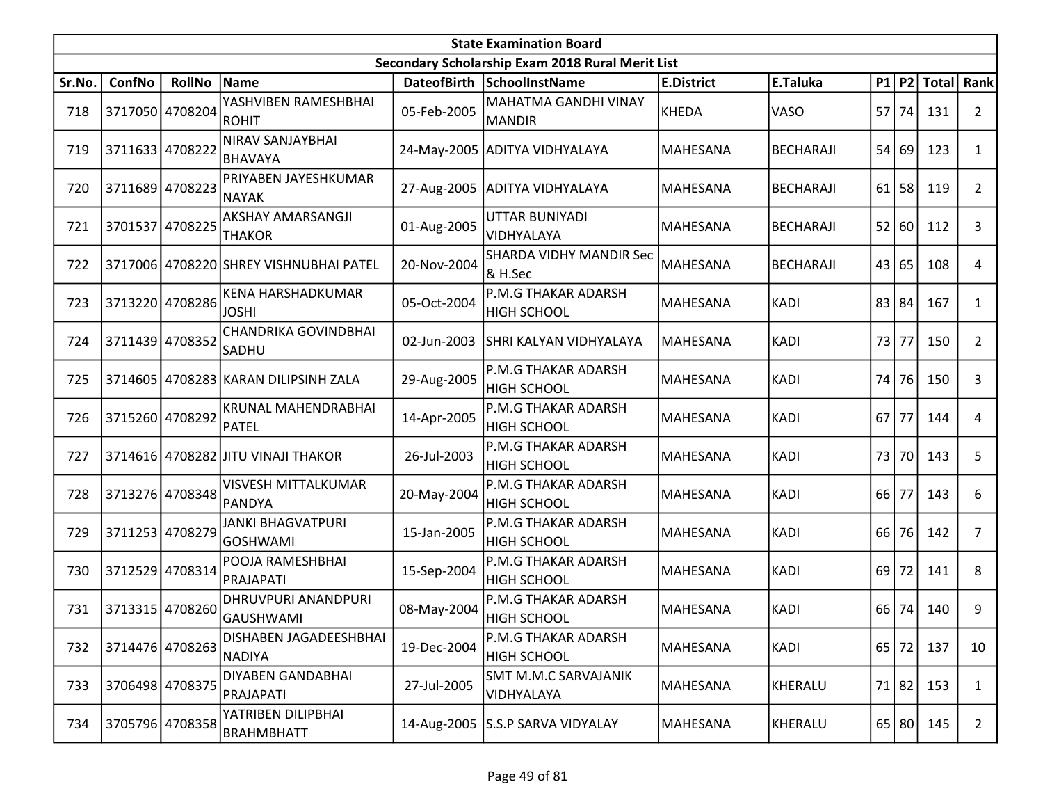|        | <b>State Examination Board</b><br>Secondary Scholarship Exam 2018 Rural Merit List |                 |                                                |             |                                              |                   |                  |       |         |              |                |  |  |
|--------|------------------------------------------------------------------------------------|-----------------|------------------------------------------------|-------------|----------------------------------------------|-------------------|------------------|-------|---------|--------------|----------------|--|--|
|        |                                                                                    |                 |                                                |             |                                              |                   |                  |       |         |              |                |  |  |
| Sr.No. | ConfNo                                                                             | <b>RollNo</b>   | Name                                           |             | DateofBirth SchoolInstName                   | <b>E.District</b> | E.Taluka         | P1    |         | $ P2 $ Total | Rank           |  |  |
| 718    |                                                                                    | 3717050 4708204 | YASHVIBEN RAMESHBHAI<br><b>ROHIT</b>           | 05-Feb-2005 | <b>MAHATMA GANDHI VINAY</b><br><b>MANDIR</b> | <b>KHEDA</b>      | <b>VASO</b>      | 57    | 74      | 131          | $\overline{2}$ |  |  |
| 719    | 3711633 4708222                                                                    |                 | <b>NIRAV SANJAYBHAI</b><br><b>BHAVAYA</b>      |             | 24-May-2005 ADITYA VIDHYALAYA                | <b>MAHESANA</b>   | <b>BECHARAJI</b> | 54    | 69      | 123          | $\mathbf{1}$   |  |  |
| 720    |                                                                                    | 3711689 4708223 | PRIYABEN JAYESHKUMAR<br><b>NAYAK</b>           |             | 27-Aug-2005 ADITYA VIDHYALAYA                | <b>MAHESANA</b>   | <b>BECHARAJI</b> | 61    | 58      | 119          | $\overline{2}$ |  |  |
| 721    |                                                                                    | 3701537 4708225 | AKSHAY AMARSANGJI<br><b>THAKOR</b>             | 01-Aug-2005 | UTTAR BUNIYADI<br>VIDHYALAYA                 | <b>MAHESANA</b>   | <b>BECHARAJI</b> | 52    | 60      | 112          | 3              |  |  |
| 722    |                                                                                    |                 | 3717006 4708220 SHREY VISHNUBHAI PATEL         | 20-Nov-2004 | SHARDA VIDHY MANDIR Sec<br>& H.Sec           | <b>MAHESANA</b>   | <b>BECHARAJI</b> | 43 65 |         | 108          | 4              |  |  |
| 723    | 3713220                                                                            | 4708286         | <b>KENA HARSHADKUMAR</b><br><b>JOSHI</b>       | 05-Oct-2004 | P.M.G THAKAR ADARSH<br><b>HIGH SCHOOL</b>    | <b>MAHESANA</b>   | <b>KADI</b>      | 83    | 84      | 167          | $\mathbf{1}$   |  |  |
| 724    | 3711439 4708352                                                                    |                 | <b>CHANDRIKA GOVINDBHAI</b><br><b>SADHU</b>    | 02-Jun-2003 | SHRI KALYAN VIDHYALAYA                       | <b>MAHESANA</b>   | <b>KADI</b>      | 73    | 77      | 150          | $\overline{2}$ |  |  |
| 725    |                                                                                    |                 | 3714605 4708283 KARAN DILIPSINH ZALA           | 29-Aug-2005 | P.M.G THAKAR ADARSH<br><b>HIGH SCHOOL</b>    | <b>MAHESANA</b>   | <b>KADI</b>      | 74    | 76      | 150          | 3              |  |  |
| 726    | 3715260 4708292                                                                    |                 | KRUNAL MAHENDRABHAI<br><b>PATEL</b>            | 14-Apr-2005 | P.M.G THAKAR ADARSH<br><b>HIGH SCHOOL</b>    | <b>MAHESANA</b>   | <b>KADI</b>      | 67    | 77      | 144          | 4              |  |  |
| 727    |                                                                                    |                 | 3714616 4708282 JJITU VINAJI THAKOR            | 26-Jul-2003 | P.M.G THAKAR ADARSH<br><b>HIGH SCHOOL</b>    | <b>MAHESANA</b>   | <b>KADI</b>      | 73    | 70      | 143          | 5              |  |  |
| 728    |                                                                                    | 3713276 4708348 | VISVESH MITTALKUMAR<br>PANDYA                  | 20-May-2004 | P.M.G THAKAR ADARSH<br><b>HIGH SCHOOL</b>    | <b>MAHESANA</b>   | <b>KADI</b>      | 66    | 77      | 143          | 6              |  |  |
| 729    |                                                                                    | 3711253 4708279 | JANKI BHAGVATPURI<br><b>GOSHWAMI</b>           | 15-Jan-2005 | P.M.G THAKAR ADARSH<br><b>HIGH SCHOOL</b>    | <b>MAHESANA</b>   | <b>KADI</b>      | 66    | 76      | 142          | $\overline{7}$ |  |  |
| 730    | 3712529                                                                            | 4708314         | POOJA RAMESHBHAI<br><b>PRAJAPATI</b>           | 15-Sep-2004 | P.M.G THAKAR ADARSH<br><b>HIGH SCHOOL</b>    | <b>MAHESANA</b>   | <b>KADI</b>      | 69    | 72      | 141          | 8              |  |  |
| 731    |                                                                                    | 3713315 4708260 | <b>DHRUVPURI ANANDPURI</b><br><b>GAUSHWAMI</b> | 08-May-2004 | P.M.G THAKAR ADARSH<br><b>HIGH SCHOOL</b>    | <b>MAHESANA</b>   | <b>KADI</b>      | 66    | 74      | 140          | 9              |  |  |
| 732    |                                                                                    | 3714476 4708263 | DISHABEN JAGADEESHBHAI<br><b>NADIYA</b>        | 19-Dec-2004 | P.M.G THAKAR ADARSH<br>HIGH SCHOOL           | <b>MAHESANA</b>   | <b>KADI</b>      |       | $65$ 72 | 137          | 10             |  |  |
| 733    |                                                                                    | 3706498 4708375 | <b>DIYABEN GANDABHAI</b><br>PRAJAPATI          | 27-Jul-2005 | SMT M.M.C SARVAJANIK<br>VIDHYALAYA           | <b>MAHESANA</b>   | KHERALU          | 71    | 82      | 153          | $\mathbf{1}$   |  |  |
| 734    |                                                                                    | 3705796 4708358 | YATRIBEN DILIPBHAI<br>BRAHMBHATT               |             | 14-Aug-2005 S.S.P SARVA VIDYALAY             | <b>MAHESANA</b>   | KHERALU          |       | 65 80   | 145          | $\overline{2}$ |  |  |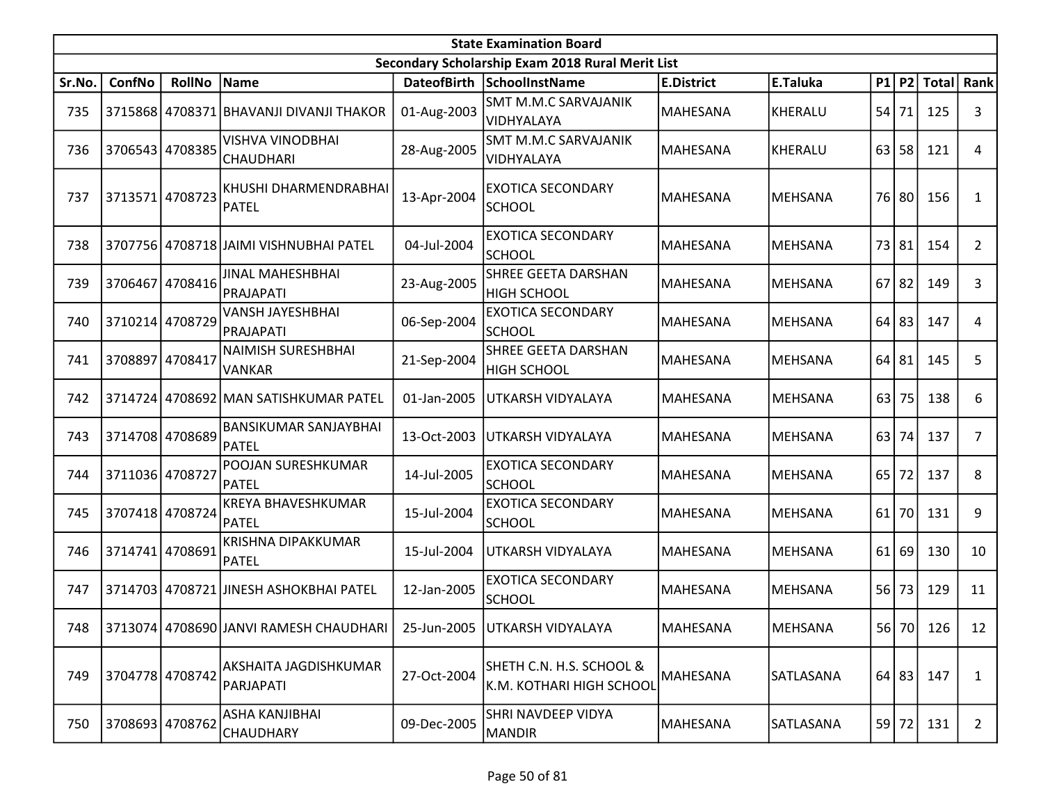|        | <b>State Examination Board</b> |                 |                                            |                    |                                                      |                   |                |           |       |           |                |  |  |
|--------|--------------------------------|-----------------|--------------------------------------------|--------------------|------------------------------------------------------|-------------------|----------------|-----------|-------|-----------|----------------|--|--|
|        |                                |                 |                                            |                    | Secondary Scholarship Exam 2018 Rural Merit List     |                   |                |           |       |           |                |  |  |
| Sr.No. | ConfNo                         | <b>RollNo</b>   | Name                                       | <b>DateofBirth</b> | SchoolInstName                                       | <b>E.District</b> | E.Taluka       |           | P1 P2 |           | Total Rank     |  |  |
| 735    |                                |                 | 3715868 4708371 BHAVANJI DIVANJI THAKOR    | 01-Aug-2003        | <b>SMT M.M.C SARVAJANIK</b><br>VIDHYALAYA            | MAHESANA          | <b>KHERALU</b> | 54        | 71    | 125       | 3              |  |  |
| 736    |                                | 3706543 4708385 | <b>VISHVA VINODBHAI</b><br>CHAUDHARI       | 28-Aug-2005        | <b>SMT M.M.C SARVAJANIK</b><br>VIDHYALAYA            | <b>MAHESANA</b>   | <b>KHERALU</b> | 63        | 58    | 121       | 4              |  |  |
| 737    | 3713571 4708723                |                 | KHUSHI DHARMENDRABHAI<br>PATEL             | 13-Apr-2004        | <b>EXOTICA SECONDARY</b><br><b>SCHOOL</b>            | MAHESANA          | <b>MEHSANA</b> | 76 l      | 80    | 156       | 1              |  |  |
| 738    |                                |                 | 3707756 4708718 JAIMI VISHNUBHAI PATEL     | 04-Jul-2004        | <b>EXOTICA SECONDARY</b><br><b>SCHOOL</b>            | MAHESANA          | <b>MEHSANA</b> | 731       | 81    | 154       | $\overline{2}$ |  |  |
| 739    | 3706467                        | 4708416         | JINAL MAHESHBHAI<br>PRAJAPATI              | 23-Aug-2005        | SHREE GEETA DARSHAN<br><b>HIGH SCHOOL</b>            | <b>MAHESANA</b>   | <b>MEHSANA</b> | 67        | 82    | 149       | 3              |  |  |
| 740    |                                | 3710214 4708729 | <b>VANSH JAYESHBHAI</b><br>PRAJAPATI       | 06-Sep-2004        | <b>EXOTICA SECONDARY</b><br><b>SCHOOL</b>            | <b>MAHESANA</b>   | <b>MEHSANA</b> | 64        | 83    | 147       | 4              |  |  |
| 741    | 3708897                        | 4708417         | <b>NAIMISH SURESHBHAI</b><br><b>VANKAR</b> | 21-Sep-2004        | <b>SHREE GEETA DARSHAN</b><br><b>HIGH SCHOOL</b>     | MAHESANA          | <b>MEHSANA</b> | 64        | 81    | 145       | 5              |  |  |
| 742    |                                |                 | 3714724 4708692 MAN SATISHKUMAR PATEL      | 01-Jan-2005        | UTKARSH VIDYALAYA                                    | <b>MAHESANA</b>   | <b>MEHSANA</b> | 63        | 75    | 138       | 6              |  |  |
| 743    |                                | 3714708 4708689 | <b>BANSIKUMAR SANJAYBHAI</b><br>PATEL      | 13-Oct-2003        | UTKARSH VIDYALAYA                                    | <b>MAHESANA</b>   | MEHSANA        | 63        | 74    | 137       | $\overline{7}$ |  |  |
| 744    | 3711036 4708727                |                 | POOJAN SURESHKUMAR<br><b>PATEL</b>         | 14-Jul-2005        | <b>EXOTICA SECONDARY</b><br><b>SCHOOL</b>            | MAHESANA          | <b>MEHSANA</b> | 65        | 72    | 137       | 8              |  |  |
| 745    |                                | 3707418 4708724 | <b>KREYA BHAVESHKUMAR</b><br>PATEL         | 15-Jul-2004        | <b>EXOTICA SECONDARY</b><br><b>SCHOOL</b>            | MAHESANA          | <b>MEHSANA</b> | 61        | 70    | 131       | 9              |  |  |
| 746    | 3714741                        | 4708691         | <b>KRISHNA DIPAKKUMAR</b><br>PATEL         | 15-Jul-2004        | UTKARSH VIDYALAYA                                    | <b>MAHESANA</b>   | MEHSANA        | 61        | 69    | 130       | 10             |  |  |
| 747    |                                |                 | 3714703 4708721 JINESH ASHOKBHAI PATEL     | 12-Jan-2005        | <b>EXOTICA SECONDARY</b><br><b>SCHOOL</b>            | MAHESANA          | <b>MEHSANA</b> | <b>56</b> | 73    | 129       | 11             |  |  |
| 748    |                                |                 | 3713074 4708690 JANVI RAMESH CHAUDHARI     | 25-Jun-2005        | <b>UTKARSH VIDYALAYA</b>                             | <b>MAHESANA</b>   | MEHSANA        |           |       | 56 70 126 | 12             |  |  |
| 749    | 3704778 4708742                |                 | AKSHAITA JAGDISHKUMAR<br>PARJAPATI         | 27-Oct-2004        | SHETH C.N. H.S. SCHOOL &<br>K.M. KOTHARI HIGH SCHOOL | MAHESANA          | SATLASANA      |           |       | 64 83 147 | $\mathbf{1}$   |  |  |
| 750    |                                | 3708693 4708762 | ASHA KANJIBHAI<br><b>CHAUDHARY</b>         | 09-Dec-2005        | SHRI NAVDEEP VIDYA<br><b>MANDIR</b>                  | <b>MAHESANA</b>   | SATLASANA      |           | 59 72 | 131       | $\overline{2}$ |  |  |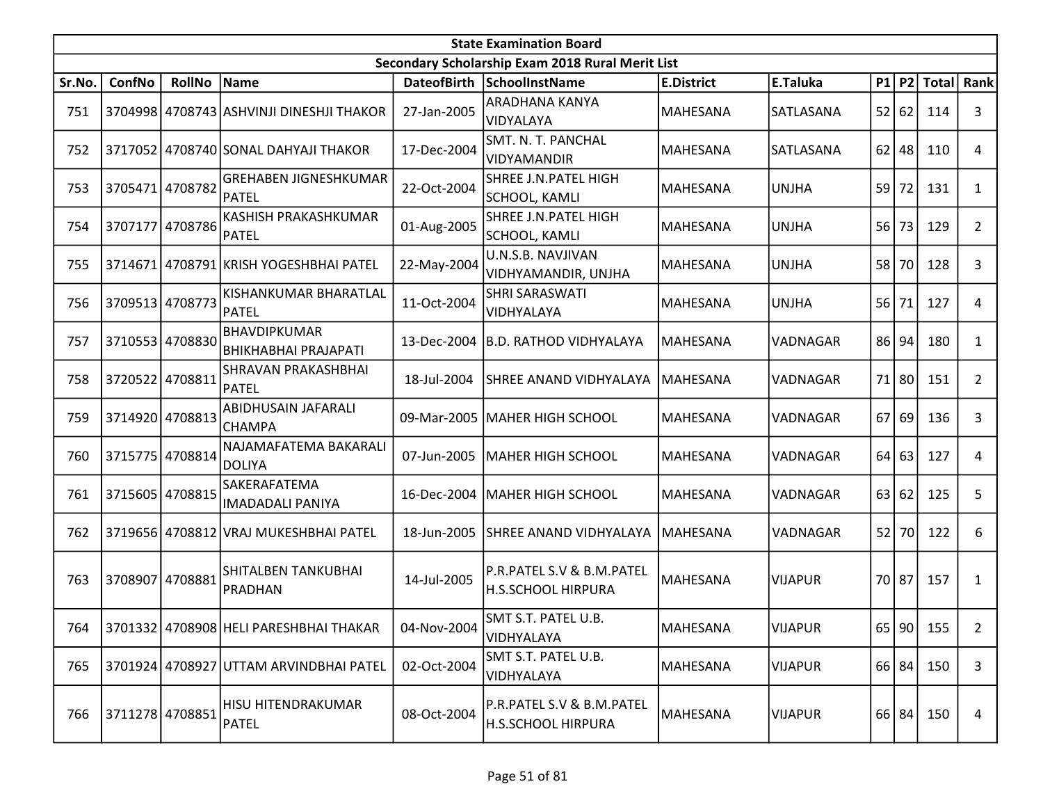|        | <b>State Examination Board</b><br>Secondary Scholarship Exam 2018 Rural Merit List |                 |                                             |             |                                                        |                   |                |    |       |              |                |  |  |
|--------|------------------------------------------------------------------------------------|-----------------|---------------------------------------------|-------------|--------------------------------------------------------|-------------------|----------------|----|-------|--------------|----------------|--|--|
|        |                                                                                    |                 |                                             |             |                                                        |                   |                |    |       |              |                |  |  |
| Sr.No. | ConfNo                                                                             | <b>RollNo</b>   | Name                                        |             | DateofBirth SchoolInstName                             | <b>E.District</b> | E.Taluka       |    | P1 P2 | <b>Total</b> | Rank           |  |  |
| 751    |                                                                                    |                 | 3704998 4708743 ASHVINJI DINESHJI THAKOR    | 27-Jan-2005 | <b>ARADHANA KANYA</b><br>VIDYALAYA                     | MAHESANA          | SATLASANA      | 52 | 62    | 114          | 3              |  |  |
| 752    |                                                                                    |                 | 3717052 4708740 SONAL DAHYAJI THAKOR        | 17-Dec-2004 | SMT. N. T. PANCHAL<br>VIDYAMANDIR                      | MAHESANA          | SATLASANA      | 62 | 48    | 110          | 4              |  |  |
| 753    | 3705471 4708782                                                                    |                 | <b>GREHABEN JIGNESHKUMAR</b><br>PATEL       | 22-Oct-2004 | SHREE J.N.PATEL HIGH<br>SCHOOL, KAMLI                  | MAHESANA          | <b>UNJHA</b>   | 59 | 72    | 131          | $\mathbf{1}$   |  |  |
| 754    | 3707177                                                                            | 4708786         | KASHISH PRAKASHKUMAR<br><b>PATEL</b>        | 01-Aug-2005 | SHREE J.N.PATEL HIGH<br><b>SCHOOL, KAMLI</b>           | MAHESANA          | <b>UNJHA</b>   | 56 | 73    | 129          | $\overline{2}$ |  |  |
| 755    | 3714671                                                                            |                 | 4708791 KRISH YOGESHBHAI PATEL              | 22-May-2004 | U.N.S.B. NAVJIVAN<br>VIDHYAMANDIR, UNJHA               | MAHESANA          | <b>UNJHA</b>   |    | 58 70 | 128          | 3              |  |  |
| 756    | 3709513 4708773                                                                    |                 | KISHANKUMAR BHARATLAL<br>PATEL              | 11-Oct-2004 | SHRI SARASWATI<br>VIDHYALAYA                           | MAHESANA          | <b>UNJHA</b>   | 56 | 71    | 127          | 4              |  |  |
| 757    |                                                                                    | 3710553 4708830 | <b>BHAVDIPKUMAR</b><br>BHIKHABHAI PRAJAPATI | 13-Dec-2004 | B.D. RATHOD VIDHYALAYA                                 | MAHESANA          | VADNAGAR       | 86 | 94    | 180          | $\mathbf{1}$   |  |  |
| 758    | 3720522 4708811                                                                    |                 | SHRAVAN PRAKASHBHAI<br><b>PATEL</b>         | 18-Jul-2004 | SHREE ANAND VIDHYALAYA                                 | MAHESANA          | VADNAGAR       |    | 71 80 | 151          | $\overline{2}$ |  |  |
| 759    | 3714920 4708813                                                                    |                 | ABIDHUSAIN JAFARALI<br><b>CHAMPA</b>        |             | 09-Mar-2005   MAHER HIGH SCHOOL                        | MAHESANA          | VADNAGAR       | 67 | 69    | 136          | 3              |  |  |
| 760    |                                                                                    | 3715775 4708814 | NAJAMAFATEMA BAKARALI<br>DOLIYA             | 07-Jun-2005 | <b>MAHER HIGH SCHOOL</b>                               | <b>MAHESANA</b>   | VADNAGAR       | 64 | 63    | 127          | 4              |  |  |
| 761    | 3715605 4708815                                                                    |                 | SAKERAFATEMA<br><b>IMADADALI PANIYA</b>     | 16-Dec-2004 | MAHER HIGH SCHOOL                                      | MAHESANA          | VADNAGAR       |    | 63 62 | 125          | 5              |  |  |
| 762    |                                                                                    |                 | 3719656 4708812 VRAJ MUKESHBHAI PATEL       | 18-Jun-2005 | <b>SHREE ANAND VIDHYALAYA</b>                          | <b>MAHESANA</b>   | VADNAGAR       |    | 52 70 | 122          | 6              |  |  |
| 763    |                                                                                    | 3708907 4708881 | SHITALBEN TANKUBHAI<br>PRADHAN              | 14-Jul-2005 | P.R.PATEL S.V & B.M.PATEL<br>H.S.SCHOOL HIRPURA        | MAHESANA          | <b>VIJAPUR</b> |    | 70 87 | 157          | $\mathbf{1}$   |  |  |
| 764    |                                                                                    |                 | 3701332 4708908 HELI PARESHBHAI THAKAR      | 04-Nov-2004 | SMT S.T. PATEL U.B.<br>VIDHYALAYA                      | MAHESANA          | <b>VIJAPUR</b> |    |       | 65 90 155    | $\overline{2}$ |  |  |
| 765    |                                                                                    |                 | 3701924 4708927 UTTAM ARVINDBHAI PATEL      | 02-Oct-2004 | SMT S.T. PATEL U.B.<br>VIDHYALAYA                      | MAHESANA          | <b>VIJAPUR</b> |    | 66 84 | 150          | 3              |  |  |
| 766    |                                                                                    | 3711278 4708851 | HISU HITENDRAKUMAR<br>PATEL                 | 08-Oct-2004 | P.R.PATEL S.V & B.M.PATEL<br><b>H.S.SCHOOL HIRPURA</b> | MAHESANA          | <b>VIJAPUR</b> |    | 66 84 | 150          | 4              |  |  |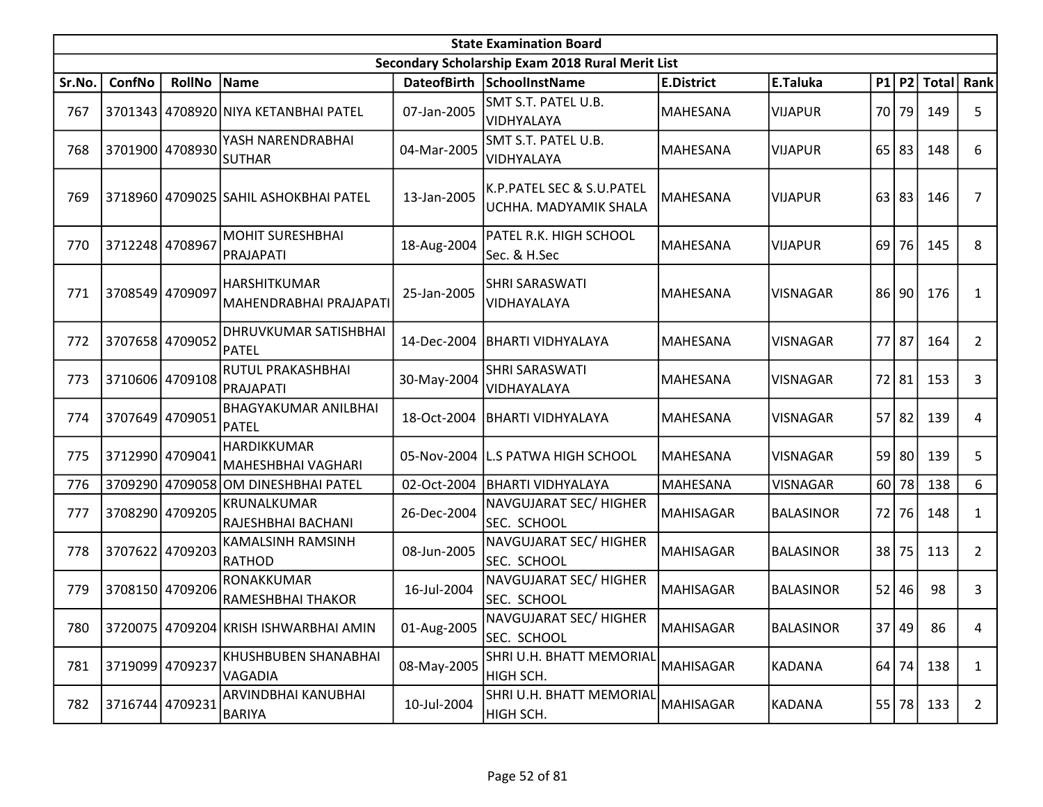|        | <b>State Examination Board</b><br>Secondary Scholarship Exam 2018 Rural Merit List |                 |                                             |             |                                                    |                   |                  |    |           |             |                |  |  |
|--------|------------------------------------------------------------------------------------|-----------------|---------------------------------------------|-------------|----------------------------------------------------|-------------------|------------------|----|-----------|-------------|----------------|--|--|
|        |                                                                                    |                 |                                             |             |                                                    |                   |                  |    |           |             |                |  |  |
| Sr.No. | ConfNo                                                                             | <b>RollNo</b>   | Name                                        |             | DateofBirth SchoolInstName                         | <b>E.District</b> | E.Taluka         |    |           | P1 P2 Total | Rank           |  |  |
| 767    |                                                                                    |                 | 3701343 4708920 NIYA KETANBHAI PATEL        | 07-Jan-2005 | SMT S.T. PATEL U.B.<br>VIDHYALAYA                  | MAHESANA          | <b>VIJAPUR</b>   |    | 70 79     | 149         | 5              |  |  |
| 768    |                                                                                    | 3701900 4708930 | YASH NARENDRABHAI<br><b>SUTHAR</b>          | 04-Mar-2005 | SMT S.T. PATEL U.B.<br>VIDHYALAYA                  | <b>MAHESANA</b>   | <b>VIJAPUR</b>   |    | $65$ 83   | 148         | 6              |  |  |
| 769    |                                                                                    |                 | 3718960 4709025 SAHIL ASHOKBHAI PATEL       | 13-Jan-2005 | K.P.PATEL SEC & S.U.PATEL<br>UCHHA. MADYAMIK SHALA | MAHESANA          | <b>VIJAPUR</b>   |    | 63 83     | 146         | 7              |  |  |
| 770    | 3712248 4708967                                                                    |                 | <b>MOHIT SURESHBHAI</b><br>PRAJAPATI        | 18-Aug-2004 | PATEL R.K. HIGH SCHOOL<br>Sec. & H.Sec             | MAHESANA          | <b>VIJAPUR</b>   | 69 | 76        | 145         | 8              |  |  |
| 771    |                                                                                    | 3708549 4709097 | HARSHITKUMAR<br>MAHENDRABHAI PRAJAPATI      | 25-Jan-2005 | <b>SHRI SARASWATI</b><br>VIDHAYALAYA               | MAHESANA          | <b>VISNAGAR</b>  | 86 | 90        | 176         | 1              |  |  |
| 772    |                                                                                    | 3707658 4709052 | DHRUVKUMAR SATISHBHAI<br><b>PATEL</b>       | 14-Dec-2004 | <b>BHARTI VIDHYALAYA</b>                           | MAHESANA          | <b>VISNAGAR</b>  |    | 77 87     | 164         | $\overline{2}$ |  |  |
| 773    |                                                                                    | 3710606 4709108 | RUTUL PRAKASHBHAI<br>PRAJAPATI              | 30-May-2004 | SHRI SARASWATI<br>VIDHAYALAYA                      | MAHESANA          | <b>VISNAGAR</b>  |    | 72 81     | 153         | 3              |  |  |
| 774    | 3707649                                                                            | 4709051         | <b>BHAGYAKUMAR ANILBHAI</b><br><b>PATEL</b> | 18-Oct-2004 | <b>BHARTI VIDHYALAYA</b>                           | MAHESANA          | <b>VISNAGAR</b>  |    | $57$   82 | 139         | 4              |  |  |
| 775    |                                                                                    | 3712990 4709041 | HARDIKKUMAR<br> MAHESHBHAI VAGHARI          |             | 05-Nov-2004 L.S PATWA HIGH SCHOOL                  | MAHESANA          | <b>VISNAGAR</b>  |    | $59$ 80   | 139         | 5              |  |  |
| 776    |                                                                                    |                 | 3709290 4709058 OM DINESHBHAI PATEL         | 02-Oct-2004 | BHARTI VIDHYALAYA                                  | <b>MAHESANA</b>   | <b>VISNAGAR</b>  | 60 | 78        | 138         | 6              |  |  |
| 777    |                                                                                    | 3708290 4709205 | KRUNALKUMAR<br>RAJESHBHAI BACHANI           | 26-Dec-2004 | NAVGUJARAT SEC/HIGHER<br>SEC. SCHOOL               | MAHISAGAR         | <b>BALASINOR</b> |    | 72 76     | 148         | $\mathbf{1}$   |  |  |
| 778    | 3707622                                                                            | 4709203         | KAMALSINH RAMSINH<br>RATHOD                 | 08-Jun-2005 | NAVGUJARAT SEC/HIGHER<br>SEC. SCHOOL               | <b>MAHISAGAR</b>  | <b>BALASINOR</b> | 38 | 75        | 113         | $\overline{2}$ |  |  |
| 779    |                                                                                    | 3708150 4709206 | <b>RONAKKUMAR</b><br>RAMESHBHAI THAKOR      | 16-Jul-2004 | NAVGUJARAT SEC/ HIGHER<br>SEC. SCHOOL              | MAHISAGAR         | <b>BALASINOR</b> | 52 | 46        | 98          | 3              |  |  |
| 780    |                                                                                    |                 | 3720075   4709204 KRISH ISHWARBHAI AMIN     | 01-Aug-2005 | NAVGUJARAT SEC/HIGHER<br>SEC. SCHOOL               | MAHISAGAR         | <b>BALASINOR</b> |    | 37 49     | 86          | 4              |  |  |
| 781    | 3719099 4709237                                                                    |                 | KHUSHBUBEN SHANABHAI<br><b>VAGADIA</b>      | 08-May-2005 | SHRI U.H. BHATT MEMORIAL<br>HIGH SCH.              | <b>MAHISAGAR</b>  | <b>KADANA</b>    |    | $64$ 74   | 138         | 1              |  |  |
| 782    |                                                                                    | 3716744 4709231 | ARVINDBHAI KANUBHAI<br><b>BARIYA</b>        | 10-Jul-2004 | SHRI U.H. BHATT MEMORIAL<br>HIGH SCH.              | MAHISAGAR         | <b>KADANA</b>    |    | 55 78     | 133         | $\overline{2}$ |  |  |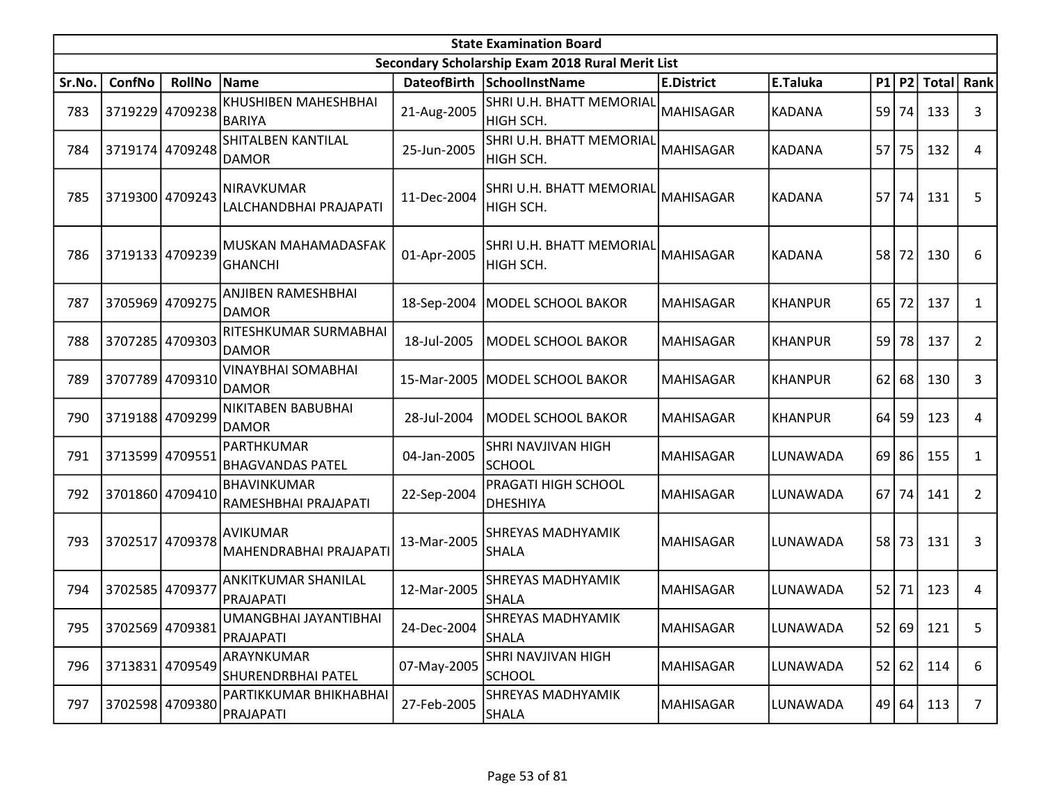|        | <b>State Examination Board</b><br>Secondary Scholarship Exam 2018 Rural Merit List |                 |                                            |                    |                                        |                   |                |      |       |              |                |  |  |
|--------|------------------------------------------------------------------------------------|-----------------|--------------------------------------------|--------------------|----------------------------------------|-------------------|----------------|------|-------|--------------|----------------|--|--|
|        |                                                                                    |                 |                                            |                    |                                        |                   |                |      |       |              |                |  |  |
| Sr.No. | ConfNo                                                                             | <b>RollNo</b>   | Name                                       | <b>DateofBirth</b> | SchoolInstName                         | <b>E.District</b> | E.Taluka       | P1   | P2    | <b>Total</b> | Rank           |  |  |
| 783    |                                                                                    | 3719229 4709238 | <b>KHUSHIBEN MAHESHBHAI</b><br>BARIYA      | 21-Aug-2005        | SHRI U.H. BHATT MEMORIAL<br>HIGH SCH.  | <b>MAHISAGAR</b>  | <b>KADANA</b>  | 59   | 74    | 133          | 3              |  |  |
| 784    |                                                                                    | 3719174 4709248 | SHITALBEN KANTILAL<br><b>DAMOR</b>         | 25-Jun-2005        | SHRI U.H. BHATT MEMORIAL<br>HIGH SCH.  | <b>MAHISAGAR</b>  | <b>KADANA</b>  | 57   | 75    | 132          | 4              |  |  |
| 785    |                                                                                    | 3719300 4709243 | NIRAVKUMAR<br>LALCHANDBHAI PRAJAPATI       | 11-Dec-2004        | SHRI U.H. BHATT MEMORIAL<br>HIGH SCH.  | <b>MAHISAGAR</b>  | <b>KADANA</b>  | 57   | 74    | 131          | 5              |  |  |
| 786    |                                                                                    | 3719133 4709239 | MUSKAN MAHAMADASFAK<br><b>GHANCHI</b>      | 01-Apr-2005        | SHRI U.H. BHATT MEMORIAL<br>HIGH SCH.  | <b>MAHISAGAR</b>  | <b>KADANA</b>  | 58   | 72    | 130          | 6              |  |  |
| 787    |                                                                                    | 3705969 4709275 | ANJIBEN RAMESHBHAI<br><b>DAMOR</b>         | 18-Sep-2004        | MODEL SCHOOL BAKOR                     | <b>MAHISAGAR</b>  | <b>KHANPUR</b> | 65   | 72    | 137          | $\mathbf{1}$   |  |  |
| 788    | 3707285 4709303                                                                    |                 | RITESHKUMAR SURMABHAI<br>DAMOR             | 18-Jul-2005        | <b>MODEL SCHOOL BAKOR</b>              | <b>MAHISAGAR</b>  | <b>KHANPUR</b> | 59   | 78    | 137          | 2              |  |  |
| 789    |                                                                                    | 3707789 4709310 | VINAYBHAI SOMABHAI<br>DAMOR                | 15-Mar-2005        | MODEL SCHOOL BAKOR                     | <b>MAHISAGAR</b>  | <b>KHANPUR</b> | 62   | 68    | 130          | 3              |  |  |
| 790    | 3719188 4709299                                                                    |                 | NIKITABEN BABUBHAI<br><b>DAMOR</b>         | 28-Jul-2004        | <b>MODEL SCHOOL BAKOR</b>              | <b>MAHISAGAR</b>  | <b>KHANPUR</b> | 64   | 59    | 123          | 4              |  |  |
| 791    | 3713599 4709551                                                                    |                 | PARTHKUMAR<br> BHAGVANDAS PATEL            | 04-Jan-2005        | SHRI NAVJIVAN HIGH<br><b>SCHOOL</b>    | <b>MAHISAGAR</b>  | LUNAWADA       | 69   | 86    | 155          | $\mathbf{1}$   |  |  |
| 792    |                                                                                    | 3701860 4709410 | <b>BHAVINKUMAR</b><br>RAMESHBHAI PRAJAPATI | 22-Sep-2004        | PRAGATI HIGH SCHOOL<br><b>DHESHIYA</b> | <b>MAHISAGAR</b>  | LUNAWADA       | 67 I | 74    | 141          | $\overline{2}$ |  |  |
| 793    |                                                                                    | 3702517 4709378 | <b>AVIKUMAR</b><br>MAHENDRABHAI PRAJAPATI  | 13-Mar-2005        | SHREYAS MADHYAMIK<br><b>SHALA</b>      | <b>MAHISAGAR</b>  | LUNAWADA       | 58   | 73    | 131          | 3              |  |  |
| 794    | 3702585 4709377                                                                    |                 | <b>ANKITKUMAR SHANILAL</b><br>PRAJAPATI    | 12-Mar-2005        | SHREYAS MADHYAMIK<br><b>SHALA</b>      | <b>MAHISAGAR</b>  | LUNAWADA       | 52   | 71    | 123          | 4              |  |  |
| 795    |                                                                                    | 3702569 4709381 | UMANGBHAI JAYANTIBHAI<br>PRAJAPATI         | 24-Dec-2004        | SHREYAS MADHYAMIK<br><b>SHALA</b>      | <b>MAHISAGAR</b>  | LUNAWADA       |      |       | 52 69 121    | 5              |  |  |
| 796    |                                                                                    | 3713831 4709549 | ARAYNKUMAR<br><b>SHURENDRBHAI PATEL</b>    | 07-May-2005        | SHRI NAVJIVAN HIGH<br><b>SCHOOL</b>    | <b>MAHISAGAR</b>  | LUNAWADA       |      | 52 62 | 114          | 6              |  |  |
| 797    |                                                                                    | 3702598 4709380 | PARTIKKUMAR BHIKHABHAI<br>PRAJAPATI        | 27-Feb-2005        | SHREYAS MADHYAMIK<br><b>SHALA</b>      | <b>MAHISAGAR</b>  | LUNAWADA       |      | 49 64 | 113          | $\overline{7}$ |  |  |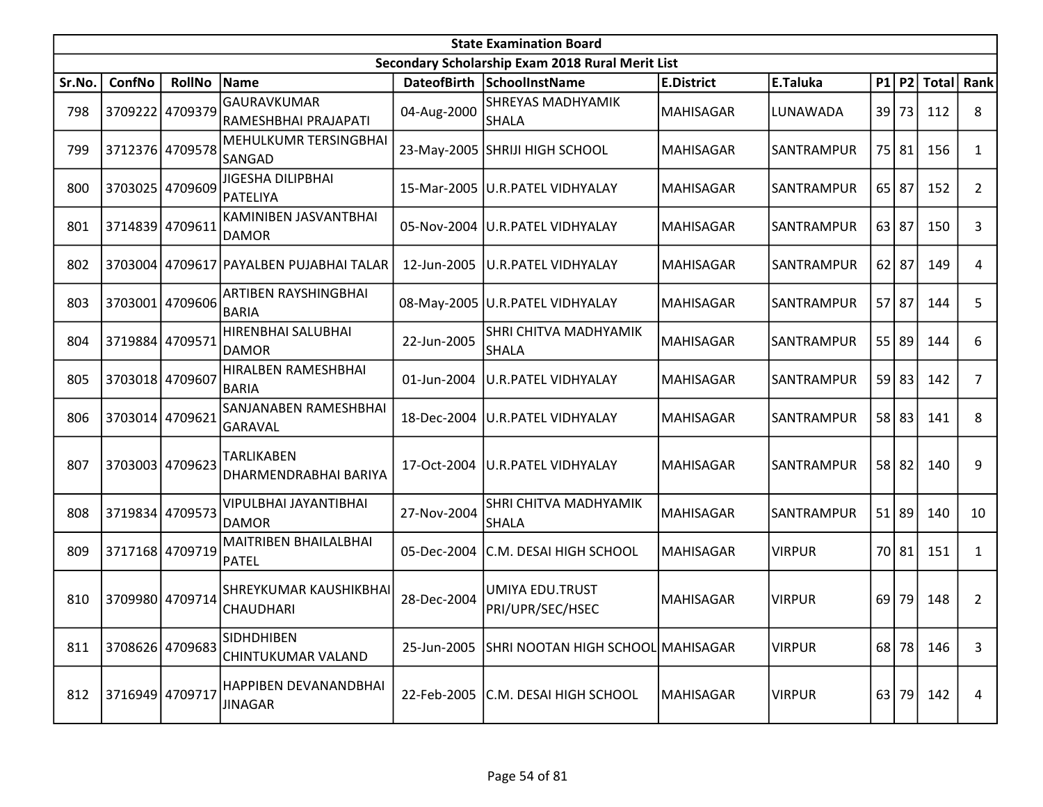|        | <b>State Examination Board</b><br>Secondary Scholarship Exam 2018 Rural Merit List |                 |                                         |                    |                                              |                   |                   |    |           |              |                |  |  |
|--------|------------------------------------------------------------------------------------|-----------------|-----------------------------------------|--------------------|----------------------------------------------|-------------------|-------------------|----|-----------|--------------|----------------|--|--|
|        |                                                                                    |                 |                                         |                    |                                              |                   |                   |    |           |              |                |  |  |
| Sr.No. | ConfNo                                                                             | <b>RollNo</b>   | Name                                    | <b>DateofBirth</b> | <b>SchoolInstName</b>                        | <b>E.District</b> | E.Taluka          |    | $P1$ P2   | <b>Total</b> | Rank           |  |  |
| 798    | 3709222                                                                            | 4709379         | GAURAVKUMAR<br>İRAMESHBHAI PRAJAPATI    | 04-Aug-2000        | <b>SHREYAS MADHYAMIK</b><br><b>SHALA</b>     | <b>MAHISAGAR</b>  | LUNAWADA          |    | 39 73     | 112          | 8              |  |  |
| 799    |                                                                                    | 3712376 4709578 | MEHULKUMR TERSINGBHAI<br>SANGAD         |                    | 23-May-2005 SHRIJI HIGH SCHOOL               | <b>MAHISAGAR</b>  | SANTRAMPUR        |    | 75 81     | 156          | $\mathbf{1}$   |  |  |
| 800    |                                                                                    | 3703025 4709609 | <b>JIGESHA DILIPBHAI</b><br>PATELIYA    |                    | 15-Mar-2005   U.R.PATEL VIDHYALAY            | <b>MAHISAGAR</b>  | SANTRAMPUR        |    | $65$   87 | 152          | $\overline{2}$ |  |  |
| 801    | 3714839                                                                            | 4709611         | KAMINIBEN JASVANTBHAI<br>DAMOR          |                    | 05-Nov-2004   U.R. PATEL VIDHYALAY           | <b>MAHISAGAR</b>  | SANTRAMPUR        |    | 63 87     | 150          | 3              |  |  |
| 802    |                                                                                    |                 | 3703004 4709617 PAYALBEN PUJABHAI TALAR | 12-Jun-2005        | <b>U.R.PATEL VIDHYALAY</b>                   | <b>MAHISAGAR</b>  | SANTRAMPUR        |    | $62$   87 | 149          | 4              |  |  |
| 803    | 3703001                                                                            | 4709606         | ARTIBEN RAYSHINGBHAI<br><b>BARIA</b>    |                    | 08-May-2005 U.R.PATEL VIDHYALAY              | <b>MAHISAGAR</b>  | SANTRAMPUR        |    | $57$   87 | 144          | 5              |  |  |
| 804    | 3719884                                                                            | 4709571         | HIRENBHAI SALUBHAI<br><b>DAMOR</b>      | 22-Jun-2005        | <b>SHRI CHITVA MADHYAMIK</b><br><b>SHALA</b> | <b>MAHISAGAR</b>  | SANTRAMPUR        |    | 55 89     | 144          | 6              |  |  |
| 805    |                                                                                    | 3703018 4709607 | HIRALBEN RAMESHBHAI<br>BARIA            | 01-Jun-2004        | U.R.PATEL VIDHYALAY                          | <b>MAHISAGAR</b>  | <b>SANTRAMPUR</b> |    | $59$ 83   | 142          | $\overline{7}$ |  |  |
| 806    |                                                                                    | 3703014 4709621 | SANJANABEN RAMESHBHAI<br><b>GARAVAL</b> | 18-Dec-2004        | U.R.PATEL VIDHYALAY                          | <b>MAHISAGAR</b>  | <b>SANTRAMPUR</b> |    | 58 83     | 141          | 8              |  |  |
| 807    |                                                                                    | 3703003 4709623 | TARLIKABEN<br>DHARMENDRABHAI BARIYA     | 17-Oct-2004        | U.R.PATEL VIDHYALAY                          | <b>MAHISAGAR</b>  | SANTRAMPUR        |    | $58$ 82   | 140          | 9              |  |  |
| 808    |                                                                                    | 3719834 4709573 | VIPULBHAI JAYANTIBHAI<br><b>DAMOR</b>   | 27-Nov-2004        | SHRI CHITVA MADHYAMIK<br><b>SHALA</b>        | <b>MAHISAGAR</b>  | <b>SANTRAMPUR</b> |    | 51 89     | 140          | 10             |  |  |
| 809    |                                                                                    | 3717168 4709719 | MAITRIBEN BHAILALBHAI<br>PATEL          | 05-Dec-2004        | C.M. DESAI HIGH SCHOOL                       | <b>MAHISAGAR</b>  | <b>VIRPUR</b>     |    | 70 81     | 151          | 1              |  |  |
| 810    | 3709980 4709714                                                                    |                 | SHREYKUMAR KAUSHIKBHAI<br>CHAUDHARI     | 28-Dec-2004        | UMIYA EDU.TRUST<br>PRI/UPR/SEC/HSEC          | <b>MAHISAGAR</b>  | <b>VIRPUR</b>     | 69 | 79        | 148          | $\overline{2}$ |  |  |
| 811    |                                                                                    | 3708626 4709683 | <b>SIDHDHIBEN</b><br>CHINTUKUMAR VALAND | 25-Jun-2005        | SHRI NOOTAN HIGH SCHOOL MAHISAGAR            |                   | <b>VIRPUR</b>     |    | 68 78     | 146          | 3              |  |  |
| 812    | 3716949 4709717                                                                    |                 | HAPPIBEN DEVANANDBHAI<br><b>JINAGAR</b> | 22-Feb-2005        | C.M. DESAI HIGH SCHOOL                       | <b>MAHISAGAR</b>  | <b>VIRPUR</b>     |    | 63 79     | 142          | 4              |  |  |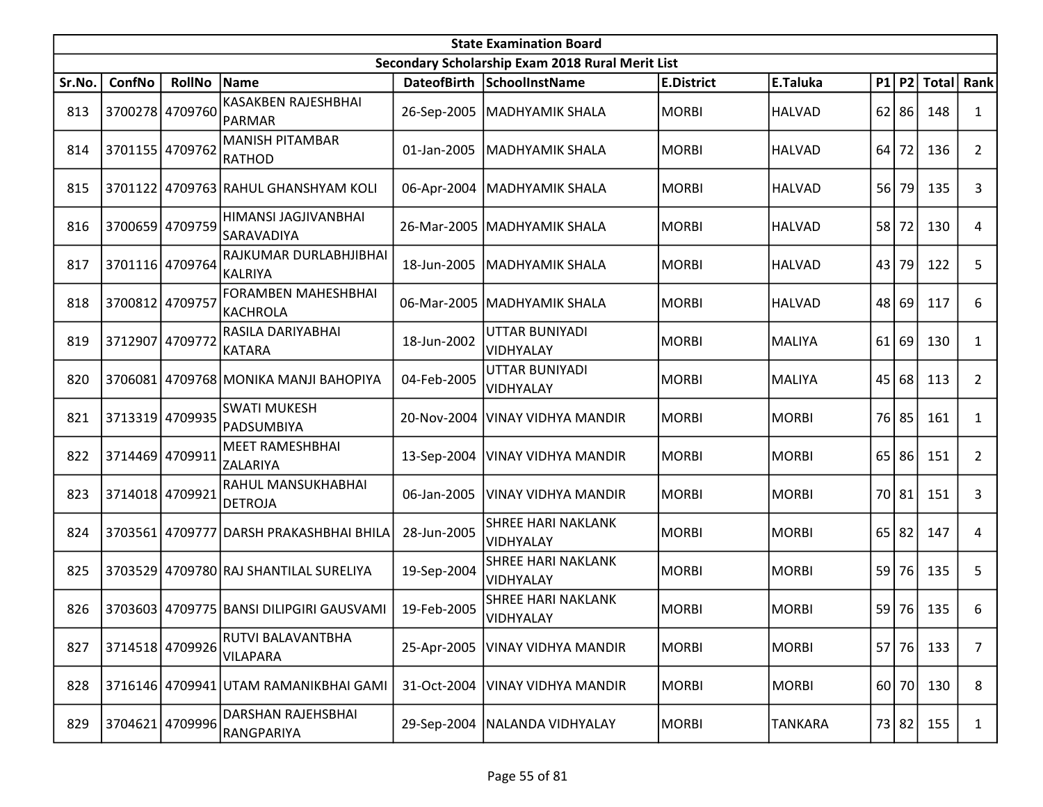|        | <b>State Examination Board</b><br>Secondary Scholarship Exam 2018 Rural Merit List |                 |                                          |             |                                               |                   |                |    |           |             |                |  |  |
|--------|------------------------------------------------------------------------------------|-----------------|------------------------------------------|-------------|-----------------------------------------------|-------------------|----------------|----|-----------|-------------|----------------|--|--|
|        |                                                                                    |                 |                                          |             |                                               |                   |                |    |           |             |                |  |  |
| Sr.No. | ConfNo                                                                             | RollNo Name     |                                          |             | DateofBirth SchoolInstName                    | <b>E.District</b> | E.Taluka       |    |           | P1 P2 Total | Rank           |  |  |
| 813    |                                                                                    | 3700278 4709760 | KASAKBEN RAJESHBHAI<br>PARMAR            |             | 26-Sep-2005   MADHYAMIK SHALA                 | <b>MORBI</b>      | <b>HALVAD</b>  |    | $62$   86 | 148         | $\mathbf{1}$   |  |  |
| 814    |                                                                                    | 3701155 4709762 | <b>MANISH PITAMBAR</b><br><b>RATHOD</b>  | 01-Jan-2005 | <b>MADHYAMIK SHALA</b>                        | MORBI             | <b>HALVAD</b>  | 64 | 72        | 136         | $\overline{2}$ |  |  |
| 815    |                                                                                    |                 | 3701122 4709763 RAHUL GHANSHYAM KOLI     | 06-Apr-2004 | <b>MADHYAMIK SHALA</b>                        | MORBI             | <b>HALVAD</b>  | 56 | 79        | 135         | 3              |  |  |
| 816    |                                                                                    | 3700659 4709759 | HIMANSI JAGJIVANBHAI<br>SARAVADIYA       | 26-Mar-2005 | MADHYAMIK SHALA                               | <b>MORBI</b>      | <b>HALVAD</b>  | 58 | 72        | 130         | 4              |  |  |
| 817    |                                                                                    | 3701116 4709764 | RAJKUMAR DURLABHJIBHAI<br><b>KALRIYA</b> | 18-Jun-2005 | <b>MADHYAMIK SHALA</b>                        | <b>MORBI</b>      | <b>HALVAD</b>  |    | 43 79     | 122         | 5              |  |  |
| 818    | 3700812 4709757                                                                    |                 | <b>FORAMBEN MAHESHBHAI</b><br>KACHROLA   | 06-Mar-2005 | <b>MADHYAMIK SHALA</b>                        | MORBI             | <b>HALVAD</b>  | 48 | 69        | 117         | 6              |  |  |
| 819    | 3712907 4709772                                                                    |                 | RASILA DARIYABHAI<br><b>KATARA</b>       | 18-Jun-2002 | UTTAR BUNIYADI<br>VIDHYALAY                   | <b>MORBI</b>      | <b>MALIYA</b>  | 61 | 69        | 130         | 1              |  |  |
| 820    |                                                                                    |                 | 3706081 4709768 MONIKA MANJI BAHOPIYA    | 04-Feb-2005 | UTTAR BUNIYADI<br><b>VIDHYALAY</b>            | MORBI             | <b>MALIYA</b>  | 45 | 68        | 113         | $\overline{2}$ |  |  |
| 821    |                                                                                    | 3713319 4709935 | <b>SWATI MUKESH</b><br>PADSUMBIYA        | 20-Nov-2004 | VINAY VIDHYA MANDIR                           | MORBI             | <b>MORBI</b>   |    | 76 85     | 161         | 1              |  |  |
| 822    | 3714469 4709911                                                                    |                 | <b>MEET RAMESHBHAI</b><br>ZALARIYA       |             | 13-Sep-2004   VINAY VIDHYA MANDIR             | <b>MORBI</b>      | <b>MORBI</b>   | 65 | 86        | 151         | $\overline{2}$ |  |  |
| 823    |                                                                                    | 3714018 4709921 | RAHUL MANSUKHABHAI<br><b>DETROJA</b>     | 06-Jan-2005 | VINAY VIDHYA MANDIR                           | MORBI             | <b>MORBI</b>   |    | 70 81     | 151         | 3              |  |  |
| 824    |                                                                                    |                 | 3703561 4709777 DARSH PRAKASHBHAI BHILA  | 28-Jun-2005 | <b>SHREE HARI NAKLANK</b><br>VIDHYALAY        | <b>MORBI</b>      | <b>MORBI</b>   | 65 | 82        | 147         | 4              |  |  |
| 825    |                                                                                    |                 | 3703529 4709780 RAJ SHANTILAL SURELIYA   | 19-Sep-2004 | <b>SHREE HARI NAKLANK</b><br><b>VIDHYALAY</b> | <b>MORBI</b>      | <b>MORBI</b>   | 59 | 76        | 135         | 5              |  |  |
| 826    |                                                                                    |                 | 3703603 4709775 BANSI DILIPGIRI GAUSVAMI | 19-Feb-2005 | <b>SHREE HARI NAKLANK</b><br>VIDHYALAY        | <b>MORBI</b>      | <b>MORBI</b>   | 59 | 76        | 135         | 6              |  |  |
| 827    |                                                                                    | 3714518 4709926 | RUTVI BALAVANTBHA<br><b>VILAPARA</b>     |             | 25-Apr-2005   VINAY VIDHYA MANDIR             | <b>MORBI</b>      | <b>MORBI</b>   | 57 | 76        | 133         | $\overline{7}$ |  |  |
| 828    |                                                                                    |                 | 3716146 4709941 UTAM RAMANIKBHAI GAMI    | 31-Oct-2004 | <b>VINAY VIDHYA MANDIR</b>                    | MORBI             | <b>MORBI</b>   |    | 60 70     | 130         | 8              |  |  |
| 829    | 3704621                                                                            | 4709996         | DARSHAN RAJEHSBHAI<br>RANGPARIYA         |             | 29-Sep-2004   NALANDA VIDHYALAY               | MORBI             | <b>TANKARA</b> |    | 73 82     | 155         | $\mathbf{1}$   |  |  |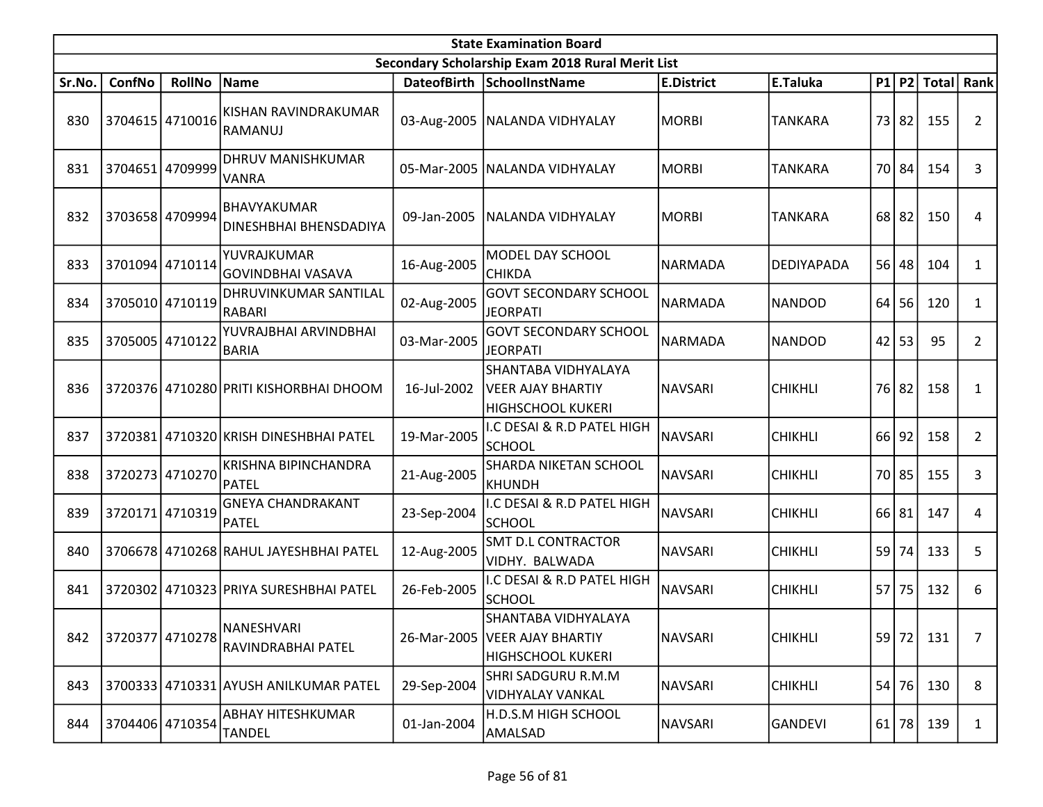|        | <b>State Examination Board</b> |                 |                                              |             |                                                                                    |                   |                |    |           |              |                |  |  |
|--------|--------------------------------|-----------------|----------------------------------------------|-------------|------------------------------------------------------------------------------------|-------------------|----------------|----|-----------|--------------|----------------|--|--|
|        |                                |                 |                                              |             | Secondary Scholarship Exam 2018 Rural Merit List                                   |                   |                |    |           |              |                |  |  |
| Sr.No. | ConfNo                         | <b>RollNo</b>   | Name                                         |             | DateofBirth SchoolInstName                                                         | <b>E.District</b> | E.Taluka       |    | $P1$ P2   | <b>Total</b> | <b>Rank</b>    |  |  |
| 830    |                                | 3704615 4710016 | KISHAN RAVINDRAKUMAR<br>RAMANUJ              | 03-Aug-2005 | NALANDA VIDHYALAY                                                                  | <b>MORBI</b>      | TANKARA        | 73 | 82        | 155          | $\overline{2}$ |  |  |
| 831    | 3704651                        | 4709999         | <b>DHRUV MANISHKUMAR</b><br><b>VANRA</b>     | 05-Mar-2005 | NALANDA VIDHYALAY                                                                  | <b>MORBI</b>      | <b>TANKARA</b> | 70 | 84        | 154          | 3              |  |  |
| 832    |                                | 3703658 4709994 | BHAVYAKUMAR<br><b>DINESHBHAI BHENSDADIYA</b> | 09-Jan-2005 | NALANDA VIDHYALAY                                                                  | <b>MORBI</b>      | <b>TANKARA</b> |    | $68$   82 | 150          | 4              |  |  |
| 833    |                                | 3701094 4710114 | YUVRAJKUMAR<br>GOVINDBHAI VASAVA             | 16-Aug-2005 | MODEL DAY SCHOOL<br><b>CHIKDA</b>                                                  | <b>NARMADA</b>    | DEDIYAPADA     | 56 | 48        | 104          | $\mathbf{1}$   |  |  |
| 834    |                                | 3705010 4710119 | DHRUVINKUMAR SANTILAL<br>RABARI              | 02-Aug-2005 | <b>GOVT SECONDARY SCHOOL</b><br><b>JEORPATI</b>                                    | <b>NARMADA</b>    | <b>NANDOD</b>  | 64 | 56        | 120          | $\mathbf{1}$   |  |  |
| 835    | 3705005 4710122                |                 | YUVRAJBHAI ARVINDBHAI<br><b>BARIA</b>        | 03-Mar-2005 | <b>GOVT SECONDARY SCHOOL</b><br><b>JEORPATI</b>                                    | <b>NARMADA</b>    | <b>NANDOD</b>  | 42 | 53        | 95           | 2              |  |  |
| 836    |                                |                 | 3720376 4710280 PRITI KISHORBHAI DHOOM       | 16-Jul-2002 | SHANTABA VIDHYALAYA<br><b>VEER AJAY BHARTIY</b><br><b>HIGHSCHOOL KUKERI</b>        | <b>NAVSARI</b>    | <b>CHIKHLI</b> | 76 | 82        | 158          | 1              |  |  |
| 837    | 3720381                        |                 | 4710320 KRISH DINESHBHAI PATEL               | 19-Mar-2005 | I.C DESAI & R.D PATEL HIGH<br><b>SCHOOL</b>                                        | <b>NAVSARI</b>    | <b>CHIKHLI</b> | 66 | 92        | 158          | $\overline{2}$ |  |  |
| 838    |                                | 3720273 4710270 | KRISHNA BIPINCHANDRA<br>PATEL                | 21-Aug-2005 | SHARDA NIKETAN SCHOOL<br><b>KHUNDH</b>                                             | <b>NAVSARI</b>    | <b>CHIKHLI</b> | 70 | 85        | 155          | 3              |  |  |
| 839    |                                | 3720171 4710319 | <b>GNEYA CHANDRAKANT</b><br>PATEL            | 23-Sep-2004 | I.C DESAI & R.D PATEL HIGH<br><b>SCHOOL</b>                                        | <b>NAVSARI</b>    | <b>CHIKHLI</b> | 66 | 81        | 147          | 4              |  |  |
| 840    |                                |                 | 3706678 4710268 RAHUL JAYESHBHAI PATEL       | 12-Aug-2005 | <b>SMT D.L CONTRACTOR</b><br>VIDHY. BALWADA                                        | <b>NAVSARI</b>    | <b>CHIKHLI</b> | 59 | 74        | 133          | 5              |  |  |
| 841    | 3720302                        |                 | 4710323 PRIYA SURESHBHAI PATEL               | 26-Feb-2005 | I.C DESAI & R.D PATEL HIGH<br><b>SCHOOL</b>                                        | <b>NAVSARI</b>    | <b>CHIKHLI</b> | 57 | 75        | 132          | 6              |  |  |
| 842    | 3720377                        | 4710278         | NANESHVARI<br>RAVINDRABHAI PATEL             |             | SHANTABA VIDHYALAYA<br>26-Mar-2005   VEER AJAY BHARTIY<br><b>HIGHSCHOOL KUKERI</b> | <b>NAVSARI</b>    | <b>CHIKHLI</b> |    | 59 72     | 131          | $\overline{7}$ |  |  |
| 843    |                                |                 | 3700333 4710331 AYUSH ANILKUMAR PATEL        | 29-Sep-2004 | SHRI SADGURU R.M.M<br>VIDHYALAY VANKAL                                             | <b>NAVSARI</b>    | <b>CHIKHLI</b> | 54 | 76        | 130          | 8              |  |  |
| 844    |                                | 3704406 4710354 | ABHAY HITESHKUMAR<br>TANDEL                  | 01-Jan-2004 | H.D.S.M HIGH SCHOOL<br>AMALSAD                                                     | NAVSARI           | <b>GANDEVI</b> |    | $61$ 78   | 139          | 1              |  |  |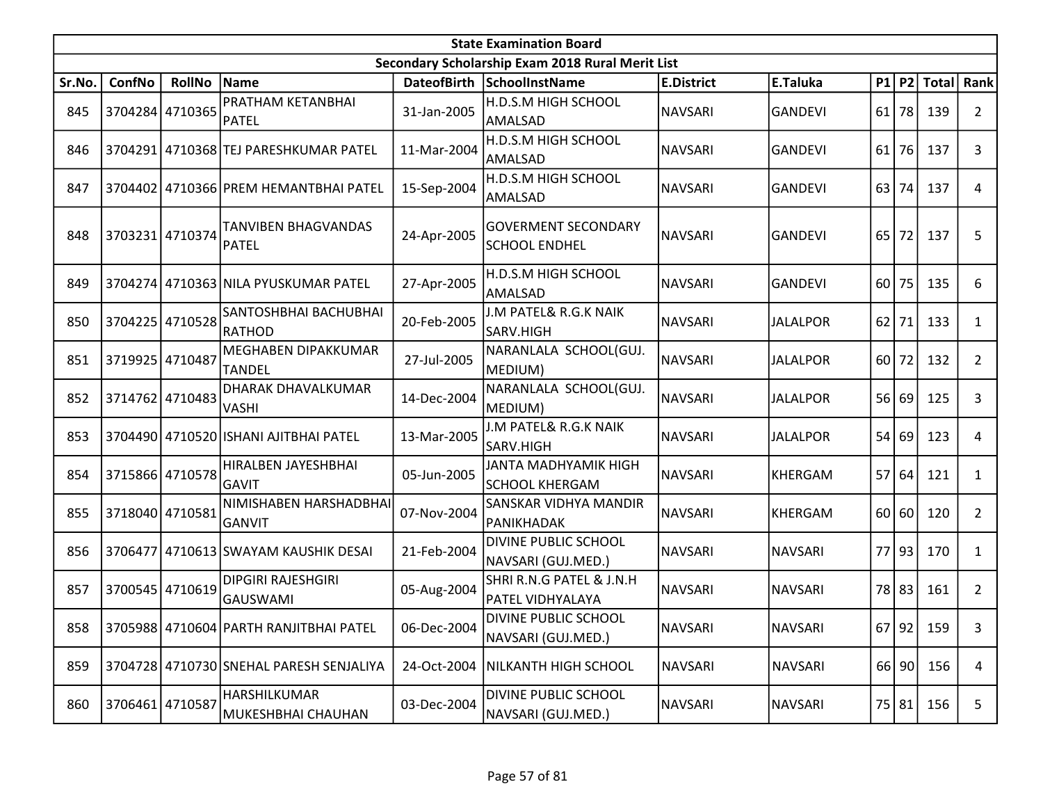|        | <b>State Examination Board</b><br>Secondary Scholarship Exam 2018 Rural Merit List |                 |                                              |                    |                                                    |                   |                 |       |         |                 |                |  |  |
|--------|------------------------------------------------------------------------------------|-----------------|----------------------------------------------|--------------------|----------------------------------------------------|-------------------|-----------------|-------|---------|-----------------|----------------|--|--|
|        |                                                                                    |                 |                                              |                    |                                                    |                   |                 |       |         |                 |                |  |  |
| Sr.No. | ConfNo                                                                             | <b>RollNo</b>   | Name                                         | <b>DateofBirth</b> | <b>SchoolInstName</b>                              | <b>E.District</b> | E.Taluka        | P1    | P2      | <b>Total</b>    | Rank           |  |  |
| 845    |                                                                                    | 3704284 4710365 | PRATHAM KETANBHAI<br><b>PATEL</b>            | 31-Jan-2005        | H.D.S.M HIGH SCHOOL<br>AMALSAD                     | <b>NAVSARI</b>    | <b>GANDEVI</b>  | 61    | 78      | 139             | $\mathbf{2}$   |  |  |
| 846    |                                                                                    |                 | 3704291 4710368 TEJ PARESHKUMAR PATEL        | 11-Mar-2004        | H.D.S.M HIGH SCHOOL<br>AMALSAD                     | <b>NAVSARI</b>    | <b>GANDEVI</b>  | 61    | 76      | 137             | 3              |  |  |
| 847    |                                                                                    |                 | 3704402 4710366 PREM HEMANTBHAI PATEL        | 15-Sep-2004        | H.D.S.M HIGH SCHOOL<br>AMALSAD                     | <b>NAVSARI</b>    | <b>GANDEVI</b>  | 63    | 74      | 137             | 4              |  |  |
| 848    | 3703231 4710374                                                                    |                 | <b>TANVIBEN BHAGVANDAS</b><br><b>PATEL</b>   | 24-Apr-2005        | <b>GOVERMENT SECONDARY</b><br><b>SCHOOL ENDHEL</b> | <b>NAVSARI</b>    | <b>GANDEVI</b>  | 65    | 72      | 137             | 5              |  |  |
| 849    |                                                                                    |                 | 3704274 4710363 NILA PYUSKUMAR PATEL         | 27-Apr-2005        | H.D.S.M HIGH SCHOOL<br>AMALSAD                     | <b>NAVSARI</b>    | <b>GANDEVI</b>  | 60 l  | 75      | 135             | 6              |  |  |
| 850    |                                                                                    | 3704225 4710528 | SANTOSHBHAI BACHUBHAI<br>RATHOD              | 20-Feb-2005        | J.M PATEL& R.G.K NAIK<br>SARV.HIGH                 | <b>NAVSARI</b>    | <b>JALALPOR</b> | 62    | 71      | 133             | $\mathbf{1}$   |  |  |
| 851    | 3719925 4710487                                                                    |                 | MEGHABEN DIPAKKUMAR<br><b>TANDEL</b>         | 27-Jul-2005        | NARANLALA SCHOOL(GUJ.<br>MEDIUM)                   | <b>NAVSARI</b>    | <b>JALALPOR</b> | 60    | 72      | 132             | $\overline{2}$ |  |  |
| 852    |                                                                                    | 3714762 4710483 | DHARAK DHAVALKUMAR<br><b>VASHI</b>           | 14-Dec-2004        | NARANLALA SCHOOL(GUJ.<br>MEDIUM)                   | NAVSARI           | <b>JALALPOR</b> | 56 69 |         | 125             | 3              |  |  |
| 853    |                                                                                    |                 | 3704490 4710520 ISHANI AJITBHAI PATEL        | 13-Mar-2005        | J.M PATEL& R.G.K NAIK<br>SARV.HIGH                 | <b>NAVSARI</b>    | JALALPOR        | 54    | 69      | 123             | 4              |  |  |
| 854    |                                                                                    | 3715866 4710578 | HIRALBEN JAYESHBHAI<br>GAVIT                 | 05-Jun-2005        | JANTA MADHYAMIK HIGH<br><b>SCHOOL KHERGAM</b>      | <b>NAVSARI</b>    | <b>KHERGAM</b>  | 57    | 64      | 121             | $\mathbf{1}$   |  |  |
| 855    |                                                                                    | 3718040 4710581 | NIMISHABEN HARSHADBHAI<br>GANVIT             | 07-Nov-2004        | SANSKAR VIDHYA MANDIR<br>PANIKHADAK                | <b>NAVSARI</b>    | <b>KHERGAM</b>  |       | 60   60 | 120             | $\overline{2}$ |  |  |
| 856    | 3706477                                                                            |                 | 4710613 SWAYAM KAUSHIK DESAI                 | 21-Feb-2004        | DIVINE PUBLIC SCHOOL<br>NAVSARI (GUJ.MED.)         | <b>NAVSARI</b>    | <b>NAVSARI</b>  | 77    | 93      | 170             | $\mathbf{1}$   |  |  |
| 857    |                                                                                    | 3700545 4710619 | <b>DIPGIRI RAJESHGIRI</b><br><b>GAUSWAMI</b> | 05-Aug-2004        | SHRI R.N.G PATEL & J.N.H<br>PATEL VIDHYALAYA       | <b>NAVSARI</b>    | <b>NAVSARI</b>  | 78    | 83      | 161             | $\overline{2}$ |  |  |
| 858    |                                                                                    |                 | 3705988 4710604 PARTH RANJITBHAI PATEL       | 06-Dec-2004        | <b>DIVINE PUBLIC SCHOOL</b><br>NAVSARI (GUJ.MED.)  | NAVSARI           | <b>NAVSARI</b>  |       |         | $67$   92   159 | 3              |  |  |
| 859    |                                                                                    |                 | 3704728 4710730 SNEHAL PARESH SENJALIYA      | 24-Oct-2004        | NILKANTH HIGH SCHOOL                               | <b>NAVSARI</b>    | <b>NAVSARI</b>  |       | 66 90   | 156             | 4              |  |  |
| 860    |                                                                                    | 3706461 4710587 | HARSHILKUMAR<br>MUKESHBHAI CHAUHAN           | 03-Dec-2004        | DIVINE PUBLIC SCHOOL<br>NAVSARI (GUJ.MED.)         | <b>NAVSARI</b>    | <b>NAVSARI</b>  |       | 75   81 | 156             | 5              |  |  |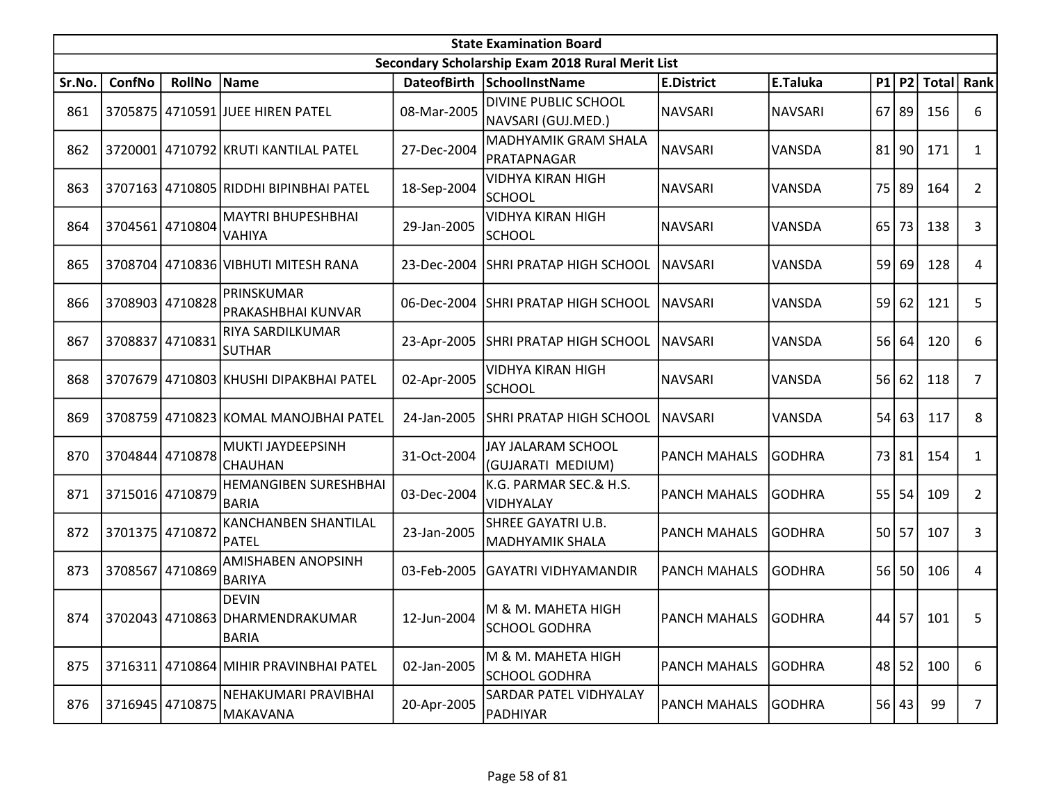|        | <b>State Examination Board</b> |                 |                                                                 |             |                                                  |                     |                |    |          |                 |                |  |  |
|--------|--------------------------------|-----------------|-----------------------------------------------------------------|-------------|--------------------------------------------------|---------------------|----------------|----|----------|-----------------|----------------|--|--|
|        |                                |                 |                                                                 |             | Secondary Scholarship Exam 2018 Rural Merit List |                     |                |    |          |                 |                |  |  |
| Sr.No. | ConfNo                         | <b>RollNo</b>   | Name                                                            |             | DateofBirth SchoolInstName                       | <b>E.District</b>   | E.Taluka       |    |          | P1   P2   Total | Rank           |  |  |
| 861    |                                |                 | 3705875 4710591 JUEE HIREN PATEL                                | 08-Mar-2005 | DIVINE PUBLIC SCHOOL<br>NAVSARI (GUJ.MED.)       | <b>NAVSARI</b>      | <b>NAVSARI</b> | 67 | 89       | 156             | 6              |  |  |
| 862    |                                |                 | 3720001 4710792 KRUTI KANTILAL PATEL                            | 27-Dec-2004 | MADHYAMIK GRAM SHALA<br>PRATAPNAGAR              | <b>NAVSARI</b>      | VANSDA         |    | $81$  90 | 171             | $\mathbf{1}$   |  |  |
| 863    |                                |                 | 3707163 4710805 RIDDHI BIPINBHAI PATEL                          | 18-Sep-2004 | <b>VIDHYA KIRAN HIGH</b><br><b>SCHOOL</b>        | <b>NAVSARI</b>      | VANSDA         | 75 | 89       | 164             | $\mathbf{2}$   |  |  |
| 864    | 3704561                        | 4710804         | <b>MAYTRI BHUPESHBHAI</b><br><b>VAHIYA</b>                      | 29-Jan-2005 | <b>VIDHYA KIRAN HIGH</b><br><b>SCHOOL</b>        | <b>NAVSARI</b>      | VANSDA         | 65 | 73       | 138             | 3              |  |  |
| 865    |                                |                 | 3708704 4710836 VIBHUTI MITESH RANA                             | 23-Dec-2004 | <b>SHRI PRATAP HIGH SCHOOL</b>                   | <b>NAVSARI</b>      | VANSDA         | 59 | 69       | 128             | 4              |  |  |
| 866    |                                | 3708903 4710828 | PRINSKUMAR<br>PRAKASHBHAI KUNVAR                                | 06-Dec-2004 | <b>SHRI PRATAP HIGH SCHOOL</b>                   | <b>NAVSARI</b>      | VANSDA         | 59 | 62       | 121             | 5              |  |  |
| 867    | 3708837 4710831                |                 | RIYA SARDILKUMAR<br><b>SUTHAR</b>                               | 23-Apr-2005 | SHRI PRATAP HIGH SCHOOL                          | <b>NAVSARI</b>      | VANSDA         | 56 | 64       | 120             | 6              |  |  |
| 868    |                                |                 | 3707679 4710803 KHUSHI DIPAKBHAI PATEL                          | 02-Apr-2005 | VIDHYA KIRAN HIGH<br><b>SCHOOL</b>               | <b>NAVSARI</b>      | <b>VANSDA</b>  | 56 | 62       | 118             | 7              |  |  |
| 869    |                                |                 | 3708759 4710823 KOMAL MANOJBHAI PATEL                           | 24-Jan-2005 | <b>SHRI PRATAP HIGH SCHOOL</b>                   | <b>NAVSARI</b>      | VANSDA         | 54 | 63       | 117             | 8              |  |  |
| 870    |                                | 3704844 4710878 | MUKTI JAYDEEPSINH<br><b>CHAUHAN</b>                             | 31-Oct-2004 | JAY JALARAM SCHOOL<br>(GUJARATI MEDIUM)          | <b>PANCH MAHALS</b> | <b>GODHRA</b>  | 73 | 81       | 154             | 1              |  |  |
| 871    | 3715016 4710879                |                 | <b>HEMANGIBEN SURESHBHAI</b><br><b>BARIA</b>                    | 03-Dec-2004 | K.G. PARMAR SEC.& H.S.<br>VIDHYALAY              | <b>PANCH MAHALS</b> | <b>GODHRA</b>  |    | $55$ 54  | 109             | $\overline{2}$ |  |  |
| 872    | 3701375 4710872                |                 | <b>KANCHANBEN SHANTILAL</b><br><b>PATEL</b>                     | 23-Jan-2005 | SHREE GAYATRI U.B.<br><b>MADHYAMIK SHALA</b>     | <b>PANCH MAHALS</b> | <b>GODHRA</b>  | 50 | 57       | 107             | 3              |  |  |
| 873    |                                | 3708567 4710869 | AMISHABEN ANOPSINH<br><b>BARIYA</b>                             | 03-Feb-2005 | <b>GAYATRI VIDHYAMANDIR</b>                      | <b>PANCH MAHALS</b> | <b>GODHRA</b>  | 56 | 50       | 106             | 4              |  |  |
| 874    |                                |                 | <b>DEVIN</b><br>3702043 4710863 DHARMENDRAKUMAR<br><b>BARIA</b> | 12-Jun-2004 | M & M. MAHETA HIGH<br><b>SCHOOL GODHRA</b>       | PANCH MAHALS GODHRA |                |    |          | 44 57 101       | 5              |  |  |
| 875    |                                |                 | 3716311 4710864 MIHIR PRAVINBHAI PATEL                          | 02-Jan-2005 | M & M. MAHETA HIGH<br><b>SCHOOL GODHRA</b>       | <b>PANCH MAHALS</b> | <b>GODHRA</b>  | 48 | 52       | 100             | 6              |  |  |
| 876    |                                | 3716945 4710875 | NEHAKUMARI PRAVIBHAI<br>MAKAVANA                                | 20-Apr-2005 | SARDAR PATEL VIDHYALAY<br>PADHIYAR               | <b>PANCH MAHALS</b> | <b>GODHRA</b>  |    | 56 43    | 99              | $\overline{7}$ |  |  |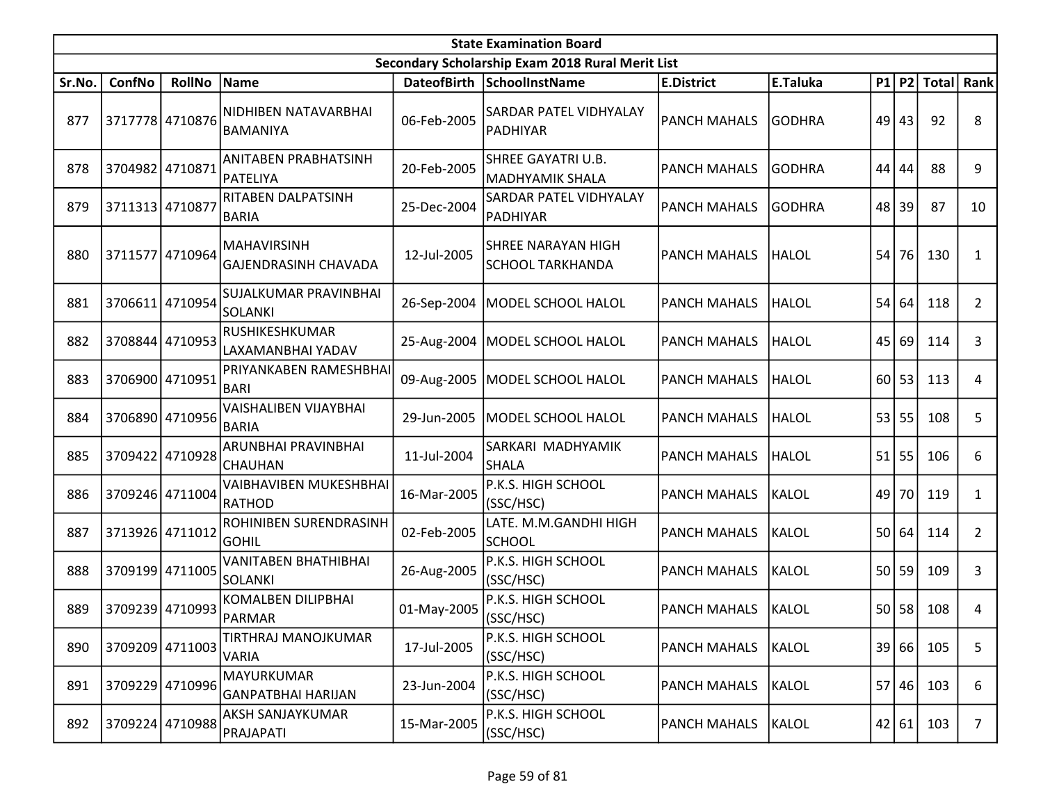|        | <b>State Examination Board</b> |                 |                                                   |                    |                                                  |                     |               |    |           |              |                |  |  |
|--------|--------------------------------|-----------------|---------------------------------------------------|--------------------|--------------------------------------------------|---------------------|---------------|----|-----------|--------------|----------------|--|--|
|        |                                |                 |                                                   |                    | Secondary Scholarship Exam 2018 Rural Merit List |                     |               |    |           |              |                |  |  |
| Sr.No. | ConfNo                         | <b>RollNo</b>   | <b>Name</b>                                       | <b>DateofBirth</b> | <b>SchoolInstName</b>                            | <b>E.District</b>   | E.Taluka      |    | $P1$ $P2$ | <b>Total</b> | Rank           |  |  |
| 877    |                                | 3717778 4710876 | NIDHIBEN NATAVARBHAI<br><b>BAMANIYA</b>           | 06-Feb-2005        | SARDAR PATEL VIDHYALAY<br>PADHIYAR               | PANCH MAHALS        | <b>GODHRA</b> | 49 | 43        | 92           | 8              |  |  |
| 878    | 3704982 4710871                |                 | <b>ANITABEN PRABHATSINH</b><br>PATELIYA           | 20-Feb-2005        | SHREE GAYATRI U.B.<br><b>MADHYAMIK SHALA</b>     | <b>PANCH MAHALS</b> | <b>GODHRA</b> | 44 | 44        | 88           | 9              |  |  |
| 879    | 3711313 4710877                |                 | RITABEN DALPATSINH<br><b>BARIA</b>                | 25-Dec-2004        | SARDAR PATEL VIDHYALAY<br>PADHIYAR               | <b>PANCH MAHALS</b> | <b>GODHRA</b> | 48 | 39        | 87           | 10             |  |  |
| 880    |                                | 3711577 4710964 | <b>MAHAVIRSINH</b><br><b>GAJENDRASINH CHAVADA</b> | 12-Jul-2005        | SHREE NARAYAN HIGH<br><b>SCHOOL TARKHANDA</b>    | <b>PANCH MAHALS</b> | <b>HALOL</b>  | 54 | 76        | 130          | 1              |  |  |
| 881    | 3706611                        | 4710954         | SUJALKUMAR PRAVINBHAI<br><b>SOLANKI</b>           | 26-Sep-2004        | MODEL SCHOOL HALOL                               | PANCH MAHALS        | <b>HALOL</b>  | 54 | 64        | 118          | $\overline{2}$ |  |  |
| 882    |                                | 3708844 4710953 | RUSHIKESHKUMAR<br>LAXAMANBHAI YADAV               |                    | 25-Aug-2004   MODEL SCHOOL HALOL                 | <b>PANCH MAHALS</b> | <b>HALOL</b>  | 45 | 69        | 114          | 3              |  |  |
| 883    |                                | 3706900 4710951 | PRIYANKABEN RAMESHBHAI<br><b>BARI</b>             |                    | 09-Aug-2005   MODEL SCHOOL HALOL                 | <b>PANCH MAHALS</b> | <b>HALOL</b>  |    | $60$   53 | 113          | 4              |  |  |
| 884    |                                | 3706890 4710956 | <b>VAISHALIBEN VIJAYBHAI</b><br><b>BARIA</b>      | 29-Jun-2005        | MODEL SCHOOL HALOL                               | <b>PANCH MAHALS</b> | <b>HALOL</b>  |    | 53 55     | 108          | 5              |  |  |
| 885    |                                | 3709422 4710928 | ARUNBHAI PRAVINBHAI<br><b>CHAUHAN</b>             | 11-Jul-2004        | SARKARI MADHYAMIK<br><b>SHALA</b>                | PANCH MAHALS        | <b>HALOL</b>  | 51 | 55        | 106          | 6              |  |  |
| 886    |                                | 3709246 4711004 | <b>VAIBHAVIBEN MUKESHBHAI</b><br><b>RATHOD</b>    | 16-Mar-2005        | P.K.S. HIGH SCHOOL<br>(SSC/HSC)                  | <b>PANCH MAHALS</b> | KALOL         | 49 | 70        | 119          | 1              |  |  |
| 887    |                                | 3713926 4711012 | ROHINIBEN SURENDRASINH<br>GOHIL                   | 02-Feb-2005        | LATE. M.M.GANDHI HIGH<br><b>SCHOOL</b>           | <b>PANCH MAHALS</b> | KALOL         | 50 | 64        | 114          | $\overline{2}$ |  |  |
| 888    |                                | 3709199 4711005 | <b>VANITABEN BHATHIBHAI</b><br><b>SOLANKI</b>     | 26-Aug-2005        | P.K.S. HIGH SCHOOL<br>(SSC/HSC)                  | <b>PANCH MAHALS</b> | KALOL         | 50 | 59        | 109          | 3              |  |  |
| 889    |                                | 3709239 4710993 | <b>KOMALBEN DILIPBHAI</b><br>PARMAR               | 01-May-2005        | P.K.S. HIGH SCHOOL<br>(SSC/HSC)                  | <b>PANCH MAHALS</b> | KALOL         | 50 | 58        | 108          | 4              |  |  |
| 890    |                                | 3709209 4711003 | TIRTHRAJ MANOJKUMAR<br>VARIA                      | 17-Jul-2005        | P.K.S. HIGH SCHOOL<br>(SSC/HSC)                  | <b>PANCH MAHALS</b> | KALOL         |    | 39 66     | 105          | 5              |  |  |
| 891    |                                | 3709229 4710996 | <b>MAYURKUMAR</b><br><b>GANPATBHAI HARIJAN</b>    | 23-Jun-2004        | P.K.S. HIGH SCHOOL<br>(SSC/HSC)                  | PANCH MAHALS        | KALOL         | 57 | 46        | 103          | 6              |  |  |
| 892    |                                | 3709224 4710988 | AKSH SANJAYKUMAR<br>PRAJAPATI                     | 15-Mar-2005        | P.K.S. HIGH SCHOOL<br>(SSC/HSC)                  | <b>PANCH MAHALS</b> | KALOL         |    | 42 61     | 103          | $\overline{7}$ |  |  |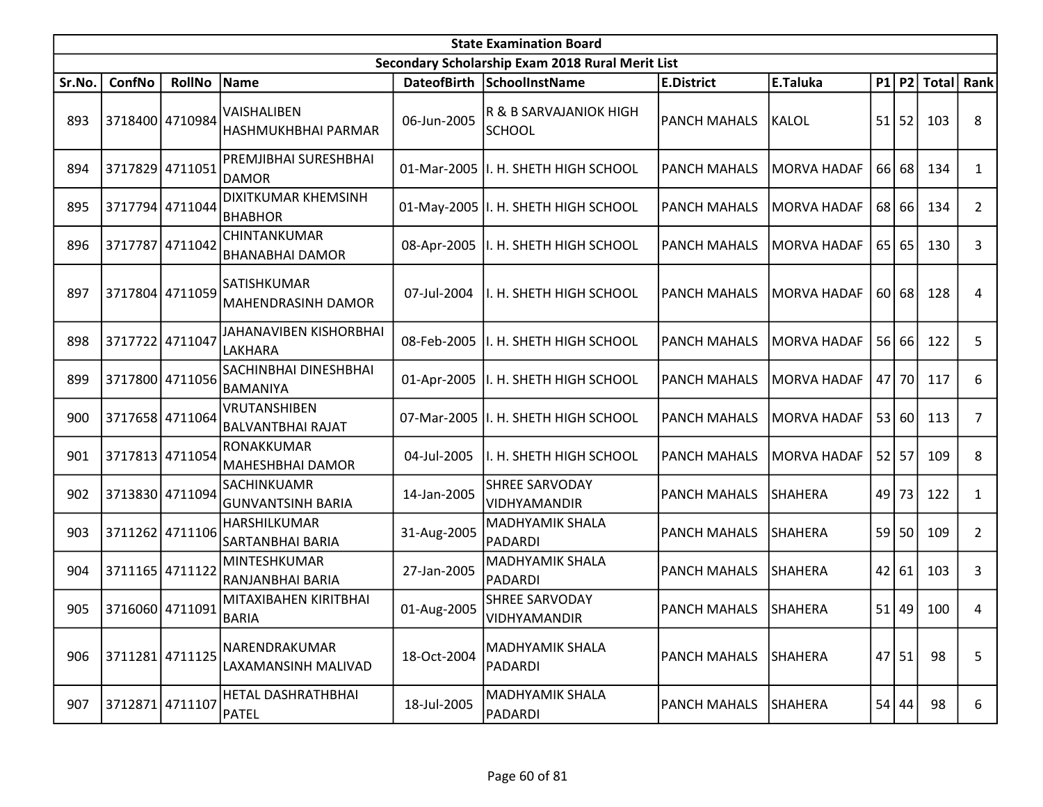|        | <b>State Examination Board</b><br>Secondary Scholarship Exam 2018 Rural Merit List |                 |                                                |                    |                                         |                     |                    |      |           |       |                |  |  |
|--------|------------------------------------------------------------------------------------|-----------------|------------------------------------------------|--------------------|-----------------------------------------|---------------------|--------------------|------|-----------|-------|----------------|--|--|
|        |                                                                                    |                 |                                                |                    |                                         |                     |                    |      |           |       |                |  |  |
| Sr.No. | ConfNo                                                                             | <b>RollNo</b>   | Name                                           | <b>DateofBirth</b> | SchoolInstName                          | <b>E.District</b>   | E.Taluka           |      | P1 P2     | Total | Rank           |  |  |
| 893    | 3718400 4710984                                                                    |                 | VAISHALIBEN<br>HASHMUKHBHAI PARMAR             | 06-Jun-2005        | R & B SARVAJANIOK HIGH<br><b>SCHOOL</b> | <b>PANCH MAHALS</b> | KALOL              |      | $51$   52 | 103   | 8              |  |  |
| 894    |                                                                                    | 3717829 4711051 | PREMJIBHAI SURESHBHAI<br>DAMOR                 |                    | 01-Mar-2005  I. H. SHETH HIGH SCHOOL    | <b>PANCH MAHALS</b> | <b>MORVA HADAF</b> |      | 66 68     | 134   | $\mathbf{1}$   |  |  |
| 895    | 3717794 4711044                                                                    |                 | <b>DIXITKUMAR KHEMSINH</b><br><b>BHABHOR</b>   |                    | 01-May-2005   I. H. SHETH HIGH SCHOOL   | <b>PANCH MAHALS</b> | <b>MORVA HADAF</b> |      | 68 66     | 134   | $\overline{2}$ |  |  |
| 896    |                                                                                    | 3717787 4711042 | CHINTANKUMAR<br><b>BHANABHAI DAMOR</b>         | 08-Apr-2005        | II. H. SHETH HIGH SCHOOL                | <b>PANCH MAHALS</b> | <b>MORVA HADAF</b> | 65   | 65        | 130   | 3              |  |  |
| 897    |                                                                                    | 3717804 4711059 | SATISHKUMAR<br><b>MAHENDRASINH DAMOR</b>       | 07-Jul-2004        | I. H. SHETH HIGH SCHOOL                 | <b>PANCH MAHALS</b> | <b>MORVA HADAF</b> | 60 l | 68        | 128   | 4              |  |  |
| 898    | 3717722 4711047                                                                    |                 | JAHANAVIBEN KISHORBHAI<br><b>LAKHARA</b>       | 08-Feb-2005        | I. H. SHETH HIGH SCHOOL                 | <b>PANCH MAHALS</b> | <b>MORVA HADAF</b> |      | 56 66     | 122   | 5              |  |  |
| 899    |                                                                                    | 3717800 4711056 | SACHINBHAI DINESHBHAI<br>BAMANIYA              | 01-Apr-2005        | I. H. SHETH HIGH SCHOOL                 | <b>PANCH MAHALS</b> | <b>MORVA HADAF</b> |      | 47 70     | 117   | 6              |  |  |
| 900    |                                                                                    | 3717658 4711064 | VRUTANSHIBEN<br><b>BALVANTBHAI RAJAT</b>       |                    | 07-Mar-2005  I. H. SHETH HIGH SCHOOL    | <b>PANCH MAHALS</b> | <b>MORVA HADAF</b> |      | 53 60     | 113   | 7              |  |  |
| 901    |                                                                                    | 3717813 4711054 | <b>RONAKKUMAR</b><br>MAHESHBHAI DAMOR          | 04-Jul-2005        | I. H. SHETH HIGH SCHOOL                 | <b>PANCH MAHALS</b> | <b>MORVA HADAF</b> |      | $52$ 57   | 109   | 8              |  |  |
| 902    |                                                                                    | 3713830 4711094 | <b>SACHINKUAMR</b><br><b>GUNVANTSINH BARIA</b> | 14-Jan-2005        | <b>SHREE SARVODAY</b><br>VIDHYAMANDIR   | <b>PANCH MAHALS</b> | SHAHERA            | 49   | 73        | 122   | 1              |  |  |
| 903    |                                                                                    | 3711262 4711106 | HARSHILKUMAR<br>SARTANBHAI BARIA               | 31-Aug-2005        | MADHYAMIK SHALA<br><b>PADARDI</b>       | <b>PANCH MAHALS</b> | SHAHERA            |      | $59$ 50   | 109   | $\overline{2}$ |  |  |
| 904    | 3711165 4711122                                                                    |                 | MINTESHKUMAR<br>RANJANBHAI BARIA               | 27-Jan-2005        | MADHYAMIK SHALA<br>PADARDI              | <b>PANCH MAHALS</b> | SHAHERA            | 42   | 61        | 103   | 3              |  |  |
| 905    |                                                                                    | 3716060 4711091 | MITAXIBAHEN KIRITBHAI<br><b>BARIA</b>          | 01-Aug-2005        | <b>SHREE SARVODAY</b><br>VIDHYAMANDIR   | <b>PANCH MAHALS</b> | <b>SHAHERA</b>     | 51   | 49        | 100   | 4              |  |  |
| 906    |                                                                                    | 3711281 4711125 | NARENDRAKUMAR<br>LAXAMANSINH MALIVAD           | 18-Oct-2004        | MADHYAMIK SHALA<br>PADARDI              | <b>PANCH MAHALS</b> | SHAHERA            | 47   | 51        | 98    | 5              |  |  |
| 907    | 3712871 4711107                                                                    |                 | HETAL DASHRATHBHAI<br><b>PATEL</b>             | 18-Jul-2005        | MADHYAMIK SHALA<br>PADARDI              | <b>PANCH MAHALS</b> | <b>SHAHERA</b>     | 54   | 44        | 98    | 6              |  |  |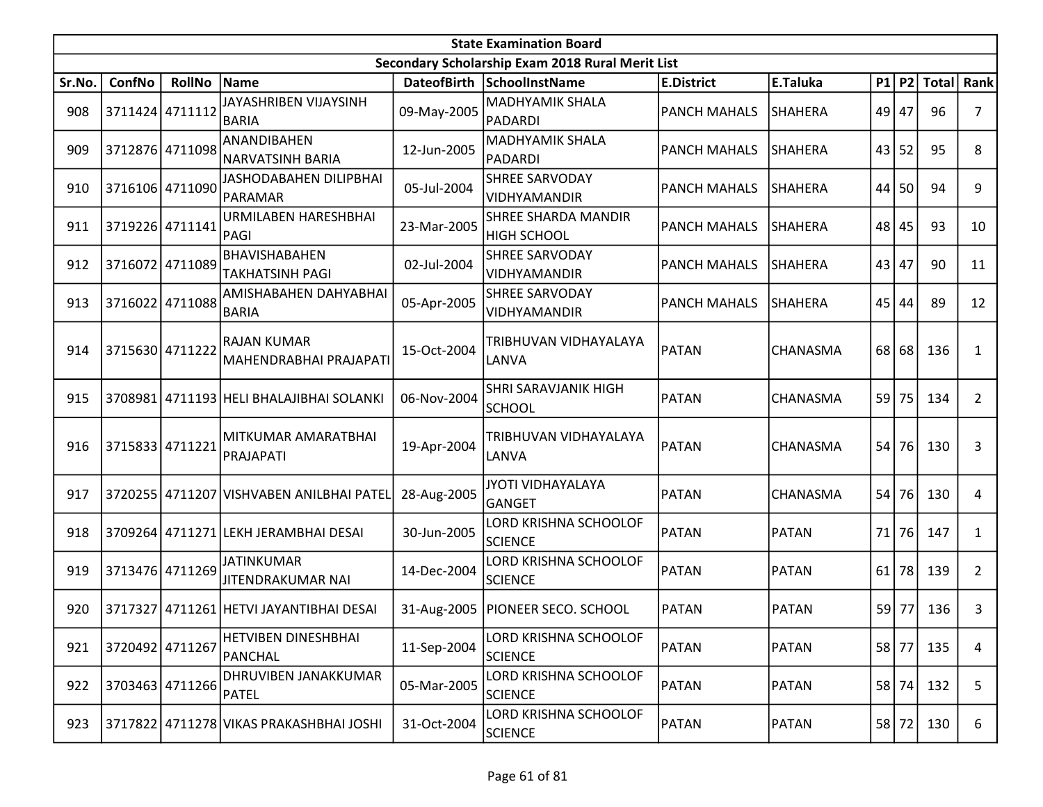|        | <b>State Examination Board</b> |                 |                                               |             |                                                  |                     |                |    |       |                  |                |  |  |
|--------|--------------------------------|-----------------|-----------------------------------------------|-------------|--------------------------------------------------|---------------------|----------------|----|-------|------------------|----------------|--|--|
|        |                                |                 |                                               |             | Secondary Scholarship Exam 2018 Rural Merit List |                     |                |    |       |                  |                |  |  |
| Sr.No. | <b>ConfNo</b>                  | <b>RollNo</b>   | Name                                          |             | DateofBirth SchoolInstName                       | <b>E.District</b>   | E.Taluka       |    |       | P1 P2 Total Rank |                |  |  |
| 908    |                                | 3711424 4711112 | JAYASHRIBEN VIJAYSINH<br> BARIA               | 09-May-2005 | <b>MADHYAMIK SHALA</b><br><b>PADARDI</b>         | <b>PANCH MAHALS</b> | <b>SHAHERA</b> | 49 | 47    | 96               | 7              |  |  |
| 909    |                                | 3712876 4711098 | ANANDIBAHEN<br><b>NARVATSINH BARIA</b>        | 12-Jun-2005 | MADHYAMIK SHALA<br><b>PADARDI</b>                | <b>PANCH MAHALS</b> | <b>SHAHERA</b> | 43 | 52    | 95               | 8              |  |  |
| 910    |                                | 3716106 4711090 | JASHODABAHEN DILIPBHAI<br>PARAMAR             | 05-Jul-2004 | SHREE SARVODAY<br>VIDHYAMANDIR                   | <b>PANCH MAHALS</b> | <b>SHAHERA</b> | 44 | 50    | 94               | 9              |  |  |
| 911    |                                | 3719226 4711141 | URMILABEN HARESHBHAI<br>PAGI                  | 23-Mar-2005 | SHREE SHARDA MANDIR<br><b>HIGH SCHOOL</b>        | <b>PANCH MAHALS</b> | <b>SHAHERA</b> | 48 | 45    | 93               | 10             |  |  |
| 912    |                                | 3716072 4711089 | BHAVISHABAHEN<br> TAKHATSINH PAGI             | 02-Jul-2004 | <b>SHREE SARVODAY</b><br>VIDHYAMANDIR            | <b>PANCH MAHALS</b> | <b>SHAHERA</b> | 43 | 47    | 90               | 11             |  |  |
| 913    | 3716022 4711088                |                 | AMISHABAHEN DAHYABHAI<br>BARIA                | 05-Apr-2005 | <b>SHREE SARVODAY</b><br>VIDHYAMANDIR            | <b>PANCH MAHALS</b> | <b>SHAHERA</b> | 45 | 44    | 89               | 12             |  |  |
| 914    | 3715630 4711222                |                 | <b>RAJAN KUMAR</b><br> MAHENDRABHAI PRAJAPATI | 15-Oct-2004 | TRIBHUVAN VIDHAYALAYA<br>LANVA                   | PATAN               | CHANASMA       | 68 | 68    | 136              | $\mathbf{1}$   |  |  |
| 915    |                                |                 | 3708981 4711193 HELI BHALAJIBHAI SOLANKI      | 06-Nov-2004 | SHRI SARAVJANIK HIGH<br><b>SCHOOL</b>            | PATAN               | CHANASMA       | 59 | 75    | 134              | $\overline{2}$ |  |  |
| 916    | 3715833 4711221                |                 | MITKUMAR AMARATBHAI<br>PRAJAPATI              | 19-Apr-2004 | TRIBHUVAN VIDHAYALAYA<br>LANVA                   | PATAN               | CHANASMA       | 54 | 76    | 130              | 3              |  |  |
| 917    |                                |                 | 3720255 4711207 VISHVABEN ANILBHAI PATEL      | 28-Aug-2005 | <b>JYOTI VIDHAYALAYA</b><br><b>GANGET</b>        | PATAN               | CHANASMA       | 54 | 76    | 130              | 4              |  |  |
| 918    |                                |                 | 3709264 4711271 LEKH JERAMBHAI DESAI          | 30-Jun-2005 | LORD KRISHNA SCHOOLOF<br><b>SCIENCE</b>          | PATAN               | <b>PATAN</b>   | 71 | 76    | 147              | $\mathbf{1}$   |  |  |
| 919    |                                | 3713476 4711269 | <b>JATINKUMAR</b><br>JITENDRAKUMAR NAI        | 14-Dec-2004 | LORD KRISHNA SCHOOLOF<br><b>SCIENCE</b>          | PATAN               | <b>PATAN</b>   | 61 | 78    | 139              | $\overline{2}$ |  |  |
| 920    |                                |                 | 3717327 4711261 HETVI JAYANTIBHAI DESAI       |             | 31-Aug-2005   PIONEER SECO. SCHOOL               | <b>PATAN</b>        | <b>PATAN</b>   | 59 | 77    | 136              | 3              |  |  |
| 921    | 3720492 4711267                |                 | <b>HETVIBEN DINESHBHAI</b><br>PANCHAL         | 11-Sep-2004 | LORD KRISHNA SCHOOLOF<br><b>SCIENCE</b>          | PATAN               | <b>PATAN</b>   | 58 | 77    | 135              | 4              |  |  |
| 922    |                                | 3703463 4711266 | DHRUVIBEN JANAKKUMAR<br><b>PATEL</b>          | 05-Mar-2005 | LORD KRISHNA SCHOOLOF<br><b>SCIENCE</b>          | PATAN               | <b>PATAN</b>   | 58 | 74    | 132              | 5              |  |  |
| 923    |                                |                 | 3717822 4711278 VIKAS PRAKASHBHAI JOSHI       | 31-Oct-2004 | LORD KRISHNA SCHOOLOF<br><b>SCIENCE</b>          | PATAN               | <b>PATAN</b>   |    | 58 72 | 130              | 6              |  |  |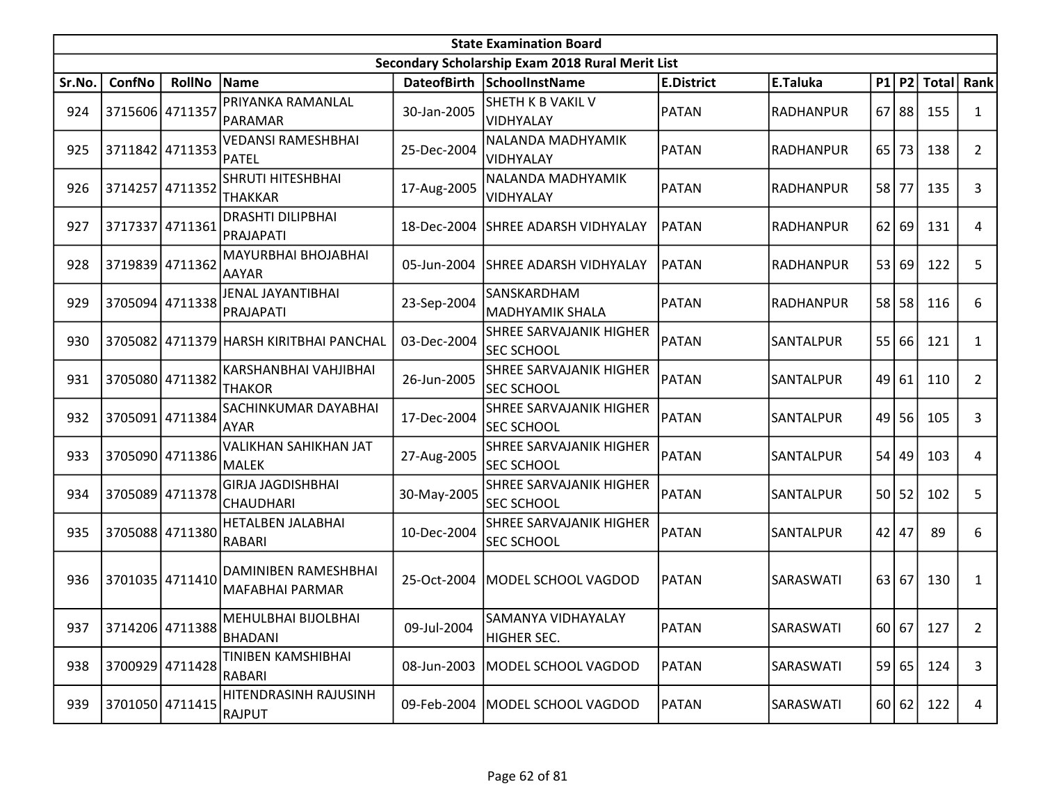|        | <b>State Examination Board</b><br>Secondary Scholarship Exam 2018 Rural Merit List |                 |                                                |             |                                              |                   |                  |    |           |              |                |  |  |
|--------|------------------------------------------------------------------------------------|-----------------|------------------------------------------------|-------------|----------------------------------------------|-------------------|------------------|----|-----------|--------------|----------------|--|--|
|        |                                                                                    |                 |                                                |             |                                              |                   |                  |    |           |              |                |  |  |
| Sr.No. | ConfNo                                                                             | <b>RollNo</b>   | Name                                           |             | DateofBirth SchoolInstName                   | <b>E.District</b> | E.Taluka         | P1 | P2        | <b>Total</b> | Rank           |  |  |
| 924    | 3715606 4711357                                                                    |                 | PRIYANKA RAMANLAL<br><b>PARAMAR</b>            | 30-Jan-2005 | SHETH K B VAKIL V<br>VIDHYALAY               | <b>PATAN</b>      | <b>RADHANPUR</b> | 67 | 88        | 155          | $\mathbf{1}$   |  |  |
| 925    |                                                                                    | 3711842 4711353 | VEDANSI RAMESHBHAI<br><b>PATEL</b>             | 25-Dec-2004 | NALANDA MADHYAMIK<br>VIDHYALAY               | <b>PATAN</b>      | RADHANPUR        | 65 | 73        | 138          | $\overline{2}$ |  |  |
| 926    | 3714257 4711352                                                                    |                 | SHRUTI HITESHBHAI<br><b>THAKKAR</b>            | 17-Aug-2005 | NALANDA MADHYAMIK<br>VIDHYALAY               | <b>PATAN</b>      | <b>RADHANPUR</b> | 58 | 77        | 135          | 3              |  |  |
| 927    | 3717337                                                                            | 4711361         | <b>DRASHTI DILIPBHAI</b><br>PRAJAPATI          | 18-Dec-2004 | <b>SHREE ADARSH VIDHYALAY</b>                | <b>PATAN</b>      | RADHANPUR        | 62 | 69        | 131          | 4              |  |  |
| 928    | 3719839 4711362                                                                    |                 | MAYURBHAI BHOJABHAI<br><b>AAYAR</b>            | 05-Jun-2004 | <b>SHREE ADARSH VIDHYALAY</b>                | PATAN             | RADHANPUR        |    | 53 69     | 122          | 5              |  |  |
| 929    |                                                                                    | 3705094 4711338 | JENAL JAYANTIBHAI<br>PRAJAPATI                 | 23-Sep-2004 | SANSKARDHAM<br><b>MADHYAMIK SHALA</b>        | <b>PATAN</b>      | <b>RADHANPUR</b> |    | $58$   58 | 116          | 6              |  |  |
| 930    |                                                                                    |                 | 3705082 4711379 HARSH KIRITBHAI PANCHAL        | 03-Dec-2004 | SHREE SARVAJANIK HIGHER<br><b>SEC SCHOOL</b> | PATAN             | SANTALPUR        | 55 | 66        | 121          | 1              |  |  |
| 931    |                                                                                    | 3705080 4711382 | KARSHANBHAI VAHJIBHAI<br><b>THAKOR</b>         | 26-Jun-2005 | SHREE SARVAJANIK HIGHER<br>SEC SCHOOL        | PATAN             | SANTALPUR        |    | 49 61     | 110          | $\overline{2}$ |  |  |
| 932    |                                                                                    | 3705091 4711384 | SACHINKUMAR DAYABHAI<br><b>AYAR</b>            | 17-Dec-2004 | SHREE SARVAJANIK HIGHER<br>SEC SCHOOL        | PATAN             | SANTALPUR        |    | $49$   56 | 105          | 3              |  |  |
| 933    |                                                                                    | 3705090 4711386 | VALIKHAN SAHIKHAN JAT<br><b>MALEK</b>          | 27-Aug-2005 | SHREE SARVAJANIK HIGHER<br><b>SEC SCHOOL</b> | PATAN             | SANTALPUR        | 54 | 49        | 103          | 4              |  |  |
| 934    |                                                                                    | 3705089 4711378 | <b>GIRJA JAGDISHBHAI</b><br><b>CHAUDHARI</b>   | 30-May-2005 | SHREE SARVAJANIK HIGHER<br>SEC SCHOOL        | PATAN             | SANTALPUR        |    | 50 52     | 102          | 5              |  |  |
| 935    |                                                                                    | 3705088 4711380 | HETALBEN JALABHAI<br><b>RABARI</b>             | 10-Dec-2004 | SHREE SARVAJANIK HIGHER<br>SEC SCHOOL        | PATAN             | SANTALPUR        |    | $42$   47 | 89           | 6              |  |  |
| 936    | 3701035 4711410                                                                    |                 | <b>DAMINIBEN RAMESHBHAI</b><br>MAFABHAI PARMAR | 25-Oct-2004 | MODEL SCHOOL VAGDOD                          | <b>PATAN</b>      | SARASWATI        |    | 63 67     | 130          | 1              |  |  |
| 937    |                                                                                    | 3714206 4711388 | MEHULBHAI BIJOLBHAI<br><b>BHADANI</b>          | 09-Jul-2004 | SAMANYA VIDHAYALAY<br>HIGHER SEC.            | PATAN             | SARASWATI        |    |           | 60 67 127    | $\overline{2}$ |  |  |
| 938    |                                                                                    | 3700929 4711428 | TINIBEN KAMSHIBHAI<br>RABARI                   | 08-Jun-2003 | MODEL SCHOOL VAGDOD                          | <b>PATAN</b>      | SARASWATI        |    | 59 65     | 124          | 3              |  |  |
| 939    |                                                                                    | 3701050 4711415 | HITENDRASINH RAJUSINH<br>RAJPUT                |             | 09-Feb-2004   MODEL SCHOOL VAGDOD            | PATAN             | SARASWATI        |    | 60 62     | 122          | 4              |  |  |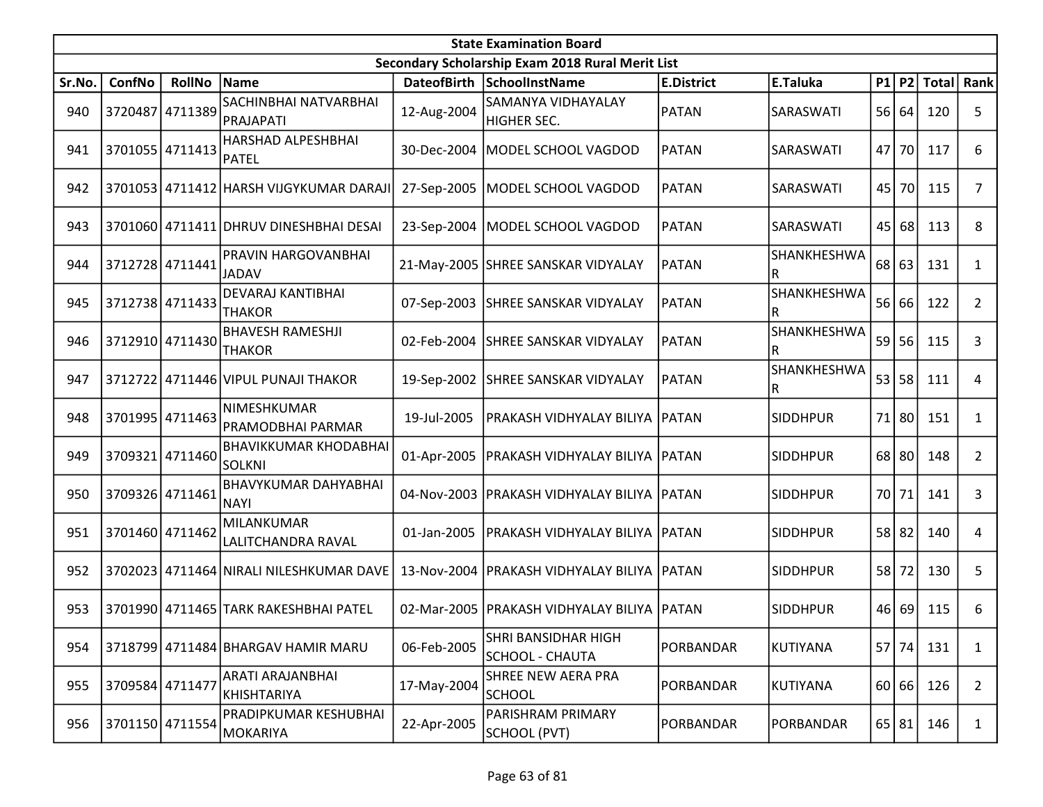|        | <b>State Examination Board</b> |                 |                                                  |             |                                                  |                   |                  |           |       |                        |                |  |
|--------|--------------------------------|-----------------|--------------------------------------------------|-------------|--------------------------------------------------|-------------------|------------------|-----------|-------|------------------------|----------------|--|
|        |                                |                 |                                                  |             | Secondary Scholarship Exam 2018 Rural Merit List |                   |                  |           |       |                        |                |  |
| Sr.No. | ConfNo                         | <b>RollNo</b>   | Name                                             |             | DateofBirth SchoolInstName                       | <b>E.District</b> | E.Taluka         |           |       | P1   P2   Total   Rank |                |  |
| 940    | 3720487                        | 4711389         | <b>SACHINBHAI NATVARBHAI</b><br><b>PRAJAPATI</b> | 12-Aug-2004 | SAMANYA VIDHAYALAY<br>HIGHER SEC.                | PATAN             | SARASWATI        |           | 56 64 | 120                    | 5              |  |
| 941    |                                | 3701055 4711413 | <b>HARSHAD ALPESHBHAI</b><br>PATEL               | 30-Dec-2004 | MODEL SCHOOL VAGDOD                              | PATAN             | SARASWATI        | 47        | 70    | 117                    | 6              |  |
| 942    |                                |                 | 3701053 4711412 HARSH VIJGYKUMAR DARAJI          | 27-Sep-2005 | MODEL SCHOOL VAGDOD                              | <b>PATAN</b>      | SARASWATI        | 45        | 70    | 115                    | 7              |  |
| 943    |                                |                 | 3701060 4711411 DHRUV DINESHBHAI DESAI           | 23-Sep-2004 | MODEL SCHOOL VAGDOD                              | <b>PATAN</b>      | SARASWATI        | 45        | 68    | 113                    | 8              |  |
| 944    |                                | 3712728 4711441 | PRAVIN HARGOVANBHAI<br><b>JADAV</b>              |             | 21-May-2005 SHREE SANSKAR VIDYALAY               | <b>PATAN</b>      | SHANKHESHWA<br>R | 68 63     |       | 131                    | $\mathbf{1}$   |  |
| 945    | 3712738 4711433                |                 | DEVARAJ KANTIBHAI<br><b>THAKOR</b>               | 07-Sep-2003 | SHREE SANSKAR VIDYALAY                           | <b>PATAN</b>      | SHANKHESHWA<br>R |           | 56 66 | 122                    | $\overline{2}$ |  |
| 946    |                                | 3712910 4711430 | <b>BHAVESH RAMESHJI</b><br><b>THAKOR</b>         | 02-Feb-2004 | SHREE SANSKAR VIDYALAY                           | PATAN             | SHANKHESHWA<br>R | 59        | 56    | 115                    | 3              |  |
| 947    |                                |                 | 3712722 4711446 VIPUL PUNAJI THAKOR              | 19-Sep-2002 | SHREE SANSKAR VIDYALAY                           | <b>PATAN</b>      | SHANKHESHWA<br>R |           | 53 58 | 111                    | 4              |  |
| 948    | 3701995 4711463                |                 | NIMESHKUMAR<br>PRAMODBHAI PARMAR                 | 19-Jul-2005 | PRAKASH VIDHYALAY BILIYA   PATAN                 |                   | <b>SIDDHPUR</b>  | 71        | 80    | 151                    | $\mathbf{1}$   |  |
| 949    | 3709321                        | 4711460         | <b>BHAVIKKUMAR KHODABHAI</b><br>lsolkni          | 01-Apr-2005 | PRAKASH VIDHYALAY BILIYA   PATAN                 |                   | <b>SIDDHPUR</b>  | 68        | 80    | 148                    | $\overline{2}$ |  |
| 950    |                                | 3709326 4711461 | <b>BHAVYKUMAR DAHYABHAI</b><br>NAYI              | 04-Nov-2003 | PRAKASH VIDHYALAY BILIYA  PATAN                  |                   | <b>SIDDHPUR</b>  | 70 71     |       | 141                    | 3              |  |
| 951    | 3701460 4711462                |                 | <b>MILANKUMAR</b><br>LALITCHANDRA RAVAL          | 01-Jan-2005 | PRAKASH VIDHYALAY BILIYA   PATAN                 |                   | <b>SIDDHPUR</b>  | 58 82     |       | 140                    | 4              |  |
| 952    |                                |                 | 3702023 4711464 NIRALI NILESHKUMAR DAVE          | 13-Nov-2004 | PRAKASH VIDHYALAY BILIYA   PATAN                 |                   | <b>SIDDHPUR</b>  | 58        | 72    | 130                    | 5              |  |
| 953    |                                |                 | 3701990 4711465 TARK RAKESHBHAI PATEL            |             | 02-Mar-2005   PRAKASH VIDHYALAY BILIYA   PATAN   |                   | <b>SIDDHPUR</b>  | 46        | 69    | 115                    | 6              |  |
| 954    |                                |                 | 3718799 4711484 BHARGAV HAMIR MARU               | 06-Feb-2005 | SHRI BANSIDHAR HIGH<br><b>SCHOOL - CHAUTA</b>    | PORBANDAR         | KUTIYANA         | 57        | 74    | 131                    | $\mathbf{1}$   |  |
| 955    | 3709584 4711477                |                 | ARATI ARAJANBHAI<br>KHISHTARIYA                  | 17-May-2004 | SHREE NEW AERA PRA<br><b>SCHOOL</b>              | PORBANDAR         | <b>KUTIYANA</b>  |           | 60 66 | 126                    | $\mathbf{2}$   |  |
| 956    |                                | 3701150 4711554 | PRADIPKUMAR KESHUBHAI<br>MOKARIYA                | 22-Apr-2005 | PARISHRAM PRIMARY<br>SCHOOL (PVT)                | PORBANDAR         | PORBANDAR        | $65$   81 |       | 146                    | $\mathbf{1}$   |  |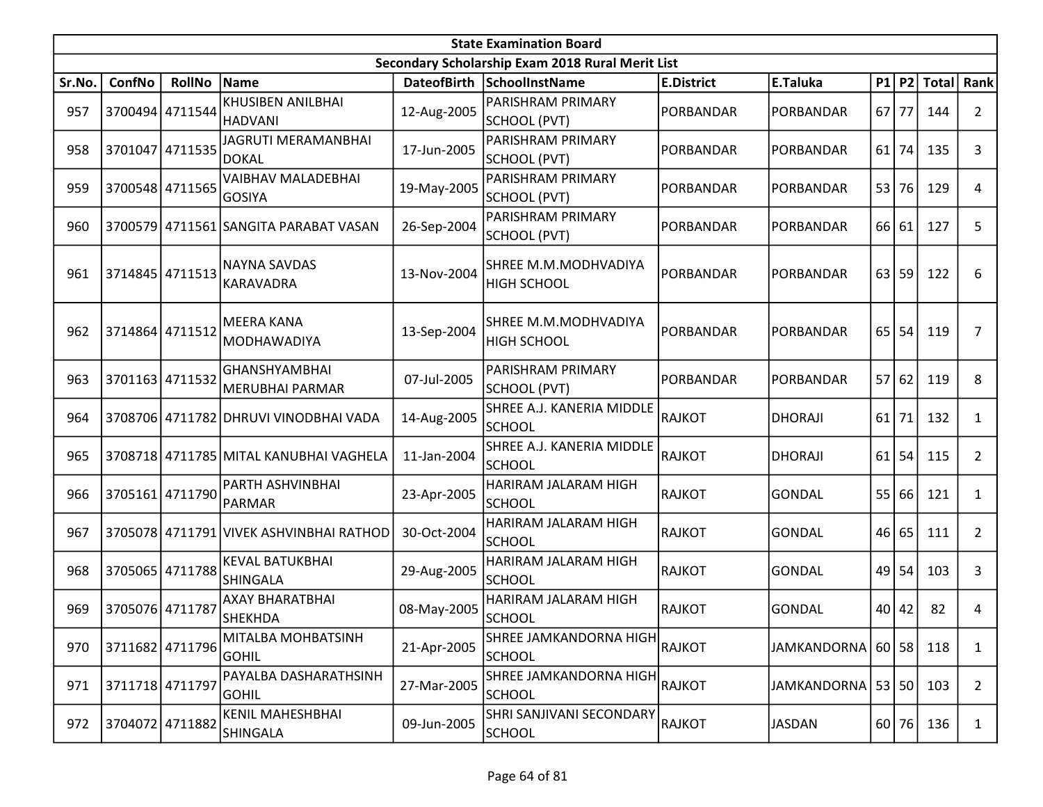|        | <b>State Examination Board</b><br>Secondary Scholarship Exam 2018 Rural Merit List |                 |                                                |                    |                                                |                   |                       |    |       |              |                |  |  |
|--------|------------------------------------------------------------------------------------|-----------------|------------------------------------------------|--------------------|------------------------------------------------|-------------------|-----------------------|----|-------|--------------|----------------|--|--|
|        |                                                                                    |                 |                                                |                    |                                                |                   |                       |    |       |              |                |  |  |
| Sr.No. | ConfNo                                                                             | <b>RollNo</b>   | Name                                           | <b>DateofBirth</b> | SchoolInstName                                 | <b>E.District</b> | E.Taluka              | P1 | P2    | <b>Total</b> | Rank           |  |  |
| 957    | 3700494 4711544                                                                    |                 | KHUSIBEN ANILBHAI<br>HADVANI                   | 12-Aug-2005        | PARISHRAM PRIMARY<br>SCHOOL (PVT)              | PORBANDAR         | PORBANDAR             | 67 | 77    | 144          | $\overline{2}$ |  |  |
| 958    |                                                                                    | 3701047 4711535 | <b>JAGRUTI MERAMANBHAI</b><br><b>DOKAL</b>     | 17-Jun-2005        | PARISHRAM PRIMARY<br>SCHOOL (PVT)              | PORBANDAR         | PORBANDAR             | 61 | 74    | 135          | 3              |  |  |
| 959    |                                                                                    | 3700548 4711565 | <b>VAIBHAV MALADEBHAI</b><br><b>GOSIYA</b>     | 19-May-2005        | PARISHRAM PRIMARY<br>SCHOOL (PVT)              | PORBANDAR         | PORBANDAR             | 53 | 76    | 129          | 4              |  |  |
| 960    |                                                                                    |                 | 3700579 4711561 SANGITA PARABAT VASAN          | 26-Sep-2004        | PARISHRAM PRIMARY<br>SCHOOL (PVT)              | PORBANDAR         | PORBANDAR             | 66 | 61    | 127          | 5              |  |  |
| 961    | 3714845 4711513                                                                    |                 | <b>NAYNA SAVDAS</b><br>KARAVADRA               | 13-Nov-2004        | SHREE M.M.MODHVADIYA<br><b>HIGH SCHOOL</b>     | PORBANDAR         | PORBANDAR             | 63 | 59    | 122          | 6              |  |  |
| 962    | 3714864 4711512                                                                    |                 | <b>MEERA KANA</b><br><b>MODHAWADIYA</b>        | 13-Sep-2004        | SHREE M.M.MODHVADIYA<br><b>HIGH SCHOOL</b>     | PORBANDAR         | PORBANDAR             | 65 | 54    | 119          | 7              |  |  |
| 963    | 3701163 4711532                                                                    |                 | <b>GHANSHYAMBHAI</b><br><b>MERUBHAI PARMAR</b> | 07-Jul-2005        | PARISHRAM PRIMARY<br>SCHOOL (PVT)              | PORBANDAR         | PORBANDAR             | 57 | 62    | 119          | 8              |  |  |
| 964    |                                                                                    |                 | 3708706 4711782 DHRUVI VINODBHAI VADA          | 14-Aug-2005        | SHREE A.J. KANERIA MIDDLE<br><b>SCHOOL</b>     | RAJKOT            | DHORAJI               | 61 | 71    | 132          | $\mathbf{1}$   |  |  |
| 965    |                                                                                    |                 | 3708718 4711785 MITAL KANUBHAI VAGHELA         | 11-Jan-2004        | SHREE A.J. KANERIA MIDDLE<br><b>SCHOOL</b>     | RAJKOT            | <b>DHORAJI</b>        | 61 | 54    | 115          | $\overline{2}$ |  |  |
| 966    |                                                                                    | 3705161 4711790 | PARTH ASHVINBHAI<br>PARMAR                     | 23-Apr-2005        | HARIRAM JALARAM HIGH<br><b>SCHOOL</b>          | RAJKOT            | GONDAL                |    | 55 66 | 121          | 1              |  |  |
| 967    |                                                                                    |                 | 3705078 4711791 VIVEK ASHVINBHAI RATHOD        | 30-Oct-2004        | HARIRAM JALARAM HIGH<br><b>SCHOOL</b>          | RAJKOT            | <b>GONDAL</b>         | 46 | 65    | 111          | $\overline{2}$ |  |  |
| 968    |                                                                                    | 3705065 4711788 | <b>KEVAL BATUKBHAI</b><br><b>SHINGALA</b>      | 29-Aug-2005        | HARIRAM JALARAM HIGH<br><b>SCHOOL</b>          | RAJKOT            | <b>GONDAL</b>         | 49 | 54    | 103          | 3              |  |  |
| 969    | 3705076 4711787                                                                    |                 | <b>AXAY BHARATBHAI</b><br><b>SHEKHDA</b>       | 08-May-2005        | HARIRAM JALARAM HIGH<br><b>SCHOOL</b>          | RAJKOT            | <b>GONDAL</b>         | 40 | 42    | 82           | 4              |  |  |
| 970    |                                                                                    | 3711682 4711796 | MITALBA MOHBATSINH<br><b>GOHIL</b>             | 21-Apr-2005        | <b>SHREE JAMKANDORNA HIGH</b><br><b>SCHOOL</b> | RAJKOT            | JAMKANDORNA   60   58 |    |       | 118          | 1              |  |  |
| 971    | 3711718 4711797                                                                    |                 | PAYALBA DASHARATHSINH<br> GOHIL                | 27-Mar-2005        | SHREE JAMKANDORNA HIGH<br><b>SCHOOL</b>        | RAJKOT            | JAMKANDORNA   53   50 |    |       | 103          | $\overline{2}$ |  |  |
| 972    | 3704072 4711882                                                                    |                 | <b>KENIL MAHESHBHAI</b><br><b>SHINGALA</b>     | 09-Jun-2005        | SHRI SANJIVANI SECONDARY<br><b>SCHOOL</b>      | RAJKOT            | <b>JASDAN</b>         |    | 60 76 | 136          | $\mathbf{1}$   |  |  |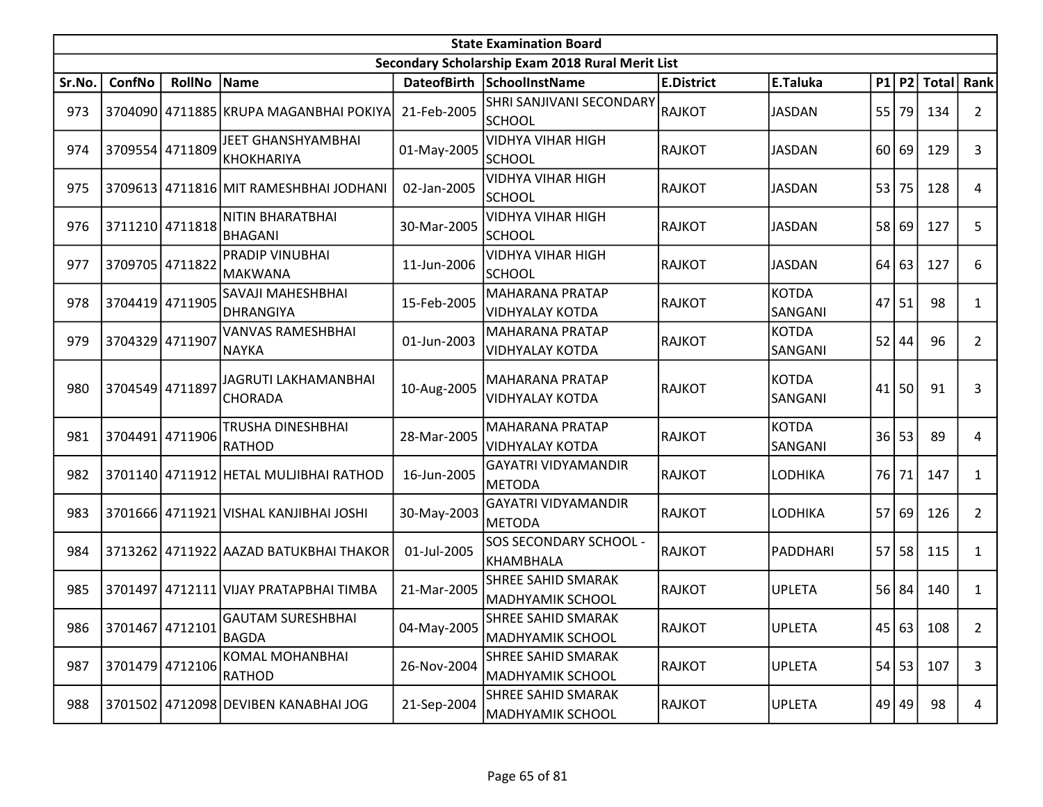|        | <b>State Examination Board</b><br>Secondary Scholarship Exam 2018 Rural Merit List |                 |                                               |             |                                                   |                   |                         |    |           |              |                |  |  |
|--------|------------------------------------------------------------------------------------|-----------------|-----------------------------------------------|-------------|---------------------------------------------------|-------------------|-------------------------|----|-----------|--------------|----------------|--|--|
|        |                                                                                    |                 |                                               |             |                                                   |                   |                         |    |           |              |                |  |  |
| Sr.No. | ConfNo                                                                             | <b>RollNo</b>   | Name                                          |             | DateofBirth SchoolInstName                        | <b>E.District</b> | E.Taluka                |    | P1 P2     | <b>Total</b> | Rank           |  |  |
| 973    |                                                                                    |                 | 3704090 4711885 KRUPA MAGANBHAI POKIYA        | 21-Feb-2005 | SHRI SANJIVANI SECONDARY<br><b>SCHOOL</b>         | RAJKOT            | <b>JASDAN</b>           | 55 | 79        | 134          | $\overline{2}$ |  |  |
| 974    |                                                                                    | 3709554 4711809 | JEET GHANSHYAMBHAI<br><b>KHOKHARIYA</b>       | 01-May-2005 | <b>VIDHYA VIHAR HIGH</b><br><b>SCHOOL</b>         | RAJKOT            | <b>JASDAN</b>           |    | $60$   69 | 129          | 3              |  |  |
| 975    |                                                                                    |                 | 3709613 4711816 MIT RAMESHBHAI JODHANI        | 02-Jan-2005 | <b>VIDHYA VIHAR HIGH</b><br><b>SCHOOL</b>         | RAJKOT            | <b>JASDAN</b>           | 53 | 75        | 128          | 4              |  |  |
| 976    | 3711210 4711818                                                                    |                 | <b>NITIN BHARATBHAI</b><br>BHAGANI            | 30-Mar-2005 | <b>VIDHYA VIHAR HIGH</b><br><b>SCHOOL</b>         | RAJKOT            | <b>JASDAN</b>           |    | 58 69     | 127          | 5              |  |  |
| 977    | 3709705 4711822                                                                    |                 | <b>PRADIP VINUBHAI</b><br>MAKWANA             | 11-Jun-2006 | <b>VIDHYA VIHAR HIGH</b><br><b>SCHOOL</b>         | RAJKOT            | <b>JASDAN</b>           | 64 | 63        | 127          | 6              |  |  |
| 978    | 3704419 4711905                                                                    |                 | SAVAJI MAHESHBHAI<br><b>DHRANGIYA</b>         | 15-Feb-2005 | MAHARANA PRATAP<br><b>VIDHYALAY KOTDA</b>         | RAJKOT            | <b>KOTDA</b><br>SANGANI | 47 | 51        | 98           | 1              |  |  |
| 979    | 3704329 4711907                                                                    |                 | <b>VANVAS RAMESHBHAI</b><br>NAYKA             | 01-Jun-2003 | MAHARANA PRATAP<br><b>VIDHYALAY KOTDA</b>         | RAJKOT            | <b>KOTDA</b><br>SANGANI | 52 | 44        | 96           | $\overline{2}$ |  |  |
| 980    | 3704549 4711897                                                                    |                 | <b>JAGRUTI LAKHAMANBHAI</b><br><b>CHORADA</b> | 10-Aug-2005 | MAHARANA PRATAP<br><b>VIDHYALAY KOTDA</b>         | RAJKOT            | <b>KOTDA</b><br>SANGANI | 41 | 50        | 91           | 3              |  |  |
| 981    | 3704491 4711906                                                                    |                 | TRUSHA DINESHBHAI<br>RATHOD                   | 28-Mar-2005 | MAHARANA PRATAP<br><b>VIDHYALAY KOTDA</b>         | RAJKOT            | <b>KOTDA</b><br>SANGANI | 36 | 53        | 89           | 4              |  |  |
| 982    |                                                                                    |                 | 3701140 4711912 HETAL MULJIBHAI RATHOD        | 16-Jun-2005 | <b>GAYATRI VIDYAMANDIR</b><br><b>METODA</b>       | RAJKOT            | <b>LODHIKA</b>          | 76 | 71        | 147          | 1              |  |  |
| 983    |                                                                                    |                 | 3701666 4711921 VISHAL KANJIBHAI JOSHI        | 30-May-2003 | <b>GAYATRI VIDYAMANDIR</b><br><b>METODA</b>       | RAJKOT            | LODHIKA                 |    | 57 69     | 126          | $\overline{2}$ |  |  |
| 984    |                                                                                    |                 | 3713262 4711922 AAZAD BATUKBHAI THAKOR        | 01-Jul-2005 | <b>SOS SECONDARY SCHOOL -</b><br><b>KHAMBHALA</b> | RAJKOT            | PADDHARI                | 57 | 58        | 115          | $\mathbf{1}$   |  |  |
| 985    |                                                                                    |                 | 3701497 4712111 VIJAY PRATAPBHAI TIMBA        | 21-Mar-2005 | <b>SHREE SAHID SMARAK</b><br>MADHYAMIK SCHOOL     | RAJKOT            | <b>UPLETA</b>           |    | $56$ 84   | 140          | 1              |  |  |
| 986    |                                                                                    | 3701467 4712101 | GAUTAM SURESHBHAI<br>BAGDA                    | 04-May-2005 | <b>SHREE SAHID SMARAK</b><br>MADHYAMIK SCHOOL     | RAJKOT            | <b>UPLETA</b>           |    |           | 45 63 108    | $\overline{2}$ |  |  |
| 987    | 3701479 4712106                                                                    |                 | <b>KOMAL MOHANBHAI</b><br><b>RATHOD</b>       | 26-Nov-2004 | <b>SHREE SAHID SMARAK</b><br>MADHYAMIK SCHOOL     | <b>RAJKOT</b>     | <b>UPLETA</b>           |    | 54 53     | 107          | 3              |  |  |
| 988    |                                                                                    |                 | 3701502 4712098 DEVIBEN KANABHAI JOG          | 21-Sep-2004 | SHREE SAHID SMARAK<br><b>MADHYAMIK SCHOOL</b>     | <b>RAJKOT</b>     | <b>UPLETA</b>           |    | 49 49     | 98           | 4              |  |  |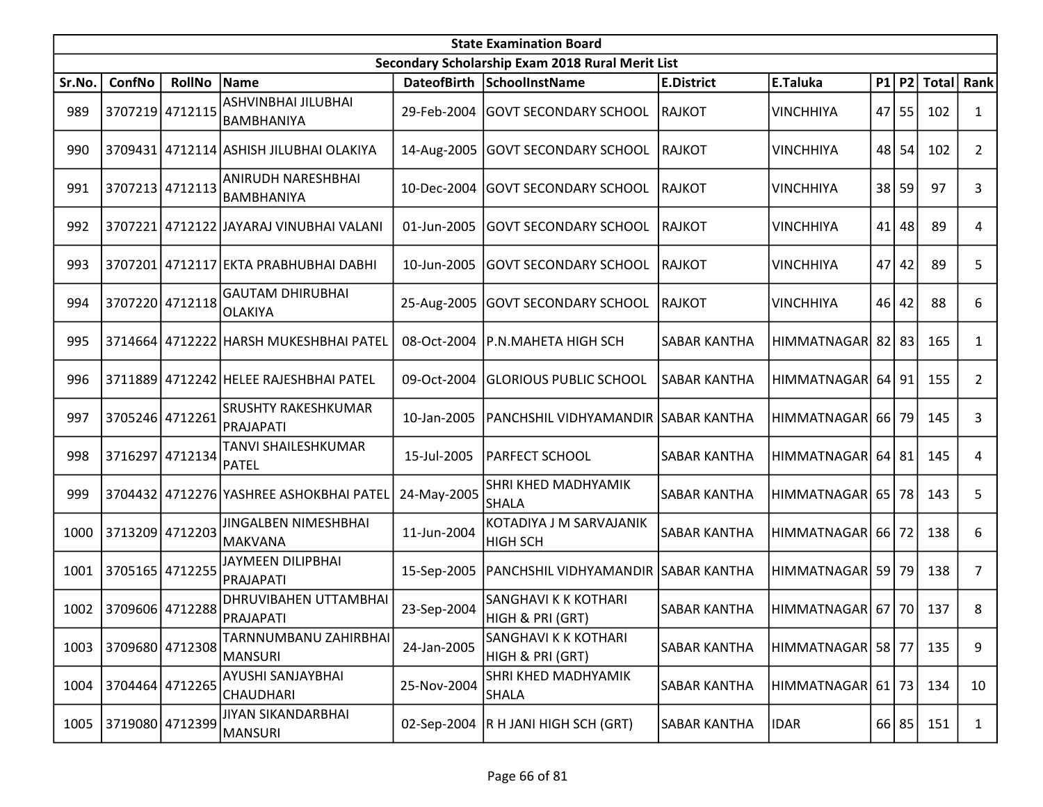|        | <b>State Examination Board</b> |                 |                                           |             |                                                  |                     |                       |    |       |               |                |  |
|--------|--------------------------------|-----------------|-------------------------------------------|-------------|--------------------------------------------------|---------------------|-----------------------|----|-------|---------------|----------------|--|
|        |                                |                 |                                           |             | Secondary Scholarship Exam 2018 Rural Merit List |                     |                       |    |       |               |                |  |
| Sr.No. | ConfNo                         | <b>RollNo</b>   | Name                                      |             | DateofBirth SchoolInstName                       | <b>E.District</b>   | E.Taluka              | P1 |       | P2 Total Rank |                |  |
| 989    | 3707219 4712115                |                 | ASHVINBHAI JILUBHAI<br>BAMBHANIYA         | 29-Feb-2004 | <b>GOVT SECONDARY SCHOOL</b>                     | RAJKOT              | <b>VINCHHIYA</b>      | 47 | 55    | 102           | $\mathbf{1}$   |  |
| 990    |                                |                 | 3709431 4712114 ASHISH JILUBHAI OLAKIYA   | 14-Aug-2005 | <b>GOVT SECONDARY SCHOOL</b>                     | <b>RAJKOT</b>       | <b>VINCHHIYA</b>      | 48 | 54    | 102           | $\overline{2}$ |  |
| 991    | 3707213 4712113                |                 | ANIRUDH NARESHBHAI<br>BAMBHANIYA          | 10-Dec-2004 | <b>GOVT SECONDARY SCHOOL</b>                     | <b>RAJKOT</b>       | <b>VINCHHIYA</b>      | 38 | 59    | 97            | 3              |  |
| 992    |                                |                 | 3707221 4712122 JAYARAJ VINUBHAI VALANI   | 01-Jun-2005 | <b>GOVT SECONDARY SCHOOL</b>                     | <b>RAJKOT</b>       | <b>VINCHHIYA</b>      | 41 | 48    | 89            | 4              |  |
| 993    |                                |                 | 3707201 4712117 EKTA PRABHUBHAI DABHI     | 10-Jun-2005 | <b>GOVT SECONDARY SCHOOL</b>                     | <b>RAJKOT</b>       | <b>VINCHHIYA</b>      | 47 | 42    | 89            | 5              |  |
| 994    |                                | 3707220 4712118 | <b>GAUTAM DHIRUBHAI</b><br>OLAKIYA        | 25-Aug-2005 | <b>GOVT SECONDARY SCHOOL</b>                     | <b>RAJKOT</b>       | <b>VINCHHIYA</b>      | 46 | 42    | 88            | 6              |  |
| 995    |                                |                 | 3714664 4712222 HARSH MUKESHBHAI PATEL    | 08-Oct-2004 | P.N.MAHETA HIGH SCH                              | SABAR KANTHA        | HIMMATNAGAR 82        |    | 83    | 165           | 1              |  |
| 996    |                                |                 | 3711889 4712242 HELEE RAJESHBHAI PATEL    | 09-Oct-2004 | <b>GLORIOUS PUBLIC SCHOOL</b>                    | <b>SABAR KANTHA</b> | HIMMATNAGAR 64 91     |    |       | 155           | $\overline{2}$ |  |
| 997    | 3705246 4712261                |                 | <b>SRUSHTY RAKESHKUMAR</b><br>PRAJAPATI   | 10-Jan-2005 | PANCHSHIL VIDHYAMANDIR SABAR KANTHA              |                     | HIMMATNAGAR 66        |    | 79    | 145           | 3              |  |
| 998    | 3716297                        | 4712134         | TANVI SHAILESHKUMAR<br><b>PATEL</b>       | 15-Jul-2005 | PARFECT SCHOOL                                   | <b>SABAR KANTHA</b> | <b>HIMMATNAGAR</b>    | 64 | 81    | 145           | 4              |  |
| 999    |                                |                 | 3704432 4712276 YASHREE ASHOKBHAI PATEL   | 24-May-2005 | SHRI KHED MADHYAMIK<br><b>SHALA</b>              | <b>SABAR KANTHA</b> | HIMMATNAGAR   65   78 |    |       | 143           | 5              |  |
| 1000   | 3713209 4712203                |                 | JINGALBEN NIMESHBHAI<br><b>MAKVANA</b>    | 11-Jun-2004 | KOTADIYA J M SARVAJANIK<br><b>HIGH SCH</b>       | <b>SABAR KANTHA</b> | HIMMATNAGAR   66   72 |    |       | 138           | 6              |  |
| 1001   | 3705165 4712255                |                 | JAYMEEN DILIPBHAI<br> PRAJAPATI           | 15-Sep-2005 | PANCHSHIL VIDHYAMANDIR SABAR KANTHA              |                     | HIMMATNAGAR 59        |    | 79    | 138           | 7              |  |
| 1002   | 3709606 4712288                |                 | DHRUVIBAHEN UTTAMBHAI<br><b>PRAJAPATI</b> | 23-Sep-2004 | SANGHAVI K K KOTHARI<br>HIGH & PRI (GRT)         | <b>SABAR KANTHA</b> | HIMMATNAGAR   67   70 |    |       | 137           | 8              |  |
| 1003   |                                | 3709680 4712308 | TARNNUMBANU ZAHIRBHAI<br>MANSURI          | 24-Jan-2005 | SANGHAVI K K KOTHARI<br>HIGH & PRI (GRT)         | <b>SABAR KANTHA</b> | HIMMATNAGAR   58   77 |    |       | 135           | 9              |  |
| 1004   | 3704464 4712265                |                 | AYUSHI SANJAYBHAI<br> CHAUDHARI           | 25-Nov-2004 | SHRI KHED MADHYAMIK<br><b>SHALA</b>              | <b>SABAR KANTHA</b> | HIMMATNAGAR   61   73 |    |       | 134           | 10             |  |
| 1005   |                                | 3719080 4712399 | JIYAN SIKANDARBHAI<br>MANSURI             |             | 02-Sep-2004  R H JANI HIGH SCH (GRT)             | <b>SABAR KANTHA</b> | <b>IDAR</b>           |    | 66 85 | 151           | $\mathbf{1}$   |  |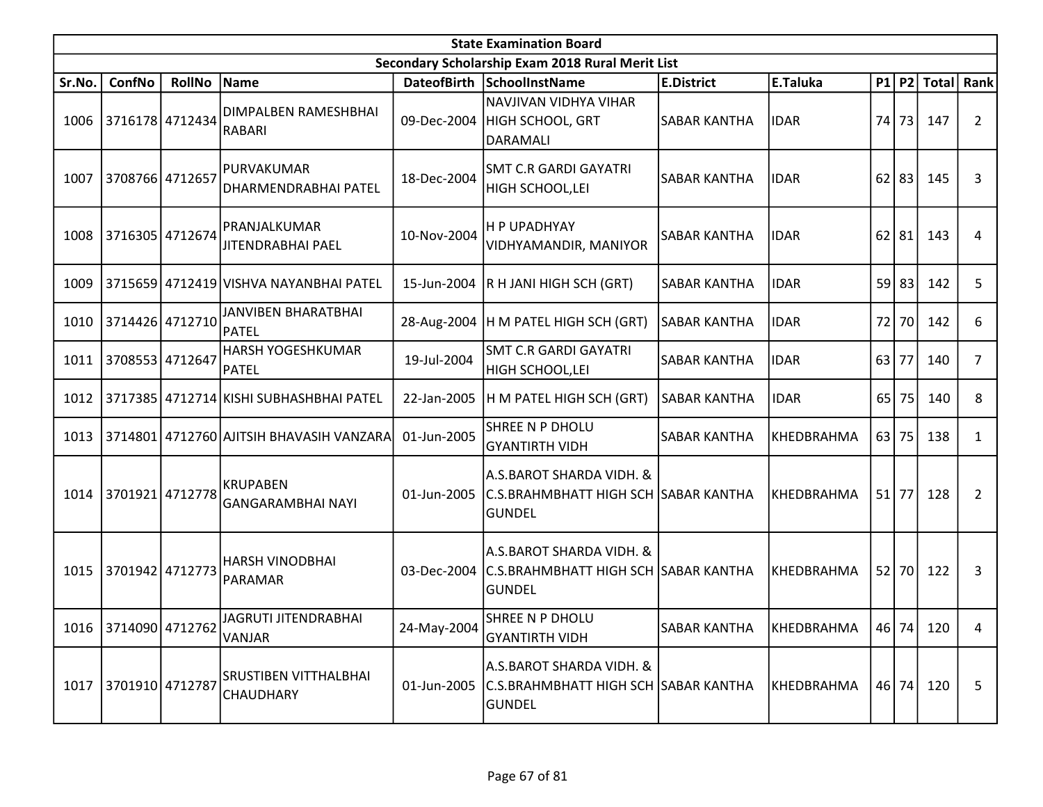|        | <b>State Examination Board</b><br>Secondary Scholarship Exam 2018 Rural Merit List |                 |                                                  |             |                                                                                   |                     |                   |      |         |              |                |  |
|--------|------------------------------------------------------------------------------------|-----------------|--------------------------------------------------|-------------|-----------------------------------------------------------------------------------|---------------------|-------------------|------|---------|--------------|----------------|--|
|        |                                                                                    |                 |                                                  |             |                                                                                   |                     |                   |      |         |              |                |  |
| Sr.No. | ConfNo                                                                             | <b>RollNo</b>   | Name                                             | DateofBirth | <b>SchoolInstName</b>                                                             | <b>E.District</b>   | E.Taluka          |      | $P1$ P2 | <b>Total</b> | Rank           |  |
| 1006   | 3716178 4712434                                                                    |                 | DIMPALBEN RAMESHBHAI<br>RABARI                   | 09-Dec-2004 | NAVJIVAN VIDHYA VIHAR<br>HIGH SCHOOL, GRT<br>DARAMALI                             | <b>SABAR KANTHA</b> | <b>IDAR</b>       | 74 I | 73      | 147          | $\overline{2}$ |  |
| 1007   | 3708766 4712657                                                                    |                 | PURVAKUMAR<br>DHARMENDRABHAI PATEL               | 18-Dec-2004 | <b>SMT C.R GARDI GAYATRI</b><br>HIGH SCHOOL, LEI                                  | <b>SABAR KANTHA</b> | <b>IDAR</b>       | 62   | 83      | 145          | 3              |  |
| 1008   | 3716305 4712674                                                                    |                 | PRANJALKUMAR<br>JITENDRABHAI PAEL                | 10-Nov-2004 | H P UPADHYAY<br>VIDHYAMANDIR, MANIYOR                                             | <b>SABAR KANTHA</b> | <b>IDAR</b>       | 62   | 81      | 143          | 4              |  |
| 1009   |                                                                                    |                 | 3715659 4712419 VISHVA NAYANBHAI PATEL           | 15-Jun-2004 | R H JANI HIGH SCH (GRT)                                                           | <b>SABAR KANTHA</b> | <b>IDAR</b>       |      | 59 83   | 142          | 5              |  |
| 1010   | 3714426 4712710                                                                    |                 | <b>JANVIBEN BHARATBHAI</b><br>PATEL              |             | 28-Aug-2004  H M PATEL HIGH SCH (GRT)                                             | <b>SABAR KANTHA</b> | <b>IDAR</b>       | 72   | 70      | 142          | 6              |  |
| 1011   |                                                                                    | 3708553 4712647 | <b>HARSH YOGESHKUMAR</b><br>PATEL                | 19-Jul-2004 | <b>SMT C.R GARDI GAYATRI</b><br>HIGH SCHOOL, LEI                                  | <b>SABAR KANTHA</b> | <b>IDAR</b>       | 63   | 77      | 140          | 7              |  |
| 1012   |                                                                                    |                 | 3717385 4712714 KISHI SUBHASHBHAI PATEL          | 22-Jan-2005 | H M PATEL HIGH SCH (GRT)                                                          | <b>SABAR KANTHA</b> | <b>IDAR</b>       | 65   | 75      | 140          | 8              |  |
| 1013   |                                                                                    |                 | 3714801 4712760 AJITSIH BHAVASIH VANZARA         | 01-Jun-2005 | SHREE N P DHOLU<br><b>GYANTIRTH VIDH</b>                                          | <b>SABAR KANTHA</b> | KHEDBRAHMA        |      | 63 75   | 138          | 1              |  |
| 1014   | 3701921 4712778                                                                    |                 | IKRUPABEN<br><b>GANGARAMBHAI NAYI</b>            | 01-Jun-2005 | A.S.BAROT SHARDA VIDH. &<br>C.S.BRAHMBHATT HIGH SCH SABAR KANTHA<br><b>GUNDEL</b> |                     | KHEDBRAHMA        |      | $51$ 77 | 128          | $\overline{2}$ |  |
| 1015   | 3701942 4712773                                                                    |                 | HARSH VINODBHAI<br>PARAMAR                       | 03-Dec-2004 | A.S.BAROT SHARDA VIDH. &<br>C.S.BRAHMBHATT HIGH SCH SABAR KANTHA<br><b>GUNDEL</b> |                     | KHEDBRAHMA        |      | 52 70   | 122          | 3              |  |
|        | 1016 3714090 4712762                                                               |                 | JAGRUTI JITENDRABHAI<br>VANJAR                   | 24-May-2004 | SHREE N P DHOLU<br><b>GYANTIRTH VIDH</b>                                          | <b>SABAR KANTHA</b> | KHEDBRAHMA        |      |         | 46 74 120    | 4              |  |
| 1017   | 3701910 4712787                                                                    |                 | <b>SRUSTIBEN VITTHALBHAI</b><br><b>CHAUDHARY</b> | 01-Jun-2005 | A.S.BAROT SHARDA VIDH. &<br>C.S.BRAHMBHATT HIGH SCH SABAR KANTHA<br><b>GUNDEL</b> |                     | <b>KHEDBRAHMA</b> |      | 46 74   | 120          | 5              |  |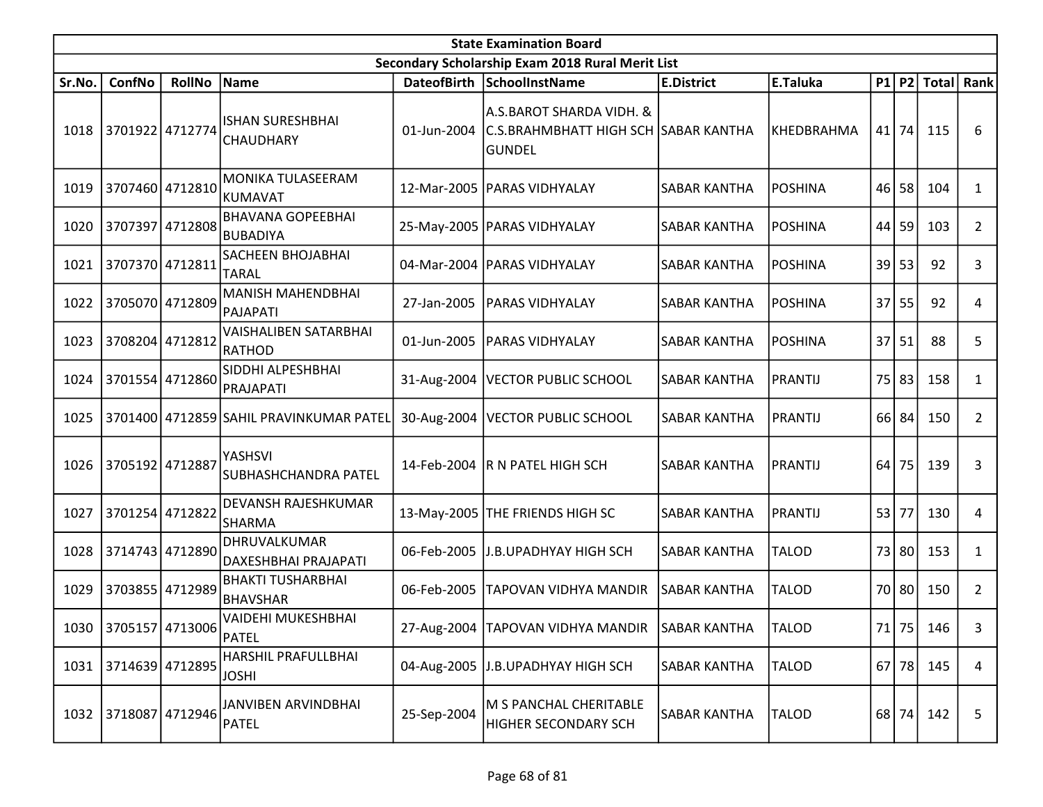|        | <b>State Examination Board</b><br>Secondary Scholarship Exam 2018 Rural Merit List |                 |                                             |             |                                                                                   |                     |                |      |           |              |                |  |  |
|--------|------------------------------------------------------------------------------------|-----------------|---------------------------------------------|-------------|-----------------------------------------------------------------------------------|---------------------|----------------|------|-----------|--------------|----------------|--|--|
|        |                                                                                    |                 |                                             |             |                                                                                   |                     |                |      |           |              |                |  |  |
| Sr.No. | ConfNo                                                                             | <b>RollNo</b>   | Name                                        |             | DateofBirth SchoolInstName                                                        | <b>E.District</b>   | E.Taluka       |      | P1 P2     | <b>Total</b> | <b>Rank</b>    |  |  |
| 1018   | 3701922 4712774                                                                    |                 | <b>ISHAN SURESHBHAI</b><br><b>CHAUDHARY</b> | 01-Jun-2004 | A.S.BAROT SHARDA VIDH. &<br>C.S.BRAHMBHATT HIGH SCH SABAR KANTHA<br><b>GUNDEL</b> |                     | KHEDBRAHMA     |      | $41$   74 | 115          | 6              |  |  |
| 1019   | 3707460 4712810                                                                    |                 | MONIKA TULASEERAM<br>KUMAVAT                |             | 12-Mar-2005   PARAS VIDHYALAY                                                     | <b>SABAR KANTHA</b> | <b>POSHINA</b> | 46   | 58        | 104          | $\mathbf{1}$   |  |  |
| 1020   | 3707397                                                                            | 4712808         | <b>BHAVANA GOPEEBHAI</b><br><b>BUBADIYA</b> |             | 25-May-2005   PARAS VIDHYALAY                                                     | <b>SABAR KANTHA</b> | <b>POSHINA</b> | 44   | 59        | 103          | $\overline{2}$ |  |  |
| 1021   | 3707370 4712811                                                                    |                 | <b>SACHEEN BHOJABHAI</b><br><b>TARAL</b>    |             | 04-Mar-2004   PARAS VIDHYALAY                                                     | <b>SABAR KANTHA</b> | <b>POSHINA</b> |      | $39$ 53   | 92           | 3              |  |  |
| 1022   |                                                                                    | 3705070 4712809 | <b>MANISH MAHENDBHAI</b><br>PAJAPATI        | 27-Jan-2005 | PARAS VIDHYALAY                                                                   | <b>SABAR KANTHA</b> | <b>POSHINA</b> | 37   | 55        | 92           | 4              |  |  |
| 1023   |                                                                                    | 3708204 4712812 | <b>VAISHALIBEN SATARBHAI</b><br>RATHOD      | 01-Jun-2005 | PARAS VIDHYALAY                                                                   | <b>SABAR KANTHA</b> | <b>POSHINA</b> | 37   | 51        | 88           | 5              |  |  |
| 1024   |                                                                                    | 3701554 4712860 | SIDDHI ALPESHBHAI<br>PRAJAPATI              | 31-Aug-2004 | <b>VECTOR PUBLIC SCHOOL</b>                                                       | <b>SABAR KANTHA</b> | PRANTIJ        | 75 l | 83        | 158          | 1              |  |  |
| 1025   |                                                                                    |                 | 3701400 4712859 SAHIL PRAVINKUMAR PATEL     | 30-Aug-2004 | <b>VECTOR PUBLIC SCHOOL</b>                                                       | <b>SABAR KANTHA</b> | PRANTIJ        |      | 66 84     | 150          | $\overline{2}$ |  |  |
| 1026   | 3705192 4712887                                                                    |                 | <b>YASHSVI</b><br>SUBHASHCHANDRA PATEL      |             | 14-Feb-2004 R N PATEL HIGH SCH                                                    | <b>SABAR KANTHA</b> | PRANTIJ        | 64   | 75        | 139          | 3              |  |  |
| 1027   | 3701254 4712822                                                                    |                 | DEVANSH RAJESHKUMAR<br>SHARMA               |             | 13-May-2005 THE FRIENDS HIGH SC                                                   | <b>SABAR KANTHA</b> | PRANTIJ        | 53   | 77        | 130          | 4              |  |  |
| 1028   |                                                                                    | 3714743 4712890 | DHRUVALKUMAR<br>DAXESHBHAI PRAJAPATI        | 06-Feb-2005 | <b>J.B.UPADHYAY HIGH SCH</b>                                                      | <b>SABAR KANTHA</b> | <b>TALOD</b>   | 73   | 80        | 153          | $\mathbf{1}$   |  |  |
| 1029   |                                                                                    | 3703855 4712989 | <b>BHAKTI TUSHARBHAI</b><br><b>BHAVSHAR</b> | 06-Feb-2005 | <b>TAPOVAN VIDHYA MANDIR</b>                                                      | <b>SABAR KANTHA</b> | <b>TALOD</b>   |      | 70 80     | 150          | $\overline{2}$ |  |  |
|        | 1030 3705157 4713006                                                               |                 | VAIDEHI MUKESHBHAI<br>PATEL                 |             | 27-Aug-2004 TAPOVAN VIDHYA MANDIR                                                 | <b>SABAR KANTHA</b> | <b>TALOD</b>   |      | 71 75     | 146          | 3              |  |  |
| 1031   | 3714639 4712895                                                                    |                 | HARSHIL PRAFULLBHAI<br>JOSHI                | 04-Aug-2005 | J.B.UPADHYAY HIGH SCH                                                             | <b>SABAR KANTHA</b> | <b>TALOD</b>   | 67 I | 78        | 145          | 4              |  |  |
|        | 1032 3718087 4712946                                                               |                 | JANVIBEN ARVINDBHAI<br>PATEL                | 25-Sep-2004 | M S PANCHAL CHERITABLE<br>HIGHER SECONDARY SCH                                    | <b>SABAR KANTHA</b> | <b>TALOD</b>   |      | 68 74     | 142          | 5              |  |  |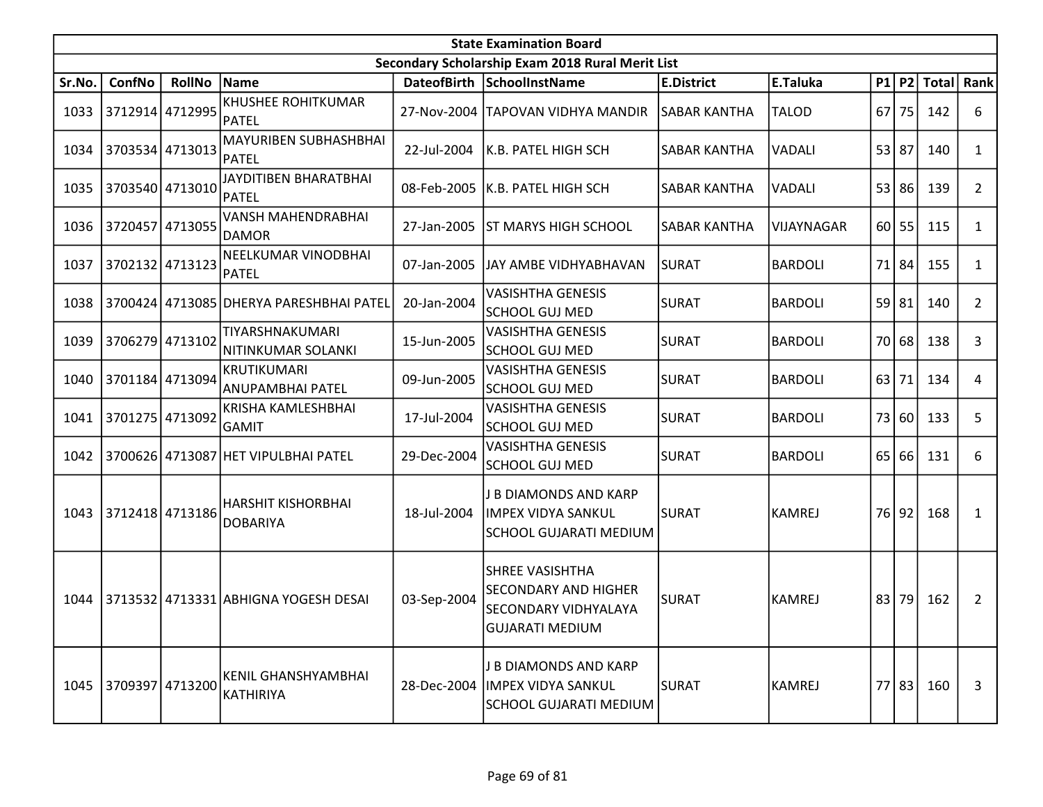|        | <b>State Examination Board</b><br>Secondary Scholarship Exam 2018 Rural Merit List |                 |                                           |             |                                                                                                         |                     |                |    |           |              |                       |  |  |
|--------|------------------------------------------------------------------------------------|-----------------|-------------------------------------------|-------------|---------------------------------------------------------------------------------------------------------|---------------------|----------------|----|-----------|--------------|-----------------------|--|--|
|        |                                                                                    |                 |                                           |             |                                                                                                         |                     |                |    |           |              |                       |  |  |
| Sr.No. | ConfNo                                                                             | <b>RollNo</b>   | Name                                      |             | DateofBirth SchoolInstName                                                                              | <b>E.District</b>   | E.Taluka       |    | P1 P2     | <b>Total</b> | Rank                  |  |  |
| 1033   | 3712914 4712995                                                                    |                 | <b>KHUSHEE ROHITKUMAR</b><br><b>PATEL</b> | 27-Nov-2004 | <b>TAPOVAN VIDHYA MANDIR</b>                                                                            | <b>SABAR KANTHA</b> | <b>TALOD</b>   | 67 | 75        | 142          | 6                     |  |  |
| 1034   |                                                                                    | 3703534 4713013 | MAYURIBEN SUBHASHBHAI<br>PATEL            | 22-Jul-2004 | K.B. PATEL HIGH SCH                                                                                     | <b>SABAR KANTHA</b> | <b>VADALI</b>  | 53 | 87        | 140          | $\mathbf{1}$          |  |  |
| 1035   |                                                                                    | 3703540 4713010 | JAYDITIBEN BHARATBHAI<br>PATEL            | 08-Feb-2005 | K.B. PATEL HIGH SCH                                                                                     | <b>SABAR KANTHA</b> | VADALI         |    | 53 86     | 139          | $\overline{2}$        |  |  |
| 1036   | 3720457                                                                            | 4713055         | <b>VANSH MAHENDRABHAI</b><br><b>DAMOR</b> | 27-Jan-2005 | <b>ST MARYS HIGH SCHOOL</b>                                                                             | <b>SABAR KANTHA</b> | VIJAYNAGAR     |    | $60$   55 | 115          | $\mathbf{1}$          |  |  |
| 1037   |                                                                                    | 3702132 4713123 | NEELKUMAR VINODBHAI<br>PATEL              | 07-Jan-2005 | JAY AMBE VIDHYABHAVAN                                                                                   | <b>SURAT</b>        | <b>BARDOLI</b> | 71 | 84        | 155          | 1                     |  |  |
| 1038   |                                                                                    |                 | 3700424 4713085 DHERYA PARESHBHAI PATEL   | 20-Jan-2004 | <b>VASISHTHA GENESIS</b><br><b>SCHOOL GUJ MED</b>                                                       | <b>SURAT</b>        | <b>BARDOLI</b> |    | 59 81     | 140          | $\mathbf{2}^{\prime}$ |  |  |
| 1039   |                                                                                    | 3706279 4713102 | TIYARSHNAKUMARI<br>NITINKUMAR SOLANKI     | 15-Jun-2005 | <b>VASISHTHA GENESIS</b><br><b>SCHOOL GUJ MED</b>                                                       | <b>SURAT</b>        | <b>BARDOLI</b> |    | 70 68     | 138          | 3                     |  |  |
| 1040   |                                                                                    | 3701184 4713094 | <b>KRUTIKUMARI</b><br>ANUPAMBHAI PATEL    | 09-Jun-2005 | <b>VASISHTHA GENESIS</b><br><b>SCHOOL GUJ MED</b>                                                       | <b>SURAT</b>        | <b>BARDOLI</b> | 63 | 71        | 134          | 4                     |  |  |
| 1041   |                                                                                    | 3701275 4713092 | KRISHA KAMLESHBHAI<br>GAMIT               | 17-Jul-2004 | <b>VASISHTHA GENESIS</b><br><b>SCHOOL GUJ MED</b>                                                       | <b>SURAT</b>        | <b>BARDOLI</b> |    | 73 60     | 133          | 5                     |  |  |
| 1042   |                                                                                    |                 | 3700626 4713087 HET VIPULBHAI PATEL       | 29-Dec-2004 | <b>VASISHTHA GENESIS</b><br><b>SCHOOL GUJ MED</b>                                                       | <b>SURAT</b>        | <b>BARDOLI</b> | 65 | 66        | 131          | 6                     |  |  |
| 1043   | 3712418 4713186                                                                    |                 | HARSHIT KISHORBHAI<br><b>DOBARIYA</b>     | 18-Jul-2004 | J B DIAMONDS AND KARP<br><b>IMPEX VIDYA SANKUL</b><br>SCHOOL GUJARATI MEDIUM                            | <b>SURAT</b>        | <b>KAMREJ</b>  |    | 76 92     | 168          | 1                     |  |  |
| 1044   |                                                                                    |                 | 3713532 4713331 ABHIGNA YOGESH DESAI      | 03-Sep-2004 | <b>SHREE VASISHTHA</b><br><b>SECONDARY AND HIGHER</b><br>SECONDARY VIDHYALAYA<br><b>GUJARATI MEDIUM</b> | <b>SURAT</b>        | <b>KAMREJ</b>  | 83 | 79        | 162          | $\overline{2}$        |  |  |
|        | 1045 3709397 4713200                                                               |                 | KENIL GHANSHYAMBHAI<br>KATHIRIYA          | 28-Dec-2004 | J B DIAMONDS AND KARP<br>IMPEX VIDYA SANKUL<br>SCHOOL GUJARATI MEDIUM                                   | SURAT               | <b>KAMREJ</b>  |    | 77 83     | 160          | 3                     |  |  |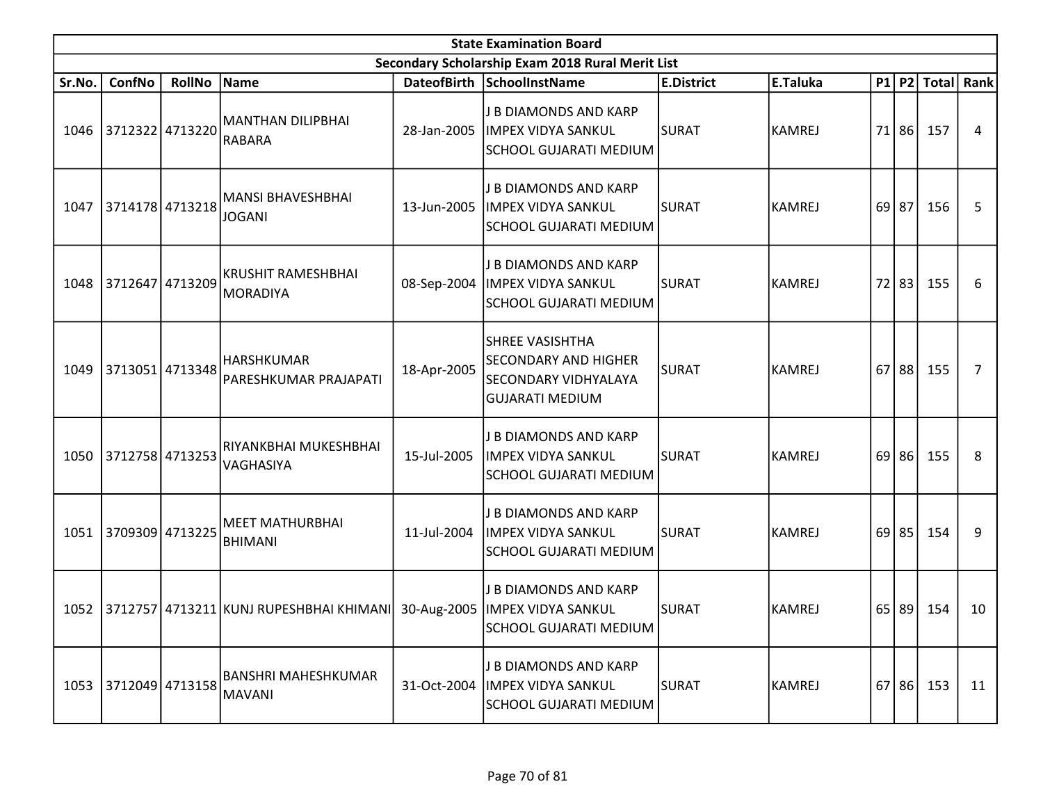|        | <b>State Examination Board</b><br>Secondary Scholarship Exam 2018 Rural Merit List |               |                                                          |             |                                                                                                         |                   |               |    |           |              |                |  |  |
|--------|------------------------------------------------------------------------------------|---------------|----------------------------------------------------------|-------------|---------------------------------------------------------------------------------------------------------|-------------------|---------------|----|-----------|--------------|----------------|--|--|
|        |                                                                                    |               |                                                          |             |                                                                                                         |                   |               |    |           |              |                |  |  |
| Sr.No. | ConfNo                                                                             | <b>RollNo</b> | Name                                                     |             | DateofBirth SchoolInstName                                                                              | <b>E.District</b> | E.Taluka      |    | P1 P2     | <b>Total</b> | <b>Rank</b>    |  |  |
| 1046   | 3712322 4713220                                                                    |               | MANTHAN DILIPBHAI<br><b>RABARA</b>                       | 28-Jan-2005 | <b>J B DIAMONDS AND KARP</b><br><b>IMPEX VIDYA SANKUL</b><br>SCHOOL GUJARATI MEDIUM                     | <b>SURAT</b>      | <b>KAMREJ</b> | 71 | 86        | 157          | 4              |  |  |
| 1047   | 3714178 4713218                                                                    |               | <b>MANSI BHAVESHBHAI</b><br><b>JOGANI</b>                | 13-Jun-2005 | J B DIAMONDS AND KARP<br><b>IMPEX VIDYA SANKUL</b><br><b>SCHOOL GUJARATI MEDIUM</b>                     | <b>SURAT</b>      | <b>KAMREJ</b> |    | $69$   87 | 156          | 5              |  |  |
|        | 1048 3712647 4713209                                                               |               | <b>KRUSHIT RAMESHBHAI</b><br><b>MORADIYA</b>             | 08-Sep-2004 | J B DIAMONDS AND KARP<br>IMPEX VIDYA SANKUL<br><b>SCHOOL GUJARATI MEDIUM</b>                            | <b>SURAT</b>      | <b>KAMREJ</b> | 72 | 83        | 155          | 6              |  |  |
| 1049   | 3713051 4713348                                                                    |               | <b>HARSHKUMAR</b><br>PARESHKUMAR PRAJAPATI               | 18-Apr-2005 | <b>SHREE VASISHTHA</b><br><b>SECONDARY AND HIGHER</b><br>SECONDARY VIDHYALAYA<br><b>GUJARATI MEDIUM</b> | <b>SURAT</b>      | <b>KAMREJ</b> | 67 | 88        | 155          | $\overline{7}$ |  |  |
|        | 1050 3712758 4713253                                                               |               | RIYANKBHAI MUKESHBHAI<br>VAGHASIYA                       | 15-Jul-2005 | J B DIAMONDS AND KARP<br><b>IMPEX VIDYA SANKUL</b><br>SCHOOL GUJARATI MEDIUM                            | <b>SURAT</b>      | <b>KAMREJ</b> | 69 | 86        | 155          | 8              |  |  |
| 1051   | 3709309 4713225                                                                    |               | <b>MEET MATHURBHAI</b><br><b>BHIMANI</b>                 | 11-Jul-2004 | J B DIAMONDS AND KARP<br><b>IMPEX VIDYA SANKUL</b><br><b>SCHOOL GUJARATI MEDIUM</b>                     | <b>SURAT</b>      | <b>KAMREJ</b> |    | $69$   85 | 154          | 9              |  |  |
|        |                                                                                    |               | 1052 3712757 4713211 KUNJ RUPESHBHAI KHIMANI 30-Aug-2005 |             | J B DIAMONDS AND KARP<br><b>IMPEX VIDYA SANKUL</b><br><b>SCHOOL GUJARATI MEDIUM</b>                     | <b>SURAT</b>      | <b>KAMREJ</b> | 65 | 89        | 154          | 10             |  |  |
|        | 1053 3712049 4713158                                                               |               | <b>BANSHRI MAHESHKUMAR</b><br>MAVANI                     | 31-Oct-2004 | J B DIAMONDS AND KARP<br><b>IMPEX VIDYA SANKUL</b><br>SCHOOL GUJARATI MEDIUM                            | SURAT             | <b>KAMREJ</b> |    | 67 86     | 153          | 11             |  |  |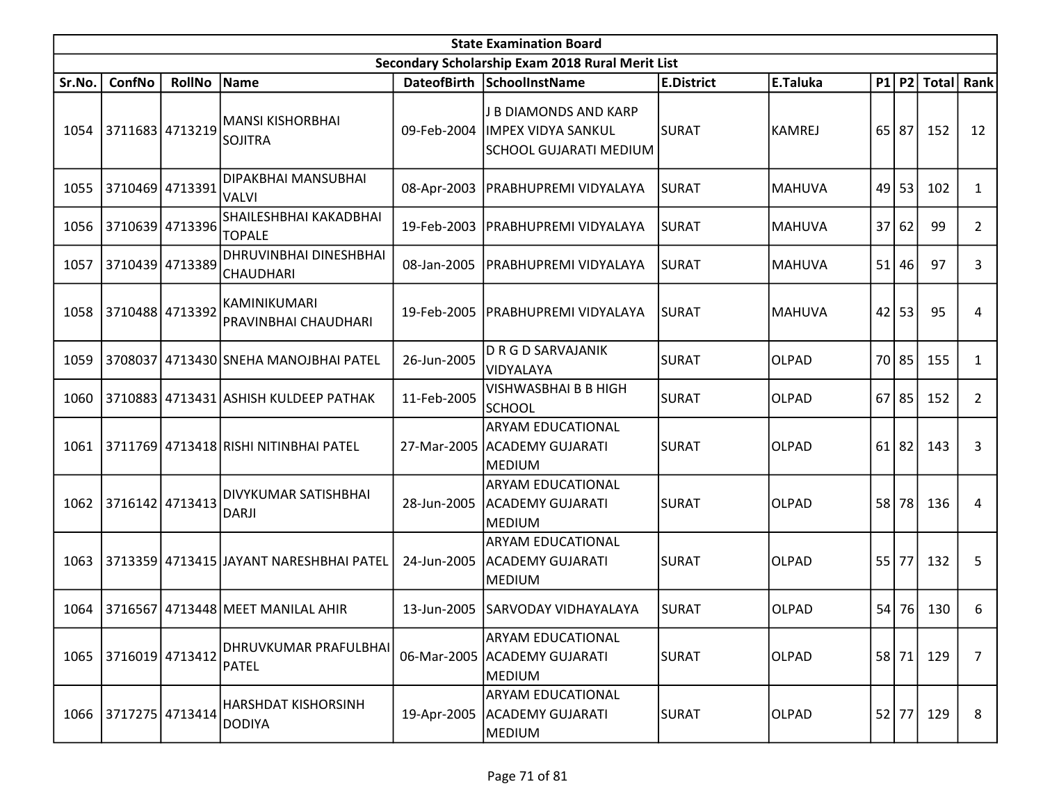|        | <b>State Examination Board</b><br>Secondary Scholarship Exam 2018 Rural Merit List |                 |                                            |             |                                                                              |                   |               |      |           |              |                |  |  |  |
|--------|------------------------------------------------------------------------------------|-----------------|--------------------------------------------|-------------|------------------------------------------------------------------------------|-------------------|---------------|------|-----------|--------------|----------------|--|--|--|
|        |                                                                                    |                 |                                            |             |                                                                              |                   |               |      |           |              |                |  |  |  |
| Sr.No. | ConfNo                                                                             | <b>RollNo</b>   | Name                                       |             | DateofBirth SchoolInstName                                                   | <b>E.District</b> | E.Taluka      |      | P1 P2     | <b>Total</b> | <b>Rank</b>    |  |  |  |
| 1054   | 3711683 4713219                                                                    |                 | <b>MANSI KISHORBHAI</b><br><b>SOJITRA</b>  | 09-Feb-2004 | J B DIAMONDS AND KARP<br><b>IMPEX VIDYA SANKUL</b><br>SCHOOL GUJARATI MEDIUM | <b>SURAT</b>      | <b>KAMREJ</b> |      | $65$   87 | 152          | 12             |  |  |  |
| 1055   |                                                                                    | 3710469 4713391 | DIPAKBHAI MANSUBHAI<br><b>VALVI</b>        | 08-Apr-2003 | PRABHUPREMI VIDYALAYA                                                        | <b>SURAT</b>      | <b>MAHUVA</b> | 49   | 53        | 102          | $\mathbf{1}$   |  |  |  |
| 1056   |                                                                                    | 3710639 4713396 | SHAILESHBHAI KAKADBHAI<br><b>TOPALE</b>    | 19-Feb-2003 | PRABHUPREMI VIDYALAYA                                                        | ISURAT            | <b>MAHUVA</b> | 37   | 62        | 99           | $\overline{2}$ |  |  |  |
| 1057   | 3710439 4713389                                                                    |                 | DHRUVINBHAI DINESHBHAI<br><b>CHAUDHARI</b> | 08-Jan-2005 | PRABHUPREMI VIDYALAYA                                                        | <b>SURAT</b>      | <b>MAHUVA</b> | 51   | 46        | 97           | 3              |  |  |  |
| 1058   | 3710488 4713392                                                                    |                 | KAMINIKUMARI<br>PRAVINBHAI CHAUDHARI       | 19-Feb-2005 | PRABHUPREMI VIDYALAYA                                                        | ISURAT            | <b>MAHUVA</b> | 42   | 53        | 95           | 4              |  |  |  |
| 1059   | 3708037                                                                            |                 | 4713430 SNEHA MANOJBHAI PATEL              | 26-Jun-2005 | <b>DRGDSARVAJANIK</b><br>VIDYALAYA                                           | <b>SURAT</b>      | <b>OLPAD</b>  | 70   | 85        | 155          | 1              |  |  |  |
| 1060   |                                                                                    |                 | 3710883 4713431 ASHISH KULDEEP PATHAK      | 11-Feb-2005 | VISHWASBHAI B B HIGH<br><b>SCHOOL</b>                                        | <b>SURAT</b>      | <b>OLPAD</b>  |      | $67$   85 | 152          | $\overline{2}$ |  |  |  |
| 1061   |                                                                                    |                 | 3711769 4713418 RISHI NITINBHAI PATEL      | 27-Mar-2005 | <b>ARYAM EDUCATIONAL</b><br><b>ACADEMY GUJARATI</b><br><b>MEDIUM</b>         | SURAT             | <b>OLPAD</b>  | 61 l | 82        | 143          | 3              |  |  |  |
| 1062   | 3716142 4713413                                                                    |                 | DIVYKUMAR SATISHBHAI<br><b>DARJI</b>       | 28-Jun-2005 | <b>ARYAM EDUCATIONAL</b><br><b>ACADEMY GUJARATI</b><br><b>MEDIUM</b>         | <b>SURAT</b>      | <b>OLPAD</b>  | 58   | 78        | 136          | 4              |  |  |  |
| 1063   |                                                                                    |                 | 3713359 4713415 JAYANT NARESHBHAI PATEL    | 24-Jun-2005 | ARYAM EDUCATIONAL<br><b>ACADEMY GUJARATI</b><br><b>MEDIUM</b>                | <b>SURAT</b>      | <b>OLPAD</b>  |      | 55 77     | 132          | 5              |  |  |  |
| 1064   |                                                                                    |                 | 3716567   4713448   MEET MANILAL AHIR      | 13-Jun-2005 | SARVODAY VIDHAYALAYA                                                         | <b>SURAT</b>      | <b>OLPAD</b>  | 54   | 76        | 130          | 6              |  |  |  |
| 1065   | 3716019 4713412                                                                    |                 | DHRUVKUMAR PRAFULBHAI<br><b>PATEL</b>      | 06-Mar-2005 | ARYAM EDUCATIONAL<br><b>ACADEMY GUJARATI</b><br><b>MEDIUM</b>                | <b>SURAT</b>      | <b>OLPAD</b>  | 58   | 71        | 129          | $\overline{7}$ |  |  |  |
|        | 1066 3717275 4713414                                                               |                 | HARSHDAT KISHORSINH<br><b>DODIYA</b>       | 19-Apr-2005 | ARYAM EDUCATIONAL<br><b>ACADEMY GUJARATI</b><br><b>MEDIUM</b>                | <b>SURAT</b>      | <b>OLPAD</b>  |      | $52$ 77   | 129          | 8              |  |  |  |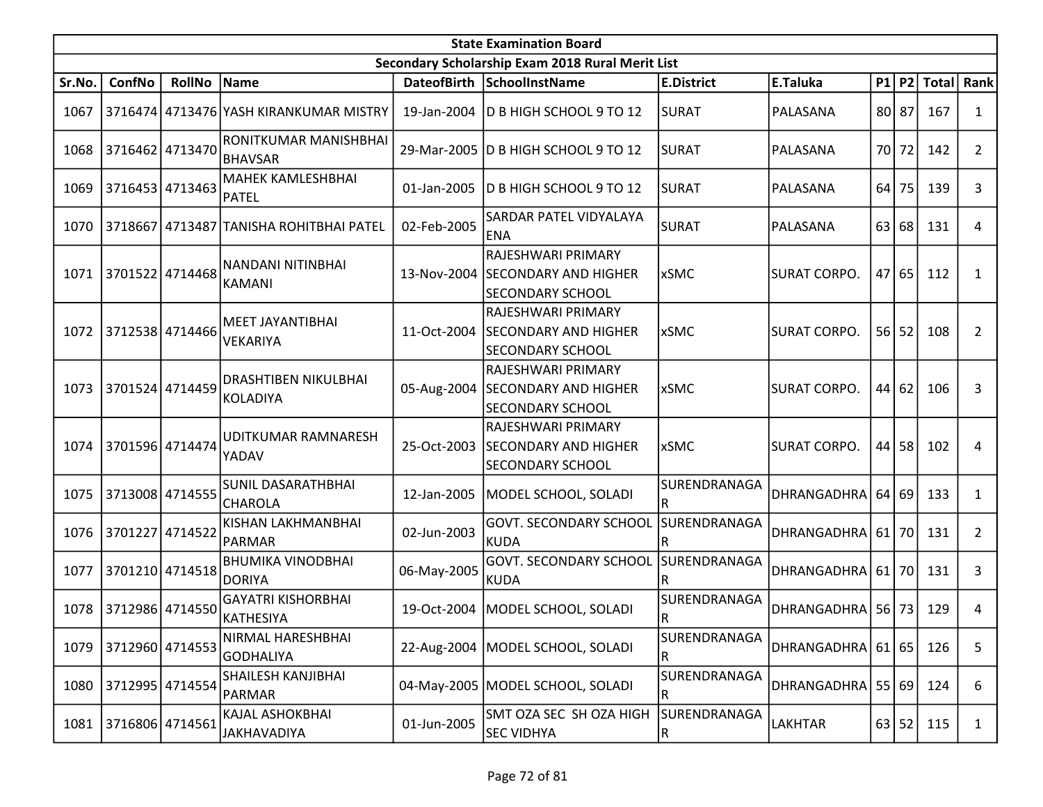|        | <b>State Examination Board</b> |               |                                              |             |                                                                                   |                                         |                       |         |           |              |                       |  |  |
|--------|--------------------------------|---------------|----------------------------------------------|-------------|-----------------------------------------------------------------------------------|-----------------------------------------|-----------------------|---------|-----------|--------------|-----------------------|--|--|
|        |                                |               |                                              |             | Secondary Scholarship Exam 2018 Rural Merit List                                  |                                         |                       |         |           |              |                       |  |  |
| Sr.No. | ConfNo                         | <b>RollNo</b> | Name                                         |             | DateofBirth SchoolInstName                                                        | <b>E.District</b>                       | E.Taluka              |         | $P1$ $P2$ | <b>Total</b> | Rank                  |  |  |
| 1067   |                                |               | 3716474 4713476 YASH KIRANKUMAR MISTRY       | 19-Jan-2004 | D B HIGH SCHOOL 9 TO 12                                                           | <b>SURAT</b>                            | PALASANA              |         | 80 87     | 167          | 1                     |  |  |
| 1068   | 3716462 4713470                |               | RONITKUMAR MANISHBHAI<br><b>BHAVSAR</b>      |             | 29-Mar-2005   D B HIGH SCHOOL 9 TO 12                                             | lsurat                                  | PALASANA              |         | 70 72     | 142          | $\overline{2}$        |  |  |
| 1069   | 3716453 4713463                |               | <b>MAHEK KAMLESHBHAI</b><br>PATEL            | 01-Jan-2005 | D B HIGH SCHOOL 9 TO 12                                                           | <b>SURAT</b>                            | PALASANA              | 64      | 75        | 139          | 3                     |  |  |
| 1070   |                                |               | 3718667 4713487 TANISHA ROHITBHAI PATEL      | 02-Feb-2005 | SARDAR PATEL VIDYALAYA<br><b>ENA</b>                                              | <b>SURAT</b>                            | PALASANA              | 63      | 68        | 131          | 4                     |  |  |
| 1071   | 3701522 4714468                |               | INANDANI NITINBHAI<br>KAMANI                 |             | RAJESHWARI PRIMARY<br>13-Nov-2004 SECONDARY AND HIGHER<br><b>SECONDARY SCHOOL</b> | <b>xSMC</b>                             | <b>SURAT CORPO.</b>   |         | 47 65     | 112          | $\mathbf{1}$          |  |  |
| 1072   | 3712538 4714466                |               | MEET JAYANTIBHAI<br>VEKARIYA                 | 11-Oct-2004 | RAJESHWARI PRIMARY<br><b>SECONDARY AND HIGHER</b><br>SECONDARY SCHOOL             | <b>xSMC</b>                             | SURAT CORPO.          |         | $56$   52 | 108          | $\overline{2}$        |  |  |
| 1073   | 3701524 4714459                |               | <b>DRASHTIBEN NIKULBHAI</b><br>KOLADIYA      | 05-Aug-2004 | RAJESHWARI PRIMARY<br><b>SECONDARY AND HIGHER</b><br><b>SECONDARY SCHOOL</b>      | <b>xSMC</b>                             | <b>SURAT CORPO.</b>   |         | 44 62     | 106          | 3                     |  |  |
| 1074   | 3701596 4714474                |               | UDITKUMAR RAMNARESH<br>YADAV                 | 25-Oct-2003 | RAJESHWARI PRIMARY<br><b>SECONDARY AND HIGHER</b><br><b>SECONDARY SCHOOL</b>      | <b>xSMC</b>                             | <b>SURAT CORPO.</b>   |         | 44 58     | 102          | 4                     |  |  |
| 1075   | 3713008 4714555                |               | <b>SUNIL DASARATHBHAI</b><br><b>CHAROLA</b>  | 12-Jan-2005 | MODEL SCHOOL, SOLADI                                                              | SURENDRANAGA<br>R                       | DHRANGADHRA           |         | 64 69     | 133          | 1                     |  |  |
| 1076   | 3701227 4714522                |               | KISHAN LAKHMANBHAI<br>PARMAR                 | 02-Jun-2003 | <b>GOVT. SECONDARY SCHOOL</b><br> KUDA                                            | SURENDRANAGA<br>R                       | <b>DHRANGADHRA</b>    | 61   70 |           | 131          | $\mathbf{2}^{\prime}$ |  |  |
| 1077   | 3701210 4714518                |               | <b>BHUMIKA VINODBHAI</b><br><b>DORIYA</b>    | 06-May-2005 | GOVT. SECONDARY SCHOOL SURENDRANAGA<br><b>KUDA</b>                                | R                                       | DHRANGADHRA           | 61   70 |           | 131          | 3                     |  |  |
| 1078   | 3712986 4714550                |               | <b>GAYATRI KISHORBHAI</b><br>KATHESIYA       |             | 19-Oct-2004   MODEL SCHOOL, SOLADI                                                | SURENDRANAGA<br>R.                      | DHRANGADHRA   56   73 |         |           | 129          | 4                     |  |  |
| 1079   | 3712960 4714553                |               | NIRMAL HARESHBHAI<br>GODHALIYA               |             | 22-Aug-2004   MODEL SCHOOL, SOLADI                                                | SURENDRANAGA<br>$\mathsf R$             | DHRANGADHRA   61   65 |         |           | 126          | 5                     |  |  |
| 1080   | 3712995 4714554                |               | <b>SHAILESH KANJIBHAI</b><br>PARMAR          |             | 04-May-2005   MODEL SCHOOL, SOLADI                                                | SURENDRANAGA<br>$\overline{\mathsf{R}}$ | DHRANGADHRA           |         | 55 69     | 124          | 6                     |  |  |
| 1081   | 3716806 4714561                |               | <b>KAJAL ASHOKBHAI</b><br><b>JAKHAVADIYA</b> | 01-Jun-2005 | SMT OZA SEC SH OZA HIGH<br><b>SEC VIDHYA</b>                                      | SURENDRANAGA<br> R                      | <b>LAKHTAR</b>        |         | 63 52     | 115          | 1                     |  |  |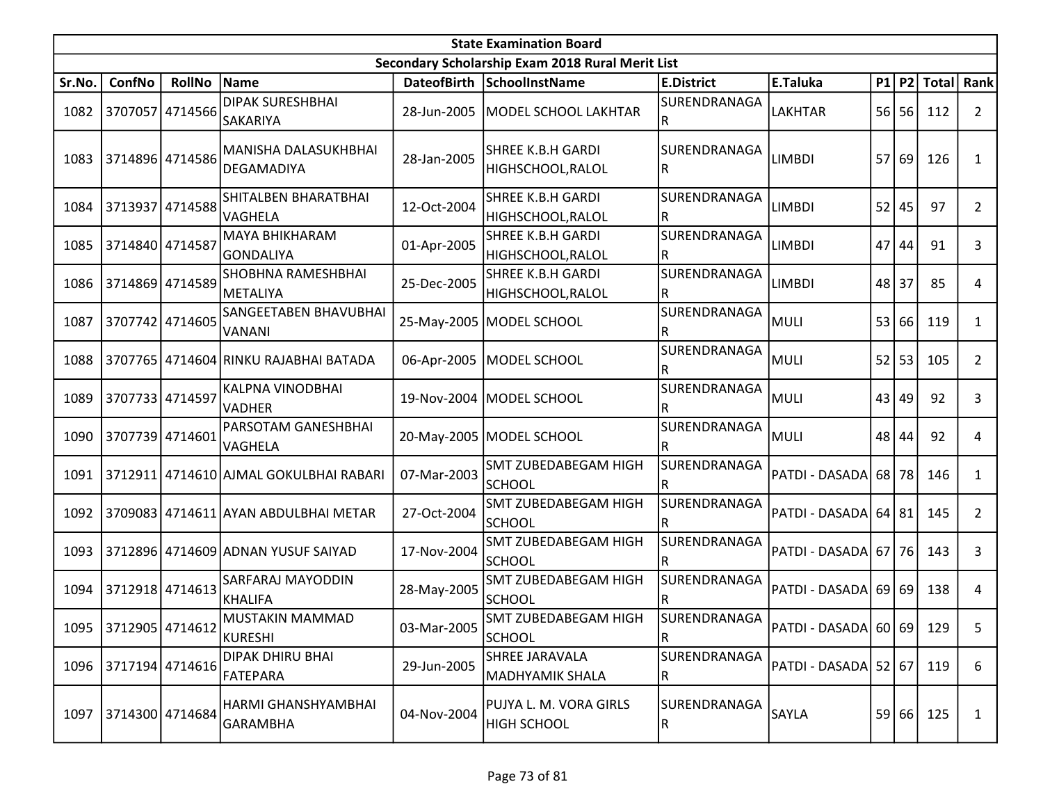|        | <b>State Examination Board</b> |                 |                                            |                    |                                                  |                                         |                          |    |       |                  |                |  |  |
|--------|--------------------------------|-----------------|--------------------------------------------|--------------------|--------------------------------------------------|-----------------------------------------|--------------------------|----|-------|------------------|----------------|--|--|
|        |                                |                 |                                            |                    | Secondary Scholarship Exam 2018 Rural Merit List |                                         |                          |    |       |                  |                |  |  |
| Sr.No. | ConfNo                         | <b>RollNo</b>   | Name                                       |                    | DateofBirth SchoolInstName                       | <b>E.District</b>                       | E.Taluka                 |    |       | P1 P2 Total Rank |                |  |  |
| 1082   |                                | 3707057 4714566 | <b>DIPAK SURESHBHAI</b><br><b>SAKARIYA</b> | 28-Jun-2005        | MODEL SCHOOL LAKHTAR                             | SURENDRANAGA<br>IR.                     | <b>LAKHTAR</b>           | 56 | 56    | 112              | $\overline{2}$ |  |  |
| 1083   |                                | 3714896 4714586 | MANISHA DALASUKHBHAI<br>DEGAMADIYA         | 28-Jan-2005        | <b>SHREE K.B.H GARDI</b><br>HIGHSCHOOL, RALOL    | SURENDRANAGA<br>IR.                     | <b>LIMBDI</b>            | 57 | 69    | 126              | 1              |  |  |
| 1084   |                                | 3713937 4714588 | SHITALBEN BHARATBHAI<br>VAGHELA            | 12-Oct-2004        | <b>SHREE K.B.H GARDI</b><br> HIGHSCHOOL,RALOL    | SURENDRANAGA<br>R                       | <b>LIMBDI</b>            | 52 | 45    | 97               | 2              |  |  |
| 1085   | 3714840 4714587                |                 | MAYA BHIKHARAM<br><b>GONDALIYA</b>         | 01-Apr-2005        | <b>SHREE K.B.H GARDI</b><br>HIGHSCHOOL, RALOL    | SURENDRANAGA<br>R                       | <b>LIMBDI</b>            | 47 | 44    | 91               | 3              |  |  |
| 1086   | 3714869 4714589                |                 | <b>SHOBHNA RAMESHBHAI</b><br>METALIYA      | 25-Dec-2005        | <b>SHREE K.B.H GARDI</b><br>HIGHSCHOOL, RALOL    | SURENDRANAGA                            | <b>LIMBDI</b>            | 48 | 37    | 85               | 4              |  |  |
| 1087   | 3707742 4714605                |                 | SANGEETABEN BHAVUBHAI<br><b>VANANI</b>     |                    | 25-May-2005   MODEL SCHOOL                       | SURENDRANAGA<br>R                       | <b>MULI</b>              | 53 | 66    | 119              | 1              |  |  |
| 1088   |                                |                 | 3707765   4714604 RINKU RAJABHAI BATADA    |                    | 06-Apr-2005   MODEL SCHOOL                       | SURENDRANAGA<br>$\overline{\mathsf{R}}$ | <b>MULI</b>              | 52 | 53    | 105              | $\overline{2}$ |  |  |
| 1089   | 3707733 4714597                |                 | <b>KALPNA VINODBHAI</b><br>VADHER          |                    | 19-Nov-2004   MODEL SCHOOL                       | SURENDRANAGA                            | <b>MULI</b>              | 43 | 49    | 92               | 3              |  |  |
| 1090   | 3707739 4714601                |                 | PARSOTAM GANESHBHAI<br>VAGHELA             |                    | 20-May-2005   MODEL SCHOOL                       | SURENDRANAGA<br>R                       | <b>MULI</b>              | 48 | 44    | 92               | 4              |  |  |
| 1091   |                                |                 | 3712911 4714610 AJMAL GOKULBHAI RABARI     | 07-Mar-2003        | <b>SMT ZUBEDABEGAM HIGH</b><br><b>SCHOOL</b>     | SURENDRANAGA                            | PATDI - DASADA           | 68 | 78    | 146              | 1              |  |  |
| 1092   |                                |                 | 3709083 4714611 AYAN ABDULBHAI METAR       | 27-Oct-2004        | <b>SMT ZUBEDABEGAM HIGH</b><br><b>SCHOOL</b>     | SURENDRANAGA                            | PATDI - DASADA 64 81     |    |       | 145              | $\overline{2}$ |  |  |
| 1093   |                                |                 | 3712896 4714609 ADNAN YUSUF SAIYAD         | 17-Nov-2004        | <b>SMT ZUBEDABEGAM HIGH</b><br><b>SCHOOL</b>     | SURENDRANAGA                            | PATDI - DASADA 67        |    | 76    | 143              | 3              |  |  |
| 1094   | 3712918 4714613                |                 | SARFARAJ MAYODDIN<br>KHALIFA               | 28-May-2005        | <b>SMT ZUBEDABEGAM HIGH</b><br><b>SCHOOL</b>     | SURENDRANAGA                            | PATDI - DASADA 69 69     |    |       | 138              | 4              |  |  |
|        | 1095 3712905 4714612           |                 | MUSTAKIN MAMMAD<br>KURESHI                 | 03-Mar-2005 SCHOOL | SMT ZUBEDABEGAM HIGH                             | SURENDRANAGA<br>$\mathsf R$             | PATDI - DASADA 60 69 129 |    |       |                  | 5              |  |  |
| 1096   | 3717194 4714616                |                 | <b>DIPAK DHIRU BHAI</b><br><b>FATEPARA</b> | 29-Jun-2005        | SHREE JARAVALA<br>MADHYAMIK SHALA                | SURENDRANAGA<br>$\mathsf R$             | PATDI - DASADA 52 67     |    |       | 119              | 6              |  |  |
| 1097   | 3714300 4714684                |                 | HARMI GHANSHYAMBHAI<br>GARAMBHA            | 04-Nov-2004        | PUJYA L. M. VORA GIRLS<br>HIGH SCHOOL            | SURENDRANAGA<br>R.                      | SAYLA                    |    | 59 66 | 125              | $\mathbf{1}$   |  |  |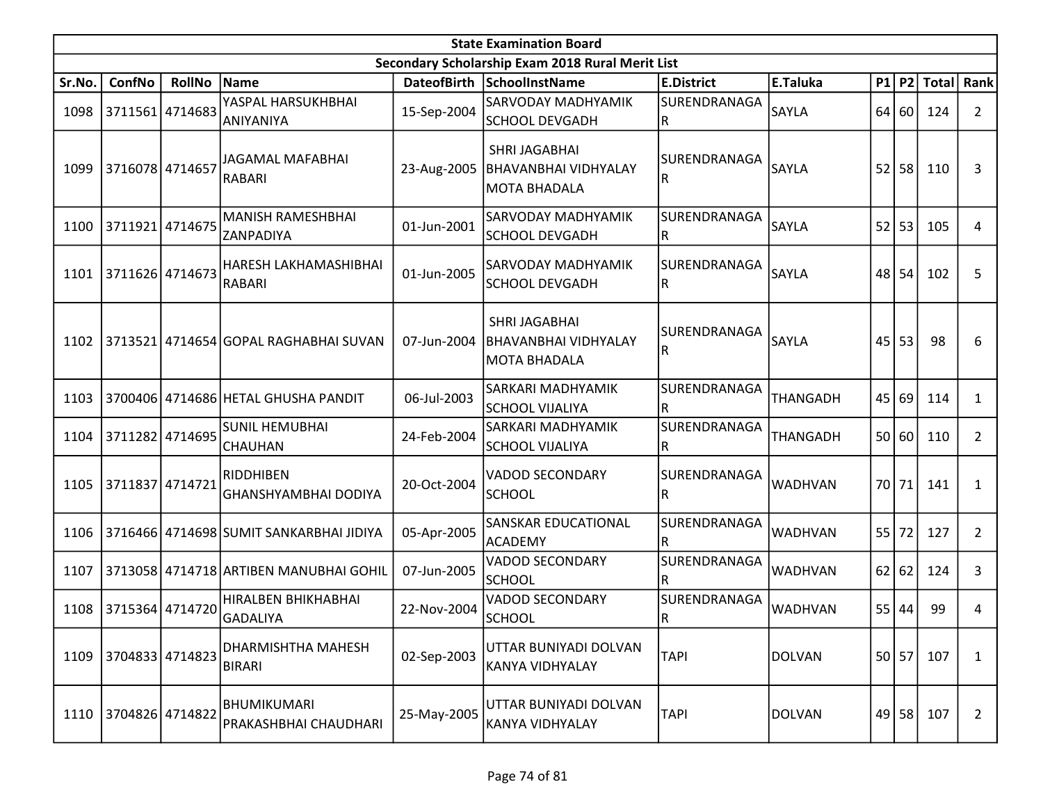|        | <b>State Examination Board</b> |                 |                                             |             |                                                                     |                                         |                 |                 |           |                  |                |  |  |
|--------|--------------------------------|-----------------|---------------------------------------------|-------------|---------------------------------------------------------------------|-----------------------------------------|-----------------|-----------------|-----------|------------------|----------------|--|--|
|        |                                |                 |                                             |             | Secondary Scholarship Exam 2018 Rural Merit List                    |                                         |                 |                 |           |                  |                |  |  |
| Sr.No. | ConfNo                         | <b>RollNo</b>   | Name                                        |             | DateofBirth SchoolInstName                                          | <b>E.District</b>                       | E.Taluka        |                 |           | P1 P2 Total Rank |                |  |  |
| 1098   | 3711561 4714683                |                 | YASPAL HARSUKHBHAI<br>ANIYANIYA             | 15-Sep-2004 | <b>SARVODAY MADHYAMIK</b><br>SCHOOL DEVGADH                         | SURENDRANAGA<br>R                       | SAYLA           | 64 l            | <b>60</b> | 124              | $\mathbf{2}$   |  |  |
| 1099   | 3716078 4714657                |                 | JAGAMAL MAFABHAI<br>RABARI                  | 23-Aug-2005 | <b>SHRI JAGABHAI</b><br><b>BHAVANBHAI VIDHYALAY</b><br>MOTA BHADALA | SURENDRANAGA<br>R                       | SAYLA           | 52              | 58        | 110              | 3              |  |  |
| 1100   | 3711921 4714675                |                 | <b>MANISH RAMESHBHAI</b><br>ZANPADIYA       | 01-Jun-2001 | <b>SARVODAY MADHYAMIK</b><br>SCHOOL DEVGADH                         | SURENDRANAGA<br>$\overline{\mathsf{R}}$ | SAYLA           | 52              | 53        | 105              | 4              |  |  |
| 1101   | 3711626 4714673                |                 | HARESH LAKHAMASHIBHAI<br><b>RABARI</b>      | 01-Jun-2005 | <b>SARVODAY MADHYAMIK</b><br>SCHOOL DEVGADH                         | SURENDRANAGA<br>R                       | SAYLA           | 48              | 54        | 102              | 5              |  |  |
| 1102   |                                |                 | 3713521 4714654 GOPAL RAGHABHAI SUVAN       | 07-Jun-2004 | SHRI JAGABHAI<br>BHAVANBHAI VIDHYALAY<br> MOTA BHADALA              | <b>SURENDRANAGA</b><br>IR.              | SAYLA           | 45              | 53        | 98               | 6              |  |  |
| 1103   |                                |                 | 3700406 4714686 HETAL GHUSHA PANDIT         | 06-Jul-2003 | SARKARI MADHYAMIK<br>SCHOOL VIJALIYA                                | SURENDRANAGA<br>R                       | <b>THANGADH</b> | 45              | 69        | 114              | 1              |  |  |
| 1104   |                                | 3711282 4714695 | <b>SUNIL HEMUBHAI</b><br><b>CHAUHAN</b>     | 24-Feb-2004 | SARKARI MADHYAMIK<br>SCHOOL VIJALIYA                                | SURENDRANAGA<br>$\overline{\mathsf{R}}$ | <b>THANGADH</b> | 50              | 60        | 110              | 2              |  |  |
| 1105   | 3711837 4714721                |                 | RIDDHIBEN<br><b>GHANSHYAMBHAI DODIYA</b>    | 20-Oct-2004 | <b>VADOD SECONDARY</b><br><b>SCHOOL</b>                             | SURENDRANAGA<br>$\overline{\mathsf{R}}$ | <b>WADHVAN</b>  | 70 <sup>1</sup> | 71        | 141              | 1              |  |  |
| 1106   |                                |                 | 3716466 4714698 SUMIT SANKARBHAI JIDIYA     | 05-Apr-2005 | SANSKAR EDUCATIONAL<br>ACADEMY                                      | SURENDRANAGA<br>$\overline{\mathsf{R}}$ | <b>WADHVAN</b>  | 55              | 72        | 127              | $\overline{2}$ |  |  |
| 1107   |                                |                 | 3713058 4714718 ARTIBEN MANUBHAI GOHIL      | 07-Jun-2005 | <b>VADOD SECONDARY</b><br><b>SCHOOL</b>                             | SURENDRANAGA<br>R                       | <b>WADHVAN</b>  | 62              | 62        | 124              | 3              |  |  |
| 1108   | 3715364 4714720                |                 | HIRALBEN BHIKHABHAI<br>GADALIYA             | 22-Nov-2004 | <b>VADOD SECONDARY</b><br><b>SCHOOL</b>                             | SURENDRANAGA<br>lR.                     | <b>WADHVAN</b>  | 55              | 44        | 99               | 4              |  |  |
| 1109   | 3704833 4714823                |                 | DHARMISHTHA MAHESH<br><b>BIRARI</b>         | 02-Sep-2003 | UTTAR BUNIYADI DOLVAN<br>KANYA VIDHYALAY                            | <b>TAPI</b>                             | <b>DOLVAN</b>   |                 | 50 57     | 107              | 1              |  |  |
| 1110   | 3704826 4714822                |                 | <b>BHUMIKUMARI</b><br>PRAKASHBHAI CHAUDHARI | 25-May-2005 | UTTAR BUNIYADI DOLVAN<br>KANYA VIDHYALAY                            | <b>TAPI</b>                             | <b>DOLVAN</b>   |                 | 49 58     | 107              | $\mathbf{2}$   |  |  |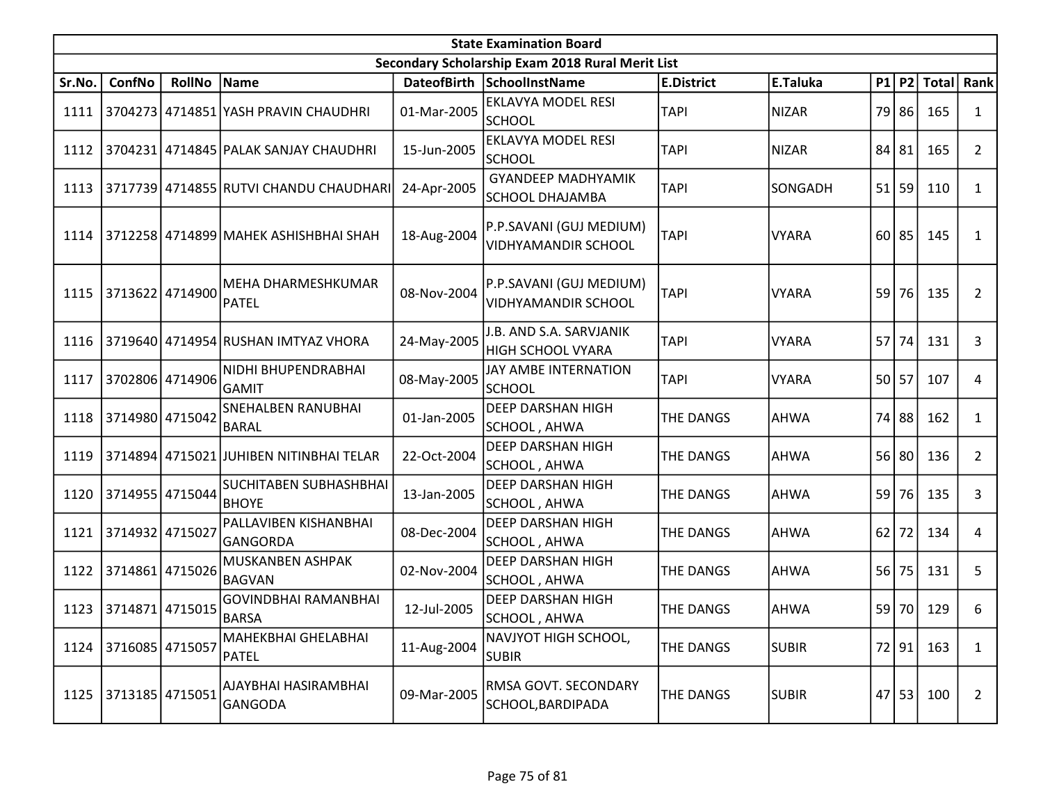|        |                   |                 |                                               |             | <b>State Examination Board</b>                        |                   |              |      |         |              |                |
|--------|-------------------|-----------------|-----------------------------------------------|-------------|-------------------------------------------------------|-------------------|--------------|------|---------|--------------|----------------|
|        |                   |                 |                                               |             | Secondary Scholarship Exam 2018 Rural Merit List      |                   |              |      |         |              |                |
| Sr.No. | ConfNo            | <b>RollNo</b>   | Name                                          |             | DateofBirth SchoolInstName                            | <b>E.District</b> | E.Taluka     |      | $P1$ P2 | <b>Total</b> | <b>Rank</b>    |
| 1111   |                   |                 | 3704273 4714851 YASH PRAVIN CHAUDHRI          | 01-Mar-2005 | EKLAVYA MODEL RESI<br><b>SCHOOL</b>                   | <b>TAPI</b>       | <b>NIZAR</b> | 79   | 86      | 165          | 1              |
| 1112   |                   |                 | 3704231 4714845 PALAK SANJAY CHAUDHRI         | 15-Jun-2005 | EKLAVYA MODEL RESI<br><b>SCHOOL</b>                   | <b>TAPI</b>       | <b>NIZAR</b> | 84   | 81      | 165          | $\overline{2}$ |
| 1113   |                   |                 | 3717739 4714855 RUTVI CHANDU CHAUDHARI        | 24-Apr-2005 | <b>GYANDEEP MADHYAMIK</b><br><b>SCHOOL DHAJAMBA</b>   | <b>TAPI</b>       | SONGADH      | 51   | 59      | 110          | $\mathbf{1}$   |
| 1114   |                   |                 | 3712258 4714899 MAHEK ASHISHBHAI SHAH         | 18-Aug-2004 | P.P.SAVANI (GUJ MEDIUM)<br><b>VIDHYAMANDIR SCHOOL</b> | <b>TAPI</b>       | <b>VYARA</b> | 60   | 85      | 145          | $\mathbf{1}$   |
| 1115   |                   | 3713622 4714900 | MEHA DHARMESHKUMAR<br>PATEL                   | 08-Nov-2004 | P.P.SAVANI (GUJ MEDIUM)<br><b>VIDHYAMANDIR SCHOOL</b> | <b>TAPI</b>       | <b>VYARA</b> | 59   | 76      | 135          | 2              |
| 1116   |                   |                 | 3719640 4714954 RUSHAN IMTYAZ VHORA           | 24-May-2005 | J.B. AND S.A. SARVJANIK<br>HIGH SCHOOL VYARA          | <b>TAPI</b>       | <b>VYARA</b> | 57   | 74      | 131          | 3              |
| 1117   |                   | 3702806 4714906 | NIDHI BHUPENDRABHAI<br><b>GAMIT</b>           | 08-May-2005 | JAY AMBE INTERNATION<br><b>SCHOOL</b>                 | <b>TAPI</b>       | <b>VYARA</b> | 50 l | 57      | 107          | 4              |
| 1118   | 3714980 4715042   |                 | <b>SNEHALBEN RANUBHAI</b><br><b>BARAL</b>     | 01-Jan-2005 | <b>DEEP DARSHAN HIGH</b><br>SCHOOL, AHWA              | <b>THE DANGS</b>  | <b>AHWA</b>  | 74   | 88      | 162          | $\mathbf{1}$   |
| 1119   |                   |                 | 3714894 4715021 JUHIBEN NITINBHAI TELAR       | 22-Oct-2004 | DEEP DARSHAN HIGH<br>SCHOOL, AHWA                     | <b>THE DANGS</b>  | <b>AHWA</b>  | 56   | 80      | 136          | $\overline{2}$ |
| 1120   | 3714955   4715044 |                 | <b>SUCHITABEN SUBHASHBHAI</b><br><b>BHOYE</b> | 13-Jan-2005 | <b>DEEP DARSHAN HIGH</b><br>SCHOOL, AHWA              | <b>THE DANGS</b>  | <b>AHWA</b>  | 59   | 76      | 135          | 3              |
| 1121   | 3714932 4715027   |                 | PALLAVIBEN KISHANBHAI<br>GANGORDA             | 08-Dec-2004 | DEEP DARSHAN HIGH<br>SCHOOL, AHWA                     | THE DANGS         | <b>AHWA</b>  | 62   | 72      | 134          | 4              |
| 1122   | 3714861           | 4715026         | MUSKANBEN ASHPAK<br><b>BAGVAN</b>             | 02-Nov-2004 | <b>DEEP DARSHAN HIGH</b><br>SCHOOL, AHWA              | <b>THE DANGS</b>  | <b>AHWA</b>  | 56   | 75      | 131          | 5              |
| 1123   | 3714871           | 4715015         | <b>GOVINDBHAI RAMANBHAI</b><br><b>BARSA</b>   | 12-Jul-2005 | DEEP DARSHAN HIGH<br>SCHOOL, AHWA                     | <b>THE DANGS</b>  | <b>AHWA</b>  | 59   | 70      | 129          | 6              |
| 1124   | 3716085 4715057   |                 | MAHEKBHAI GHELABHAI<br>PATEL                  | 11-Aug-2004 | NAVJYOT HIGH SCHOOL,<br><b>SUBIR</b>                  | <b>THE DANGS</b>  | <b>SUBIR</b> |      | 72 91   | 163          | 1              |
| 1125   | 3713185 4715051   |                 | AJAYBHAI HASIRAMBHAI<br>GANGODA               | 09-Mar-2005 | RMSA GOVT. SECONDARY<br>SCHOOL, BARDIPADA             | THE DANGS         | <b>SUBIR</b> |      | $47$ 53 | 100          | $\overline{2}$ |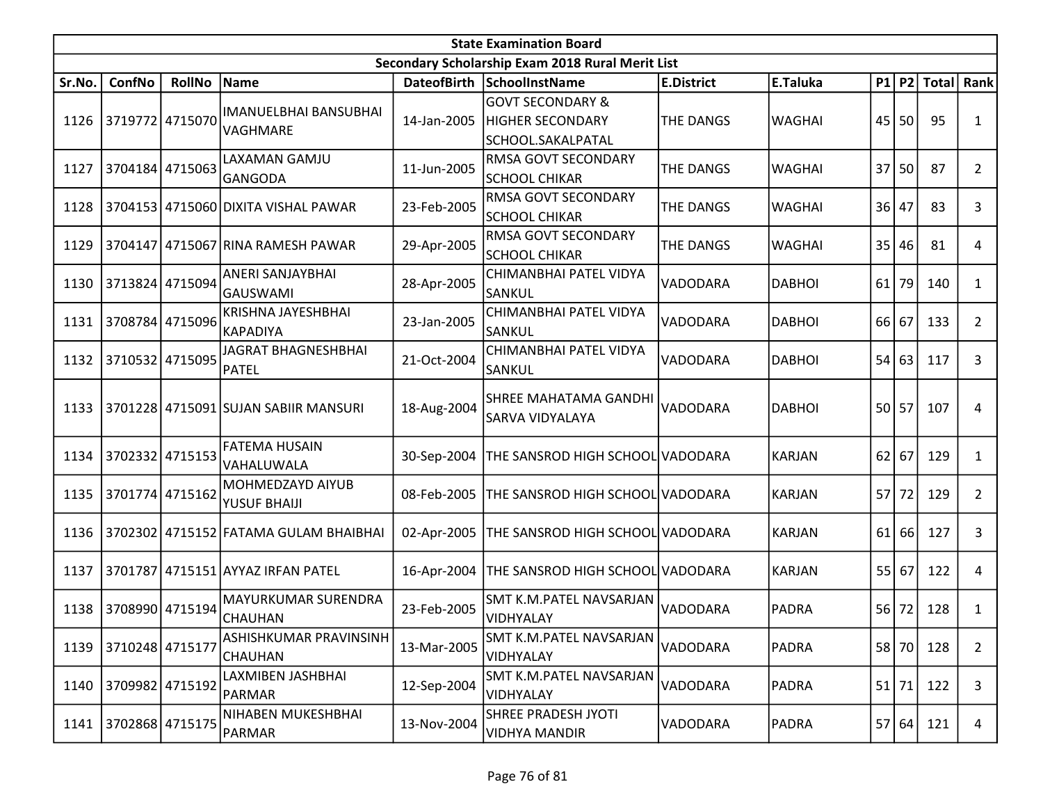|        |                 |                 |                                                 |             | <b>State Examination Board</b>                                              |                   |               |    |         |              |                |
|--------|-----------------|-----------------|-------------------------------------------------|-------------|-----------------------------------------------------------------------------|-------------------|---------------|----|---------|--------------|----------------|
|        |                 |                 |                                                 |             | Secondary Scholarship Exam 2018 Rural Merit List                            |                   |               |    |         |              |                |
| Sr.No. | ConfNo          | <b>RollNo</b>   | Name                                            |             | DateofBirth SchoolInstName                                                  | <b>E.District</b> | E.Taluka      |    | P1 P2   | <b>Total</b> | <b>Rank</b>    |
| 1126   | 3719772 4715070 |                 | <b>IMANUELBHAI BANSUBHAI</b><br><b>VAGHMARE</b> | 14-Jan-2005 | <b>GOVT SECONDARY &amp;</b><br><b>HIGHER SECONDARY</b><br>SCHOOL.SAKALPATAL | <b>THE DANGS</b>  | <b>WAGHAI</b> | 45 | 50      | 95           | 1              |
| 1127   |                 | 3704184 4715063 | LAXAMAN GAMJU<br>GANGODA                        | 11-Jun-2005 | RMSA GOVT SECONDARY<br>SCHOOL CHIKAR                                        | <b>THE DANGS</b>  | <b>WAGHAI</b> | 37 | 50      | 87           | $\overline{2}$ |
| 1128   |                 |                 | 3704153 4715060 DIXITA VISHAL PAWAR             | 23-Feb-2005 | RMSA GOVT SECONDARY<br>SCHOOL CHIKAR                                        | <b>THE DANGS</b>  | <b>WAGHAI</b> | 36 | 47      | 83           | 3              |
| 1129   |                 |                 | 3704147 4715067 RINA RAMESH PAWAR               | 29-Apr-2005 | RMSA GOVT SECONDARY<br><b>SCHOOL CHIKAR</b>                                 | <b>THE DANGS</b>  | <b>WAGHAI</b> | 35 | 46      | 81           | 4              |
| 1130   |                 | 3713824 4715094 | ANERI SANJAYBHAI<br>GAUSWAMI                    | 28-Apr-2005 | CHIMANBHAI PATEL VIDYA<br>SANKUL                                            | VADODARA          | <b>DABHOI</b> | 61 | 79      | 140          | $\mathbf{1}$   |
| 1131   |                 | 3708784 4715096 | <b>KRISHNA JAYESHBHAI</b><br>KAPADIYA           | 23-Jan-2005 | CHIMANBHAI PATEL VIDYA<br>SANKUL                                            | VADODARA          | <b>DABHOI</b> | 66 | 67      | 133          | 2              |
| 1132   | 3710532 4715095 |                 | JAGRAT BHAGNESHBHAI<br>PATEL                    | 21-Oct-2004 | CHIMANBHAI PATEL VIDYA<br>SANKUL                                            | VADODARA          | <b>DABHOI</b> | 54 | 63      | 117          | 3              |
| 1133   |                 |                 | 3701228 4715091 SUJAN SABIIR MANSURI            | 18-Aug-2004 | <b>SHREE MAHATAMA GANDHI</b><br><b>SARVA VIDYALAYA</b>                      | <b>VADODARA</b>   | <b>DABHOI</b> | 50 | 57      | 107          | 4              |
| 1134   |                 | 3702332 4715153 | FATEMA HUSAIN<br> VAHALUWALA                    | 30-Sep-2004 | THE SANSROD HIGH SCHOOL VADODARA                                            |                   | <b>KARJAN</b> | 62 | 67      | 129          | 1              |
| 1135   | 3701774 4715162 |                 | MOHMEDZAYD AIYUB<br>YUSUF BHAIJI                | 08-Feb-2005 | THE SANSROD HIGH SCHOOL VADODARA                                            |                   | <b>KARJAN</b> |    | $57$ 72 | 129          | 2              |
| 1136   |                 |                 | 3702302 4715152 FATAMA GULAM BHAIBHAI           | 02-Apr-2005 | THE SANSROD HIGH SCHOOL VADODARA                                            |                   | <b>KARJAN</b> | 61 | 66      | 127          | 3              |
| 1137   |                 |                 | 3701787 4715151 AYYAZ IRFAN PATEL               | 16-Apr-2004 | THE SANSROD HIGH SCHOOL VADODARA                                            |                   | <b>KARJAN</b> | 55 | 67      | 122          | 4              |
| 1138   | 3708990 4715194 |                 | MAYURKUMAR SURENDRA<br>CHAUHAN                  | 23-Feb-2005 | SMT K.M.PATEL NAVSARJAN<br>VIDHYALAY                                        | VADODARA          | <b>PADRA</b>  | 56 | 72      | 128          | 1              |
| 1139   | 3710248 4715177 |                 | ASHISHKUMAR PRAVINSINH<br><b>CHAUHAN</b>        | 13-Mar-2005 | SMT K.M.PATEL NAVSARJAN<br>VIDHYALAY                                        | VADODARA          | <b>PADRA</b>  |    | 58 70   | 128          | $\overline{2}$ |
| 1140   | 3709982 4715192 |                 | LAXMIBEN JASHBHAI<br>PARMAR                     | 12-Sep-2004 | SMT K.M.PATEL NAVSARJAN<br>VIDHYALAY                                        | VADODARA          | <b>PADRA</b>  | 51 | 71      | 122          | 3              |
| 1141   | 3702868 4715175 |                 | NIHABEN MUKESHBHAI<br>PARMAR                    | 13-Nov-2004 | <b>SHREE PRADESH JYOTI</b><br>VIDHYA MANDIR                                 | VADODARA          | <b>PADRA</b>  |    | 57 64   | 121          | 4              |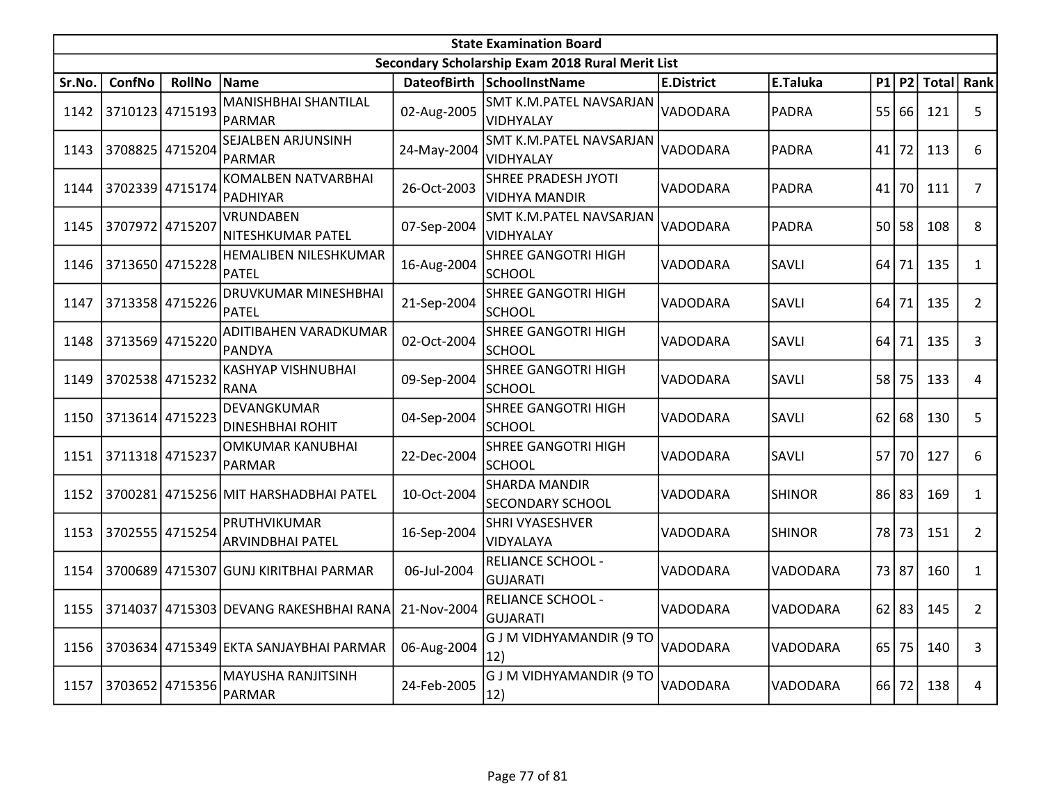|        |                 |               |                                         |                    | <b>State Examination Board</b>                     |                   |               |           |           |              |                |
|--------|-----------------|---------------|-----------------------------------------|--------------------|----------------------------------------------------|-------------------|---------------|-----------|-----------|--------------|----------------|
|        |                 |               |                                         |                    | Secondary Scholarship Exam 2018 Rural Merit List   |                   |               |           |           |              |                |
| Sr.No. | ConfNo          | <b>RollNo</b> | Name                                    | <b>DateofBirth</b> | <b>SchoolInstName</b>                              | <b>E.District</b> | E.Taluka      | <b>P1</b> | <b>P2</b> | <b>Total</b> | Rank           |
| 1142   | 3710123 4715193 |               | MANISHBHAI SHANTILAL<br>PARMAR          | 02-Aug-2005        | SMT K.M.PATEL NAVSARJAN<br>VIDHYALAY               | VADODARA          | <b>PADRA</b>  | 55        | 66        | 121          | 5              |
| 1143   | 3708825 4715204 |               | SEJALBEN ARJUNSINH<br>PARMAR            | 24-May-2004        | SMT K.M.PATEL NAVSARJAN<br>VIDHYALAY               | VADODARA          | <b>PADRA</b>  | 41        | 72        | 113          | 6              |
| 1144   | 3702339 4715174 |               | KOMALBEN NATVARBHAI<br><b>PADHIYAR</b>  | 26-Oct-2003        | <b>SHREE PRADESH JYOTI</b><br><b>VIDHYA MANDIR</b> | VADODARA          | <b>PADRA</b>  | 41        | 70        | 111          | $\overline{7}$ |
| 1145   | 3707972 4715207 |               | VRUNDABEN<br>NITESHKUMAR PATEL          | 07-Sep-2004        | SMT K.M.PATEL NAVSARJAN<br>VIDHYALAY               | VADODARA          | <b>PADRA</b>  | 50        | 58        | 108          | 8              |
| 1146   | 3713650 4715228 |               | HEMALIBEN NILESHKUMAR<br>PATEL          | 16-Aug-2004        | <b>SHREE GANGOTRI HIGH</b><br><b>SCHOOL</b>        | VADODARA          | SAVLI         | 64        | 71        | 135          | $\mathbf{1}$   |
| 1147   | 3713358         | 4715226       | DRUVKUMAR MINESHBHAI<br>PATEL           | 21-Sep-2004        | <b>SHREE GANGOTRI HIGH</b><br><b>SCHOOL</b>        | VADODARA          | SAVLI         | 64        | 71        | 135          | $\overline{2}$ |
| 1148   | 3713569 4715220 |               | ADITIBAHEN VARADKUMAR<br>PANDYA         | 02-Oct-2004        | <b>SHREE GANGOTRI HIGH</b><br><b>SCHOOL</b>        | VADODARA          | SAVLI         | 64        | 71        | 135          | 3              |
| 1149   | 3702538 4715232 |               | <b>KASHYAP VISHNUBHAI</b><br>RANA       | 09-Sep-2004        | <b>SHREE GANGOTRI HIGH</b><br><b>SCHOOL</b>        | VADODARA          | SAVLI         | 58        | 75        | 133          | 4              |
| 1150   | 3713614 4715223 |               | DEVANGKUMAR<br><b>DINESHBHAI ROHIT</b>  | 04-Sep-2004        | <b>SHREE GANGOTRI HIGH</b><br><b>SCHOOL</b>        | VADODARA          | SAVLI         | 62        | 68        | 130          | 5              |
| 1151   | 3711318 4715237 |               | OMKUMAR KANUBHAI<br>IPARMAR             | 22-Dec-2004        | <b>SHREE GANGOTRI HIGH</b><br><b>SCHOOL</b>        | VADODARA          | SAVLI         | 57        | 70        | 127          | 6              |
| 1152   |                 |               | 3700281 4715256 MIT HARSHADBHAI PATEL   | 10-Oct-2004        | <b>SHARDA MANDIR</b><br><b>SECONDARY SCHOOL</b>    | VADODARA          | <b>SHINOR</b> | 86        | 83        | 169          | $\mathbf{1}$   |
| 1153   | 3702555 4715254 |               | PRUTHVIKUMAR<br><b>ARVINDBHAI PATEL</b> | 16-Sep-2004        | SHRI VYASESHVER<br>VIDYALAYA                       | VADODARA          | <b>SHINOR</b> | 78        | 73        | 151          | $\overline{2}$ |
| 1154   |                 |               | 3700689 4715307 GUNJ KIRITBHAI PARMAR   | 06-Jul-2004        | <b>RELIANCE SCHOOL -</b><br><b>GUJARATI</b>        | VADODARA          | VADODARA      | 73        | 87        | 160          | $\mathbf{1}$   |
| 1155   | 3714037         |               | 4715303 DEVANG RAKESHBHAI RANA          | 21-Nov-2004        | <b>RELIANCE SCHOOL -</b><br><b>GUJARATI</b>        | VADODARA          | VADODARA      | 62        | 83        | 145          | $\overline{2}$ |
| 1156   |                 |               | 3703634 4715349 EKTA SANJAYBHAI PARMAR  | 06-Aug-2004        | G J M VIDHYAMANDIR (9 TO<br>12)                    | VADODARA          | VADODARA      | 65        | 75        | 140          | 3              |
| 1157   | 3703652         | 4715356       | <b>MAYUSHA RANJITSINH</b><br>PARMAR     | 24-Feb-2005        | <b>G J M VIDHYAMANDIR (9 TO</b><br>12)             | VADODARA          | VADODARA      | 66        | 72        | 138          | 4              |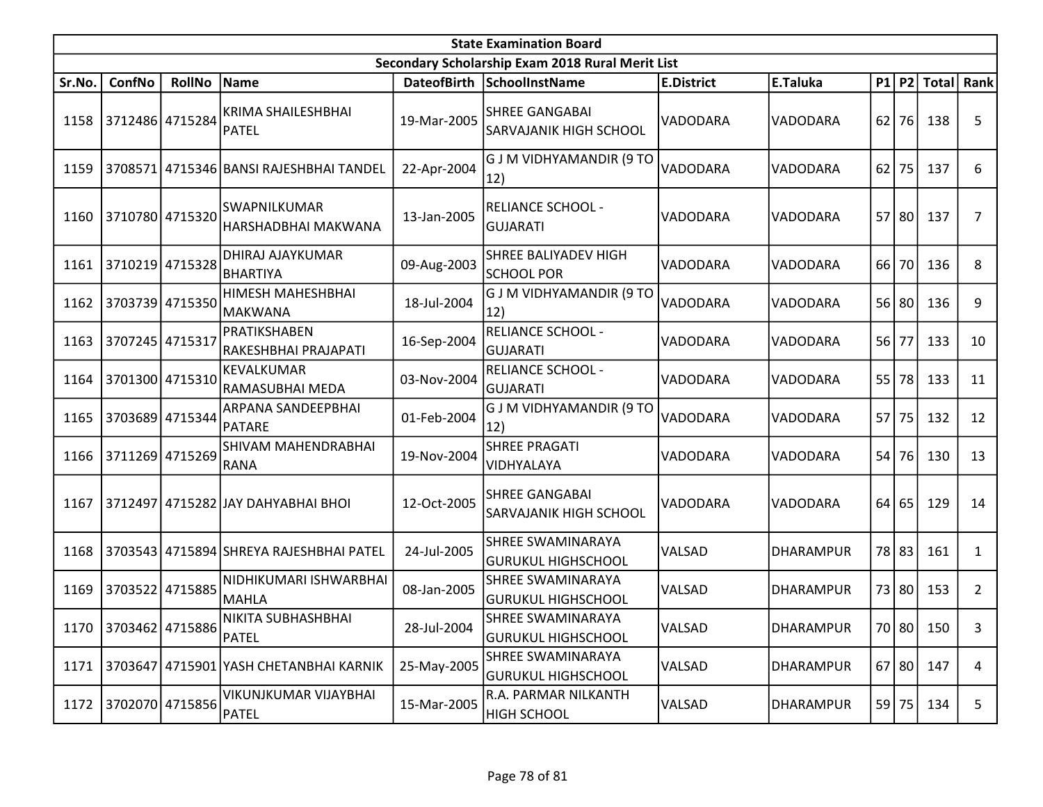|        |                      |                 |                                         |                    | <b>State Examination Board</b>                   |                   |                  |    |           |              |              |
|--------|----------------------|-----------------|-----------------------------------------|--------------------|--------------------------------------------------|-------------------|------------------|----|-----------|--------------|--------------|
|        |                      |                 |                                         |                    | Secondary Scholarship Exam 2018 Rural Merit List |                   |                  |    |           |              |              |
| Sr.No. | ConfNo               | <b>RollNo</b>   | Name                                    | <b>DateofBirth</b> | SchoolInstName                                   | <b>E.District</b> | E.Taluka         |    | $P1$ P2   | <b>Total</b> | <b>Rank</b>  |
| 1158   | 3712486 4715284      |                 | KRIMA SHAILESHBHAI<br>PATEL             | 19-Mar-2005        | <b>SHREE GANGABAI</b><br>SARVAJANIK HIGH SCHOOL  | VADODARA          | VADODARA         | 62 | 76        | 138          | 5            |
| 1159   |                      |                 | 3708571 4715346 BANSI RAJESHBHAI TANDEL | 22-Apr-2004        | G J M VIDHYAMANDIR (9 TO<br>12)                  | VADODARA          | VADODARA         | 62 | 75        | 137          | 6            |
| 1160   | 3710780 4715320      |                 | SWAPNILKUMAR<br>HARSHADBHAI MAKWANA     | 13-Jan-2005        | <b>RELIANCE SCHOOL -</b><br><b>GUJARATI</b>      | VADODARA          | VADODARA         |    | 57 80     | 137          | 7            |
| 1161   | 3710219 4715328      |                 | DHIRAJ AJAYKUMAR<br><b>BHARTIYA</b>     | 09-Aug-2003        | SHREE BALIYADEV HIGH<br><b>SCHOOL POR</b>        | VADODARA          | VADODARA         | 66 | 70        | 136          | 8            |
| 1162   | 3703739 4715350      |                 | HIMESH MAHESHBHAI<br>MAKWANA            | 18-Jul-2004        | G J M VIDHYAMANDIR (9 TO<br>12)                  | VADODARA          | VADODARA         | 56 | 80        | 136          | 9            |
| 1163   | 3707245 4715317      |                 | PRATIKSHABEN<br>RAKESHBHAI PRAJAPATI    | 16-Sep-2004        | <b>RELIANCE SCHOOL -</b><br><b>GUJARATI</b>      | VADODARA          | VADODARA         | 56 | 77        | 133          | 10           |
| 1164   |                      | 3701300 4715310 | KEVALKUMAR<br>RAMASUBHAI MEDA           | 03-Nov-2004        | <b>RELIANCE SCHOOL -</b><br><b>GUJARATI</b>      | VADODARA          | VADODARA         | 55 | 78        | 133          | 11           |
| 1165   | 3703689 4715344      |                 | <b>ARPANA SANDEEPBHAI</b><br>PATARE     | 01-Feb-2004        | G J M VIDHYAMANDIR (9 TO<br>12)                  | VADODARA          | VADODARA         | 57 | 75        | 132          | 12           |
| 1166   | 3711269 4715269      |                 | SHIVAM MAHENDRABHAI<br>RANA             | 19-Nov-2004        | <b>SHREE PRAGATI</b><br>VIDHYALAYA               | VADODARA          | VADODARA         | 54 | 76        | 130          | 13           |
| 1167   |                      |                 | 3712497 4715282 JJAY DAHYABHAI BHOI     | 12-Oct-2005        | <b>SHREE GANGABAI</b><br>SARVAJANIK HIGH SCHOOL  | VADODARA          | VADODARA         | 64 | 65        | 129          | 14           |
| 1168   |                      |                 | 3703543 4715894 SHREYA RAJESHBHAI PATEL | 24-Jul-2005        | SHREE SWAMINARAYA<br><b>GURUKUL HIGHSCHOOL</b>   | VALSAD            | <b>DHARAMPUR</b> | 78 | 83        | 161          | $\mathbf{1}$ |
| 1169   | 3703522              | 4715885         | NIDHIKUMARI ISHWARBHAI<br><b>MAHLA</b>  | 08-Jan-2005        | SHREE SWAMINARAYA<br><b>GURUKUL HIGHSCHOOL</b>   | <b>VALSAD</b>     | <b>DHARAMPUR</b> | 73 | 80        | 153          | 2            |
|        | 1170 3703462 4715886 |                 | NIKITA SUBHASHBHAI<br>PATEL             | 28-Jul-2004        | SHREE SWAMINARAYA<br><b>GURUKUL HIGHSCHOOL</b>   | VALSAD            | <b>DHARAMPUR</b> |    |           | 70 80 150    | 3            |
| 1171   |                      |                 | 3703647 4715901 YASH CHETANBHAI KARNIK  | 25-May-2005        | SHREE SWAMINARAYA<br><b>GURUKUL HIGHSCHOOL</b>   | <b>VALSAD</b>     | <b>DHARAMPUR</b> |    | $67$   80 | 147          | 4            |
| 1172   | 3702070 4715856      |                 | VIKUNJKUMAR VIJAYBHAI<br>PATEL          | 15-Mar-2005        | R.A. PARMAR NILKANTH<br><b>HIGH SCHOOL</b>       | <b>VALSAD</b>     | <b>DHARAMPUR</b> |    | 59 75     | 134          | 5            |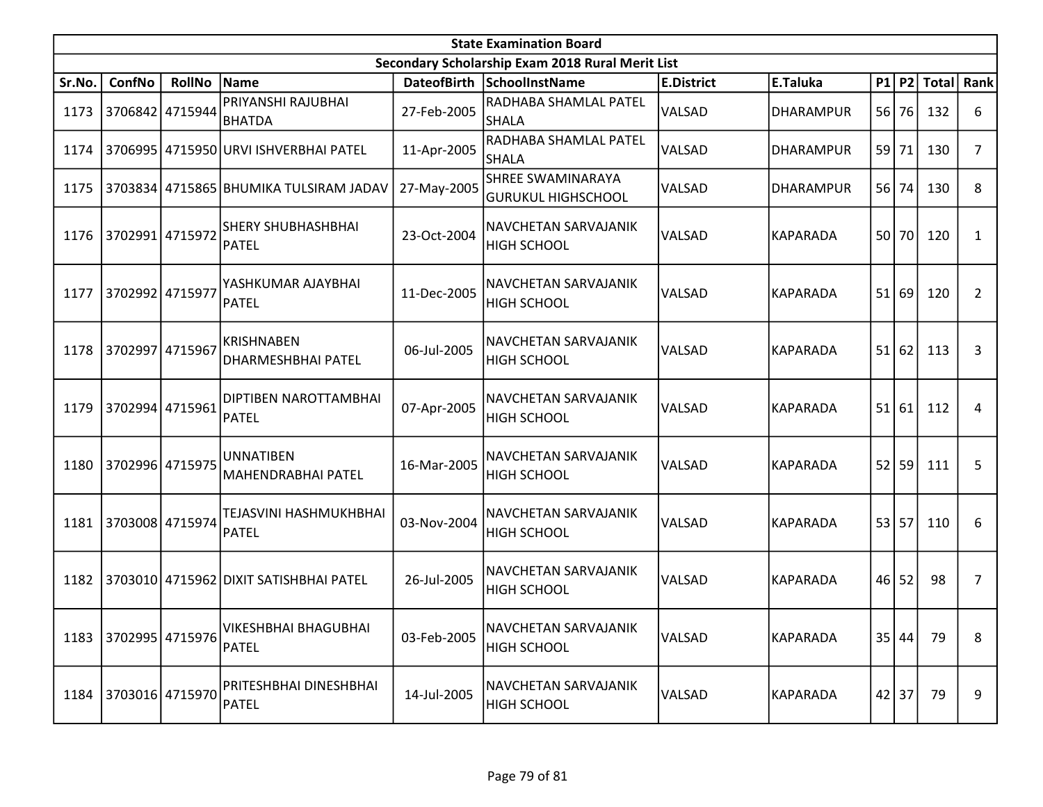|        |                      |                 |                                                |             | <b>State Examination Board</b>                    |                   |                  |           |           |       |      |
|--------|----------------------|-----------------|------------------------------------------------|-------------|---------------------------------------------------|-------------------|------------------|-----------|-----------|-------|------|
|        |                      |                 |                                                |             | Secondary Scholarship Exam 2018 Rural Merit List  |                   |                  |           |           |       |      |
| Sr.No. | ConfNo               | <b>RollNo</b>   | Name                                           |             | DateofBirth SchoolInstName                        | <b>E.District</b> | E.Taluka         |           | P1 P2     | Total | Rank |
| 1173   |                      | 3706842 4715944 | PRIYANSHI RAJUBHAI<br><b>BHATDA</b>            | 27-Feb-2005 | RADHABA SHAMLAL PATEL<br><b>SHALA</b>             | VALSAD            | <b>DHARAMPUR</b> | <b>56</b> | 76        | 132   | 6    |
| 1174   |                      |                 | 3706995 4715950 URVI ISHVERBHAI PATEL          | 11-Apr-2005 | RADHABA SHAMLAL PATEL<br><b>SHALA</b>             | <b>VALSAD</b>     | DHARAMPUR        | 59        | 71        | 130   | 7    |
| 1175   |                      |                 | 3703834 4715865 BHUMIKA TULSIRAM JADAV         | 27-May-2005 | SHREE SWAMINARAYA<br><b>GURUKUL HIGHSCHOOL</b>    | VALSAD            | DHARAMPUR        | 56 l      | 74        | 130   | 8    |
| 1176   | 3702991 4715972      |                 | <b>SHERY SHUBHASHBHAI</b><br>PATEL             | 23-Oct-2004 | NAVCHETAN SARVAJANIK<br><b>HIGH SCHOOL</b>        | VALSAD            | <b>KAPARADA</b>  |           | 50 70     | 120   | 1    |
| 1177   | 3702992 4715977      |                 | YASHKUMAR AJAYBHAI<br>PATEL                    | 11-Dec-2005 | NAVCHETAN SARVAJANIK<br><b>HIGH SCHOOL</b>        | <b>VALSAD</b>     | <b>KAPARADA</b>  | 51        | 69        | 120   | 2    |
| 1178   | 3702997 4715967      |                 | <b>KRISHNABEN</b><br>DHARMESHBHAI PATEL        | 06-Jul-2005 | NAVCHETAN SARVAJANIK<br><b>HIGH SCHOOL</b>        | <b>VALSAD</b>     | <b>KAPARADA</b>  |           | 51 62     | 113   | 3    |
| 1179   | 3702994 4715961      |                 | <b>DIPTIBEN NAROTTAMBHAI</b><br>PATEL          | 07-Apr-2005 | NAVCHETAN SARVAJANIK<br><b>HIGH SCHOOL</b>        | VALSAD            | KAPARADA         | 51        | 61        | 112   | 4    |
| 1180   | 3702996 4715975      |                 | <b>JUNNATIBEN</b><br><b>MAHENDRABHAI PATEL</b> | 16-Mar-2005 | NAVCHETAN SARVAJANIK<br><b>HIGH SCHOOL</b>        | <b>VALSAD</b>     | <b>KAPARADA</b>  |           | $52$   59 | 111   | 5    |
| 1181   |                      | 3703008 4715974 | TEJASVINI HASHMUKHBHAI<br><b>PATEL</b>         | 03-Nov-2004 | NAVCHETAN SARVAJANIK<br><b>HIGH SCHOOL</b>        | VALSAD            | <b>KAPARADA</b>  | 53        | 57        | 110   | 6    |
| 1182   |                      |                 | 3703010 4715962 DIXIT SATISHBHAI PATEL         | 26-Jul-2005 | <b>NAVCHETAN SARVAJANIK</b><br><b>HIGH SCHOOL</b> | VALSAD            | <b>KAPARADA</b>  |           | $46$   52 | 98    | 7    |
|        | 1183 3702995 4715976 |                 | VIKESHBHAI BHAGUBHAI<br>PATEL                  | 03-Feb-2005 | NAVCHETAN SARVAJANIK<br><b>HIGH SCHOOL</b>        | VALSAD            | <b>KAPARADA</b>  |           | 35 44     | 79    | 8    |
| 1184   | 3703016 4715970      |                 | PRITESHBHAI DINESHBHAI<br><b>PATEL</b>         | 14-Jul-2005 | NAVCHETAN SARVAJANIK<br><b>HIGH SCHOOL</b>        | <b>VALSAD</b>     | <b>KAPARADA</b>  |           | 42 37     | 79    | 9    |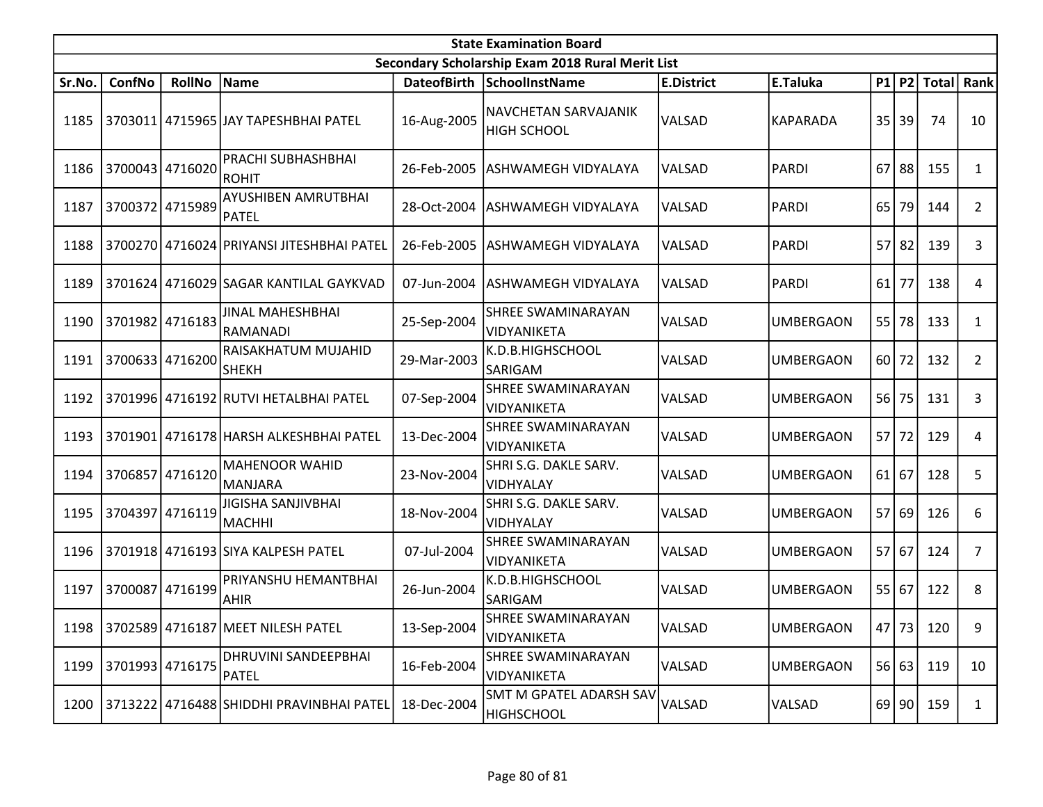|        |                 |                 |                                           |             | <b>State Examination Board</b>                   |                   |                  |                 |         |              |                |
|--------|-----------------|-----------------|-------------------------------------------|-------------|--------------------------------------------------|-------------------|------------------|-----------------|---------|--------------|----------------|
|        |                 |                 |                                           |             | Secondary Scholarship Exam 2018 Rural Merit List |                   |                  |                 |         |              |                |
| Sr.No. | ConfNo          | <b>RollNo</b>   | Name                                      | DateofBirth | <b>SchoolInstName</b>                            | <b>E.District</b> | E.Taluka         |                 | $P1$ P2 | <b>Total</b> | Rank           |
| 1185   |                 |                 | 3703011   4715965   JAY TAPESHBHAI PATEL  | 16-Aug-2005 | NAVCHETAN SARVAJANIK<br><b>HIGH SCHOOL</b>       | VALSAD            | <b>KAPARADA</b>  | 351             | 39      | 74           | 10             |
| 1186   | 3700043 4716020 |                 | PRACHI SUBHASHBHAI<br>ROHIT               | 26-Feb-2005 | <b>ASHWAMEGH VIDYALAYA</b>                       | <b>VALSAD</b>     | <b>PARDI</b>     | 67              | 88      | 155          | $\mathbf{1}$   |
| 1187   | 3700372 4715989 |                 | AYUSHIBEN AMRUTBHAI<br>PATEL              | 28-Oct-2004 | ASHWAMEGH VIDYALAYA                              | <b>VALSAD</b>     | <b>PARDI</b>     | 65              | 79      | 144          | $\overline{2}$ |
| 1188   |                 |                 | 3700270 4716024 PRIYANSI JITESHBHAI PATEL | 26-Feb-2005 | ASHWAMEGH VIDYALAYA                              | VALSAD            | <b>PARDI</b>     | 57              | 82      | 139          | 3              |
| 1189   |                 |                 | 3701624 4716029 SAGAR KANTILAL GAYKVAD    | 07-Jun-2004 | ASHWAMEGH VIDYALAYA                              | VALSAD            | PARDI            | 61              | 77      | 138          | 4              |
| 1190   | 3701982 4716183 |                 | JINAL MAHESHBHAI<br>RAMANADI              | 25-Sep-2004 | SHREE SWAMINARAYAN<br>VIDYANIKETA                | <b>VALSAD</b>     | <b>UMBERGAON</b> | 55              | 78      | 133          | $\mathbf{1}$   |
| 1191   | 3700633 4716200 |                 | RAISAKHATUM MUJAHID<br>SHEKH              | 29-Mar-2003 | K.D.B.HIGHSCHOOL<br>SARIGAM                      | VALSAD            | UMBERGAON        | 60              | 72      | 132          | $\overline{2}$ |
| 1192   |                 |                 | 3701996 4716192 RUTVI HETALBHAI PATEL     | 07-Sep-2004 | SHREE SWAMINARAYAN<br>VIDYANIKETA                | <b>VALSAD</b>     | <b>UMBERGAON</b> |                 | 56 75   | 131          | 3              |
| 1193   |                 |                 | 3701901 4716178 HARSH ALKESHBHAI PATEL    | 13-Dec-2004 | SHREE SWAMINARAYAN<br>VIDYANIKETA                | <b>VALSAD</b>     | <b>UMBERGAON</b> | 57              | 72      | 129          | 4              |
| 1194   | 3706857         | 4716120         | <b>MAHENOOR WAHID</b><br>MANJARA          | 23-Nov-2004 | SHRI S.G. DAKLE SARV.<br>VIDHYALAY               | <b>VALSAD</b>     | <b>UMBERGAON</b> | 61              | 67      | 128          | 5              |
| 1195   |                 | 3704397 4716119 | JIGISHA SANJIVBHAI<br>MACHHI              | 18-Nov-2004 | SHRI S.G. DAKLE SARV.<br>VIDHYALAY               | <b>VALSAD</b>     | <b>UMBERGAON</b> | 57              | 69      | 126          | 6              |
| 1196   |                 |                 | 3701918 4716193 SIYA KALPESH PATEL        | 07-Jul-2004 | SHREE SWAMINARAYAN<br>VIDYANIKETA                | <b>VALSAD</b>     | <b>UMBERGAON</b> | 57 <sup>1</sup> | 67      | 124          | $\overline{7}$ |
| 1197   | 3700087         | 4716199         | PRIYANSHU HEMANTBHAI<br><b>AHIR</b>       | 26-Jun-2004 | K.D.B.HIGHSCHOOL<br>SARIGAM                      | <b>VALSAD</b>     | UMBERGAON        |                 | 55 67   | 122          | 8              |
|        |                 |                 | 1198 3702589 4716187 MEET NILESH PATEL    | 13-Sep-2004 | SHREE SWAMINARAYAN<br>VIDYANIKETA                | VALSAD            | <b>UMBERGAON</b> |                 | 47   73 | 120          | 9              |
| 1199   | 3701993 4716175 |                 | DHRUVINI SANDEEPBHAI<br>PATEL             | 16-Feb-2004 | SHREE SWAMINARAYAN<br>VIDYANIKETA                | VALSAD            | <b>UMBERGAON</b> |                 | 56 63   | 119          | 10             |
| 1200   |                 |                 | 3713222 4716488 SHIDDHI PRAVINBHAI PATEL  | 18-Dec-2004 | SMT M GPATEL ADARSH SAV<br><b>HIGHSCHOOL</b>     | VALSAD            | VALSAD           |                 | 69 90   | 159          | 1              |